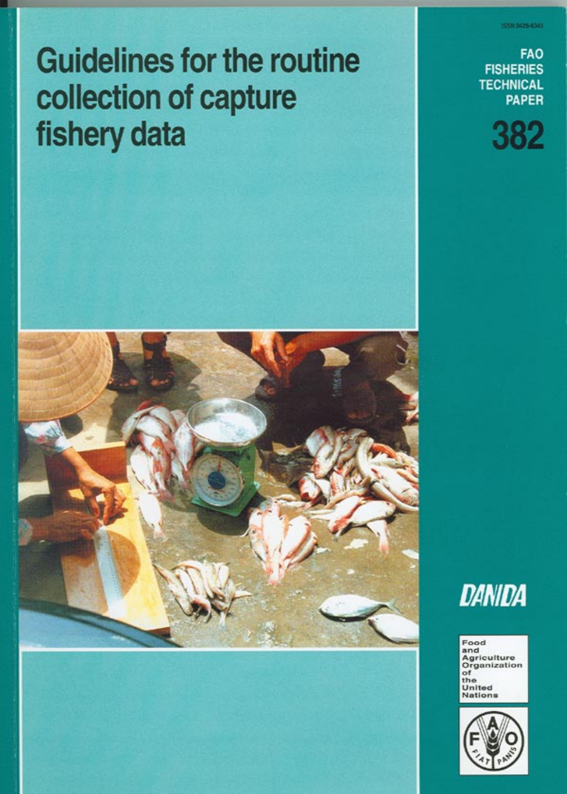# **Guidelines for the routine** collection of capture fishery data

**FAO FISHERIES TECHNICAL PAPER** 

SSN 0429-9345

382





Food and<br>Agriculture<br>Organization of the United Nations

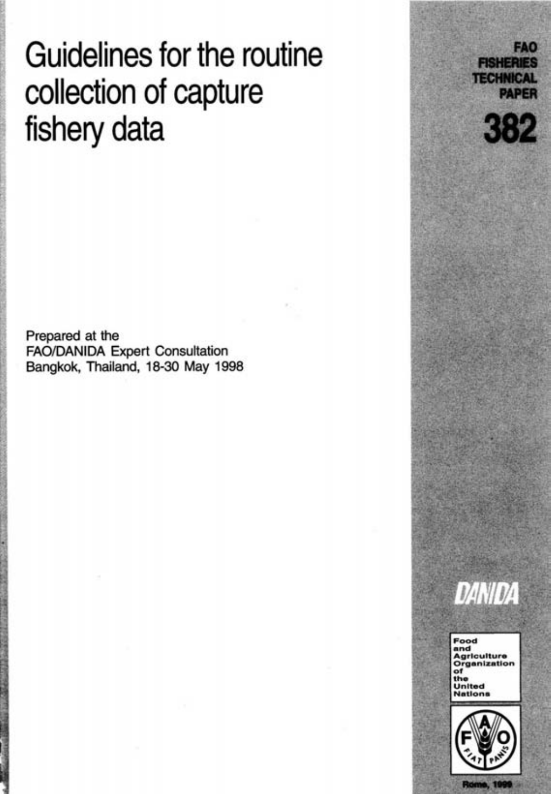# Guidelines for the routine collection of capture fishery data

Prepared at the FAO/DANIDA Expert Consultation Bangkok, Thailand, 18-30 May 1998



Food and

**FAO** 

**PAPER** 

**FISHERIES TECHNICAL** 

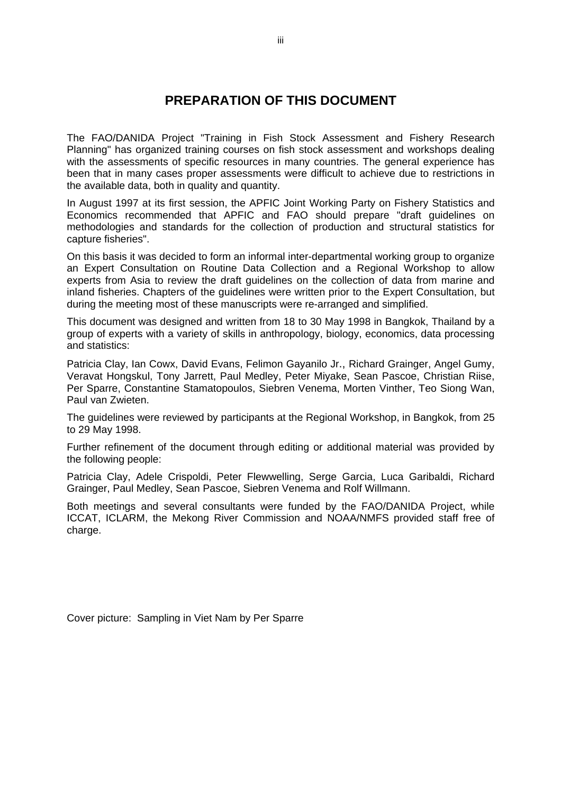### **PREPARATION OF THIS DOCUMENT**

The FAO/DANIDA Project "Training in Fish Stock Assessment and Fishery Research Planning" has organized training courses on fish stock assessment and workshops dealing with the assessments of specific resources in many countries. The general experience has been that in many cases proper assessments were difficult to achieve due to restrictions in the available data, both in quality and quantity.

In August 1997 at its first session, the APFIC Joint Working Party on Fishery Statistics and Economics recommended that APFIC and FAO should prepare "draft guidelines on methodologies and standards for the collection of production and structural statistics for capture fisheries".

On this basis it was decided to form an informal inter-departmental working group to organize an Expert Consultation on Routine Data Collection and a Regional Workshop to allow experts from Asia to review the draft guidelines on the collection of data from marine and inland fisheries. Chapters of the guidelines were written prior to the Expert Consultation, but during the meeting most of these manuscripts were re-arranged and simplified.

This document was designed and written from 18 to 30 May 1998 in Bangkok, Thailand by a group of experts with a variety of skills in anthropology, biology, economics, data processing and statistics:

Patricia Clay, Ian Cowx, David Evans, Felimon Gayanilo Jr., Richard Grainger, Angel Gumy, Veravat Hongskul, Tony Jarrett, Paul Medley, Peter Miyake, Sean Pascoe, Christian Riise, Per Sparre, Constantine Stamatopoulos, Siebren Venema, Morten Vinther, Teo Siong Wan, Paul van Zwieten.

The guidelines were reviewed by participants at the Regional Workshop, in Bangkok, from 25 to 29 May 1998.

Further refinement of the document through editing or additional material was provided by the following people:

Patricia Clay, Adele Crispoldi, Peter Flewwelling, Serge Garcia, Luca Garibaldi, Richard Grainger, Paul Medley, Sean Pascoe, Siebren Venema and Rolf Willmann.

Both meetings and several consultants were funded by the FAO/DANIDA Project, while ICCAT, ICLARM, the Mekong River Commission and NOAA/NMFS provided staff free of charge.

Cover picture: Sampling in Viet Nam by Per Sparre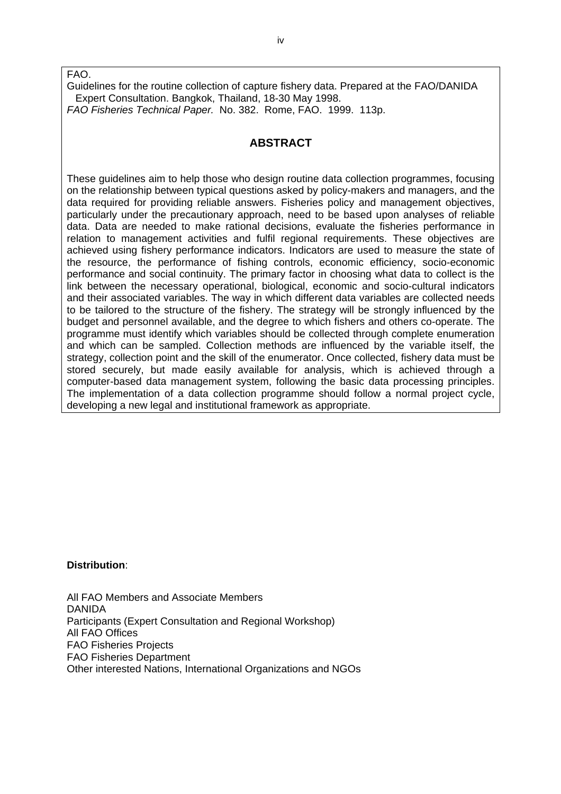FAO.

Guidelines for the routine collection of capture fishery data. Prepared at the FAO/DANIDA Expert Consultation. Bangkok, Thailand, 18-30 May 1998.

*FAO Fisheries Technical Paper.* No. 382. Rome, FAO. 1999. 113p.

#### **ABSTRACT**

These guidelines aim to help those who design routine data collection programmes, focusing on the relationship between typical questions asked by policy-makers and managers, and the data required for providing reliable answers. Fisheries policy and management objectives, particularly under the precautionary approach, need to be based upon analyses of reliable data. Data are needed to make rational decisions, evaluate the fisheries performance in relation to management activities and fulfil regional requirements. These objectives are achieved using fishery performance indicators. Indicators are used to measure the state of the resource, the performance of fishing controls, economic efficiency, socio-economic performance and social continuity. The primary factor in choosing what data to collect is the link between the necessary operational, biological, economic and socio-cultural indicators and their associated variables. The way in which different data variables are collected needs to be tailored to the structure of the fishery. The strategy will be strongly influenced by the budget and personnel available, and the degree to which fishers and others co-operate. The programme must identify which variables should be collected through complete enumeration and which can be sampled. Collection methods are influenced by the variable itself, the strategy, collection point and the skill of the enumerator. Once collected, fishery data must be stored securely, but made easily available for analysis, which is achieved through a computer-based data management system, following the basic data processing principles. The implementation of a data collection programme should follow a normal project cycle, developing a new legal and institutional framework as appropriate.

#### **Distribution**:

All FAO Members and Associate Members DANIDA Participants (Expert Consultation and Regional Workshop) All FAO Offices FAO Fisheries Projects FAO Fisheries Department Other interested Nations, International Organizations and NGOs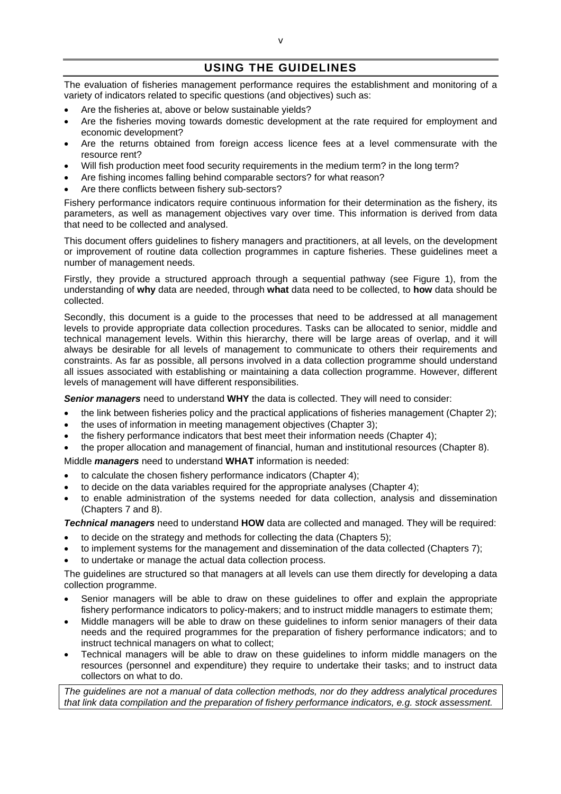# **USING THE GUIDELINES**

The evaluation of fisheries management performance requires the establishment and monitoring of a variety of indicators related to specific questions (and objectives) such as:

- Are the fisheries at, above or below sustainable yields?
- Are the fisheries moving towards domestic development at the rate required for employment and economic development?
- Are the returns obtained from foreign access licence fees at a level commensurate with the resource rent?
- Will fish production meet food security requirements in the medium term? in the long term?
- Are fishing incomes falling behind comparable sectors? for what reason?
- Are there conflicts between fishery sub-sectors?

Fishery performance indicators require continuous information for their determination as the fishery, its parameters, as well as management objectives vary over time. This information is derived from data that need to be collected and analysed.

This document offers guidelines to fishery managers and practitioners, at all levels, on the development or improvement of routine data collection programmes in capture fisheries. These guidelines meet a number of management needs.

Firstly, they provide a structured approach through a sequential pathway (see Figure 1), from the understanding of **why** data are needed, through **what** data need to be collected, to **how** data should be collected.

Secondly, this document is a guide to the processes that need to be addressed at all management levels to provide appropriate data collection procedures. Tasks can be allocated to senior, middle and technical management levels. Within this hierarchy, there will be large areas of overlap, and it will always be desirable for all levels of management to communicate to others their requirements and constraints. As far as possible, all persons involved in a data collection programme should understand all issues associated with establishing or maintaining a data collection programme. However, different levels of management will have different responsibilities.

*Senior managers* need to understand **WHY** the data is collected. They will need to consider:

- the link between fisheries policy and the practical applications of fisheries management (Chapter 2);
- the uses of information in meeting management objectives (Chapter 3);
- the fishery performance indicators that best meet their information needs (Chapter 4);
- the proper allocation and management of financial, human and institutional resources (Chapter 8).

Middle *managers* need to understand **WHAT** information is needed:

- to calculate the chosen fishery performance indicators (Chapter 4);
- to decide on the data variables required for the appropriate analyses (Chapter 4);
- to enable administration of the systems needed for data collection, analysis and dissemination (Chapters 7 and 8).

*Technical managers* need to understand **HOW** data are collected and managed. They will be required:

- to decide on the strategy and methods for collecting the data (Chapters 5);
- to implement systems for the management and dissemination of the data collected (Chapters 7);
- to undertake or manage the actual data collection process.

The guidelines are structured so that managers at all levels can use them directly for developing a data collection programme.

- Senior managers will be able to draw on these guidelines to offer and explain the appropriate fishery performance indicators to policy-makers; and to instruct middle managers to estimate them;
- Middle managers will be able to draw on these guidelines to inform senior managers of their data needs and the required programmes for the preparation of fishery performance indicators; and to instruct technical managers on what to collect;
- Technical managers will be able to draw on these guidelines to inform middle managers on the resources (personnel and expenditure) they require to undertake their tasks; and to instruct data collectors on what to do.

*The guidelines are not a manual of data collection methods, nor do they address analytical procedures that link data compilation and the preparation of fishery performance indicators, e.g. stock assessment.*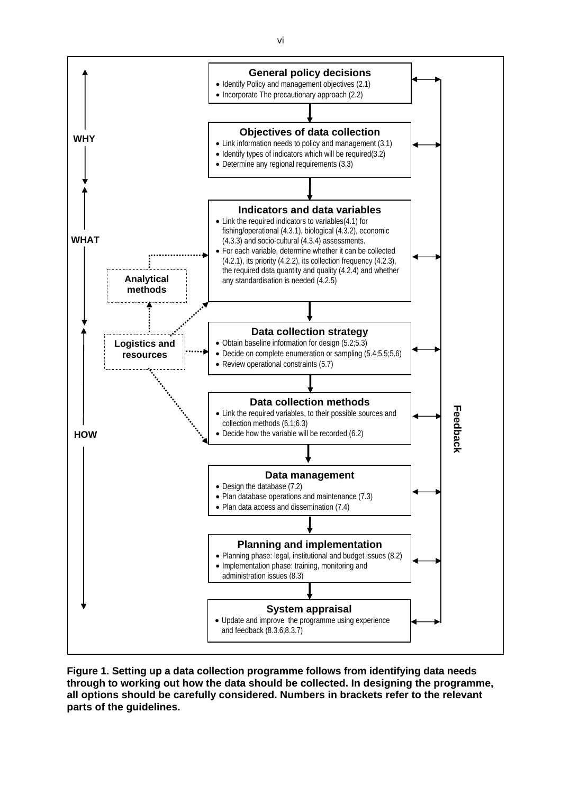

**Figure 1. Setting up a data collection programme follows from identifying data needs through to working out how the data should be collected. In designing the programme, all options should be carefully considered. Numbers in brackets refer to the relevant parts of the guidelines.**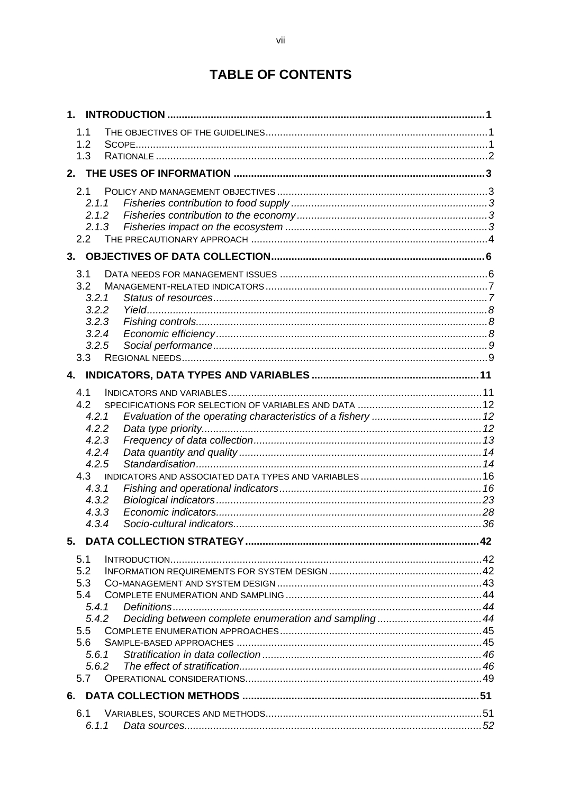# **TABLE OF CONTENTS**

|    | 1.1          |  |
|----|--------------|--|
|    | 1.2          |  |
|    | 1.3          |  |
|    |              |  |
|    |              |  |
|    | 2.1          |  |
|    | 2.1.1        |  |
|    | 2.1.2        |  |
|    | 2.1.3<br>2.2 |  |
|    |              |  |
| 3. |              |  |
|    | 3.1          |  |
|    | 3.2          |  |
|    | 3.2.1        |  |
|    | 3.2.2        |  |
|    | 3.2.3        |  |
|    | 3.2.4        |  |
|    | 3.2.5        |  |
|    | 3.3          |  |
| 4. |              |  |
|    | 4.1          |  |
|    | 4.2          |  |
|    | 4.2.1        |  |
|    | 4.2.2        |  |
|    | 4.2.3        |  |
|    | 4.2.4        |  |
|    | 4.2.5        |  |
|    |              |  |
|    | 4.3.1        |  |
|    | 4.3.2        |  |
|    | 4.3.3        |  |
|    | 4.3.4        |  |
| 5. |              |  |
|    | 5.1          |  |
|    | 5.2          |  |
|    | 5.3          |  |
|    | 5.4          |  |
|    | 5.4.1        |  |
|    | 5.4.2        |  |
|    | 5.5          |  |
|    | 5.6          |  |
|    | 5.6.1        |  |
|    | 5.6.2        |  |
|    | 5.7          |  |
| 6. |              |  |
|    | 6.1          |  |
|    |              |  |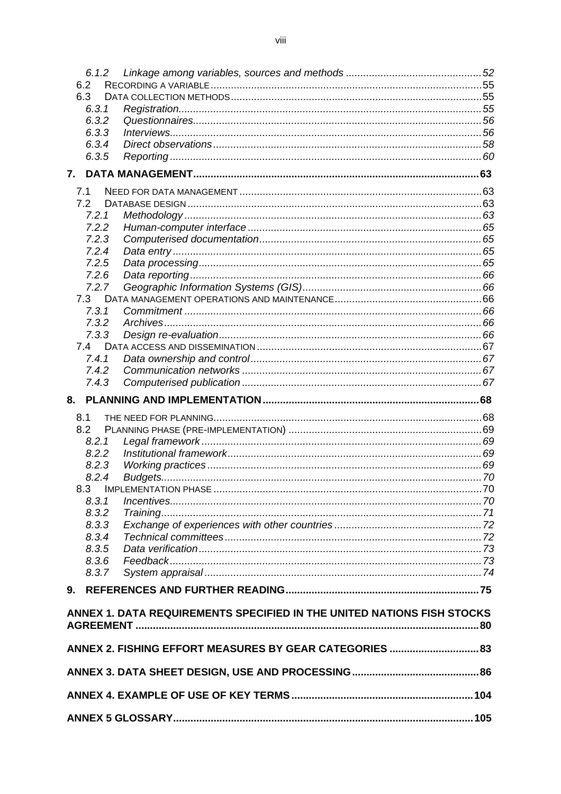| 6.2              | 6.1.2 |                                                                        |  |
|------------------|-------|------------------------------------------------------------------------|--|
| 6.3              |       |                                                                        |  |
|                  | 6.3.1 |                                                                        |  |
|                  | 6.3.2 |                                                                        |  |
|                  | 6.3.3 |                                                                        |  |
|                  | 6.3.4 |                                                                        |  |
|                  | 6.3.5 |                                                                        |  |
| $\overline{7}$ . |       |                                                                        |  |
| 7.1              |       |                                                                        |  |
| 7.2              |       |                                                                        |  |
|                  | 7.2.1 |                                                                        |  |
|                  | 7.2.2 |                                                                        |  |
|                  | 7.2.3 |                                                                        |  |
|                  | 7.2.4 |                                                                        |  |
|                  | 7.2.5 |                                                                        |  |
|                  | 7.2.6 |                                                                        |  |
|                  | 7.2.7 |                                                                        |  |
| 7.3              |       |                                                                        |  |
|                  | 7.3.1 |                                                                        |  |
|                  | 7.3.2 |                                                                        |  |
|                  | 7.3.3 |                                                                        |  |
| 7.4              |       |                                                                        |  |
|                  | 7.4.1 |                                                                        |  |
|                  | 7.4.2 |                                                                        |  |
|                  | 7.4.3 |                                                                        |  |
|                  |       |                                                                        |  |
| 8.               |       |                                                                        |  |
|                  |       |                                                                        |  |
| 8.1              |       |                                                                        |  |
| 8.2              |       |                                                                        |  |
|                  | 8.2.1 |                                                                        |  |
|                  | 8.2.2 |                                                                        |  |
|                  | 8.2.3 |                                                                        |  |
|                  | 8.2.4 |                                                                        |  |
|                  |       |                                                                        |  |
|                  | 8.3.1 |                                                                        |  |
|                  | 8.3.2 |                                                                        |  |
|                  | 8.3.3 |                                                                        |  |
|                  | 8.3.4 |                                                                        |  |
|                  | 8.3.5 |                                                                        |  |
|                  | 8.3.6 |                                                                        |  |
|                  | 8.3.7 |                                                                        |  |
|                  |       |                                                                        |  |
|                  |       | ANNEX 1. DATA REQUIREMENTS SPECIFIED IN THE UNITED NATIONS FISH STOCKS |  |
|                  |       |                                                                        |  |
|                  |       |                                                                        |  |
|                  |       |                                                                        |  |
|                  |       |                                                                        |  |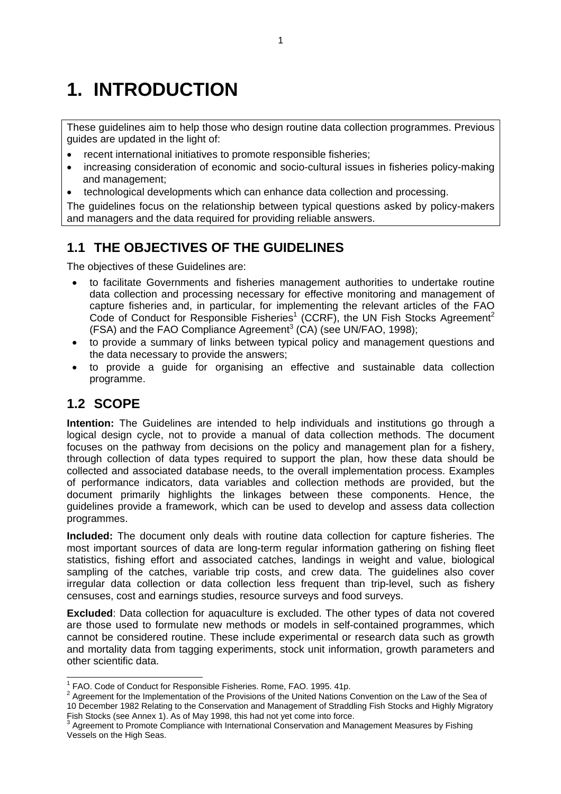# **1. INTRODUCTION**

These guidelines aim to help those who design routine data collection programmes. Previous guides are updated in the light of:

- recent international initiatives to promote responsible fisheries;
- increasing consideration of economic and socio-cultural issues in fisheries policy-making and management;
- technological developments which can enhance data collection and processing.

The guidelines focus on the relationship between typical questions asked by policy-makers and managers and the data required for providing reliable answers.

# **1.1 THE OBJECTIVES OF THE GUIDELINES**

The objectives of these Guidelines are:

- to facilitate Governments and fisheries management authorities to undertake routine data collection and processing necessary for effective monitoring and management of capture fisheries and, in particular, for implementing the relevant articles of the FAO Code of Conduct for Responsible Fisheries<sup>1</sup> (CCRF), the UN Fish Stocks Agreement<sup>2</sup> (FSA) and the FAO Compliance Agreement<sup>3</sup> (CA) (see UN/FAO, 1998);
- to provide a summary of links between typical policy and management questions and the data necessary to provide the answers;
- to provide a guide for organising an effective and sustainable data collection programme.

# **1.2 SCOPE**

**Intention:** The Guidelines are intended to help individuals and institutions go through a logical design cycle, not to provide a manual of data collection methods. The document focuses on the pathway from decisions on the policy and management plan for a fishery, through collection of data types required to support the plan, how these data should be collected and associated database needs, to the overall implementation process. Examples of performance indicators, data variables and collection methods are provided, but the document primarily highlights the linkages between these components. Hence, the guidelines provide a framework, which can be used to develop and assess data collection programmes.

**Included:** The document only deals with routine data collection for capture fisheries. The most important sources of data are long-term regular information gathering on fishing fleet statistics, fishing effort and associated catches, landings in weight and value, biological sampling of the catches, variable trip costs, and crew data. The guidelines also cover irregular data collection or data collection less frequent than trip-level, such as fishery censuses, cost and earnings studies, resource surveys and food surveys.

**Excluded**: Data collection for aquaculture is excluded. The other types of data not covered are those used to formulate new methods or models in self-contained programmes, which cannot be considered routine. These include experimental or research data such as growth and mortality data from tagging experiments, stock unit information, growth parameters and other scientific data.

 1 FAO. Code of Conduct for Responsible Fisheries. Rome, FAO. 1995. 41p.

 $2$  Agreement for the Implementation of the Provisions of the United Nations Convention on the Law of the Sea of 10 December 1982 Relating to the Conservation and Management of Straddling Fish Stocks and Highly Migratory Fish Stocks (see Annex 1). As of May 1998, this had not yet come into force.

Agreement to Promote Compliance with International Conservation and Management Measures by Fishing Vessels on the High Seas.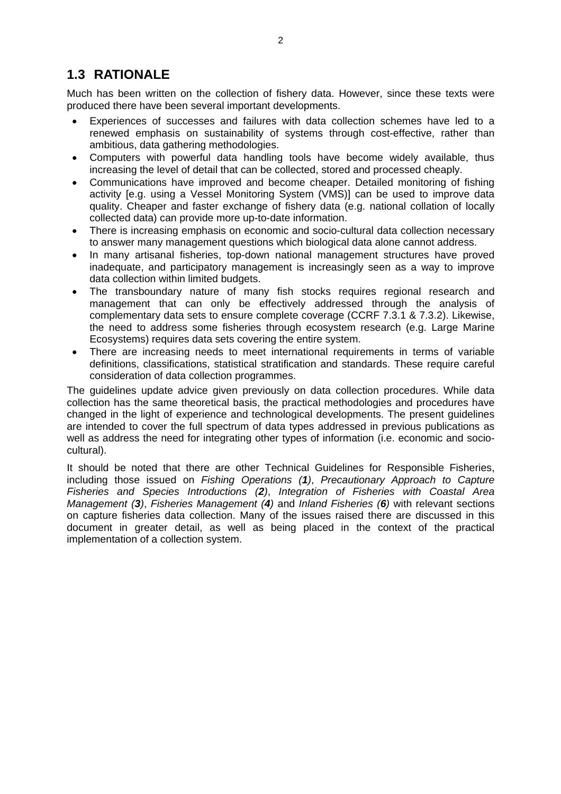# **1.3 RATIONALE**

Much has been written on the collection of fishery data. However, since these texts were produced there have been several important developments.

- Experiences of successes and failures with data collection schemes have led to a renewed emphasis on sustainability of systems through cost-effective, rather than ambitious, data gathering methodologies.
- Computers with powerful data handling tools have become widely available, thus increasing the level of detail that can be collected, stored and processed cheaply.
- Communications have improved and become cheaper. Detailed monitoring of fishing activity [e.g. using a Vessel Monitoring System (VMS)] can be used to improve data quality. Cheaper and faster exchange of fishery data (e.g. national collation of locally collected data) can provide more up-to-date information.
- There is increasing emphasis on economic and socio-cultural data collection necessary to answer many management questions which biological data alone cannot address.
- In many artisanal fisheries, top-down national management structures have proved inadequate, and participatory management is increasingly seen as a way to improve data collection within limited budgets.
- The transboundary nature of many fish stocks requires regional research and management that can only be effectively addressed through the analysis of complementary data sets to ensure complete coverage (CCRF 7.3.1 & 7.3.2). Likewise, the need to address some fisheries through ecosystem research (e.g. Large Marine Ecosystems) requires data sets covering the entire system.
- There are increasing needs to meet international requirements in terms of variable definitions, classifications, statistical stratification and standards. These require careful consideration of data collection programmes.

The guidelines update advice given previously on data collection procedures. While data collection has the same theoretical basis, the practical methodologies and procedures have changed in the light of experience and technological developments. The present guidelines are intended to cover the full spectrum of data types addressed in previous publications as well as address the need for integrating other types of information (i.e. economic and sociocultural).

It should be noted that there are other Technical Guidelines for Responsible Fisheries, including those issued on *Fishing Operations (1)*, *Precautionary Approach to Capture Fisheries and Species Introductions (2)*, *Integration of Fisheries with Coastal Area Management (3)*, *Fisheries Management (4)* and *Inland Fisheries (6)* with relevant sections on capture fisheries data collection. Many of the issues raised there are discussed in this document in greater detail, as well as being placed in the context of the practical implementation of a collection system.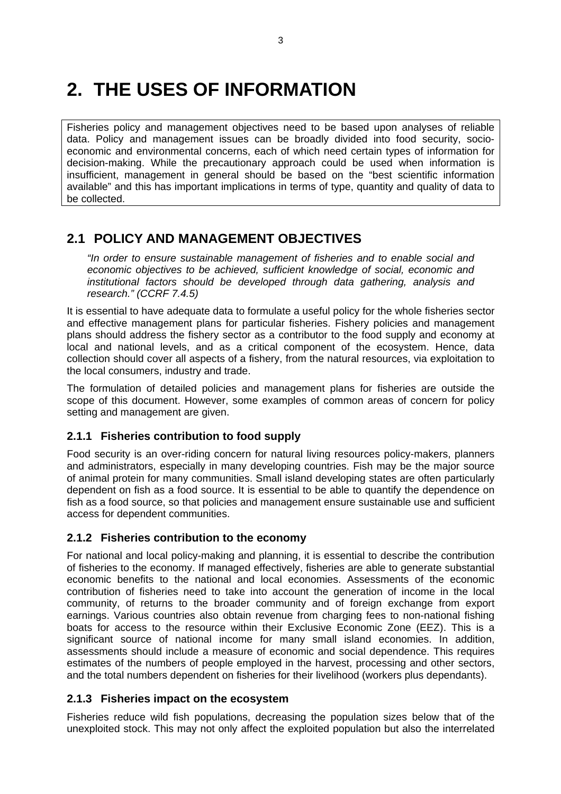# **2. THE USES OF INFORMATION**

Fisheries policy and management objectives need to be based upon analyses of reliable data. Policy and management issues can be broadly divided into food security, socioeconomic and environmental concerns, each of which need certain types of information for decision-making. While the precautionary approach could be used when information is insufficient, management in general should be based on the "best scientific information available" and this has important implications in terms of type, quantity and quality of data to be collected.

### **2.1 POLICY AND MANAGEMENT OBJECTIVES**

*"In order to ensure sustainable management of fisheries and to enable social and economic objectives to be achieved, sufficient knowledge of social, economic and institutional factors should be developed through data gathering, analysis and research." (CCRF 7.4.5)* 

It is essential to have adequate data to formulate a useful policy for the whole fisheries sector and effective management plans for particular fisheries. Fishery policies and management plans should address the fishery sector as a contributor to the food supply and economy at local and national levels, and as a critical component of the ecosystem. Hence, data collection should cover all aspects of a fishery, from the natural resources, via exploitation to the local consumers, industry and trade.

The formulation of detailed policies and management plans for fisheries are outside the scope of this document. However, some examples of common areas of concern for policy setting and management are given.

#### **2.1.1 Fisheries contribution to food supply**

Food security is an over-riding concern for natural living resources policy-makers, planners and administrators, especially in many developing countries. Fish may be the major source of animal protein for many communities. Small island developing states are often particularly dependent on fish as a food source. It is essential to be able to quantify the dependence on fish as a food source, so that policies and management ensure sustainable use and sufficient access for dependent communities.

#### **2.1.2 Fisheries contribution to the economy**

For national and local policy-making and planning, it is essential to describe the contribution of fisheries to the economy. If managed effectively, fisheries are able to generate substantial economic benefits to the national and local economies. Assessments of the economic contribution of fisheries need to take into account the generation of income in the local community, of returns to the broader community and of foreign exchange from export earnings. Various countries also obtain revenue from charging fees to non-national fishing boats for access to the resource within their Exclusive Economic Zone (EEZ). This is a significant source of national income for many small island economies. In addition, assessments should include a measure of economic and social dependence. This requires estimates of the numbers of people employed in the harvest, processing and other sectors, and the total numbers dependent on fisheries for their livelihood (workers plus dependants).

#### **2.1.3 Fisheries impact on the ecosystem**

Fisheries reduce wild fish populations, decreasing the population sizes below that of the unexploited stock. This may not only affect the exploited population but also the interrelated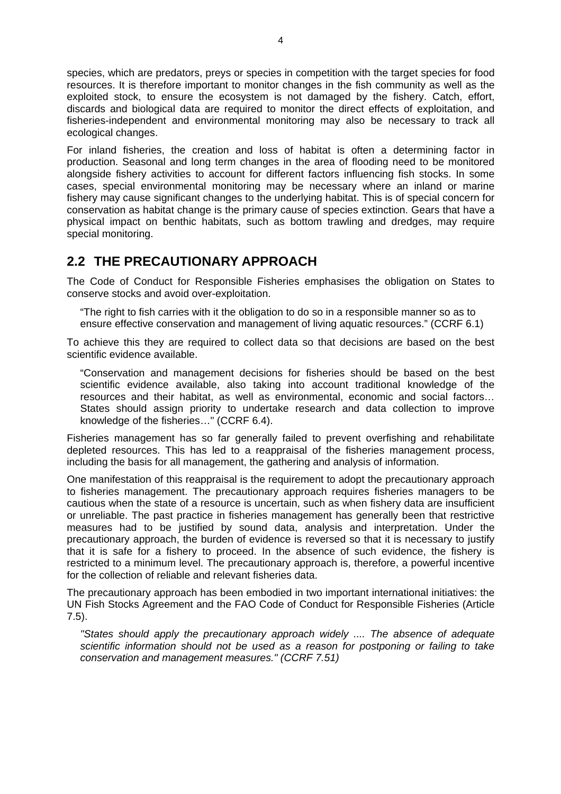species, which are predators, preys or species in competition with the target species for food resources. It is therefore important to monitor changes in the fish community as well as the exploited stock, to ensure the ecosystem is not damaged by the fishery. Catch, effort, discards and biological data are required to monitor the direct effects of exploitation, and fisheries-independent and environmental monitoring may also be necessary to track all ecological changes.

For inland fisheries, the creation and loss of habitat is often a determining factor in production. Seasonal and long term changes in the area of flooding need to be monitored alongside fishery activities to account for different factors influencing fish stocks. In some cases, special environmental monitoring may be necessary where an inland or marine fishery may cause significant changes to the underlying habitat. This is of special concern for conservation as habitat change is the primary cause of species extinction. Gears that have a physical impact on benthic habitats, such as bottom trawling and dredges, may require special monitoring.

# **2.2 THE PRECAUTIONARY APPROACH**

The Code of Conduct for Responsible Fisheries emphasises the obligation on States to conserve stocks and avoid over-exploitation.

"The right to fish carries with it the obligation to do so in a responsible manner so as to ensure effective conservation and management of living aquatic resources." (CCRF 6.1)

To achieve this they are required to collect data so that decisions are based on the best scientific evidence available.

"Conservation and management decisions for fisheries should be based on the best scientific evidence available, also taking into account traditional knowledge of the resources and their habitat, as well as environmental, economic and social factors… States should assign priority to undertake research and data collection to improve knowledge of the fisheries…" (CCRF 6.4).

Fisheries management has so far generally failed to prevent overfishing and rehabilitate depleted resources. This has led to a reappraisal of the fisheries management process, including the basis for all management, the gathering and analysis of information.

One manifestation of this reappraisal is the requirement to adopt the precautionary approach to fisheries management. The precautionary approach requires fisheries managers to be cautious when the state of a resource is uncertain, such as when fishery data are insufficient or unreliable. The past practice in fisheries management has generally been that restrictive measures had to be justified by sound data, analysis and interpretation. Under the precautionary approach, the burden of evidence is reversed so that it is necessary to justify that it is safe for a fishery to proceed. In the absence of such evidence, the fishery is restricted to a minimum level. The precautionary approach is, therefore, a powerful incentive for the collection of reliable and relevant fisheries data.

The precautionary approach has been embodied in two important international initiatives: the UN Fish Stocks Agreement and the FAO Code of Conduct for Responsible Fisheries (Article 7.5).

*"States should apply the precautionary approach widely .... The absence of adequate scientific information should not be used as a reason for postponing or failing to take conservation and management measures." (CCRF 7.51)*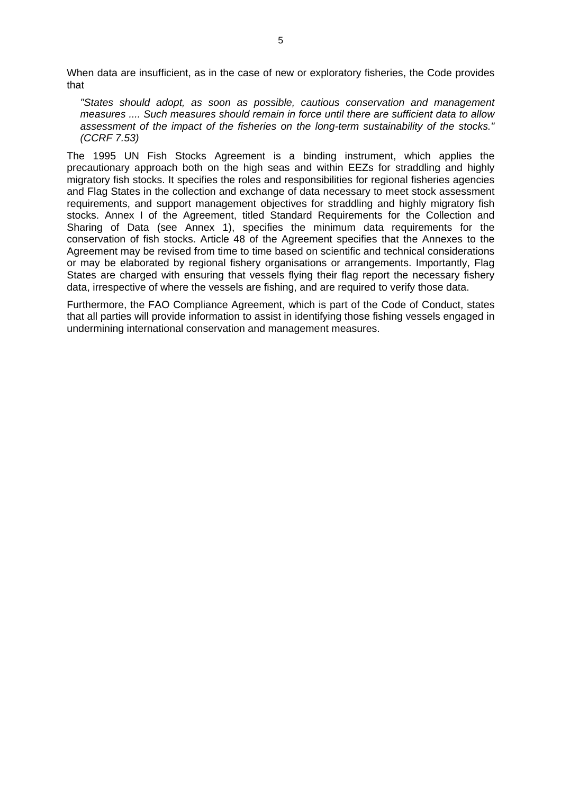When data are insufficient, as in the case of new or exploratory fisheries, the Code provides that

*"States should adopt, as soon as possible, cautious conservation and management measures .... Such measures should remain in force until there are sufficient data to allow assessment of the impact of the fisheries on the long-term sustainability of the stocks." (CCRF 7.53)*

The 1995 UN Fish Stocks Agreement is a binding instrument, which applies the precautionary approach both on the high seas and within EEZs for straddling and highly migratory fish stocks. It specifies the roles and responsibilities for regional fisheries agencies and Flag States in the collection and exchange of data necessary to meet stock assessment requirements, and support management objectives for straddling and highly migratory fish stocks. Annex I of the Agreement, titled Standard Requirements for the Collection and Sharing of Data (see Annex 1), specifies the minimum data requirements for the conservation of fish stocks. Article 48 of the Agreement specifies that the Annexes to the Agreement may be revised from time to time based on scientific and technical considerations or may be elaborated by regional fishery organisations or arrangements. Importantly, Flag States are charged with ensuring that vessels flying their flag report the necessary fishery data, irrespective of where the vessels are fishing, and are required to verify those data.

Furthermore, the FAO Compliance Agreement, which is part of the Code of Conduct, states that all parties will provide information to assist in identifying those fishing vessels engaged in undermining international conservation and management measures.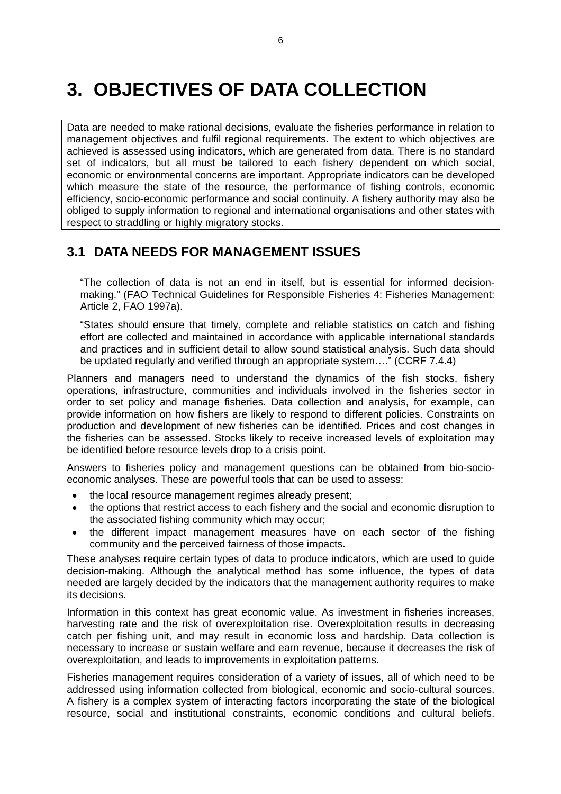# **3. OBJECTIVES OF DATA COLLECTION**

Data are needed to make rational decisions, evaluate the fisheries performance in relation to management objectives and fulfil regional requirements. The extent to which objectives are achieved is assessed using indicators, which are generated from data. There is no standard set of indicators, but all must be tailored to each fishery dependent on which social, economic or environmental concerns are important. Appropriate indicators can be developed which measure the state of the resource, the performance of fishing controls, economic efficiency, socio-economic performance and social continuity. A fishery authority may also be obliged to supply information to regional and international organisations and other states with respect to straddling or highly migratory stocks.

### **3.1 DATA NEEDS FOR MANAGEMENT ISSUES**

"The collection of data is not an end in itself, but is essential for informed decisionmaking." (FAO Technical Guidelines for Responsible Fisheries 4: Fisheries Management: Article 2, FAO 1997a).

"States should ensure that timely, complete and reliable statistics on catch and fishing effort are collected and maintained in accordance with applicable international standards and practices and in sufficient detail to allow sound statistical analysis. Such data should be updated regularly and verified through an appropriate system…." (CCRF 7.4.4)

Planners and managers need to understand the dynamics of the fish stocks, fishery operations, infrastructure, communities and individuals involved in the fisheries sector in order to set policy and manage fisheries. Data collection and analysis, for example, can provide information on how fishers are likely to respond to different policies. Constraints on production and development of new fisheries can be identified. Prices and cost changes in the fisheries can be assessed. Stocks likely to receive increased levels of exploitation may be identified before resource levels drop to a crisis point.

Answers to fisheries policy and management questions can be obtained from bio-socioeconomic analyses. These are powerful tools that can be used to assess:

- the local resource management regimes already present;
- the options that restrict access to each fishery and the social and economic disruption to the associated fishing community which may occur;
- the different impact management measures have on each sector of the fishing community and the perceived fairness of those impacts.

These analyses require certain types of data to produce indicators, which are used to guide decision-making. Although the analytical method has some influence, the types of data needed are largely decided by the indicators that the management authority requires to make its decisions.

Information in this context has great economic value. As investment in fisheries increases, harvesting rate and the risk of overexploitation rise. Overexploitation results in decreasing catch per fishing unit, and may result in economic loss and hardship. Data collection is necessary to increase or sustain welfare and earn revenue, because it decreases the risk of overexploitation, and leads to improvements in exploitation patterns.

Fisheries management requires consideration of a variety of issues, all of which need to be addressed using information collected from biological, economic and socio-cultural sources. A fishery is a complex system of interacting factors incorporating the state of the biological resource, social and institutional constraints, economic conditions and cultural beliefs.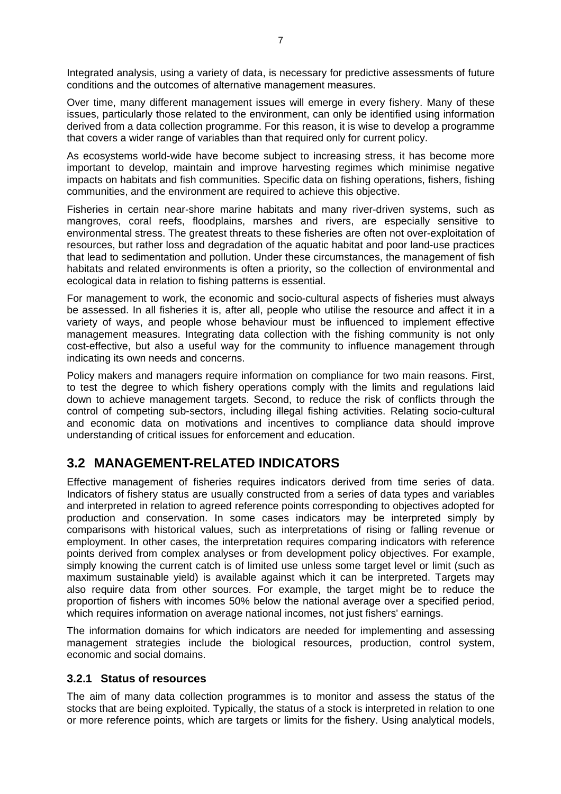Integrated analysis, using a variety of data, is necessary for predictive assessments of future conditions and the outcomes of alternative management measures.

Over time, many different management issues will emerge in every fishery. Many of these issues, particularly those related to the environment, can only be identified using information derived from a data collection programme. For this reason, it is wise to develop a programme that covers a wider range of variables than that required only for current policy.

As ecosystems world-wide have become subject to increasing stress, it has become more important to develop, maintain and improve harvesting regimes which minimise negative impacts on habitats and fish communities. Specific data on fishing operations, fishers, fishing communities, and the environment are required to achieve this objective.

Fisheries in certain near-shore marine habitats and many river-driven systems, such as mangroves, coral reefs, floodplains, marshes and rivers, are especially sensitive to environmental stress. The greatest threats to these fisheries are often not over-exploitation of resources, but rather loss and degradation of the aquatic habitat and poor land-use practices that lead to sedimentation and pollution. Under these circumstances, the management of fish habitats and related environments is often a priority, so the collection of environmental and ecological data in relation to fishing patterns is essential.

For management to work, the economic and socio-cultural aspects of fisheries must always be assessed. In all fisheries it is, after all, people who utilise the resource and affect it in a variety of ways, and people whose behaviour must be influenced to implement effective management measures. Integrating data collection with the fishing community is not only cost-effective, but also a useful way for the community to influence management through indicating its own needs and concerns.

Policy makers and managers require information on compliance for two main reasons. First, to test the degree to which fishery operations comply with the limits and regulations laid down to achieve management targets. Second, to reduce the risk of conflicts through the control of competing sub-sectors, including illegal fishing activities. Relating socio-cultural and economic data on motivations and incentives to compliance data should improve understanding of critical issues for enforcement and education.

# **3.2 MANAGEMENT-RELATED INDICATORS**

Effective management of fisheries requires indicators derived from time series of data. Indicators of fishery status are usually constructed from a series of data types and variables and interpreted in relation to agreed reference points corresponding to objectives adopted for production and conservation. In some cases indicators may be interpreted simply by comparisons with historical values, such as interpretations of rising or falling revenue or employment. In other cases, the interpretation requires comparing indicators with reference points derived from complex analyses or from development policy objectives. For example, simply knowing the current catch is of limited use unless some target level or limit (such as maximum sustainable yield) is available against which it can be interpreted. Targets may also require data from other sources. For example, the target might be to reduce the proportion of fishers with incomes 50% below the national average over a specified period, which requires information on average national incomes, not just fishers' earnings.

The information domains for which indicators are needed for implementing and assessing management strategies include the biological resources, production, control system, economic and social domains.

#### **3.2.1 Status of resources**

The aim of many data collection programmes is to monitor and assess the status of the stocks that are being exploited. Typically, the status of a stock is interpreted in relation to one or more reference points, which are targets or limits for the fishery. Using analytical models,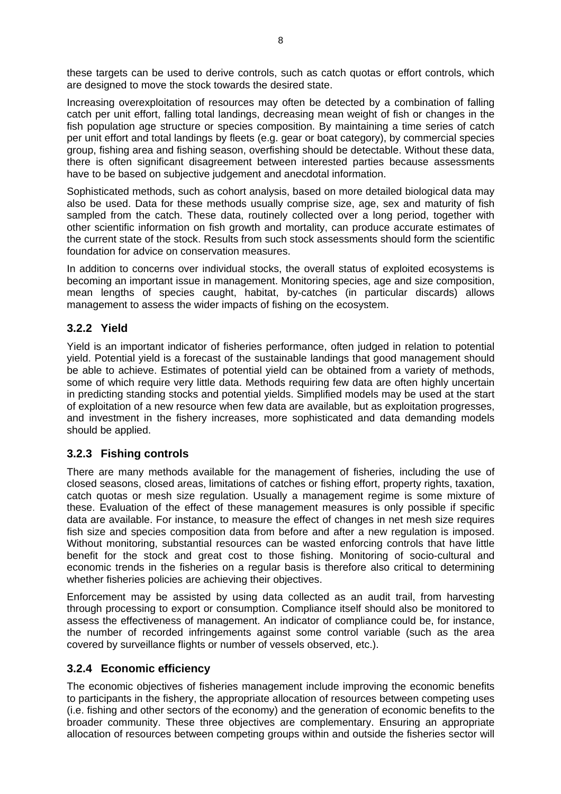these targets can be used to derive controls, such as catch quotas or effort controls, which are designed to move the stock towards the desired state.

Increasing overexploitation of resources may often be detected by a combination of falling catch per unit effort, falling total landings, decreasing mean weight of fish or changes in the fish population age structure or species composition. By maintaining a time series of catch per unit effort and total landings by fleets (e.g. gear or boat category), by commercial species group, fishing area and fishing season, overfishing should be detectable. Without these data, there is often significant disagreement between interested parties because assessments have to be based on subjective judgement and anecdotal information.

Sophisticated methods, such as cohort analysis, based on more detailed biological data may also be used. Data for these methods usually comprise size, age, sex and maturity of fish sampled from the catch. These data, routinely collected over a long period, together with other scientific information on fish growth and mortality, can produce accurate estimates of the current state of the stock. Results from such stock assessments should form the scientific foundation for advice on conservation measures.

In addition to concerns over individual stocks, the overall status of exploited ecosystems is becoming an important issue in management. Monitoring species, age and size composition, mean lengths of species caught, habitat, by-catches (in particular discards) allows management to assess the wider impacts of fishing on the ecosystem.

#### **3.2.2 Yield**

Yield is an important indicator of fisheries performance, often judged in relation to potential yield. Potential yield is a forecast of the sustainable landings that good management should be able to achieve. Estimates of potential yield can be obtained from a variety of methods, some of which require very little data. Methods requiring few data are often highly uncertain in predicting standing stocks and potential yields. Simplified models may be used at the start of exploitation of a new resource when few data are available, but as exploitation progresses, and investment in the fishery increases, more sophisticated and data demanding models should be applied.

#### **3.2.3 Fishing controls**

There are many methods available for the management of fisheries, including the use of closed seasons, closed areas, limitations of catches or fishing effort, property rights, taxation, catch quotas or mesh size regulation. Usually a management regime is some mixture of these. Evaluation of the effect of these management measures is only possible if specific data are available. For instance, to measure the effect of changes in net mesh size requires fish size and species composition data from before and after a new regulation is imposed. Without monitoring, substantial resources can be wasted enforcing controls that have little benefit for the stock and great cost to those fishing. Monitoring of socio-cultural and economic trends in the fisheries on a regular basis is therefore also critical to determining whether fisheries policies are achieving their objectives.

Enforcement may be assisted by using data collected as an audit trail, from harvesting through processing to export or consumption. Compliance itself should also be monitored to assess the effectiveness of management. An indicator of compliance could be, for instance, the number of recorded infringements against some control variable (such as the area covered by surveillance flights or number of vessels observed, etc.).

#### **3.2.4 Economic efficiency**

The economic objectives of fisheries management include improving the economic benefits to participants in the fishery, the appropriate allocation of resources between competing uses (i.e. fishing and other sectors of the economy) and the generation of economic benefits to the broader community. These three objectives are complementary. Ensuring an appropriate allocation of resources between competing groups within and outside the fisheries sector will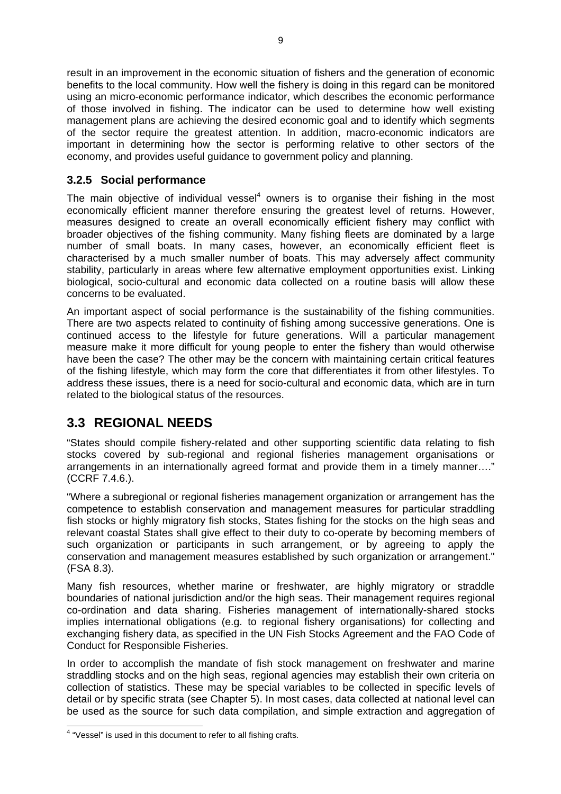result in an improvement in the economic situation of fishers and the generation of economic benefits to the local community. How well the fishery is doing in this regard can be monitored using an micro-economic performance indicator, which describes the economic performance of those involved in fishing. The indicator can be used to determine how well existing management plans are achieving the desired economic goal and to identify which segments of the sector require the greatest attention. In addition, macro-economic indicators are important in determining how the sector is performing relative to other sectors of the economy, and provides useful guidance to government policy and planning.

#### **3.2.5 Social performance**

The main objective of individual vessel $4$  owners is to organise their fishing in the most economically efficient manner therefore ensuring the greatest level of returns. However, measures designed to create an overall economically efficient fishery may conflict with broader objectives of the fishing community. Many fishing fleets are dominated by a large number of small boats. In many cases, however, an economically efficient fleet is characterised by a much smaller number of boats. This may adversely affect community stability, particularly in areas where few alternative employment opportunities exist. Linking biological, socio-cultural and economic data collected on a routine basis will allow these concerns to be evaluated.

An important aspect of social performance is the sustainability of the fishing communities. There are two aspects related to continuity of fishing among successive generations. One is continued access to the lifestyle for future generations. Will a particular management measure make it more difficult for young people to enter the fishery than would otherwise have been the case? The other may be the concern with maintaining certain critical features of the fishing lifestyle, which may form the core that differentiates it from other lifestyles. To address these issues, there is a need for socio-cultural and economic data, which are in turn related to the biological status of the resources.

# **3.3 REGIONAL NEEDS**

"States should compile fishery-related and other supporting scientific data relating to fish stocks covered by sub-regional and regional fisheries management organisations or arrangements in an internationally agreed format and provide them in a timely manner…." (CCRF 7.4.6.).

"Where a subregional or regional fisheries management organization or arrangement has the competence to establish conservation and management measures for particular straddling fish stocks or highly migratory fish stocks, States fishing for the stocks on the high seas and relevant coastal States shall give effect to their duty to co-operate by becoming members of such organization or participants in such arrangement, or by agreeing to apply the conservation and management measures established by such organization or arrangement." (FSA 8.3).

Many fish resources, whether marine or freshwater, are highly migratory or straddle boundaries of national jurisdiction and/or the high seas. Their management requires regional co-ordination and data sharing. Fisheries management of internationally-shared stocks implies international obligations (e.g. to regional fishery organisations) for collecting and exchanging fishery data, as specified in the UN Fish Stocks Agreement and the FAO Code of Conduct for Responsible Fisheries.

In order to accomplish the mandate of fish stock management on freshwater and marine straddling stocks and on the high seas, regional agencies may establish their own criteria on collection of statistics. These may be special variables to be collected in specific levels of detail or by specific strata (see Chapter 5). In most cases, data collected at national level can be used as the source for such data compilation, and simple extraction and aggregation of

 4 "Vessel" is used in this document to refer to all fishing crafts.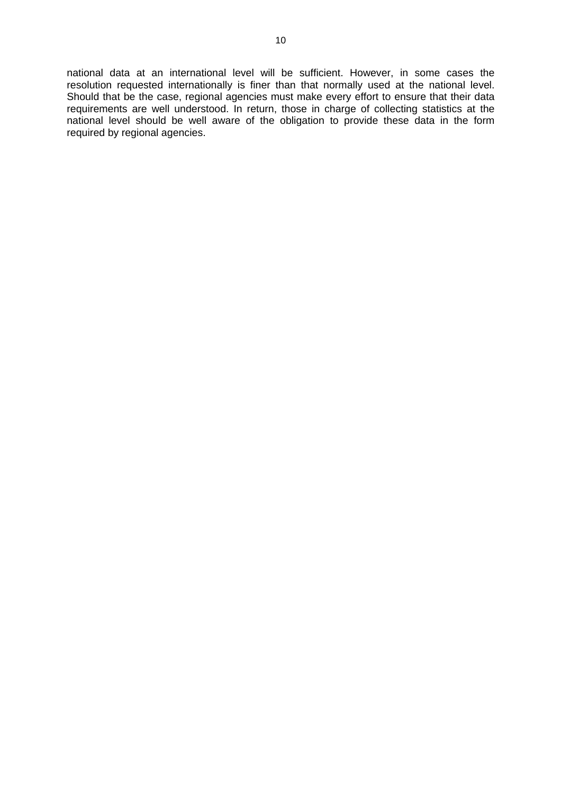national data at an international level will be sufficient. However, in some cases the resolution requested internationally is finer than that normally used at the national level. Should that be the case, regional agencies must make every effort to ensure that their data requirements are well understood. In return, those in charge of collecting statistics at the national level should be well aware of the obligation to provide these data in the form required by regional agencies.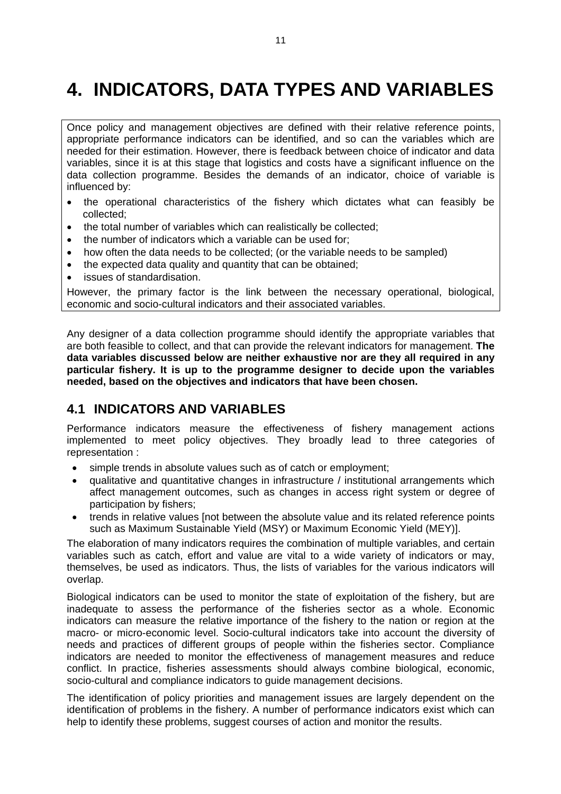# **4. INDICATORS, DATA TYPES AND VARIABLES**

Once policy and management objectives are defined with their relative reference points, appropriate performance indicators can be identified, and so can the variables which are needed for their estimation. However, there is feedback between choice of indicator and data variables, since it is at this stage that logistics and costs have a significant influence on the data collection programme. Besides the demands of an indicator, choice of variable is influenced by:

- the operational characteristics of the fishery which dictates what can feasibly be collected;
- the total number of variables which can realistically be collected;
- the number of indicators which a variable can be used for;
- how often the data needs to be collected; (or the variable needs to be sampled)
- the expected data quality and quantity that can be obtained:
- issues of standardisation.

However, the primary factor is the link between the necessary operational, biological, economic and socio-cultural indicators and their associated variables.

Any designer of a data collection programme should identify the appropriate variables that are both feasible to collect, and that can provide the relevant indicators for management. **The data variables discussed below are neither exhaustive nor are they all required in any particular fishery. It is up to the programme designer to decide upon the variables needed, based on the objectives and indicators that have been chosen.** 

### **4.1 INDICATORS AND VARIABLES**

Performance indicators measure the effectiveness of fishery management actions implemented to meet policy objectives. They broadly lead to three categories of representation :

- simple trends in absolute values such as of catch or employment;
- qualitative and quantitative changes in infrastructure / institutional arrangements which affect management outcomes, such as changes in access right system or degree of participation by fishers;
- trends in relative values [not between the absolute value and its related reference points such as Maximum Sustainable Yield (MSY) or Maximum Economic Yield (MEY)].

The elaboration of many indicators requires the combination of multiple variables, and certain variables such as catch, effort and value are vital to a wide variety of indicators or may, themselves, be used as indicators. Thus, the lists of variables for the various indicators will overlap.

Biological indicators can be used to monitor the state of exploitation of the fishery, but are inadequate to assess the performance of the fisheries sector as a whole. Economic indicators can measure the relative importance of the fishery to the nation or region at the macro- or micro-economic level. Socio-cultural indicators take into account the diversity of needs and practices of different groups of people within the fisheries sector. Compliance indicators are needed to monitor the effectiveness of management measures and reduce conflict. In practice, fisheries assessments should always combine biological, economic, socio-cultural and compliance indicators to guide management decisions.

The identification of policy priorities and management issues are largely dependent on the identification of problems in the fishery. A number of performance indicators exist which can help to identify these problems, suggest courses of action and monitor the results.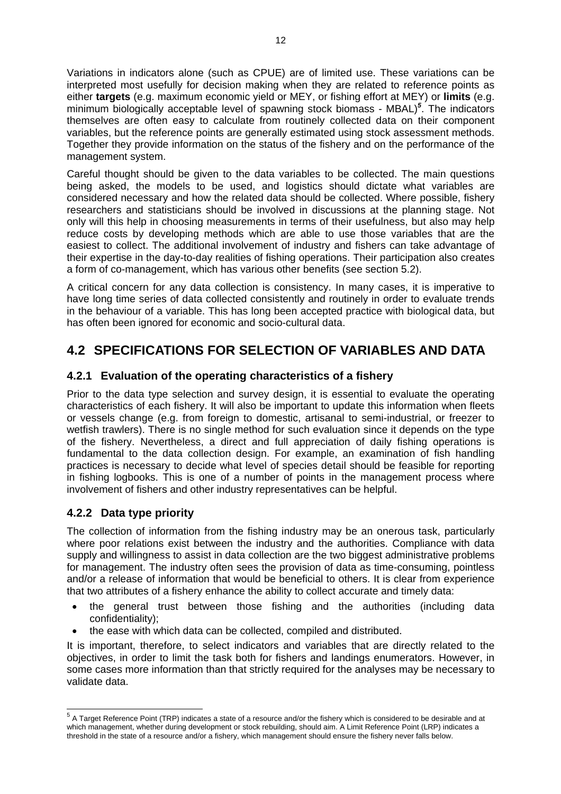Variations in indicators alone (such as CPUE) are of limited use. These variations can be interpreted most usefully for decision making when they are related to reference points as either **targets** (e.g. maximum economic yield or MEY, or fishing effort at MEY) or **limits** (e.g. minimum biologically acceptable level of spawning stock biomass - MBAL)*<sup>5</sup>* . The indicators themselves are often easy to calculate from routinely collected data on their component variables, but the reference points are generally estimated using stock assessment methods. Together they provide information on the status of the fishery and on the performance of the management system.

Careful thought should be given to the data variables to be collected. The main questions being asked, the models to be used, and logistics should dictate what variables are considered necessary and how the related data should be collected. Where possible, fishery researchers and statisticians should be involved in discussions at the planning stage. Not only will this help in choosing measurements in terms of their usefulness, but also may help reduce costs by developing methods which are able to use those variables that are the easiest to collect. The additional involvement of industry and fishers can take advantage of their expertise in the day-to-day realities of fishing operations. Their participation also creates a form of co-management, which has various other benefits (see section 5.2).

A critical concern for any data collection is consistency. In many cases, it is imperative to have long time series of data collected consistently and routinely in order to evaluate trends in the behaviour of a variable. This has long been accepted practice with biological data, but has often been ignored for economic and socio-cultural data.

# **4.2 SPECIFICATIONS FOR SELECTION OF VARIABLES AND DATA**

#### **4.2.1 Evaluation of the operating characteristics of a fishery**

Prior to the data type selection and survey design, it is essential to evaluate the operating characteristics of each fishery. It will also be important to update this information when fleets or vessels change (e.g. from foreign to domestic, artisanal to semi-industrial, or freezer to wetfish trawlers). There is no single method for such evaluation since it depends on the type of the fishery. Nevertheless, a direct and full appreciation of daily fishing operations is fundamental to the data collection design. For example, an examination of fish handling practices is necessary to decide what level of species detail should be feasible for reporting in fishing logbooks. This is one of a number of points in the management process where involvement of fishers and other industry representatives can be helpful.

#### **4.2.2 Data type priority**

The collection of information from the fishing industry may be an onerous task, particularly where poor relations exist between the industry and the authorities. Compliance with data supply and willingness to assist in data collection are the two biggest administrative problems for management. The industry often sees the provision of data as time-consuming, pointless and/or a release of information that would be beneficial to others. It is clear from experience that two attributes of a fishery enhance the ability to collect accurate and timely data:

- the general trust between those fishing and the authorities (including data confidentiality);
- the ease with which data can be collected, compiled and distributed.

It is important, therefore, to select indicators and variables that are directly related to the objectives, in order to limit the task both for fishers and landings enumerators. However, in some cases more information than that strictly required for the analyses may be necessary to validate data.

 5 A Target Reference Point (TRP) indicates a state of a resource and/or the fishery which is considered to be desirable and at which management, whether during development or stock rebuilding, should aim. A Limit Reference Point (LRP) indicates a threshold in the state of a resource and/or a fishery, which management should ensure the fishery never falls below.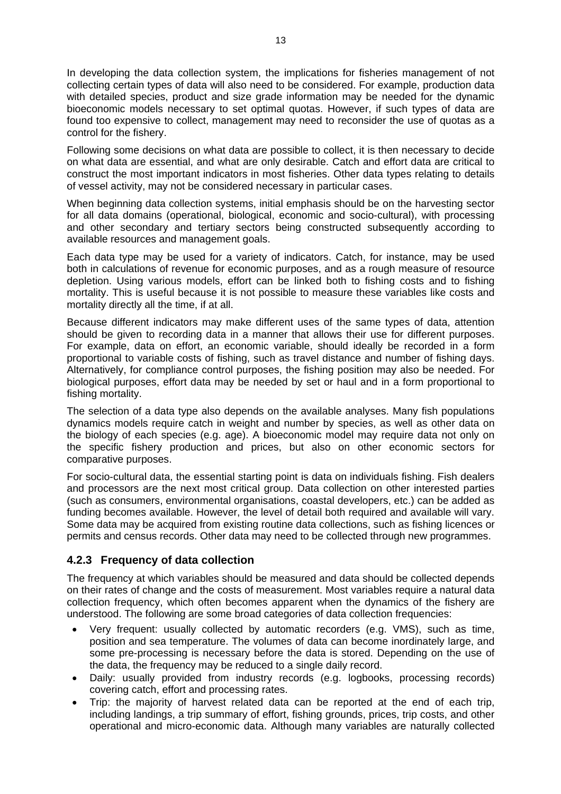In developing the data collection system, the implications for fisheries management of not collecting certain types of data will also need to be considered. For example, production data with detailed species, product and size grade information may be needed for the dynamic bioeconomic models necessary to set optimal quotas. However, if such types of data are found too expensive to collect, management may need to reconsider the use of quotas as a control for the fishery.

Following some decisions on what data are possible to collect, it is then necessary to decide on what data are essential, and what are only desirable. Catch and effort data are critical to construct the most important indicators in most fisheries. Other data types relating to details of vessel activity, may not be considered necessary in particular cases.

When beginning data collection systems, initial emphasis should be on the harvesting sector for all data domains (operational, biological, economic and socio-cultural), with processing and other secondary and tertiary sectors being constructed subsequently according to available resources and management goals.

Each data type may be used for a variety of indicators. Catch, for instance, may be used both in calculations of revenue for economic purposes, and as a rough measure of resource depletion. Using various models, effort can be linked both to fishing costs and to fishing mortality. This is useful because it is not possible to measure these variables like costs and mortality directly all the time, if at all.

Because different indicators may make different uses of the same types of data, attention should be given to recording data in a manner that allows their use for different purposes. For example, data on effort, an economic variable, should ideally be recorded in a form proportional to variable costs of fishing, such as travel distance and number of fishing days. Alternatively, for compliance control purposes, the fishing position may also be needed. For biological purposes, effort data may be needed by set or haul and in a form proportional to fishing mortality.

The selection of a data type also depends on the available analyses. Many fish populations dynamics models require catch in weight and number by species, as well as other data on the biology of each species (e.g. age). A bioeconomic model may require data not only on the specific fishery production and prices, but also on other economic sectors for comparative purposes.

For socio-cultural data, the essential starting point is data on individuals fishing. Fish dealers and processors are the next most critical group. Data collection on other interested parties (such as consumers, environmental organisations, coastal developers, etc.) can be added as funding becomes available. However, the level of detail both required and available will vary. Some data may be acquired from existing routine data collections, such as fishing licences or permits and census records. Other data may need to be collected through new programmes.

#### **4.2.3 Frequency of data collection**

The frequency at which variables should be measured and data should be collected depends on their rates of change and the costs of measurement. Most variables require a natural data collection frequency, which often becomes apparent when the dynamics of the fishery are understood. The following are some broad categories of data collection frequencies:

- Very frequent: usually collected by automatic recorders (e.g. VMS), such as time, position and sea temperature. The volumes of data can become inordinately large, and some pre-processing is necessary before the data is stored. Depending on the use of the data, the frequency may be reduced to a single daily record.
- Daily: usually provided from industry records (e.g. logbooks, processing records) covering catch, effort and processing rates.
- Trip: the majority of harvest related data can be reported at the end of each trip, including landings, a trip summary of effort, fishing grounds, prices, trip costs, and other operational and micro-economic data. Although many variables are naturally collected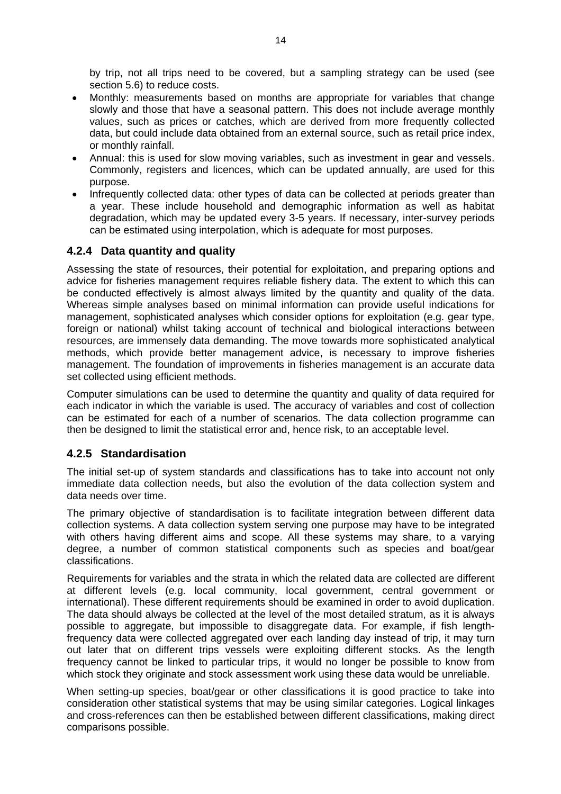by trip, not all trips need to be covered, but a sampling strategy can be used (see section 5.6) to reduce costs.

- Monthly: measurements based on months are appropriate for variables that change slowly and those that have a seasonal pattern. This does not include average monthly values, such as prices or catches, which are derived from more frequently collected data, but could include data obtained from an external source, such as retail price index, or monthly rainfall.
- Annual: this is used for slow moving variables, such as investment in gear and vessels. Commonly, registers and licences, which can be updated annually, are used for this purpose.
- Infrequently collected data: other types of data can be collected at periods greater than a year. These include household and demographic information as well as habitat degradation, which may be updated every 3-5 years. If necessary, inter-survey periods can be estimated using interpolation, which is adequate for most purposes.

#### **4.2.4 Data quantity and quality**

Assessing the state of resources, their potential for exploitation, and preparing options and advice for fisheries management requires reliable fishery data. The extent to which this can be conducted effectively is almost always limited by the quantity and quality of the data. Whereas simple analyses based on minimal information can provide useful indications for management, sophisticated analyses which consider options for exploitation (e.g. gear type, foreign or national) whilst taking account of technical and biological interactions between resources, are immensely data demanding. The move towards more sophisticated analytical methods, which provide better management advice, is necessary to improve fisheries management. The foundation of improvements in fisheries management is an accurate data set collected using efficient methods.

Computer simulations can be used to determine the quantity and quality of data required for each indicator in which the variable is used. The accuracy of variables and cost of collection can be estimated for each of a number of scenarios. The data collection programme can then be designed to limit the statistical error and, hence risk, to an acceptable level.

#### **4.2.5 Standardisation**

The initial set-up of system standards and classifications has to take into account not only immediate data collection needs, but also the evolution of the data collection system and data needs over time.

The primary objective of standardisation is to facilitate integration between different data collection systems. A data collection system serving one purpose may have to be integrated with others having different aims and scope. All these systems may share, to a varying degree, a number of common statistical components such as species and boat/gear classifications.

Requirements for variables and the strata in which the related data are collected are different at different levels (e.g. local community, local government, central government or international). These different requirements should be examined in order to avoid duplication. The data should always be collected at the level of the most detailed stratum, as it is always possible to aggregate, but impossible to disaggregate data. For example, if fish lengthfrequency data were collected aggregated over each landing day instead of trip, it may turn out later that on different trips vessels were exploiting different stocks. As the length frequency cannot be linked to particular trips, it would no longer be possible to know from which stock they originate and stock assessment work using these data would be unreliable.

When setting-up species, boat/gear or other classifications it is good practice to take into consideration other statistical systems that may be using similar categories. Logical linkages and cross-references can then be established between different classifications, making direct comparisons possible.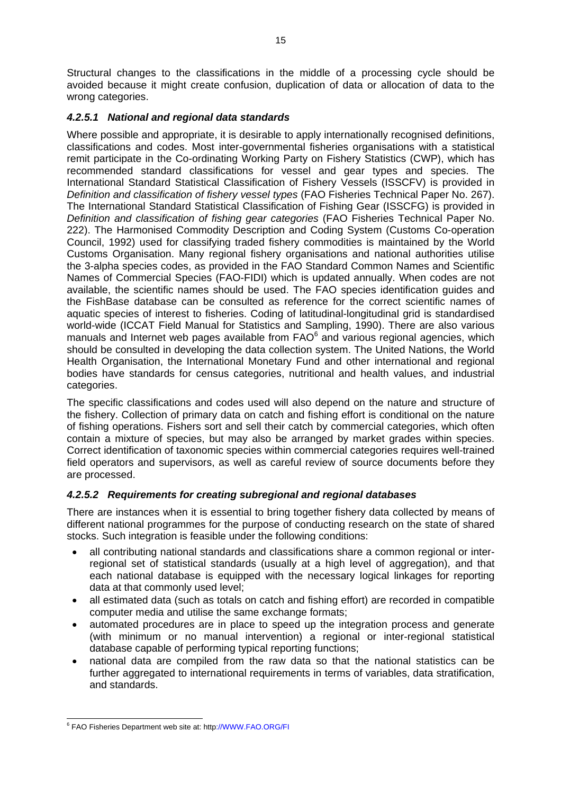Structural changes to the classifications in the middle of a processing cycle should be avoided because it might create confusion, duplication of data or allocation of data to the wrong categories.

#### *4.2.5.1 National and regional data standards*

Where possible and appropriate, it is desirable to apply internationally recognised definitions, classifications and codes. Most inter-governmental fisheries organisations with a statistical remit participate in the Co-ordinating Working Party on Fishery Statistics (CWP), which has recommended standard classifications for vessel and gear types and species. The International Standard Statistical Classification of Fishery Vessels (ISSCFV) is provided in *Definition and classification of fishery vessel types* (FAO Fisheries Technical Paper No. 267). The International Standard Statistical Classification of Fishing Gear (ISSCFG) is provided in *Definition and classification of fishing gear categories* (FAO Fisheries Technical Paper No. 222). The Harmonised Commodity Description and Coding System (Customs Co-operation Council, 1992) used for classifying traded fishery commodities is maintained by the World Customs Organisation. Many regional fishery organisations and national authorities utilise the 3-alpha species codes, as provided in the FAO Standard Common Names and Scientific Names of Commercial Species (FAO-FIDI) which is updated annually. When codes are not available, the scientific names should be used. The FAO species identification guides and the FishBase database can be consulted as reference for the correct scientific names of aquatic species of interest to fisheries. Coding of latitudinal-longitudinal grid is standardised world-wide (ICCAT Field Manual for Statistics and Sampling, 1990). There are also various manuals and Internet web pages available from  $\mathsf{FAO}^6$  and various regional agencies, which should be consulted in developing the data collection system. The United Nations, the World Health Organisation, the International Monetary Fund and other international and regional bodies have standards for census categories, nutritional and health values, and industrial categories.

The specific classifications and codes used will also depend on the nature and structure of the fishery. Collection of primary data on catch and fishing effort is conditional on the nature of fishing operations. Fishers sort and sell their catch by commercial categories, which often contain a mixture of species, but may also be arranged by market grades within species. Correct identification of taxonomic species within commercial categories requires well-trained field operators and supervisors, as well as careful review of source documents before they are processed.

#### *4.2.5.2 Requirements for creating subregional and regional databases*

There are instances when it is essential to bring together fishery data collected by means of different national programmes for the purpose of conducting research on the state of shared stocks. Such integration is feasible under the following conditions:

- all contributing national standards and classifications share a common regional or interregional set of statistical standards (usually at a high level of aggregation), and that each national database is equipped with the necessary logical linkages for reporting data at that commonly used level;
- all estimated data (such as totals on catch and fishing effort) are recorded in compatible computer media and utilise the same exchange formats;
- automated procedures are in place to speed up the integration process and generate (with minimum or no manual intervention) a regional or inter-regional statistical database capable of performing typical reporting functions;
- national data are compiled from the raw data so that the national statistics can be further aggregated to international requirements in terms of variables, data stratification, and standards.

 $\overline{a}$ 6 FAO Fisheries Department web site at: http://WWW.FAO.ORG/FI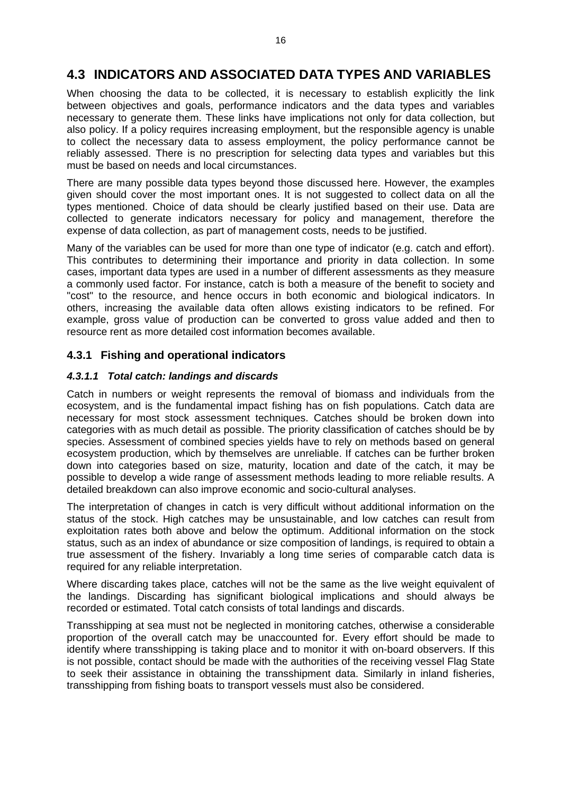# **4.3 INDICATORS AND ASSOCIATED DATA TYPES AND VARIABLES**

When choosing the data to be collected, it is necessary to establish explicitly the link between objectives and goals, performance indicators and the data types and variables necessary to generate them. These links have implications not only for data collection, but also policy. If a policy requires increasing employment, but the responsible agency is unable to collect the necessary data to assess employment, the policy performance cannot be reliably assessed. There is no prescription for selecting data types and variables but this must be based on needs and local circumstances.

There are many possible data types beyond those discussed here. However, the examples given should cover the most important ones. It is not suggested to collect data on all the types mentioned. Choice of data should be clearly justified based on their use. Data are collected to generate indicators necessary for policy and management, therefore the expense of data collection, as part of management costs, needs to be justified.

Many of the variables can be used for more than one type of indicator (e.g. catch and effort). This contributes to determining their importance and priority in data collection. In some cases, important data types are used in a number of different assessments as they measure a commonly used factor. For instance, catch is both a measure of the benefit to society and "cost" to the resource, and hence occurs in both economic and biological indicators. In others, increasing the available data often allows existing indicators to be refined. For example, gross value of production can be converted to gross value added and then to resource rent as more detailed cost information becomes available.

#### **4.3.1 Fishing and operational indicators**

#### *4.3.1.1 Total catch: landings and discards*

Catch in numbers or weight represents the removal of biomass and individuals from the ecosystem, and is the fundamental impact fishing has on fish populations. Catch data are necessary for most stock assessment techniques. Catches should be broken down into categories with as much detail as possible. The priority classification of catches should be by species. Assessment of combined species yields have to rely on methods based on general ecosystem production, which by themselves are unreliable. If catches can be further broken down into categories based on size, maturity, location and date of the catch, it may be possible to develop a wide range of assessment methods leading to more reliable results. A detailed breakdown can also improve economic and socio-cultural analyses.

The interpretation of changes in catch is very difficult without additional information on the status of the stock. High catches may be unsustainable, and low catches can result from exploitation rates both above and below the optimum. Additional information on the stock status, such as an index of abundance or size composition of landings, is required to obtain a true assessment of the fishery. Invariably a long time series of comparable catch data is required for any reliable interpretation.

Where discarding takes place, catches will not be the same as the live weight equivalent of the landings. Discarding has significant biological implications and should always be recorded or estimated. Total catch consists of total landings and discards.

Transshipping at sea must not be neglected in monitoring catches, otherwise a considerable proportion of the overall catch may be unaccounted for. Every effort should be made to identify where transshipping is taking place and to monitor it with on-board observers. If this is not possible, contact should be made with the authorities of the receiving vessel Flag State to seek their assistance in obtaining the transshipment data. Similarly in inland fisheries, transshipping from fishing boats to transport vessels must also be considered.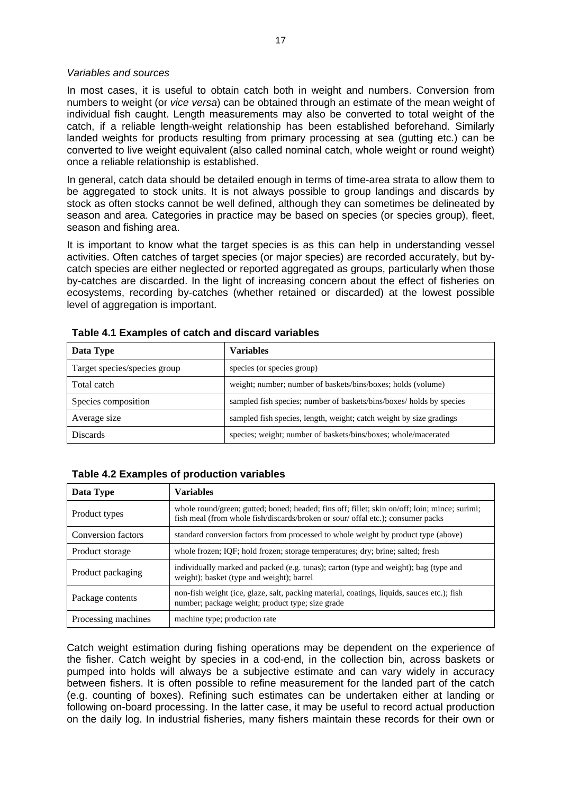#### *Variables and sources*

In most cases, it is useful to obtain catch both in weight and numbers. Conversion from numbers to weight (or *vice versa*) can be obtained through an estimate of the mean weight of individual fish caught. Length measurements may also be converted to total weight of the catch, if a reliable length-weight relationship has been established beforehand. Similarly landed weights for products resulting from primary processing at sea (gutting etc.) can be converted to live weight equivalent (also called nominal catch, whole weight or round weight) once a reliable relationship is established.

In general, catch data should be detailed enough in terms of time-area strata to allow them to be aggregated to stock units. It is not always possible to group landings and discards by stock as often stocks cannot be well defined, although they can sometimes be delineated by season and area. Categories in practice may be based on species (or species group), fleet, season and fishing area.

It is important to know what the target species is as this can help in understanding vessel activities. Often catches of target species (or major species) are recorded accurately, but bycatch species are either neglected or reported aggregated as groups, particularly when those by-catches are discarded. In the light of increasing concern about the effect of fisheries on ecosystems, recording by-catches (whether retained or discarded) at the lowest possible level of aggregation is important.

| Data Type                    | <b>Variables</b>                                                     |
|------------------------------|----------------------------------------------------------------------|
| Target species/species group | species (or species group)                                           |
| Total catch                  | weight; number; number of baskets/bins/boxes; holds (volume)         |
| Species composition          | sampled fish species; number of baskets/bins/boxes/ holds by species |
| Average size                 | sampled fish species, length, weight; catch weight by size gradings  |
| <b>Discards</b>              | species; weight; number of baskets/bins/boxes; whole/macerated       |

**Table 4.1 Examples of catch and discard variables** 

#### **Table 4.2 Examples of production variables**

| Data Type           | <b>Variables</b>                                                                                                                                                                 |
|---------------------|----------------------------------------------------------------------------------------------------------------------------------------------------------------------------------|
| Product types       | whole round/green; gutted; boned; headed; fins off; fillet; skin on/off; loin; mince; surimi;<br>fish meal (from whole fish/discards/broken or sour/ offal etc.); consumer packs |
| Conversion factors  | standard conversion factors from processed to whole weight by product type (above)                                                                                               |
| Product storage     | whole frozen; IQF; hold frozen; storage temperatures; dry; brine; salted; fresh                                                                                                  |
| Product packaging   | individually marked and packed (e.g. tunas); carton (type and weight); bag (type and<br>weight); basket (type and weight); barrel                                                |
| Package contents    | non-fish weight (ice, glaze, salt, packing material, coatings, liquids, sauces etc.); fish<br>number; package weight; product type; size grade                                   |
| Processing machines | machine type; production rate                                                                                                                                                    |

Catch weight estimation during fishing operations may be dependent on the experience of the fisher. Catch weight by species in a cod-end, in the collection bin, across baskets or pumped into holds will always be a subjective estimate and can vary widely in accuracy between fishers. It is often possible to refine measurement for the landed part of the catch (e.g. counting of boxes). Refining such estimates can be undertaken either at landing or following on-board processing. In the latter case, it may be useful to record actual production on the daily log. In industrial fisheries, many fishers maintain these records for their own or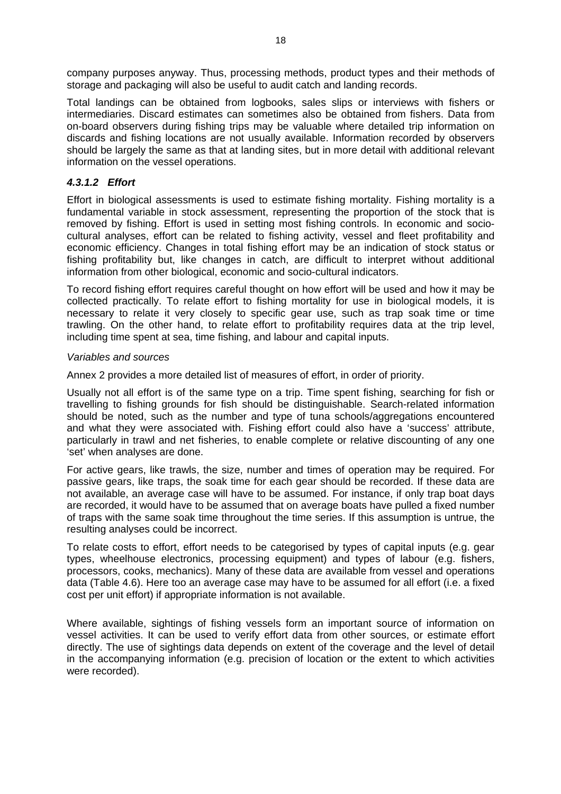company purposes anyway. Thus, processing methods, product types and their methods of storage and packaging will also be useful to audit catch and landing records.

Total landings can be obtained from logbooks, sales slips or interviews with fishers or intermediaries. Discard estimates can sometimes also be obtained from fishers. Data from on-board observers during fishing trips may be valuable where detailed trip information on discards and fishing locations are not usually available. Information recorded by observers should be largely the same as that at landing sites, but in more detail with additional relevant information on the vessel operations.

#### *4.3.1.2 Effort*

Effort in biological assessments is used to estimate fishing mortality. Fishing mortality is a fundamental variable in stock assessment, representing the proportion of the stock that is removed by fishing. Effort is used in setting most fishing controls. In economic and sociocultural analyses, effort can be related to fishing activity, vessel and fleet profitability and economic efficiency. Changes in total fishing effort may be an indication of stock status or fishing profitability but, like changes in catch, are difficult to interpret without additional information from other biological, economic and socio-cultural indicators.

To record fishing effort requires careful thought on how effort will be used and how it may be collected practically. To relate effort to fishing mortality for use in biological models, it is necessary to relate it very closely to specific gear use, such as trap soak time or time trawling. On the other hand, to relate effort to profitability requires data at the trip level, including time spent at sea, time fishing, and labour and capital inputs.

#### *Variables and sources*

Annex 2 provides a more detailed list of measures of effort, in order of priority.

Usually not all effort is of the same type on a trip. Time spent fishing, searching for fish or travelling to fishing grounds for fish should be distinguishable. Search-related information should be noted, such as the number and type of tuna schools/aggregations encountered and what they were associated with. Fishing effort could also have a 'success' attribute, particularly in trawl and net fisheries, to enable complete or relative discounting of any one 'set' when analyses are done.

For active gears, like trawls, the size, number and times of operation may be required. For passive gears, like traps, the soak time for each gear should be recorded. If these data are not available, an average case will have to be assumed. For instance, if only trap boat days are recorded, it would have to be assumed that on average boats have pulled a fixed number of traps with the same soak time throughout the time series. If this assumption is untrue, the resulting analyses could be incorrect.

To relate costs to effort, effort needs to be categorised by types of capital inputs (e.g. gear types, wheelhouse electronics, processing equipment) and types of labour (e.g. fishers, processors, cooks, mechanics). Many of these data are available from vessel and operations data (Table 4.6). Here too an average case may have to be assumed for all effort (i.e. a fixed cost per unit effort) if appropriate information is not available.

Where available, sightings of fishing vessels form an important source of information on vessel activities. It can be used to verify effort data from other sources, or estimate effort directly. The use of sightings data depends on extent of the coverage and the level of detail in the accompanying information (e.g. precision of location or the extent to which activities were recorded).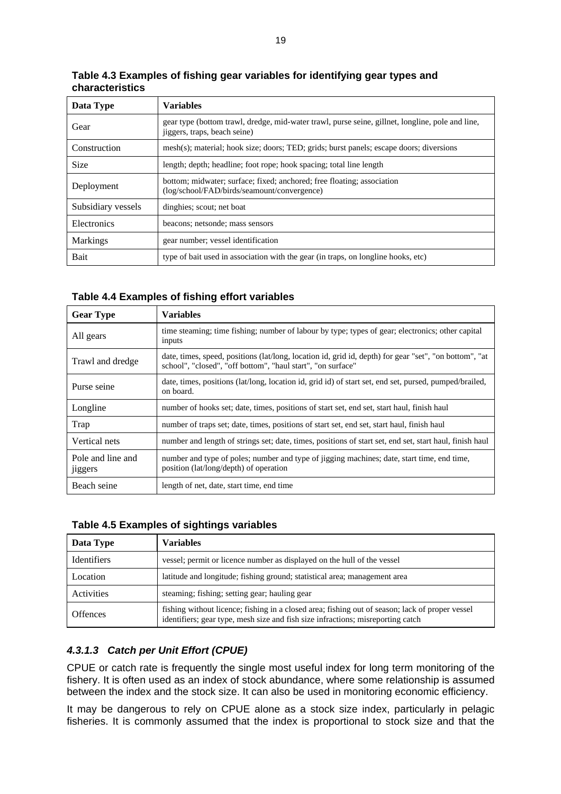| Data Type          | <b>Variables</b>                                                                                                                 |
|--------------------|----------------------------------------------------------------------------------------------------------------------------------|
| Gear               | gear type (bottom trawl, dredge, mid-water trawl, purse seine, gillnet, longline, pole and line,<br>jiggers, traps, beach seine) |
| Construction       | mesh(s); material; hook size; doors; TED; grids; burst panels; escape doors; diversions                                          |
| <b>Size</b>        | length; depth; headline; foot rope; hook spacing; total line length                                                              |
| Deployment         | bottom; midwater; surface; fixed; anchored; free floating; association<br>(log/school/FAD/birds/seamount/convergence)            |
| Subsidiary vessels | dinghies; scout; net boat                                                                                                        |
| Electronics        | beacons; netsonde; mass sensors                                                                                                  |
| <b>Markings</b>    | gear number; vessel identification                                                                                               |
| Bait               | type of bait used in association with the gear (in traps, on longline hooks, etc)                                                |

**Table 4.3 Examples of fishing gear variables for identifying gear types and characteristics** 

**Table 4.4 Examples of fishing effort variables** 

| <b>Gear Type</b>             | <b>Variables</b>                                                                                                                                                      |
|------------------------------|-----------------------------------------------------------------------------------------------------------------------------------------------------------------------|
| All gears                    | time steaming; time fishing; number of labour by type; types of gear; electronics; other capital<br>inputs                                                            |
| Trawl and dredge             | date, times, speed, positions (lat/long, location id, grid id, depth) for gear "set", "on bottom", "at<br>school", "closed", "off bottom", "haul start", "on surface" |
| Purse seine                  | date, times, positions (lat/long, location id, grid id) of start set, end set, pursed, pumped/brailed,<br>on board.                                                   |
| Longline                     | number of hooks set; date, times, positions of start set, end set, start haul, finish haul                                                                            |
| Trap                         | number of traps set; date, times, positions of start set, end set, start haul, finish haul                                                                            |
| Vertical nets                | number and length of strings set; date, times, positions of start set, end set, start haul, finish haul                                                               |
| Pole and line and<br>jiggers | number and type of poles; number and type of jigging machines; date, start time, end time,<br>position (lat/long/depth) of operation                                  |
| Beach seine                  | length of net, date, start time, end time                                                                                                                             |

**Table 4.5 Examples of sightings variables** 

| Data Type       | <b>Variables</b>                                                                                                                                                                   |
|-----------------|------------------------------------------------------------------------------------------------------------------------------------------------------------------------------------|
| Identifiers     | vessel; permit or licence number as displayed on the hull of the vessel                                                                                                            |
| Location        | latitude and longitude; fishing ground; statistical area; management area                                                                                                          |
| Activities      | steaming; fishing; setting gear; hauling gear                                                                                                                                      |
| <b>Offences</b> | fishing without licence; fishing in a closed area; fishing out of season; lack of proper vessel<br>identifiers; gear type, mesh size and fish size infractions; misreporting catch |

#### *4.3.1.3 Catch per Unit Effort (CPUE)*

CPUE or catch rate is frequently the single most useful index for long term monitoring of the fishery. It is often used as an index of stock abundance, where some relationship is assumed between the index and the stock size. It can also be used in monitoring economic efficiency.

It may be dangerous to rely on CPUE alone as a stock size index, particularly in pelagic fisheries. It is commonly assumed that the index is proportional to stock size and that the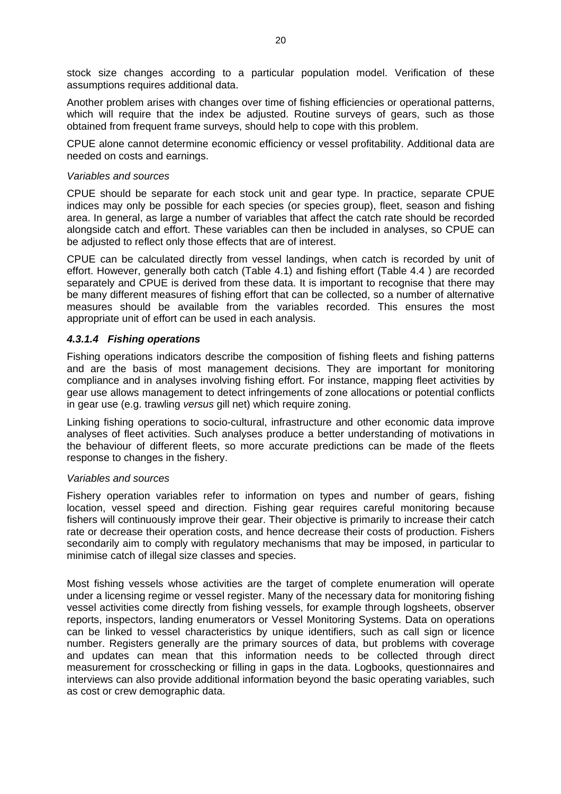stock size changes according to a particular population model. Verification of these assumptions requires additional data.

Another problem arises with changes over time of fishing efficiencies or operational patterns, which will require that the index be adjusted. Routine surveys of gears, such as those obtained from frequent frame surveys, should help to cope with this problem.

CPUE alone cannot determine economic efficiency or vessel profitability. Additional data are needed on costs and earnings.

#### *Variables and sources*

CPUE should be separate for each stock unit and gear type. In practice, separate CPUE indices may only be possible for each species (or species group), fleet, season and fishing area. In general, as large a number of variables that affect the catch rate should be recorded alongside catch and effort. These variables can then be included in analyses, so CPUE can be adjusted to reflect only those effects that are of interest.

CPUE can be calculated directly from vessel landings, when catch is recorded by unit of effort. However, generally both catch (Table 4.1) and fishing effort (Table 4.4 ) are recorded separately and CPUE is derived from these data. It is important to recognise that there may be many different measures of fishing effort that can be collected, so a number of alternative measures should be available from the variables recorded. This ensures the most appropriate unit of effort can be used in each analysis.

#### *4.3.1.4 Fishing operations*

Fishing operations indicators describe the composition of fishing fleets and fishing patterns and are the basis of most management decisions. They are important for monitoring compliance and in analyses involving fishing effort. For instance, mapping fleet activities by gear use allows management to detect infringements of zone allocations or potential conflicts in gear use (e.g. trawling *versus* gill net) which require zoning.

Linking fishing operations to socio-cultural, infrastructure and other economic data improve analyses of fleet activities. Such analyses produce a better understanding of motivations in the behaviour of different fleets, so more accurate predictions can be made of the fleets response to changes in the fishery.

#### *Variables and sources*

Fishery operation variables refer to information on types and number of gears, fishing location, vessel speed and direction. Fishing gear requires careful monitoring because fishers will continuously improve their gear. Their objective is primarily to increase their catch rate or decrease their operation costs, and hence decrease their costs of production. Fishers secondarily aim to comply with regulatory mechanisms that may be imposed, in particular to minimise catch of illegal size classes and species.

Most fishing vessels whose activities are the target of complete enumeration will operate under a licensing regime or vessel register. Many of the necessary data for monitoring fishing vessel activities come directly from fishing vessels, for example through logsheets, observer reports, inspectors, landing enumerators or Vessel Monitoring Systems. Data on operations can be linked to vessel characteristics by unique identifiers, such as call sign or licence number. Registers generally are the primary sources of data, but problems with coverage and updates can mean that this information needs to be collected through direct measurement for crosschecking or filling in gaps in the data. Logbooks, questionnaires and interviews can also provide additional information beyond the basic operating variables, such as cost or crew demographic data.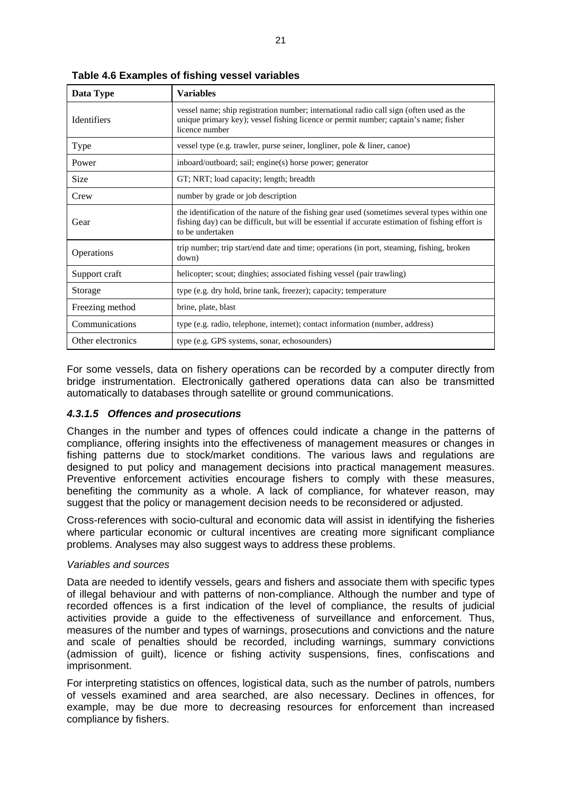| Data Type         | <b>Variables</b>                                                                                                                                                                                                      |
|-------------------|-----------------------------------------------------------------------------------------------------------------------------------------------------------------------------------------------------------------------|
| Identifiers       | vessel name; ship registration number; international radio call sign (often used as the<br>unique primary key); vessel fishing licence or permit number; captain's name; fisher<br>licence number                     |
| Type              | vessel type (e.g. trawler, purse seiner, longliner, pole & liner, canoe)                                                                                                                                              |
| Power             | inboard/outboard; sail; engine(s) horse power; generator                                                                                                                                                              |
| <b>Size</b>       | GT; NRT; load capacity; length; breadth                                                                                                                                                                               |
| Crew              | number by grade or job description                                                                                                                                                                                    |
| Gear              | the identification of the nature of the fishing gear used (sometimes several types within one<br>fishing day) can be difficult, but will be essential if accurate estimation of fishing effort is<br>to be undertaken |
| Operations        | trip number; trip start/end date and time; operations (in port, steaming, fishing, broken<br>down)                                                                                                                    |
| Support craft     | helicopter; scout; dinghies; associated fishing vessel (pair trawling)                                                                                                                                                |
| Storage           | type (e.g. dry hold, brine tank, freezer); capacity; temperature                                                                                                                                                      |
| Freezing method   | brine, plate, blast                                                                                                                                                                                                   |
| Communications    | type (e.g. radio, telephone, internet); contact information (number, address)                                                                                                                                         |
| Other electronics | type (e.g. GPS systems, sonar, echosounders)                                                                                                                                                                          |

**Table 4.6 Examples of fishing vessel variables** 

For some vessels, data on fishery operations can be recorded by a computer directly from bridge instrumentation. Electronically gathered operations data can also be transmitted automatically to databases through satellite or ground communications.

#### *4.3.1.5 Offences and prosecutions*

Changes in the number and types of offences could indicate a change in the patterns of compliance, offering insights into the effectiveness of management measures or changes in fishing patterns due to stock/market conditions. The various laws and regulations are designed to put policy and management decisions into practical management measures. Preventive enforcement activities encourage fishers to comply with these measures, benefiting the community as a whole. A lack of compliance, for whatever reason, may suggest that the policy or management decision needs to be reconsidered or adjusted.

Cross-references with socio-cultural and economic data will assist in identifying the fisheries where particular economic or cultural incentives are creating more significant compliance problems. Analyses may also suggest ways to address these problems.

#### *Variables and sources*

Data are needed to identify vessels, gears and fishers and associate them with specific types of illegal behaviour and with patterns of non-compliance. Although the number and type of recorded offences is a first indication of the level of compliance, the results of judicial activities provide a guide to the effectiveness of surveillance and enforcement. Thus, measures of the number and types of warnings, prosecutions and convictions and the nature and scale of penalties should be recorded, including warnings, summary convictions (admission of guilt), licence or fishing activity suspensions, fines, confiscations and imprisonment.

For interpreting statistics on offences, logistical data, such as the number of patrols, numbers of vessels examined and area searched, are also necessary. Declines in offences, for example, may be due more to decreasing resources for enforcement than increased compliance by fishers.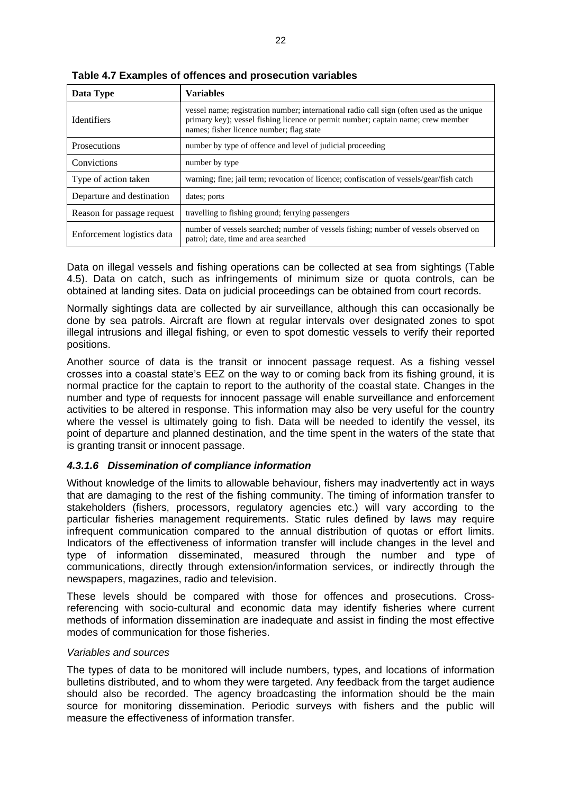| Data Type                  | <b>Variables</b>                                                                                                                                                                                                          |
|----------------------------|---------------------------------------------------------------------------------------------------------------------------------------------------------------------------------------------------------------------------|
| <b>Identifiers</b>         | vessel name; registration number; international radio call sign (often used as the unique<br>primary key); vessel fishing licence or permit number; captain name; crew member<br>names; fisher licence number; flag state |
| <b>Prosecutions</b>        | number by type of offence and level of judicial proceeding                                                                                                                                                                |
| Convictions                | number by type                                                                                                                                                                                                            |
| Type of action taken       | warning; fine; jail term; revocation of licence; confiscation of vessels/gear/fish catch                                                                                                                                  |
| Departure and destination  | dates; ports                                                                                                                                                                                                              |
| Reason for passage request | travelling to fishing ground; ferrying passengers                                                                                                                                                                         |
| Enforcement logistics data | number of vessels searched; number of vessels fishing; number of vessels observed on<br>patrol; date, time and area searched                                                                                              |

**Table 4.7 Examples of offences and prosecution variables** 

Data on illegal vessels and fishing operations can be collected at sea from sightings (Table 4.5). Data on catch, such as infringements of minimum size or quota controls, can be obtained at landing sites. Data on judicial proceedings can be obtained from court records.

Normally sightings data are collected by air surveillance, although this can occasionally be done by sea patrols. Aircraft are flown at regular intervals over designated zones to spot illegal intrusions and illegal fishing, or even to spot domestic vessels to verify their reported positions.

Another source of data is the transit or innocent passage request. As a fishing vessel crosses into a coastal state's EEZ on the way to or coming back from its fishing ground, it is normal practice for the captain to report to the authority of the coastal state. Changes in the number and type of requests for innocent passage will enable surveillance and enforcement activities to be altered in response. This information may also be very useful for the country where the vessel is ultimately going to fish. Data will be needed to identify the vessel, its point of departure and planned destination, and the time spent in the waters of the state that is granting transit or innocent passage.

#### *4.3.1.6 Dissemination of compliance information*

Without knowledge of the limits to allowable behaviour, fishers may inadvertently act in ways that are damaging to the rest of the fishing community. The timing of information transfer to stakeholders (fishers, processors, regulatory agencies etc.) will vary according to the particular fisheries management requirements. Static rules defined by laws may require infrequent communication compared to the annual distribution of quotas or effort limits. Indicators of the effectiveness of information transfer will include changes in the level and type of information disseminated, measured through the number and type of communications, directly through extension/information services, or indirectly through the newspapers, magazines, radio and television.

These levels should be compared with those for offences and prosecutions. Crossreferencing with socio-cultural and economic data may identify fisheries where current methods of information dissemination are inadequate and assist in finding the most effective modes of communication for those fisheries.

#### *Variables and sources*

The types of data to be monitored will include numbers, types, and locations of information bulletins distributed, and to whom they were targeted. Any feedback from the target audience should also be recorded. The agency broadcasting the information should be the main source for monitoring dissemination. Periodic surveys with fishers and the public will measure the effectiveness of information transfer.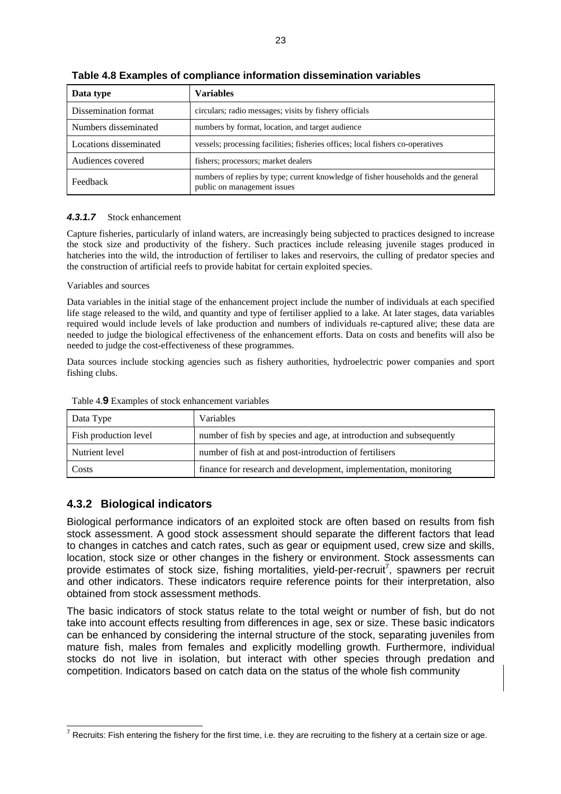| Data type              | <b>Variables</b>                                                                                                  |
|------------------------|-------------------------------------------------------------------------------------------------------------------|
| Dissemination format   | circulars; radio messages; visits by fishery officials                                                            |
| Numbers disseminated   | numbers by format, location, and target audience                                                                  |
| Locations disseminated | vessels; processing facilities; fisheries offices; local fishers co-operatives                                    |
| Audiences covered      | fishers; processors; market dealers                                                                               |
| Feedback               | numbers of replies by type; current knowledge of fisher households and the general<br>public on management issues |

**Table 4.8 Examples of compliance information dissemination variables** 

#### *4.3.1.7* Stock enhancement

Capture fisheries, particularly of inland waters, are increasingly being subjected to practices designed to increase the stock size and productivity of the fishery. Such practices include releasing juvenile stages produced in hatcheries into the wild, the introduction of fertiliser to lakes and reservoirs, the culling of predator species and the construction of artificial reefs to provide habitat for certain exploited species.

#### Variables and sources

Data variables in the initial stage of the enhancement project include the number of individuals at each specified life stage released to the wild, and quantity and type of fertiliser applied to a lake. At later stages, data variables required would include levels of lake production and numbers of individuals re-captured alive; these data are needed to judge the biological effectiveness of the enhancement efforts. Data on costs and benefits will also be needed to judge the cost-effectiveness of these programmes.

Data sources include stocking agencies such as fishery authorities, hydroelectric power companies and sport fishing clubs.

| Data Type             | Variables                                                           |
|-----------------------|---------------------------------------------------------------------|
| Fish production level | number of fish by species and age, at introduction and subsequently |
| Nutrient level        | number of fish at and post-introduction of fertilisers              |
| Costs                 | finance for research and development, implementation, monitoring    |

Table 4.**9** Examples of stock enhancement variables

#### **4.3.2 Biological indicators**

Biological performance indicators of an exploited stock are often based on results from fish stock assessment. A good stock assessment should separate the different factors that lead to changes in catches and catch rates, such as gear or equipment used, crew size and skills, location, stock size or other changes in the fishery or environment. Stock assessments can provide estimates of stock size, fishing mortalities, yield-per-recruit<sup>7</sup>, spawners per recruit and other indicators. These indicators require reference points for their interpretation, also obtained from stock assessment methods.

The basic indicators of stock status relate to the total weight or number of fish, but do not take into account effects resulting from differences in age, sex or size. These basic indicators can be enhanced by considering the internal structure of the stock, separating juveniles from mature fish, males from females and explicitly modelling growth. Furthermore, individual stocks do not live in isolation, but interact with other species through predation and competition. Indicators based on catch data on the status of the whole fish community

 $\frac{7}{7}$  Recruits: Fish entering the fishery for the first time, i.e. they are recruiting to the fishery at a certain size or age.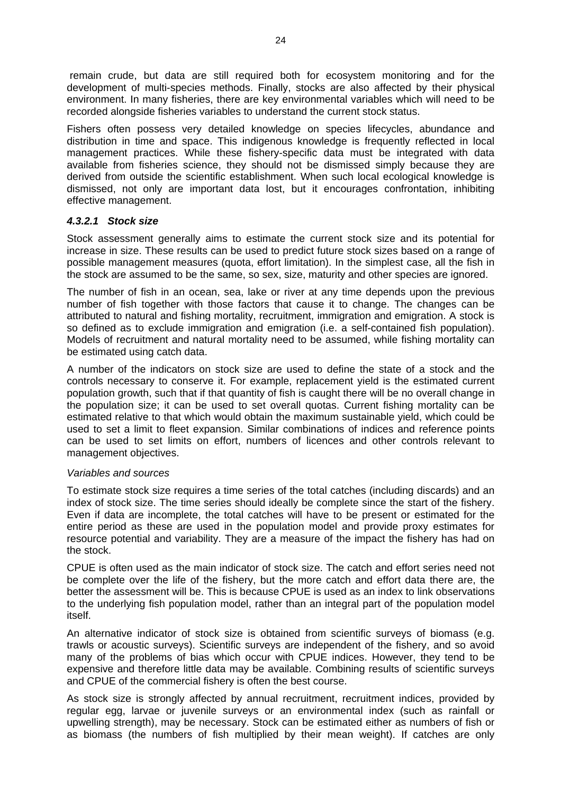remain crude, but data are still required both for ecosystem monitoring and for the development of multi-species methods. Finally, stocks are also affected by their physical environment. In many fisheries, there are key environmental variables which will need to be recorded alongside fisheries variables to understand the current stock status.

Fishers often possess very detailed knowledge on species lifecycles, abundance and distribution in time and space. This indigenous knowledge is frequently reflected in local management practices. While these fishery-specific data must be integrated with data available from fisheries science, they should not be dismissed simply because they are derived from outside the scientific establishment. When such local ecological knowledge is dismissed, not only are important data lost, but it encourages confrontation, inhibiting effective management.

#### *4.3.2.1 Stock size*

Stock assessment generally aims to estimate the current stock size and its potential for increase in size. These results can be used to predict future stock sizes based on a range of possible management measures (quota, effort limitation). In the simplest case, all the fish in the stock are assumed to be the same, so sex, size, maturity and other species are ignored.

The number of fish in an ocean, sea, lake or river at any time depends upon the previous number of fish together with those factors that cause it to change. The changes can be attributed to natural and fishing mortality, recruitment, immigration and emigration. A stock is so defined as to exclude immigration and emigration (i.e. a self-contained fish population). Models of recruitment and natural mortality need to be assumed, while fishing mortality can be estimated using catch data.

A number of the indicators on stock size are used to define the state of a stock and the controls necessary to conserve it. For example, replacement yield is the estimated current population growth, such that if that quantity of fish is caught there will be no overall change in the population size; it can be used to set overall quotas. Current fishing mortality can be estimated relative to that which would obtain the maximum sustainable yield, which could be used to set a limit to fleet expansion. Similar combinations of indices and reference points can be used to set limits on effort, numbers of licences and other controls relevant to management objectives.

#### *Variables and sources*

To estimate stock size requires a time series of the total catches (including discards) and an index of stock size. The time series should ideally be complete since the start of the fishery. Even if data are incomplete, the total catches will have to be present or estimated for the entire period as these are used in the population model and provide proxy estimates for resource potential and variability. They are a measure of the impact the fishery has had on the stock.

CPUE is often used as the main indicator of stock size. The catch and effort series need not be complete over the life of the fishery, but the more catch and effort data there are, the better the assessment will be. This is because CPUE is used as an index to link observations to the underlying fish population model, rather than an integral part of the population model itself.

An alternative indicator of stock size is obtained from scientific surveys of biomass (e.g. trawls or acoustic surveys). Scientific surveys are independent of the fishery, and so avoid many of the problems of bias which occur with CPUE indices. However, they tend to be expensive and therefore little data may be available. Combining results of scientific surveys and CPUE of the commercial fishery is often the best course.

As stock size is strongly affected by annual recruitment, recruitment indices, provided by regular egg, larvae or juvenile surveys or an environmental index (such as rainfall or upwelling strength), may be necessary. Stock can be estimated either as numbers of fish or as biomass (the numbers of fish multiplied by their mean weight). If catches are only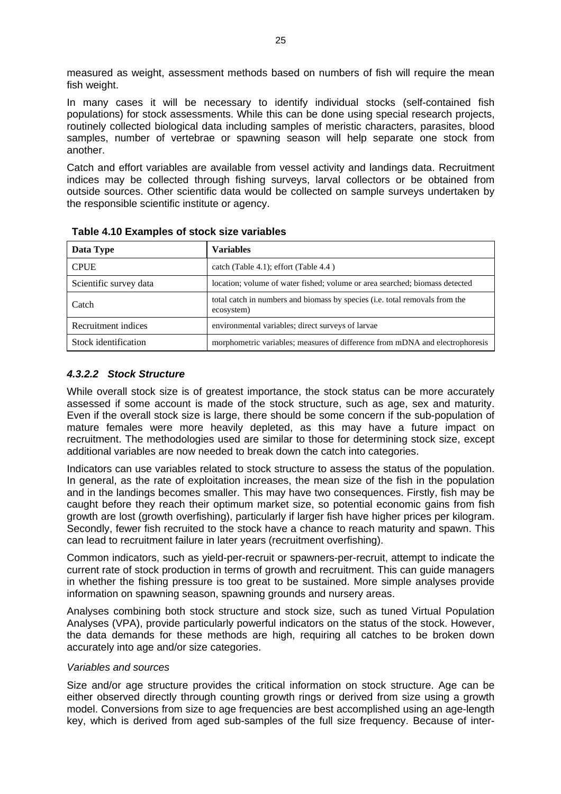measured as weight, assessment methods based on numbers of fish will require the mean fish weight.

In many cases it will be necessary to identify individual stocks (self-contained fish populations) for stock assessments. While this can be done using special research projects, routinely collected biological data including samples of meristic characters, parasites, blood samples, number of vertebrae or spawning season will help separate one stock from another.

Catch and effort variables are available from vessel activity and landings data. Recruitment indices may be collected through fishing surveys, larval collectors or be obtained from outside sources. Other scientific data would be collected on sample surveys undertaken by the responsible scientific institute or agency.

| Data Type              | <b>Variables</b>                                                                          |
|------------------------|-------------------------------------------------------------------------------------------|
| <b>CPUE</b>            | catch (Table 4.1); effort (Table 4.4)                                                     |
| Scientific survey data | location; volume of water fished; volume or area searched; biomass detected               |
| Catch                  | total catch in numbers and biomass by species (i.e. total removals from the<br>ecosystem) |
| Recruitment indices    | environmental variables; direct surveys of larvae                                         |
| Stock identification   | morphometric variables; measures of difference from mDNA and electrophoresis              |

**Table 4.10 Examples of stock size variables** 

#### *4.3.2.2 Stock Structure*

While overall stock size is of greatest importance, the stock status can be more accurately assessed if some account is made of the stock structure, such as age, sex and maturity. Even if the overall stock size is large, there should be some concern if the sub-population of mature females were more heavily depleted, as this may have a future impact on recruitment. The methodologies used are similar to those for determining stock size, except additional variables are now needed to break down the catch into categories.

Indicators can use variables related to stock structure to assess the status of the population. In general, as the rate of exploitation increases, the mean size of the fish in the population and in the landings becomes smaller. This may have two consequences. Firstly, fish may be caught before they reach their optimum market size, so potential economic gains from fish growth are lost (growth overfishing), particularly if larger fish have higher prices per kilogram. Secondly, fewer fish recruited to the stock have a chance to reach maturity and spawn. This can lead to recruitment failure in later years (recruitment overfishing).

Common indicators, such as yield-per-recruit or spawners-per-recruit, attempt to indicate the current rate of stock production in terms of growth and recruitment. This can guide managers in whether the fishing pressure is too great to be sustained. More simple analyses provide information on spawning season, spawning grounds and nursery areas.

Analyses combining both stock structure and stock size, such as tuned Virtual Population Analyses (VPA), provide particularly powerful indicators on the status of the stock. However, the data demands for these methods are high, requiring all catches to be broken down accurately into age and/or size categories.

#### *Variables and sources*

Size and/or age structure provides the critical information on stock structure. Age can be either observed directly through counting growth rings or derived from size using a growth model. Conversions from size to age frequencies are best accomplished using an age-length key, which is derived from aged sub-samples of the full size frequency. Because of inter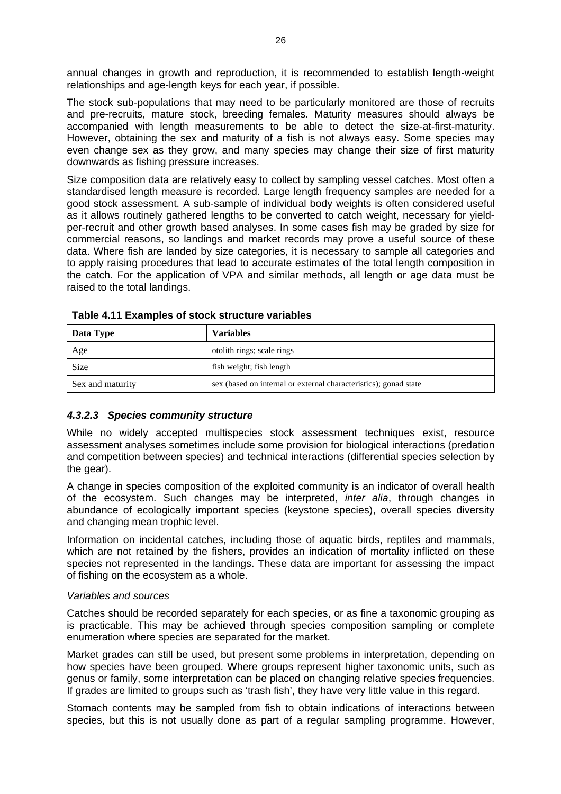annual changes in growth and reproduction, it is recommended to establish length-weight relationships and age-length keys for each year, if possible.

The stock sub-populations that may need to be particularly monitored are those of recruits and pre-recruits, mature stock, breeding females. Maturity measures should always be accompanied with length measurements to be able to detect the size-at-first-maturity. However, obtaining the sex and maturity of a fish is not always easy. Some species may even change sex as they grow, and many species may change their size of first maturity downwards as fishing pressure increases.

Size composition data are relatively easy to collect by sampling vessel catches. Most often a standardised length measure is recorded. Large length frequency samples are needed for a good stock assessment. A sub-sample of individual body weights is often considered useful as it allows routinely gathered lengths to be converted to catch weight, necessary for yieldper-recruit and other growth based analyses. In some cases fish may be graded by size for commercial reasons, so landings and market records may prove a useful source of these data. Where fish are landed by size categories, it is necessary to sample all categories and to apply raising procedures that lead to accurate estimates of the total length composition in the catch. For the application of VPA and similar methods, all length or age data must be raised to the total landings.

| Data Type        | <b>Variables</b>                                                 |
|------------------|------------------------------------------------------------------|
| Age              | otolith rings; scale rings                                       |
| Size             | fish weight; fish length                                         |
| Sex and maturity | sex (based on internal or external characteristics); gonad state |

**Table 4.11 Examples of stock structure variables** 

#### *4.3.2.3 Species community structure*

While no widely accepted multispecies stock assessment techniques exist, resource assessment analyses sometimes include some provision for biological interactions (predation and competition between species) and technical interactions (differential species selection by the gear).

A change in species composition of the exploited community is an indicator of overall health of the ecosystem. Such changes may be interpreted, *inter alia*, through changes in abundance of ecologically important species (keystone species), overall species diversity and changing mean trophic level.

Information on incidental catches, including those of aquatic birds, reptiles and mammals, which are not retained by the fishers, provides an indication of mortality inflicted on these species not represented in the landings. These data are important for assessing the impact of fishing on the ecosystem as a whole.

#### *Variables and sources*

Catches should be recorded separately for each species, or as fine a taxonomic grouping as is practicable. This may be achieved through species composition sampling or complete enumeration where species are separated for the market.

Market grades can still be used, but present some problems in interpretation, depending on how species have been grouped. Where groups represent higher taxonomic units, such as genus or family, some interpretation can be placed on changing relative species frequencies. If grades are limited to groups such as 'trash fish', they have very little value in this regard.

Stomach contents may be sampled from fish to obtain indications of interactions between species, but this is not usually done as part of a regular sampling programme. However,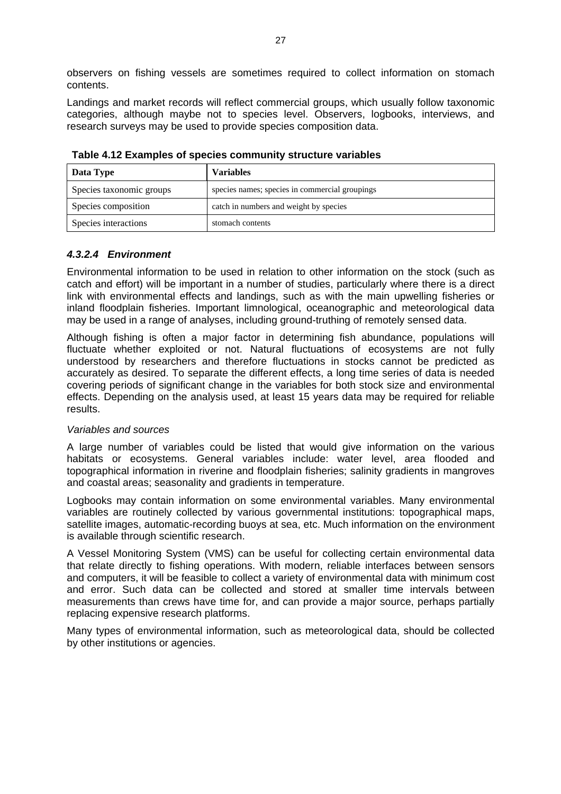observers on fishing vessels are sometimes required to collect information on stomach contents.

Landings and market records will reflect commercial groups, which usually follow taxonomic categories, although maybe not to species level. Observers, logbooks, interviews, and research surveys may be used to provide species composition data.

| Data Type                | <b>Variables</b>                               |
|--------------------------|------------------------------------------------|
| Species taxonomic groups | species names; species in commercial groupings |
| Species composition      | catch in numbers and weight by species         |
| Species interactions     | stomach contents                               |

**Table 4.12 Examples of species community structure variables** 

#### *4.3.2.4 Environment*

Environmental information to be used in relation to other information on the stock (such as catch and effort) will be important in a number of studies, particularly where there is a direct link with environmental effects and landings, such as with the main upwelling fisheries or inland floodplain fisheries. Important limnological, oceanographic and meteorological data may be used in a range of analyses, including ground-truthing of remotely sensed data.

Although fishing is often a major factor in determining fish abundance, populations will fluctuate whether exploited or not. Natural fluctuations of ecosystems are not fully understood by researchers and therefore fluctuations in stocks cannot be predicted as accurately as desired. To separate the different effects, a long time series of data is needed covering periods of significant change in the variables for both stock size and environmental effects. Depending on the analysis used, at least 15 years data may be required for reliable results.

#### *Variables and sources*

A large number of variables could be listed that would give information on the various habitats or ecosystems. General variables include: water level, area flooded and topographical information in riverine and floodplain fisheries; salinity gradients in mangroves and coastal areas; seasonality and gradients in temperature.

Logbooks may contain information on some environmental variables. Many environmental variables are routinely collected by various governmental institutions: topographical maps, satellite images, automatic-recording buoys at sea, etc. Much information on the environment is available through scientific research.

A Vessel Monitoring System (VMS) can be useful for collecting certain environmental data that relate directly to fishing operations. With modern, reliable interfaces between sensors and computers, it will be feasible to collect a variety of environmental data with minimum cost and error. Such data can be collected and stored at smaller time intervals between measurements than crews have time for, and can provide a major source, perhaps partially replacing expensive research platforms.

Many types of environmental information, such as meteorological data, should be collected by other institutions or agencies.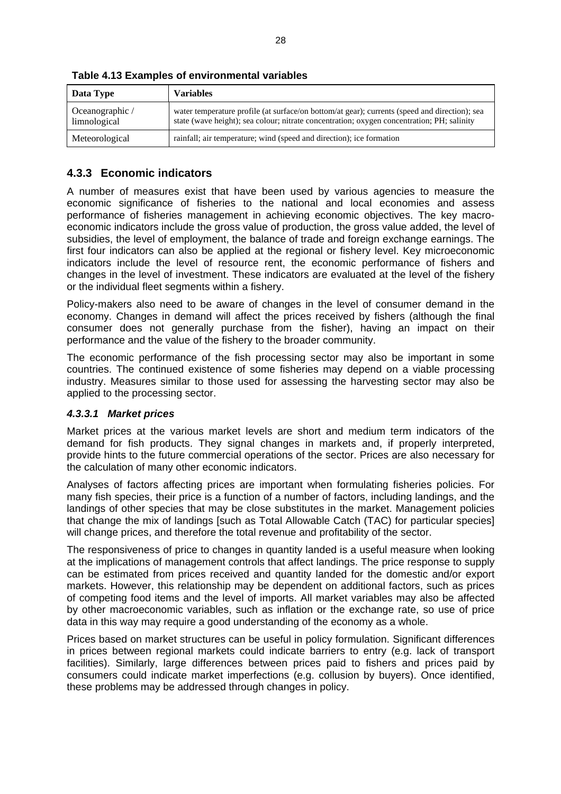| Data Type                       | <b>Variables</b>                                                                                                                                                                            |
|---------------------------------|---------------------------------------------------------------------------------------------------------------------------------------------------------------------------------------------|
| Oceanographic /<br>limnological | water temperature profile (at surface/on bottom/at gear); currents (speed and direction); sea<br>state (wave height); sea colour; nitrate concentration; oxygen concentration; PH; salinity |
| Meteorological                  | rainfall; air temperature; wind (speed and direction); ice formation                                                                                                                        |

**Table 4.13 Examples of environmental variables** 

#### **4.3.3 Economic indicators**

A number of measures exist that have been used by various agencies to measure the economic significance of fisheries to the national and local economies and assess performance of fisheries management in achieving economic objectives. The key macroeconomic indicators include the gross value of production, the gross value added, the level of subsidies, the level of employment, the balance of trade and foreign exchange earnings. The first four indicators can also be applied at the regional or fishery level. Key microeconomic indicators include the level of resource rent, the economic performance of fishers and changes in the level of investment. These indicators are evaluated at the level of the fishery or the individual fleet segments within a fishery.

Policy-makers also need to be aware of changes in the level of consumer demand in the economy. Changes in demand will affect the prices received by fishers (although the final consumer does not generally purchase from the fisher), having an impact on their performance and the value of the fishery to the broader community.

The economic performance of the fish processing sector may also be important in some countries. The continued existence of some fisheries may depend on a viable processing industry. Measures similar to those used for assessing the harvesting sector may also be applied to the processing sector.

#### *4.3.3.1 Market prices*

Market prices at the various market levels are short and medium term indicators of the demand for fish products. They signal changes in markets and, if properly interpreted, provide hints to the future commercial operations of the sector. Prices are also necessary for the calculation of many other economic indicators.

Analyses of factors affecting prices are important when formulating fisheries policies. For many fish species, their price is a function of a number of factors, including landings, and the landings of other species that may be close substitutes in the market. Management policies that change the mix of landings [such as Total Allowable Catch (TAC) for particular species] will change prices, and therefore the total revenue and profitability of the sector.

The responsiveness of price to changes in quantity landed is a useful measure when looking at the implications of management controls that affect landings. The price response to supply can be estimated from prices received and quantity landed for the domestic and/or export markets. However, this relationship may be dependent on additional factors, such as prices of competing food items and the level of imports. All market variables may also be affected by other macroeconomic variables, such as inflation or the exchange rate, so use of price data in this way may require a good understanding of the economy as a whole.

Prices based on market structures can be useful in policy formulation. Significant differences in prices between regional markets could indicate barriers to entry (e.g. lack of transport facilities). Similarly, large differences between prices paid to fishers and prices paid by consumers could indicate market imperfections (e.g. collusion by buyers). Once identified, these problems may be addressed through changes in policy.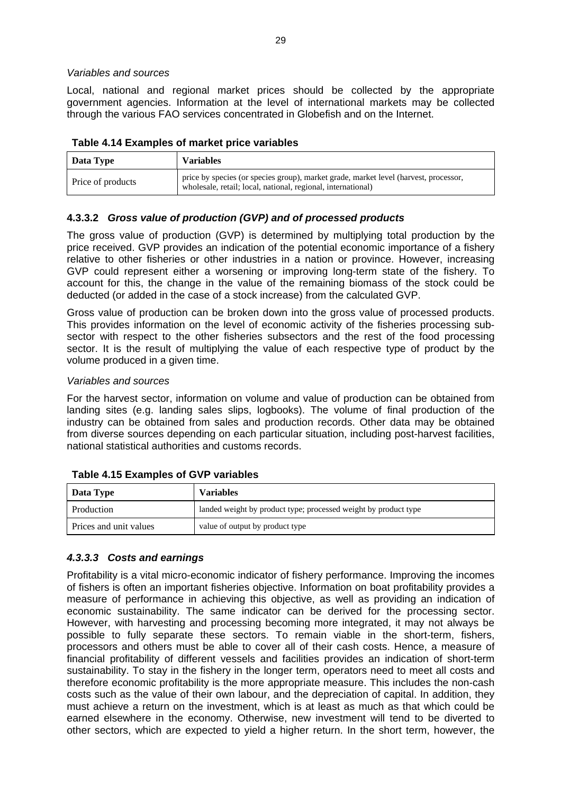#### *Variables and sources*

Local, national and regional market prices should be collected by the appropriate government agencies. Information at the level of international markets may be collected through the various FAO services concentrated in Globefish and on the Internet.

| Data Type         | <b>Variables</b>                                                                                                                                     |
|-------------------|------------------------------------------------------------------------------------------------------------------------------------------------------|
| Price of products | price by species (or species group), market grade, market level (harvest, processor,<br>wholesale, retail; local, national, regional, international) |

# **4.3.3.2** *Gross value of production (GVP) and of processed products*

The gross value of production (GVP) is determined by multiplying total production by the price received. GVP provides an indication of the potential economic importance of a fishery relative to other fisheries or other industries in a nation or province. However, increasing GVP could represent either a worsening or improving long-term state of the fishery. To account for this, the change in the value of the remaining biomass of the stock could be deducted (or added in the case of a stock increase) from the calculated GVP.

Gross value of production can be broken down into the gross value of processed products. This provides information on the level of economic activity of the fisheries processing subsector with respect to the other fisheries subsectors and the rest of the food processing sector. It is the result of multiplying the value of each respective type of product by the volume produced in a given time.

#### *Variables and sources*

For the harvest sector, information on volume and value of production can be obtained from landing sites (e.g. landing sales slips, logbooks). The volume of final production of the industry can be obtained from sales and production records. Other data may be obtained from diverse sources depending on each particular situation, including post-harvest facilities, national statistical authorities and customs records.

| Data Type              | <b>Variables</b>                                                |
|------------------------|-----------------------------------------------------------------|
| Production             | landed weight by product type; processed weight by product type |
| Prices and unit values | value of output by product type                                 |

# **Table 4.15 Examples of GVP variables**

# *4.3.3.3 Costs and earnings*

Profitability is a vital micro-economic indicator of fishery performance. Improving the incomes of fishers is often an important fisheries objective. Information on boat profitability provides a measure of performance in achieving this objective, as well as providing an indication of economic sustainability. The same indicator can be derived for the processing sector. However, with harvesting and processing becoming more integrated, it may not always be possible to fully separate these sectors. To remain viable in the short-term, fishers, processors and others must be able to cover all of their cash costs. Hence, a measure of financial profitability of different vessels and facilities provides an indication of short-term sustainability. To stay in the fishery in the longer term, operators need to meet all costs and therefore economic profitability is the more appropriate measure. This includes the non-cash costs such as the value of their own labour, and the depreciation of capital. In addition, they must achieve a return on the investment, which is at least as much as that which could be earned elsewhere in the economy. Otherwise, new investment will tend to be diverted to other sectors, which are expected to yield a higher return. In the short term, however, the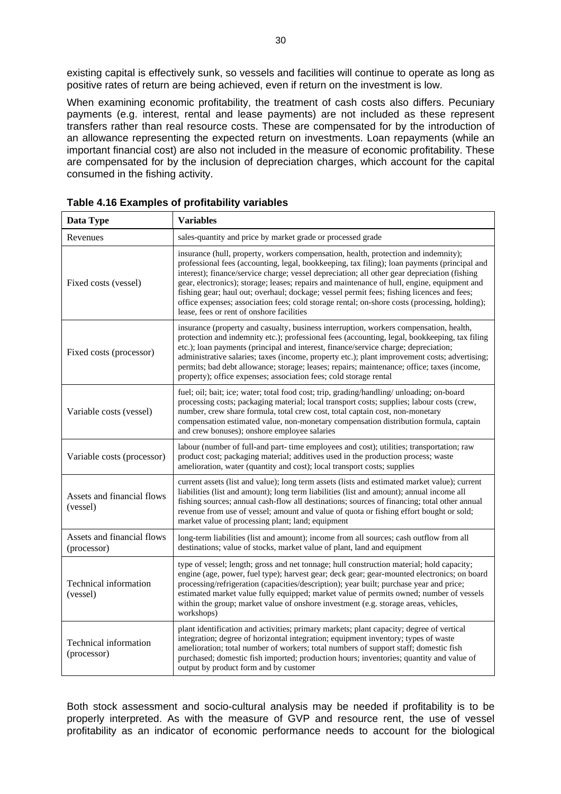existing capital is effectively sunk, so vessels and facilities will continue to operate as long as positive rates of return are being achieved, even if return on the investment is low.

When examining economic profitability, the treatment of cash costs also differs. Pecuniary payments (e.g. interest, rental and lease payments) are not included as these represent transfers rather than real resource costs. These are compensated for by the introduction of an allowance representing the expected return on investments. Loan repayments (while an important financial cost) are also not included in the measure of economic profitability. These are compensated for by the inclusion of depreciation charges, which account for the capital consumed in the fishing activity.

| Data Type                                 | <b>Variables</b>                                                                                                                                                                                                                                                                                                                                                                                                                                                                                                                                                                                                              |
|-------------------------------------------|-------------------------------------------------------------------------------------------------------------------------------------------------------------------------------------------------------------------------------------------------------------------------------------------------------------------------------------------------------------------------------------------------------------------------------------------------------------------------------------------------------------------------------------------------------------------------------------------------------------------------------|
| Revenues                                  | sales-quantity and price by market grade or processed grade                                                                                                                                                                                                                                                                                                                                                                                                                                                                                                                                                                   |
| Fixed costs (vessel)                      | insurance (hull, property, workers compensation, health, protection and indemnity);<br>professional fees (accounting, legal, bookkeeping, tax filing); loan payments (principal and<br>interest); finance/service charge; vessel depreciation; all other gear depreciation (fishing<br>gear, electronics); storage; leases; repairs and maintenance of hull, engine, equipment and<br>fishing gear; haul out; overhaul; dockage; vessel permit fees; fishing licences and fees;<br>office expenses; association fees; cold storage rental; on-shore costs (processing, holding);<br>lease, fees or rent of onshore facilities |
| Fixed costs (processor)                   | insurance (property and casualty, business interruption, workers compensation, health,<br>protection and indemnity etc.); professional fees (accounting, legal, bookkeeping, tax filing<br>etc.); loan payments (principal and interest, finance/service charge; depreciation;<br>administrative salaries; taxes (income, property etc.); plant improvement costs; advertising;<br>permits; bad debt allowance; storage; leases; repairs; maintenance; office; taxes (income,<br>property); office expenses; association fees; cold storage rental                                                                            |
| Variable costs (vessel)                   | fuel; oil; bait; ice; water; total food cost; trip, grading/handling/ unloading; on-board<br>processing costs; packaging material; local transport costs; supplies; labour costs (crew,<br>number, crew share formula, total crew cost, total captain cost, non-monetary<br>compensation estimated value, non-monetary compensation distribution formula, captain<br>and crew bonuses); onshore employee salaries                                                                                                                                                                                                             |
| Variable costs (processor)                | labour (number of full-and part- time employees and cost); utilities; transportation; raw<br>product cost; packaging material; additives used in the production process; waste<br>amelioration, water (quantity and cost); local transport costs; supplies                                                                                                                                                                                                                                                                                                                                                                    |
| Assets and financial flows<br>(vessel)    | current assets (list and value); long term assets (lists and estimated market value); current<br>liabilities (list and amount); long term liabilities (list and amount); annual income all<br>fishing sources; annual cash-flow all destinations; sources of financing; total other annual<br>revenue from use of vessel; amount and value of quota or fishing effort bought or sold;<br>market value of processing plant; land; equipment                                                                                                                                                                                    |
| Assets and financial flows<br>(processor) | long-term liabilities (list and amount); income from all sources; cash outflow from all<br>destinations; value of stocks, market value of plant, land and equipment                                                                                                                                                                                                                                                                                                                                                                                                                                                           |
| Technical information<br>(vessel)         | type of vessel; length; gross and net tonnage; hull construction material; hold capacity;<br>engine (age, power, fuel type); harvest gear; deck gear; gear-mounted electronics; on board<br>processing/refrigeration (capacities/description); year built; purchase year and price;<br>estimated market value fully equipped; market value of permits owned; number of vessels<br>within the group; market value of onshore investment (e.g. storage areas, vehicles,<br>workshops)                                                                                                                                           |
| Technical information<br>(processor)      | plant identification and activities; primary markets; plant capacity; degree of vertical<br>integration; degree of horizontal integration; equipment inventory; types of waste<br>amelioration; total number of workers; total numbers of support staff; domestic fish<br>purchased; domestic fish imported; production hours; inventories; quantity and value of<br>output by product form and by customer                                                                                                                                                                                                                   |

**Table 4.16 Examples of profitability variables** 

Both stock assessment and socio-cultural analysis may be needed if profitability is to be properly interpreted. As with the measure of GVP and resource rent, the use of vessel profitability as an indicator of economic performance needs to account for the biological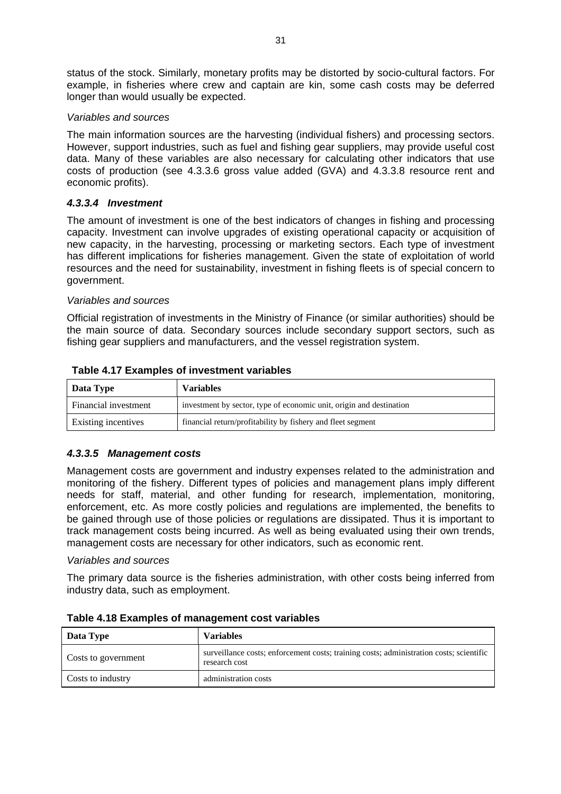status of the stock. Similarly, monetary profits may be distorted by socio-cultural factors. For example, in fisheries where crew and captain are kin, some cash costs may be deferred longer than would usually be expected.

#### *Variables and sources*

The main information sources are the harvesting (individual fishers) and processing sectors. However, support industries, such as fuel and fishing gear suppliers, may provide useful cost data. Many of these variables are also necessary for calculating other indicators that use costs of production (see 4.3.3.6 gross value added (GVA) and 4.3.3.8 resource rent and economic profits).

# *4.3.3.4 Investment*

The amount of investment is one of the best indicators of changes in fishing and processing capacity. Investment can involve upgrades of existing operational capacity or acquisition of new capacity, in the harvesting, processing or marketing sectors. Each type of investment has different implications for fisheries management. Given the state of exploitation of world resources and the need for sustainability, investment in fishing fleets is of special concern to government.

#### *Variables and sources*

Official registration of investments in the Ministry of Finance (or similar authorities) should be the main source of data. Secondary sources include secondary support sectors, such as fishing gear suppliers and manufacturers, and the vessel registration system.

| Data Type            | <b>Variables</b>                                                    |
|----------------------|---------------------------------------------------------------------|
| Financial investment | investment by sector, type of economic unit, origin and destination |
| Existing incentives  | financial return/profitability by fishery and fleet segment         |

#### **Table 4.17 Examples of investment variables**

# *4.3.3.5 Management costs*

Management costs are government and industry expenses related to the administration and monitoring of the fishery. Different types of policies and management plans imply different needs for staff, material, and other funding for research, implementation, monitoring, enforcement, etc. As more costly policies and regulations are implemented, the benefits to be gained through use of those policies or regulations are dissipated. Thus it is important to track management costs being incurred. As well as being evaluated using their own trends, management costs are necessary for other indicators, such as economic rent.

#### *Variables and sources*

The primary data source is the fisheries administration, with other costs being inferred from industry data, such as employment.

| Data Type           | <b>Variables</b>                                                                                         |
|---------------------|----------------------------------------------------------------------------------------------------------|
| Costs to government | surveillance costs; enforcement costs; training costs; administration costs; scientific<br>research cost |
| Costs to industry   | administration costs                                                                                     |

**Table 4.18 Examples of management cost variables**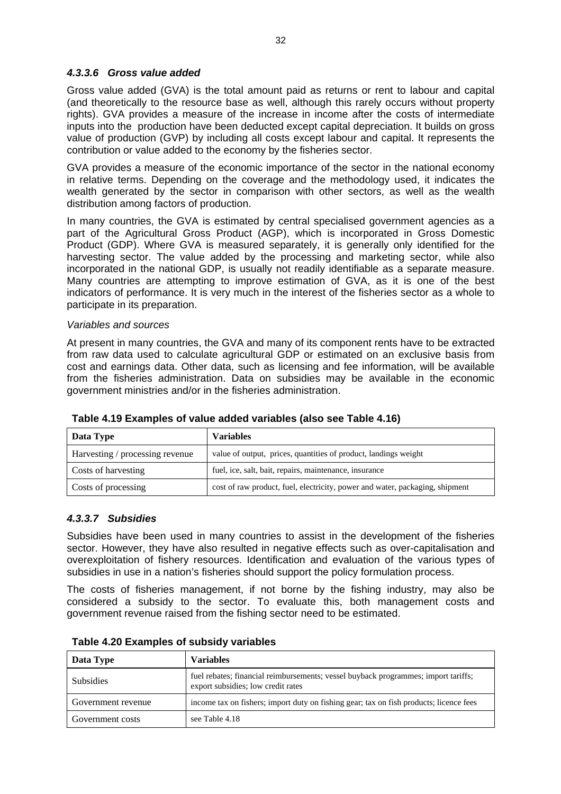#### *4.3.3.6 Gross value added*

Gross value added (GVA) is the total amount paid as returns or rent to labour and capital (and theoretically to the resource base as well, although this rarely occurs without property rights). GVA provides a measure of the increase in income after the costs of intermediate inputs into the production have been deducted except capital depreciation. It builds on gross value of production (GVP) by including all costs except labour and capital. It represents the contribution or value added to the economy by the fisheries sector.

GVA provides a measure of the economic importance of the sector in the national economy in relative terms. Depending on the coverage and the methodology used, it indicates the wealth generated by the sector in comparison with other sectors, as well as the wealth distribution among factors of production.

In many countries, the GVA is estimated by central specialised government agencies as a part of the Agricultural Gross Product (AGP), which is incorporated in Gross Domestic Product (GDP). Where GVA is measured separately, it is generally only identified for the harvesting sector. The value added by the processing and marketing sector, while also incorporated in the national GDP, is usually not readily identifiable as a separate measure. Many countries are attempting to improve estimation of GVA, as it is one of the best indicators of performance. It is very much in the interest of the fisheries sector as a whole to participate in its preparation.

#### *Variables and sources*

At present in many countries, the GVA and many of its component rents have to be extracted from raw data used to calculate agricultural GDP or estimated on an exclusive basis from cost and earnings data. Other data, such as licensing and fee information, will be available from the fisheries administration. Data on subsidies may be available in the economic government ministries and/or in the fisheries administration.

| Data Type                       | <b>Variables</b>                                                             |
|---------------------------------|------------------------------------------------------------------------------|
| Harvesting / processing revenue | value of output, prices, quantities of product, landings weight              |
| Costs of harvesting             | fuel, ice, salt, bait, repairs, maintenance, insurance                       |
| Costs of processing             | cost of raw product, fuel, electricity, power and water, packaging, shipment |

**Table 4.19 Examples of value added variables (also see Table 4.16)** 

# *4.3.3.7 Subsidies*

Subsidies have been used in many countries to assist in the development of the fisheries sector. However, they have also resulted in negative effects such as over-capitalisation and overexploitation of fishery resources. Identification and evaluation of the various types of subsidies in use in a nation's fisheries should support the policy formulation process.

The costs of fisheries management, if not borne by the fishing industry, may also be considered a subsidy to the sector. To evaluate this, both management costs and government revenue raised from the fishing sector need to be estimated.

| Data Type          | <b>Variables</b>                                                                                                         |
|--------------------|--------------------------------------------------------------------------------------------------------------------------|
| <b>Subsidies</b>   | fuel rebates; financial reimbursements; vessel buyback programmes; import tariffs;<br>export subsidies; low credit rates |
| Government revenue | income tax on fishers; import duty on fishing gear; tax on fish products; licence fees                                   |
| Government costs   | see Table 4.18                                                                                                           |

#### **Table 4.20 Examples of subsidy variables**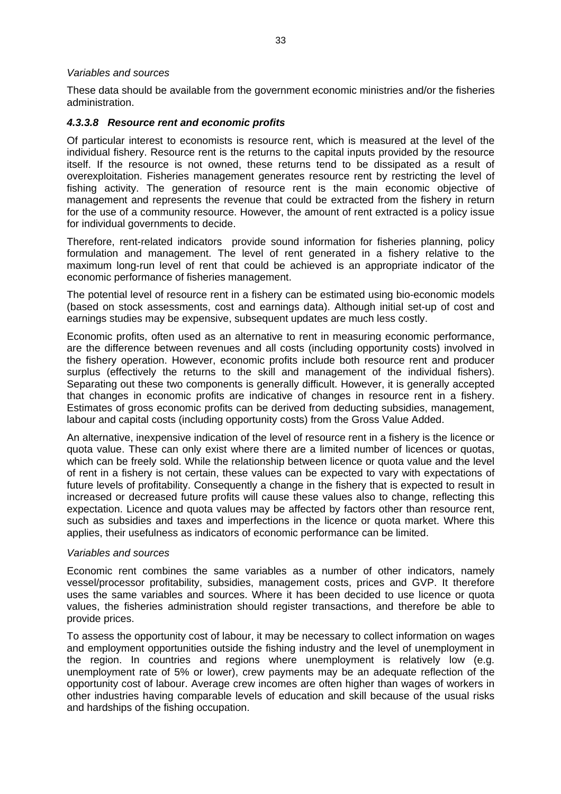#### *Variables and sources*

These data should be available from the government economic ministries and/or the fisheries administration.

#### *4.3.3.8 Resource rent and economic profits*

Of particular interest to economists is resource rent, which is measured at the level of the individual fishery. Resource rent is the returns to the capital inputs provided by the resource itself. If the resource is not owned, these returns tend to be dissipated as a result of overexploitation. Fisheries management generates resource rent by restricting the level of fishing activity. The generation of resource rent is the main economic objective of management and represents the revenue that could be extracted from the fishery in return for the use of a community resource. However, the amount of rent extracted is a policy issue for individual governments to decide.

Therefore, rent-related indicators provide sound information for fisheries planning, policy formulation and management. The level of rent generated in a fishery relative to the maximum long-run level of rent that could be achieved is an appropriate indicator of the economic performance of fisheries management.

The potential level of resource rent in a fishery can be estimated using bio-economic models (based on stock assessments, cost and earnings data). Although initial set-up of cost and earnings studies may be expensive, subsequent updates are much less costly.

Economic profits, often used as an alternative to rent in measuring economic performance, are the difference between revenues and all costs (including opportunity costs) involved in the fishery operation. However, economic profits include both resource rent and producer surplus (effectively the returns to the skill and management of the individual fishers). Separating out these two components is generally difficult. However, it is generally accepted that changes in economic profits are indicative of changes in resource rent in a fishery. Estimates of gross economic profits can be derived from deducting subsidies, management, labour and capital costs (including opportunity costs) from the Gross Value Added.

An alternative, inexpensive indication of the level of resource rent in a fishery is the licence or quota value. These can only exist where there are a limited number of licences or quotas, which can be freely sold. While the relationship between licence or quota value and the level of rent in a fishery is not certain, these values can be expected to vary with expectations of future levels of profitability. Consequently a change in the fishery that is expected to result in increased or decreased future profits will cause these values also to change, reflecting this expectation. Licence and quota values may be affected by factors other than resource rent, such as subsidies and taxes and imperfections in the licence or quota market. Where this applies, their usefulness as indicators of economic performance can be limited.

#### *Variables and sources*

Economic rent combines the same variables as a number of other indicators, namely vessel/processor profitability, subsidies, management costs, prices and GVP. It therefore uses the same variables and sources. Where it has been decided to use licence or quota values, the fisheries administration should register transactions, and therefore be able to provide prices.

To assess the opportunity cost of labour, it may be necessary to collect information on wages and employment opportunities outside the fishing industry and the level of unemployment in the region. In countries and regions where unemployment is relatively low (e.g. unemployment rate of 5% or lower), crew payments may be an adequate reflection of the opportunity cost of labour. Average crew incomes are often higher than wages of workers in other industries having comparable levels of education and skill because of the usual risks and hardships of the fishing occupation.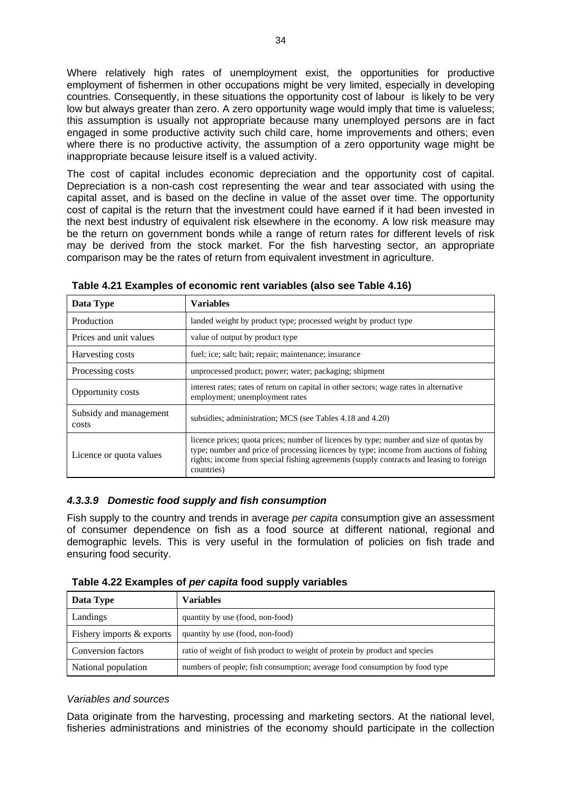Where relatively high rates of unemployment exist, the opportunities for productive employment of fishermen in other occupations might be very limited, especially in developing countries. Consequently, in these situations the opportunity cost of labour is likely to be very low but always greater than zero. A zero opportunity wage would imply that time is valueless; this assumption is usually not appropriate because many unemployed persons are in fact engaged in some productive activity such child care, home improvements and others; even where there is no productive activity, the assumption of a zero opportunity wage might be inappropriate because leisure itself is a valued activity.

The cost of capital includes economic depreciation and the opportunity cost of capital. Depreciation is a non-cash cost representing the wear and tear associated with using the capital asset, and is based on the decline in value of the asset over time. The opportunity cost of capital is the return that the investment could have earned if it had been invested in the next best industry of equivalent risk elsewhere in the economy. A low risk measure may be the return on government bonds while a range of return rates for different levels of risk may be derived from the stock market. For the fish harvesting sector, an appropriate comparison may be the rates of return from equivalent investment in agriculture.

| Data Type                       | <b>Variables</b>                                                                                                                                                                                                                                                                          |
|---------------------------------|-------------------------------------------------------------------------------------------------------------------------------------------------------------------------------------------------------------------------------------------------------------------------------------------|
| Production                      | landed weight by product type; processed weight by product type                                                                                                                                                                                                                           |
| Prices and unit values          | value of output by product type                                                                                                                                                                                                                                                           |
| Harvesting costs                | fuel; ice; salt; bait; repair; maintenance; insurance                                                                                                                                                                                                                                     |
| Processing costs                | unprocessed product; power; water; packaging; shipment                                                                                                                                                                                                                                    |
| Opportunity costs               | interest rates; rates of return on capital in other sectors; wage rates in alternative<br>employment; unemployment rates                                                                                                                                                                  |
| Subsidy and management<br>costs | subsidies; administration; MCS (see Tables 4.18 and 4.20)                                                                                                                                                                                                                                 |
| Licence or quota values         | licence prices; quota prices; number of licences by type; number and size of quotas by<br>type; number and price of processing licences by type; income from auctions of fishing<br>rights; income from special fishing agreements (supply contracts and leasing to foreign<br>countries) |

**Table 4.21 Examples of economic rent variables (also see Table 4.16)** 

# *4.3.3.9 Domestic food supply and fish consumption*

Fish supply to the country and trends in average *per capita* consumption give an assessment of consumer dependence on fish as a food source at different national, regional and demographic levels. This is very useful in the formulation of policies on fish trade and ensuring food security.

**Table 4.22 Examples of** *per capita* **food supply variables** 

| Data Type                   | <b>Variables</b>                                                            |
|-----------------------------|-----------------------------------------------------------------------------|
| Landings                    | quantity by use (food, non-food)                                            |
| Fishery imports $&$ exports | quantity by use (food, non-food)                                            |
| <b>Conversion factors</b>   | ratio of weight of fish product to weight of protein by product and species |
| National population         | numbers of people; fish consumption; average food consumption by food type  |

# *Variables and sources*

Data originate from the harvesting, processing and marketing sectors. At the national level, fisheries administrations and ministries of the economy should participate in the collection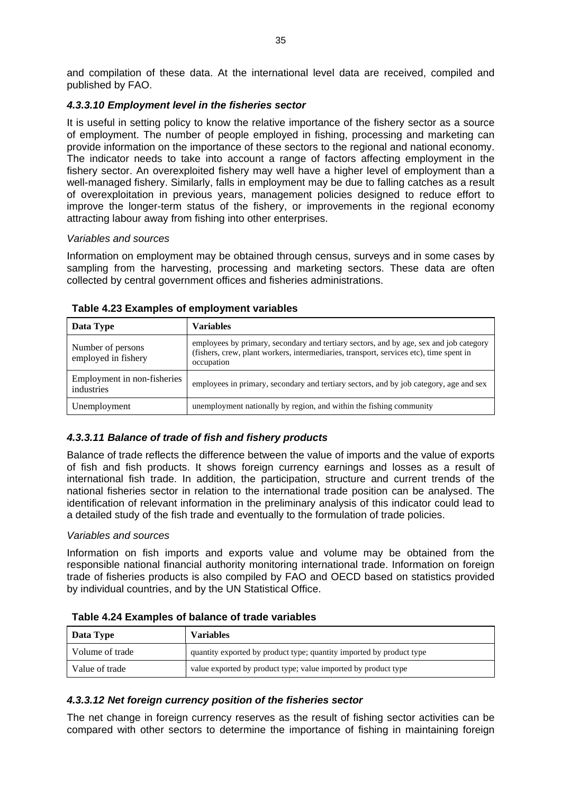and compilation of these data. At the international level data are received, compiled and published by FAO.

# *4.3.3.10 Employment level in the fisheries sector*

It is useful in setting policy to know the relative importance of the fishery sector as a source of employment. The number of people employed in fishing, processing and marketing can provide information on the importance of these sectors to the regional and national economy. The indicator needs to take into account a range of factors affecting employment in the fishery sector. An overexploited fishery may well have a higher level of employment than a well-managed fishery. Similarly, falls in employment may be due to falling catches as a result of overexploitation in previous years, management policies designed to reduce effort to improve the longer-term status of the fishery, or improvements in the regional economy attracting labour away from fishing into other enterprises.

#### *Variables and sources*

Information on employment may be obtained through census, surveys and in some cases by sampling from the harvesting, processing and marketing sectors. These data are often collected by central government offices and fisheries administrations.

| Data Type                                 | <b>Variables</b>                                                                                                                                                                               |
|-------------------------------------------|------------------------------------------------------------------------------------------------------------------------------------------------------------------------------------------------|
| Number of persons<br>employed in fishery  | employees by primary, secondary and tertiary sectors, and by age, sex and job category<br>(fishers, crew, plant workers, intermediaries, transport, services etc), time spent in<br>occupation |
| Employment in non-fisheries<br>industries | employees in primary, secondary and tertiary sectors, and by job category, age and sex                                                                                                         |
| Unemployment                              | unemployment nationally by region, and within the fishing community                                                                                                                            |

#### **Table 4.23 Examples of employment variables**

# *4.3.3.11 Balance of trade of fish and fishery products*

Balance of trade reflects the difference between the value of imports and the value of exports of fish and fish products. It shows foreign currency earnings and losses as a result of international fish trade. In addition, the participation, structure and current trends of the national fisheries sector in relation to the international trade position can be analysed. The identification of relevant information in the preliminary analysis of this indicator could lead to a detailed study of the fish trade and eventually to the formulation of trade policies.

#### *Variables and sources*

Information on fish imports and exports value and volume may be obtained from the responsible national financial authority monitoring international trade. Information on foreign trade of fisheries products is also compiled by FAO and OECD based on statistics provided by individual countries, and by the UN Statistical Office.

| Data Type       | <b>Variables</b>                                                     |
|-----------------|----------------------------------------------------------------------|
| Volume of trade | quantity exported by product type; quantity imported by product type |
| Value of trade  | value exported by product type; value imported by product type       |

# **Table 4.24 Examples of balance of trade variables**

# *4.3.3.12 Net foreign currency position of the fisheries sector*

The net change in foreign currency reserves as the result of fishing sector activities can be compared with other sectors to determine the importance of fishing in maintaining foreign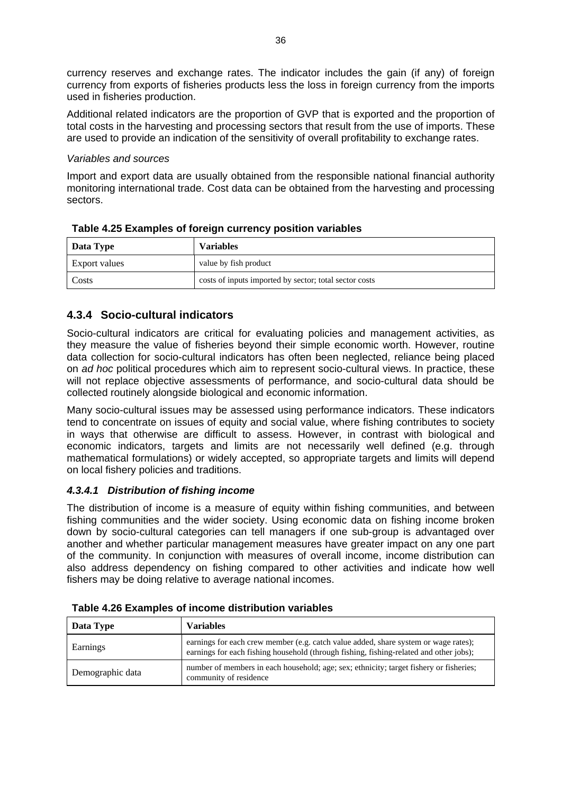currency reserves and exchange rates. The indicator includes the gain (if any) of foreign currency from exports of fisheries products less the loss in foreign currency from the imports used in fisheries production.

Additional related indicators are the proportion of GVP that is exported and the proportion of total costs in the harvesting and processing sectors that result from the use of imports. These are used to provide an indication of the sensitivity of overall profitability to exchange rates.

# *Variables and sources*

Import and export data are usually obtained from the responsible national financial authority monitoring international trade. Cost data can be obtained from the harvesting and processing sectors.

| Data Type     | <b>Variables</b>                                       |  |
|---------------|--------------------------------------------------------|--|
| Export values | value by fish product                                  |  |
| Costs         | costs of inputs imported by sector; total sector costs |  |

| Table 4.25 Examples of foreign currency position variables |  |  |
|------------------------------------------------------------|--|--|
|                                                            |  |  |

# **4.3.4 Socio-cultural indicators**

Socio-cultural indicators are critical for evaluating policies and management activities, as they measure the value of fisheries beyond their simple economic worth. However, routine data collection for socio-cultural indicators has often been neglected, reliance being placed on *ad hoc* political procedures which aim to represent socio-cultural views. In practice, these will not replace objective assessments of performance, and socio-cultural data should be collected routinely alongside biological and economic information.

Many socio-cultural issues may be assessed using performance indicators. These indicators tend to concentrate on issues of equity and social value, where fishing contributes to society in ways that otherwise are difficult to assess. However, in contrast with biological and economic indicators, targets and limits are not necessarily well defined (e.g. through mathematical formulations) or widely accepted, so appropriate targets and limits will depend on local fishery policies and traditions.

# *4.3.4.1 Distribution of fishing income*

The distribution of income is a measure of equity within fishing communities, and between fishing communities and the wider society. Using economic data on fishing income broken down by socio-cultural categories can tell managers if one sub-group is advantaged over another and whether particular management measures have greater impact on any one part of the community. In conjunction with measures of overall income, income distribution can also address dependency on fishing compared to other activities and indicate how well fishers may be doing relative to average national incomes.

| Data Type        | <b>Variables</b>                                                                                                                                                              |
|------------------|-------------------------------------------------------------------------------------------------------------------------------------------------------------------------------|
| Earnings         | earnings for each crew member (e.g. catch value added, share system or wage rates);<br>earnings for each fishing household (through fishing, fishing-related and other jobs); |
| Demographic data | number of members in each household; age; sex; ethnicity; target fishery or fisheries;<br>community of residence                                                              |

|  | Table 4.26 Examples of income distribution variables |  |
|--|------------------------------------------------------|--|
|  |                                                      |  |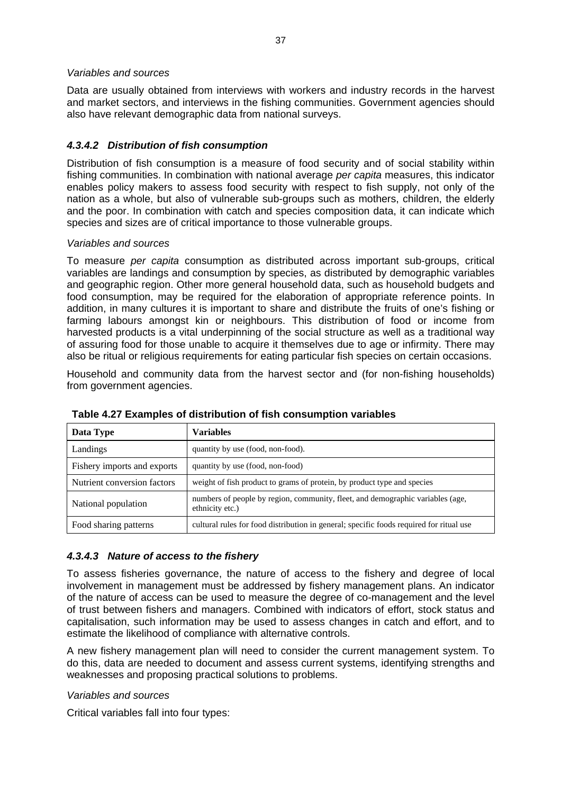#### *Variables and sources*

Data are usually obtained from interviews with workers and industry records in the harvest and market sectors, and interviews in the fishing communities. Government agencies should also have relevant demographic data from national surveys.

# *4.3.4.2 Distribution of fish consumption*

Distribution of fish consumption is a measure of food security and of social stability within fishing communities. In combination with national average *per capita* measures, this indicator enables policy makers to assess food security with respect to fish supply, not only of the nation as a whole, but also of vulnerable sub-groups such as mothers, children, the elderly and the poor. In combination with catch and species composition data, it can indicate which species and sizes are of critical importance to those vulnerable groups.

#### *Variables and sources*

To measure *per capita* consumption as distributed across important sub-groups, critical variables are landings and consumption by species, as distributed by demographic variables and geographic region. Other more general household data, such as household budgets and food consumption, may be required for the elaboration of appropriate reference points. In addition, in many cultures it is important to share and distribute the fruits of one's fishing or farming labours amongst kin or neighbours. This distribution of food or income from harvested products is a vital underpinning of the social structure as well as a traditional way of assuring food for those unable to acquire it themselves due to age or infirmity. There may also be ritual or religious requirements for eating particular fish species on certain occasions.

Household and community data from the harvest sector and (for non-fishing households) from government agencies.

| Data Type                   | <b>Variables</b>                                                                                  |
|-----------------------------|---------------------------------------------------------------------------------------------------|
| Landings                    | quantity by use (food, non-food).                                                                 |
| Fishery imports and exports | quantity by use (food, non-food)                                                                  |
| Nutrient conversion factors | weight of fish product to grams of protein, by product type and species                           |
| National population         | numbers of people by region, community, fleet, and demographic variables (age,<br>ethnicity etc.) |
| Food sharing patterns       | cultural rules for food distribution in general; specific foods required for ritual use           |

**Table 4.27 Examples of distribution of fish consumption variables** 

# *4.3.4.3 Nature of access to the fishery*

To assess fisheries governance, the nature of access to the fishery and degree of local involvement in management must be addressed by fishery management plans. An indicator of the nature of access can be used to measure the degree of co-management and the level of trust between fishers and managers. Combined with indicators of effort, stock status and capitalisation, such information may be used to assess changes in catch and effort, and to estimate the likelihood of compliance with alternative controls.

A new fishery management plan will need to consider the current management system. To do this, data are needed to document and assess current systems, identifying strengths and weaknesses and proposing practical solutions to problems.

# *Variables and sources*

Critical variables fall into four types: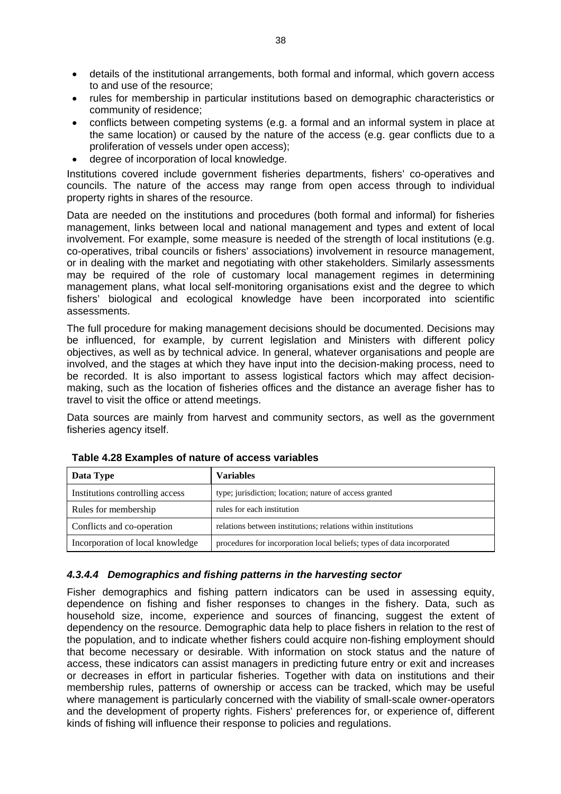- details of the institutional arrangements, both formal and informal, which govern access to and use of the resource;
- rules for membership in particular institutions based on demographic characteristics or community of residence;
- conflicts between competing systems (e.g. a formal and an informal system in place at the same location) or caused by the nature of the access (e.g. gear conflicts due to a proliferation of vessels under open access);
- degree of incorporation of local knowledge.

Institutions covered include government fisheries departments, fishers' co-operatives and councils. The nature of the access may range from open access through to individual property rights in shares of the resource.

Data are needed on the institutions and procedures (both formal and informal) for fisheries management, links between local and national management and types and extent of local involvement. For example, some measure is needed of the strength of local institutions (e.g. co-operatives, tribal councils or fishers' associations) involvement in resource management, or in dealing with the market and negotiating with other stakeholders. Similarly assessments may be required of the role of customary local management regimes in determining management plans, what local self-monitoring organisations exist and the degree to which fishers' biological and ecological knowledge have been incorporated into scientific assessments.

The full procedure for making management decisions should be documented. Decisions may be influenced, for example, by current legislation and Ministers with different policy objectives, as well as by technical advice. In general, whatever organisations and people are involved, and the stages at which they have input into the decision-making process, need to be recorded. It is also important to assess logistical factors which may affect decisionmaking, such as the location of fisheries offices and the distance an average fisher has to travel to visit the office or attend meetings.

Data sources are mainly from harvest and community sectors, as well as the government fisheries agency itself.

| Data Type                        | <b>Variables</b>                                                       |
|----------------------------------|------------------------------------------------------------------------|
| Institutions controlling access  | type; jurisdiction; location; nature of access granted                 |
| Rules for membership             | rules for each institution                                             |
| Conflicts and co-operation       | relations between institutions; relations within institutions          |
| Incorporation of local knowledge | procedures for incorporation local beliefs; types of data incorporated |

# **Table 4.28 Examples of nature of access variables**

# *4.3.4.4 Demographics and fishing patterns in the harvesting sector*

Fisher demographics and fishing pattern indicators can be used in assessing equity, dependence on fishing and fisher responses to changes in the fishery. Data, such as household size, income, experience and sources of financing, suggest the extent of dependency on the resource. Demographic data help to place fishers in relation to the rest of the population, and to indicate whether fishers could acquire non-fishing employment should that become necessary or desirable. With information on stock status and the nature of access, these indicators can assist managers in predicting future entry or exit and increases or decreases in effort in particular fisheries. Together with data on institutions and their membership rules, patterns of ownership or access can be tracked, which may be useful where management is particularly concerned with the viability of small-scale owner-operators and the development of property rights. Fishers' preferences for, or experience of, different kinds of fishing will influence their response to policies and regulations.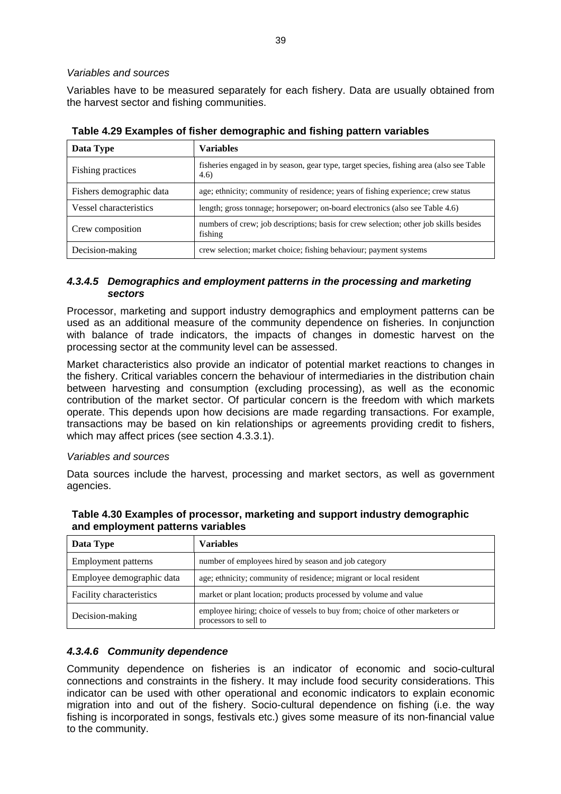#### *Variables and sources*

Variables have to be measured separately for each fishery. Data are usually obtained from the harvest sector and fishing communities.

| Data Type                | <b>Variables</b>                                                                                 |
|--------------------------|--------------------------------------------------------------------------------------------------|
| Fishing practices        | fisheries engaged in by season, gear type, target species, fishing area (also see Table<br>(4.6) |
| Fishers demographic data | age; ethnicity; community of residence; years of fishing experience; crew status                 |
| Vessel characteristics   | length; gross tonnage; horsepower; on-board electronics (also see Table 4.6)                     |
| Crew composition         | numbers of crew; job descriptions; basis for crew selection; other job skills besides<br>fishing |
| Decision-making          | crew selection; market choice; fishing behaviour; payment systems                                |

**Table 4.29 Examples of fisher demographic and fishing pattern variables** 

#### *4.3.4.5 Demographics and employment patterns in the processing and marketing sectors*

Processor, marketing and support industry demographics and employment patterns can be used as an additional measure of the community dependence on fisheries. In conjunction with balance of trade indicators, the impacts of changes in domestic harvest on the processing sector at the community level can be assessed.

Market characteristics also provide an indicator of potential market reactions to changes in the fishery. Critical variables concern the behaviour of intermediaries in the distribution chain between harvesting and consumption (excluding processing), as well as the economic contribution of the market sector. Of particular concern is the freedom with which markets operate. This depends upon how decisions are made regarding transactions. For example, transactions may be based on kin relationships or agreements providing credit to fishers, which may affect prices (see section 4.3.3.1).

# *Variables and sources*

Data sources include the harvest, processing and market sectors, as well as government agencies.

| Data Type                 | <b>Variables</b>                                                                                      |
|---------------------------|-------------------------------------------------------------------------------------------------------|
| Employment patterns       | number of employees hired by season and job category                                                  |
| Employee demographic data | age; ethnicity; community of residence; migrant or local resident                                     |
| Facility characteristics  | market or plant location; products processed by volume and value                                      |
| Decision-making           | employee hiring; choice of vessels to buy from; choice of other marketers or<br>processors to sell to |

**Table 4.30 Examples of processor, marketing and support industry demographic and employment patterns variables** 

# *4.3.4.6 Community dependence*

Community dependence on fisheries is an indicator of economic and socio-cultural connections and constraints in the fishery. It may include food security considerations. This indicator can be used with other operational and economic indicators to explain economic migration into and out of the fishery. Socio-cultural dependence on fishing (i.e. the way fishing is incorporated in songs, festivals etc.) gives some measure of its non-financial value to the community.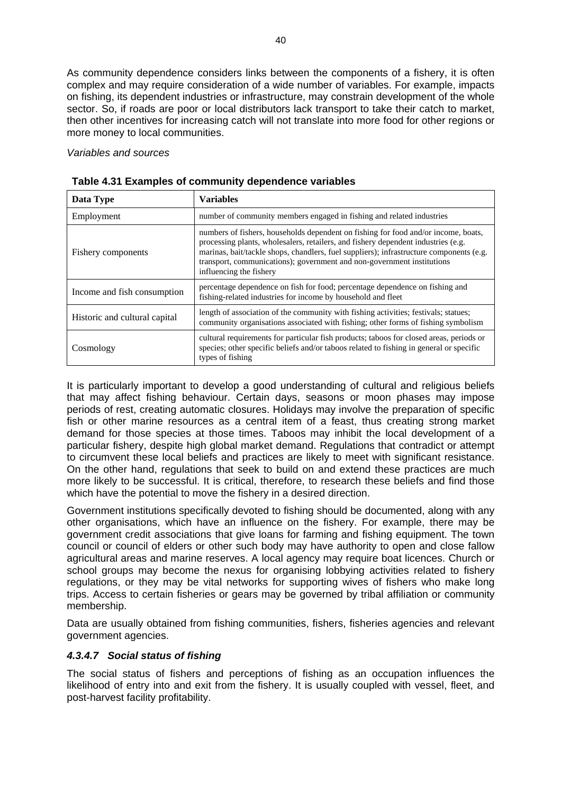As community dependence considers links between the components of a fishery, it is often complex and may require consideration of a wide number of variables. For example, impacts on fishing, its dependent industries or infrastructure, may constrain development of the whole sector. So, if roads are poor or local distributors lack transport to take their catch to market, then other incentives for increasing catch will not translate into more food for other regions or more money to local communities.

#### *Variables and sources*

| Data Type                     | <b>Variables</b>                                                                                                                                                                                                                                                                                                                                                        |  |
|-------------------------------|-------------------------------------------------------------------------------------------------------------------------------------------------------------------------------------------------------------------------------------------------------------------------------------------------------------------------------------------------------------------------|--|
| Employment                    | number of community members engaged in fishing and related industries                                                                                                                                                                                                                                                                                                   |  |
| Fishery components            | numbers of fishers, households dependent on fishing for food and/or income, boats,<br>processing plants, wholesalers, retailers, and fishery dependent industries (e.g.<br>marinas, bait/tackle shops, chandlers, fuel suppliers); infrastructure components (e.g.<br>transport, communications); government and non-government institutions<br>influencing the fishery |  |
| Income and fish consumption   | percentage dependence on fish for food; percentage dependence on fishing and<br>fishing-related industries for income by household and fleet                                                                                                                                                                                                                            |  |
| Historic and cultural capital | length of association of the community with fishing activities; festivals; statues;<br>community organisations associated with fishing; other forms of fishing symbolism                                                                                                                                                                                                |  |
| Cosmology                     | cultural requirements for particular fish products; taboos for closed areas, periods or<br>species; other specific beliefs and/or taboos related to fishing in general or specific<br>types of fishing                                                                                                                                                                  |  |

**Table 4.31 Examples of community dependence variables** 

It is particularly important to develop a good understanding of cultural and religious beliefs that may affect fishing behaviour. Certain days, seasons or moon phases may impose periods of rest, creating automatic closures. Holidays may involve the preparation of specific fish or other marine resources as a central item of a feast, thus creating strong market demand for those species at those times. Taboos may inhibit the local development of a particular fishery, despite high global market demand. Regulations that contradict or attempt to circumvent these local beliefs and practices are likely to meet with significant resistance. On the other hand, regulations that seek to build on and extend these practices are much more likely to be successful. It is critical, therefore, to research these beliefs and find those which have the potential to move the fishery in a desired direction.

Government institutions specifically devoted to fishing should be documented, along with any other organisations, which have an influence on the fishery. For example, there may be government credit associations that give loans for farming and fishing equipment. The town council or council of elders or other such body may have authority to open and close fallow agricultural areas and marine reserves. A local agency may require boat licences. Church or school groups may become the nexus for organising lobbying activities related to fishery regulations, or they may be vital networks for supporting wives of fishers who make long trips. Access to certain fisheries or gears may be governed by tribal affiliation or community membership.

Data are usually obtained from fishing communities, fishers, fisheries agencies and relevant government agencies.

# *4.3.4.7 Social status of fishing*

The social status of fishers and perceptions of fishing as an occupation influences the likelihood of entry into and exit from the fishery. It is usually coupled with vessel, fleet, and post-harvest facility profitability.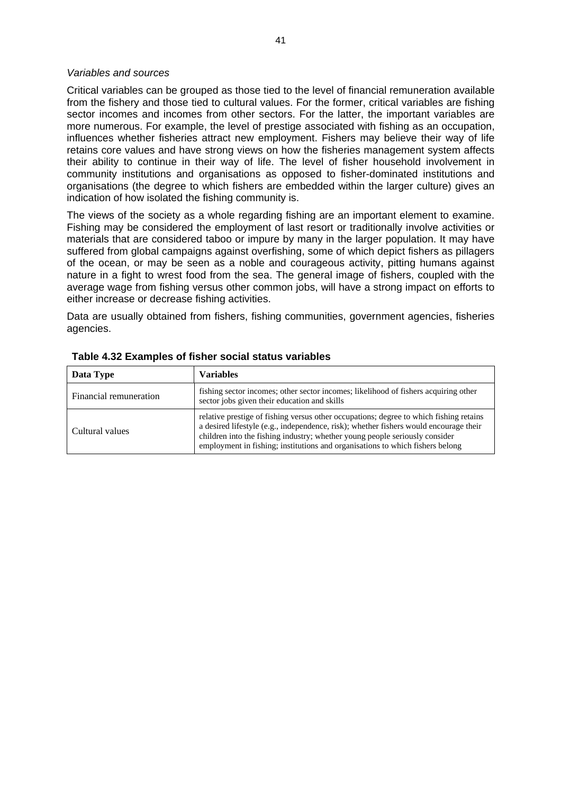#### *Variables and sources*

Critical variables can be grouped as those tied to the level of financial remuneration available from the fishery and those tied to cultural values. For the former, critical variables are fishing sector incomes and incomes from other sectors. For the latter, the important variables are more numerous. For example, the level of prestige associated with fishing as an occupation, influences whether fisheries attract new employment. Fishers may believe their way of life retains core values and have strong views on how the fisheries management system affects their ability to continue in their way of life. The level of fisher household involvement in community institutions and organisations as opposed to fisher-dominated institutions and organisations (the degree to which fishers are embedded within the larger culture) gives an indication of how isolated the fishing community is.

The views of the society as a whole regarding fishing are an important element to examine. Fishing may be considered the employment of last resort or traditionally involve activities or materials that are considered taboo or impure by many in the larger population. It may have suffered from global campaigns against overfishing, some of which depict fishers as pillagers of the ocean, or may be seen as a noble and courageous activity, pitting humans against nature in a fight to wrest food from the sea. The general image of fishers, coupled with the average wage from fishing versus other common jobs, will have a strong impact on efforts to either increase or decrease fishing activities.

Data are usually obtained from fishers, fishing communities, government agencies, fisheries agencies.

| Data Type              | <b>Variables</b>                                                                                                                                                                                                                                                                                                                                |
|------------------------|-------------------------------------------------------------------------------------------------------------------------------------------------------------------------------------------------------------------------------------------------------------------------------------------------------------------------------------------------|
| Financial remuneration | fishing sector incomes; other sector incomes; likelihood of fishers acquiring other<br>sector jobs given their education and skills                                                                                                                                                                                                             |
| Cultural values        | relative prestige of fishing versus other occupations; degree to which fishing retains<br>a desired lifestyle (e.g., independence, risk); whether fishers would encourage their<br>children into the fishing industry; whether young people seriously consider<br>employment in fishing; institutions and organisations to which fishers belong |

#### **Table 4.32 Examples of fisher social status variables**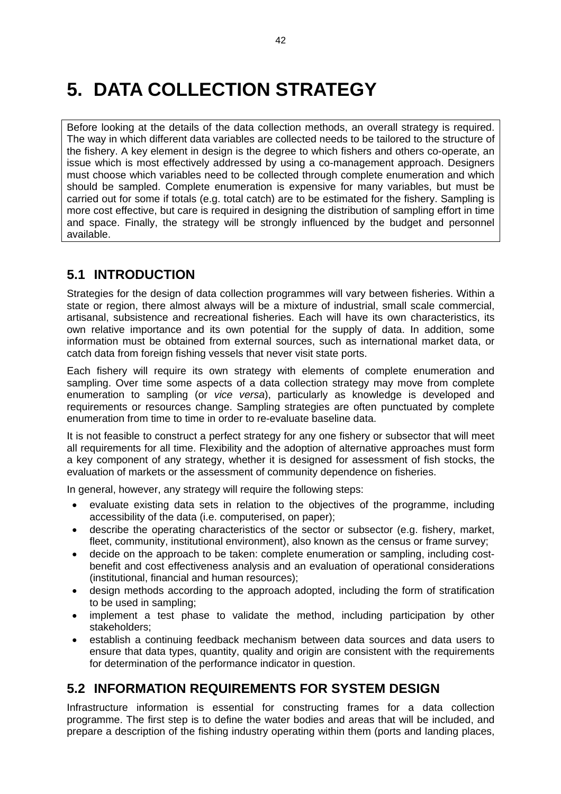# **5. DATA COLLECTION STRATEGY**

Before looking at the details of the data collection methods, an overall strategy is required. The way in which different data variables are collected needs to be tailored to the structure of the fishery. A key element in design is the degree to which fishers and others co-operate, an issue which is most effectively addressed by using a co-management approach. Designers must choose which variables need to be collected through complete enumeration and which should be sampled. Complete enumeration is expensive for many variables, but must be carried out for some if totals (e.g. total catch) are to be estimated for the fishery. Sampling is more cost effective, but care is required in designing the distribution of sampling effort in time and space. Finally, the strategy will be strongly influenced by the budget and personnel available.

# **5.1 INTRODUCTION**

Strategies for the design of data collection programmes will vary between fisheries. Within a state or region, there almost always will be a mixture of industrial, small scale commercial, artisanal, subsistence and recreational fisheries. Each will have its own characteristics, its own relative importance and its own potential for the supply of data. In addition, some information must be obtained from external sources, such as international market data, or catch data from foreign fishing vessels that never visit state ports.

Each fishery will require its own strategy with elements of complete enumeration and sampling. Over time some aspects of a data collection strategy may move from complete enumeration to sampling (or *vice versa*), particularly as knowledge is developed and requirements or resources change. Sampling strategies are often punctuated by complete enumeration from time to time in order to re-evaluate baseline data.

It is not feasible to construct a perfect strategy for any one fishery or subsector that will meet all requirements for all time. Flexibility and the adoption of alternative approaches must form a key component of any strategy, whether it is designed for assessment of fish stocks, the evaluation of markets or the assessment of community dependence on fisheries.

In general, however, any strategy will require the following steps:

- evaluate existing data sets in relation to the objectives of the programme, including accessibility of the data (i.e. computerised, on paper);
- describe the operating characteristics of the sector or subsector (e.g. fishery, market, fleet, community, institutional environment), also known as the census or frame survey;
- decide on the approach to be taken: complete enumeration or sampling, including costbenefit and cost effectiveness analysis and an evaluation of operational considerations (institutional, financial and human resources);
- design methods according to the approach adopted, including the form of stratification to be used in sampling;
- implement a test phase to validate the method, including participation by other stakeholders;
- establish a continuing feedback mechanism between data sources and data users to ensure that data types, quantity, quality and origin are consistent with the requirements for determination of the performance indicator in question.

# **5.2 INFORMATION REQUIREMENTS FOR SYSTEM DESIGN**

Infrastructure information is essential for constructing frames for a data collection programme. The first step is to define the water bodies and areas that will be included, and prepare a description of the fishing industry operating within them (ports and landing places,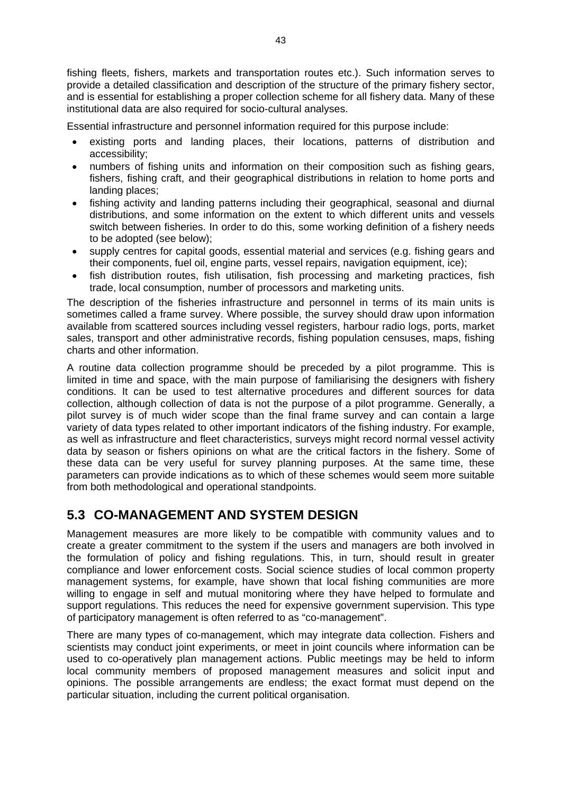fishing fleets, fishers, markets and transportation routes etc.). Such information serves to provide a detailed classification and description of the structure of the primary fishery sector, and is essential for establishing a proper collection scheme for all fishery data. Many of these institutional data are also required for socio-cultural analyses.

Essential infrastructure and personnel information required for this purpose include:

- existing ports and landing places, their locations, patterns of distribution and accessibility;
- numbers of fishing units and information on their composition such as fishing gears, fishers, fishing craft, and their geographical distributions in relation to home ports and landing places;
- fishing activity and landing patterns including their geographical, seasonal and diurnal distributions, and some information on the extent to which different units and vessels switch between fisheries. In order to do this, some working definition of a fishery needs to be adopted (see below);
- supply centres for capital goods, essential material and services (e.g. fishing gears and their components, fuel oil, engine parts, vessel repairs, navigation equipment, ice);
- fish distribution routes, fish utilisation, fish processing and marketing practices, fish trade, local consumption, number of processors and marketing units.

The description of the fisheries infrastructure and personnel in terms of its main units is sometimes called a frame survey. Where possible, the survey should draw upon information available from scattered sources including vessel registers, harbour radio logs, ports, market sales, transport and other administrative records, fishing population censuses, maps, fishing charts and other information.

A routine data collection programme should be preceded by a pilot programme. This is limited in time and space, with the main purpose of familiarising the designers with fishery conditions. It can be used to test alternative procedures and different sources for data collection, although collection of data is not the purpose of a pilot programme. Generally, a pilot survey is of much wider scope than the final frame survey and can contain a large variety of data types related to other important indicators of the fishing industry. For example, as well as infrastructure and fleet characteristics, surveys might record normal vessel activity data by season or fishers opinions on what are the critical factors in the fishery. Some of these data can be very useful for survey planning purposes. At the same time, these parameters can provide indications as to which of these schemes would seem more suitable from both methodological and operational standpoints.

# **5.3 CO-MANAGEMENT AND SYSTEM DESIGN**

Management measures are more likely to be compatible with community values and to create a greater commitment to the system if the users and managers are both involved in the formulation of policy and fishing regulations. This, in turn, should result in greater compliance and lower enforcement costs. Social science studies of local common property management systems, for example, have shown that local fishing communities are more willing to engage in self and mutual monitoring where they have helped to formulate and support regulations. This reduces the need for expensive government supervision. This type of participatory management is often referred to as "co-management".

There are many types of co-management, which may integrate data collection. Fishers and scientists may conduct joint experiments, or meet in joint councils where information can be used to co-operatively plan management actions. Public meetings may be held to inform local community members of proposed management measures and solicit input and opinions. The possible arrangements are endless; the exact format must depend on the particular situation, including the current political organisation.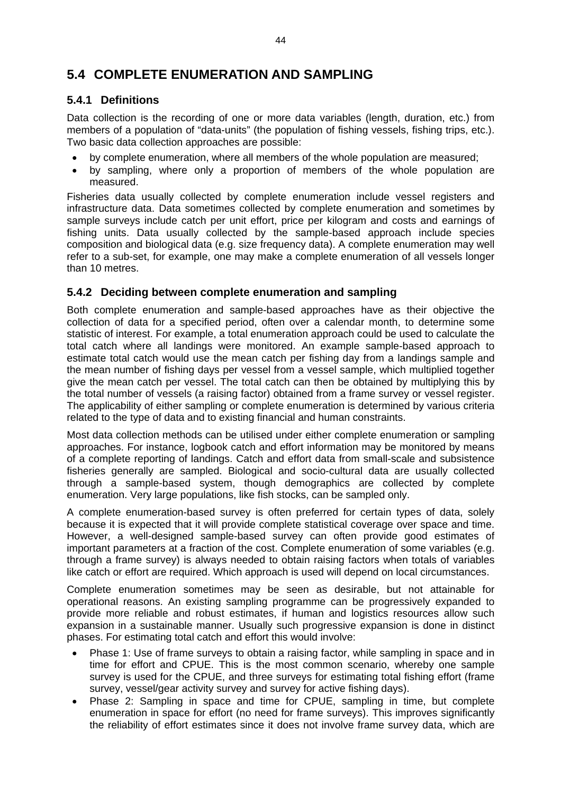# **5.4 COMPLETE ENUMERATION AND SAMPLING**

# **5.4.1 Definitions**

Data collection is the recording of one or more data variables (length, duration, etc.) from members of a population of "data-units" (the population of fishing vessels, fishing trips, etc.). Two basic data collection approaches are possible:

- by complete enumeration, where all members of the whole population are measured;
- by sampling, where only a proportion of members of the whole population are measured.

Fisheries data usually collected by complete enumeration include vessel registers and infrastructure data. Data sometimes collected by complete enumeration and sometimes by sample surveys include catch per unit effort, price per kilogram and costs and earnings of fishing units. Data usually collected by the sample-based approach include species composition and biological data (e.g. size frequency data). A complete enumeration may well refer to a sub-set, for example, one may make a complete enumeration of all vessels longer than 10 metres.

# **5.4.2 Deciding between complete enumeration and sampling**

Both complete enumeration and sample-based approaches have as their objective the collection of data for a specified period, often over a calendar month, to determine some statistic of interest. For example, a total enumeration approach could be used to calculate the total catch where all landings were monitored. An example sample-based approach to estimate total catch would use the mean catch per fishing day from a landings sample and the mean number of fishing days per vessel from a vessel sample, which multiplied together give the mean catch per vessel. The total catch can then be obtained by multiplying this by the total number of vessels (a raising factor) obtained from a frame survey or vessel register. The applicability of either sampling or complete enumeration is determined by various criteria related to the type of data and to existing financial and human constraints.

Most data collection methods can be utilised under either complete enumeration or sampling approaches. For instance, logbook catch and effort information may be monitored by means of a complete reporting of landings. Catch and effort data from small-scale and subsistence fisheries generally are sampled. Biological and socio-cultural data are usually collected through a sample-based system, though demographics are collected by complete enumeration. Very large populations, like fish stocks, can be sampled only.

A complete enumeration-based survey is often preferred for certain types of data, solely because it is expected that it will provide complete statistical coverage over space and time. However, a well-designed sample-based survey can often provide good estimates of important parameters at a fraction of the cost. Complete enumeration of some variables (e.g. through a frame survey) is always needed to obtain raising factors when totals of variables like catch or effort are required. Which approach is used will depend on local circumstances.

Complete enumeration sometimes may be seen as desirable, but not attainable for operational reasons. An existing sampling programme can be progressively expanded to provide more reliable and robust estimates, if human and logistics resources allow such expansion in a sustainable manner. Usually such progressive expansion is done in distinct phases. For estimating total catch and effort this would involve:

- Phase 1: Use of frame surveys to obtain a raising factor, while sampling in space and in time for effort and CPUE. This is the most common scenario, whereby one sample survey is used for the CPUE, and three surveys for estimating total fishing effort (frame survey, vessel/gear activity survey and survey for active fishing days).
- Phase 2: Sampling in space and time for CPUE, sampling in time, but complete enumeration in space for effort (no need for frame surveys). This improves significantly the reliability of effort estimates since it does not involve frame survey data, which are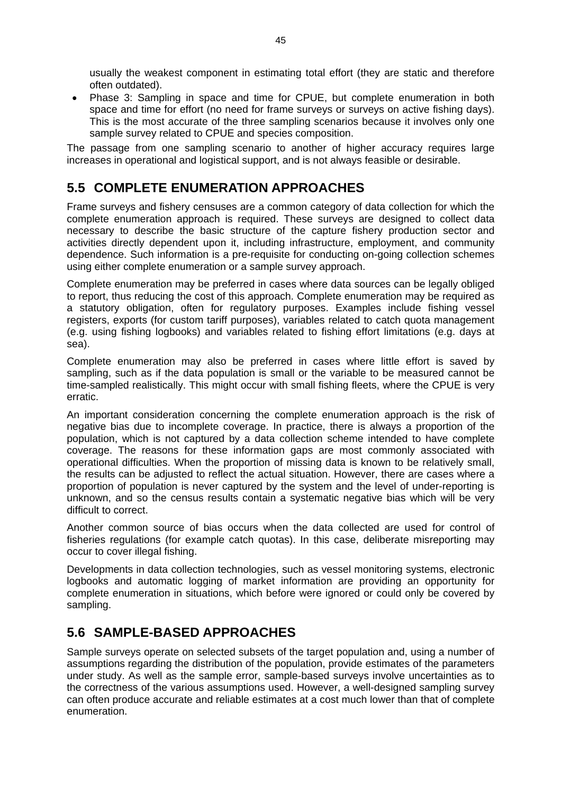usually the weakest component in estimating total effort (they are static and therefore often outdated).

• Phase 3: Sampling in space and time for CPUE, but complete enumeration in both space and time for effort (no need for frame surveys or surveys on active fishing days). This is the most accurate of the three sampling scenarios because it involves only one sample survey related to CPUE and species composition.

The passage from one sampling scenario to another of higher accuracy requires large increases in operational and logistical support, and is not always feasible or desirable.

# **5.5 COMPLETE ENUMERATION APPROACHES**

Frame surveys and fishery censuses are a common category of data collection for which the complete enumeration approach is required. These surveys are designed to collect data necessary to describe the basic structure of the capture fishery production sector and activities directly dependent upon it, including infrastructure, employment, and community dependence. Such information is a pre-requisite for conducting on-going collection schemes using either complete enumeration or a sample survey approach.

Complete enumeration may be preferred in cases where data sources can be legally obliged to report, thus reducing the cost of this approach. Complete enumeration may be required as a statutory obligation, often for regulatory purposes. Examples include fishing vessel registers, exports (for custom tariff purposes), variables related to catch quota management (e.g. using fishing logbooks) and variables related to fishing effort limitations (e.g. days at sea).

Complete enumeration may also be preferred in cases where little effort is saved by sampling, such as if the data population is small or the variable to be measured cannot be time-sampled realistically. This might occur with small fishing fleets, where the CPUE is very erratic.

An important consideration concerning the complete enumeration approach is the risk of negative bias due to incomplete coverage. In practice, there is always a proportion of the population, which is not captured by a data collection scheme intended to have complete coverage. The reasons for these information gaps are most commonly associated with operational difficulties. When the proportion of missing data is known to be relatively small, the results can be adjusted to reflect the actual situation. However, there are cases where a proportion of population is never captured by the system and the level of under-reporting is unknown, and so the census results contain a systematic negative bias which will be very difficult to correct.

Another common source of bias occurs when the data collected are used for control of fisheries regulations (for example catch quotas). In this case, deliberate misreporting may occur to cover illegal fishing.

Developments in data collection technologies, such as vessel monitoring systems, electronic logbooks and automatic logging of market information are providing an opportunity for complete enumeration in situations, which before were ignored or could only be covered by sampling.

# **5.6 SAMPLE-BASED APPROACHES**

Sample surveys operate on selected subsets of the target population and, using a number of assumptions regarding the distribution of the population, provide estimates of the parameters under study. As well as the sample error, sample-based surveys involve uncertainties as to the correctness of the various assumptions used. However, a well-designed sampling survey can often produce accurate and reliable estimates at a cost much lower than that of complete enumeration.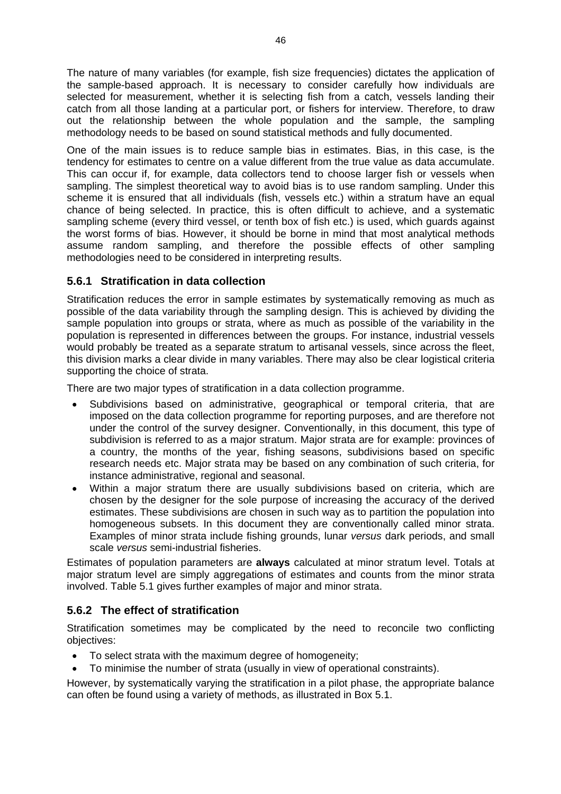The nature of many variables (for example, fish size frequencies) dictates the application of the sample-based approach. It is necessary to consider carefully how individuals are selected for measurement, whether it is selecting fish from a catch, vessels landing their catch from all those landing at a particular port, or fishers for interview. Therefore, to draw out the relationship between the whole population and the sample, the sampling methodology needs to be based on sound statistical methods and fully documented.

One of the main issues is to reduce sample bias in estimates. Bias, in this case, is the tendency for estimates to centre on a value different from the true value as data accumulate. This can occur if, for example, data collectors tend to choose larger fish or vessels when sampling. The simplest theoretical way to avoid bias is to use random sampling. Under this scheme it is ensured that all individuals (fish, vessels etc.) within a stratum have an equal chance of being selected. In practice, this is often difficult to achieve, and a systematic sampling scheme (every third vessel, or tenth box of fish etc.) is used, which guards against the worst forms of bias. However, it should be borne in mind that most analytical methods assume random sampling, and therefore the possible effects of other sampling methodologies need to be considered in interpreting results.

# **5.6.1 Stratification in data collection**

Stratification reduces the error in sample estimates by systematically removing as much as possible of the data variability through the sampling design. This is achieved by dividing the sample population into groups or strata, where as much as possible of the variability in the population is represented in differences between the groups. For instance, industrial vessels would probably be treated as a separate stratum to artisanal vessels, since across the fleet, this division marks a clear divide in many variables. There may also be clear logistical criteria supporting the choice of strata.

There are two major types of stratification in a data collection programme.

- Subdivisions based on administrative, geographical or temporal criteria, that are imposed on the data collection programme for reporting purposes, and are therefore not under the control of the survey designer. Conventionally, in this document, this type of subdivision is referred to as a major stratum. Major strata are for example: provinces of a country, the months of the year, fishing seasons, subdivisions based on specific research needs etc. Major strata may be based on any combination of such criteria, for instance administrative, regional and seasonal.
- Within a major stratum there are usually subdivisions based on criteria, which are chosen by the designer for the sole purpose of increasing the accuracy of the derived estimates. These subdivisions are chosen in such way as to partition the population into homogeneous subsets. In this document they are conventionally called minor strata. Examples of minor strata include fishing grounds, lunar *versus* dark periods, and small scale *versus* semi-industrial fisheries.

Estimates of population parameters are **always** calculated at minor stratum level. Totals at major stratum level are simply aggregations of estimates and counts from the minor strata involved. Table 5.1 gives further examples of major and minor strata.

# **5.6.2 The effect of stratification**

Stratification sometimes may be complicated by the need to reconcile two conflicting objectives:

- To select strata with the maximum degree of homogeneity;
- To minimise the number of strata (usually in view of operational constraints).

However, by systematically varying the stratification in a pilot phase, the appropriate balance can often be found using a variety of methods, as illustrated in Box 5.1.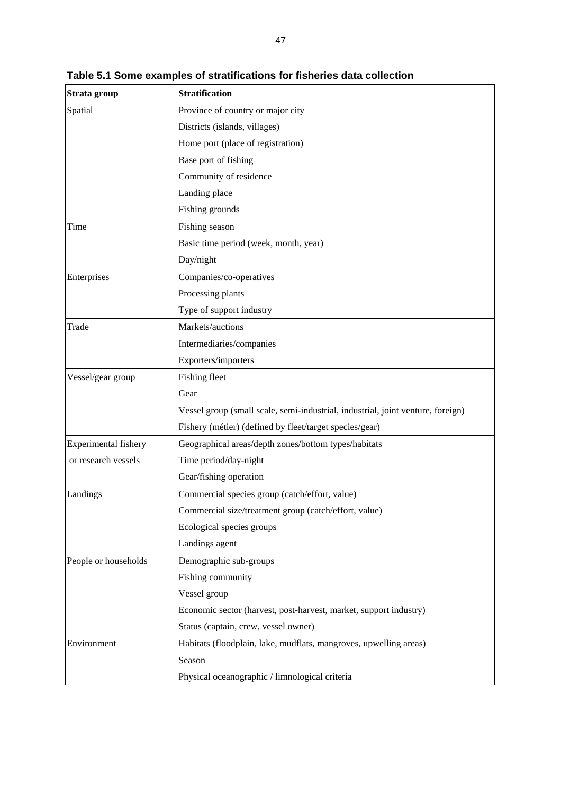| Strata group                                 | <b>Stratification</b>                                                           |  |
|----------------------------------------------|---------------------------------------------------------------------------------|--|
| Spatial                                      | Province of country or major city                                               |  |
|                                              | Districts (islands, villages)                                                   |  |
|                                              | Home port (place of registration)                                               |  |
|                                              | Base port of fishing                                                            |  |
|                                              | Community of residence                                                          |  |
|                                              | Landing place                                                                   |  |
|                                              | Fishing grounds                                                                 |  |
| Time                                         | Fishing season                                                                  |  |
|                                              | Basic time period (week, month, year)                                           |  |
|                                              | Day/night                                                                       |  |
| Enterprises                                  | Companies/co-operatives                                                         |  |
|                                              | Processing plants                                                               |  |
|                                              | Type of support industry                                                        |  |
| Trade                                        | Markets/auctions                                                                |  |
|                                              | Intermediaries/companies                                                        |  |
|                                              | Exporters/importers                                                             |  |
| Vessel/gear group                            | Fishing fleet                                                                   |  |
|                                              | Gear                                                                            |  |
|                                              | Vessel group (small scale, semi-industrial, industrial, joint venture, foreign) |  |
|                                              | Fishery (métier) (defined by fleet/target species/gear)                         |  |
| <b>Experimental fishery</b>                  | Geographical areas/depth zones/bottom types/habitats                            |  |
| or research vessels<br>Time period/day-night |                                                                                 |  |
|                                              | Gear/fishing operation                                                          |  |
| Landings                                     | Commercial species group (catch/effort, value)                                  |  |
|                                              | Commercial size/treatment group (catch/effort, value)                           |  |
|                                              | Ecological species groups                                                       |  |
|                                              | Landings agent                                                                  |  |
| People or households                         | Demographic sub-groups                                                          |  |
|                                              | Fishing community                                                               |  |
|                                              | Vessel group                                                                    |  |
|                                              | Economic sector (harvest, post-harvest, market, support industry)               |  |
|                                              | Status (captain, crew, vessel owner)                                            |  |
| Environment                                  | Habitats (floodplain, lake, mudflats, mangroves, upwelling areas)               |  |
|                                              | Season                                                                          |  |
|                                              | Physical oceanographic / limnological criteria                                  |  |

**Table 5.1 Some examples of stratifications for fisheries data collection**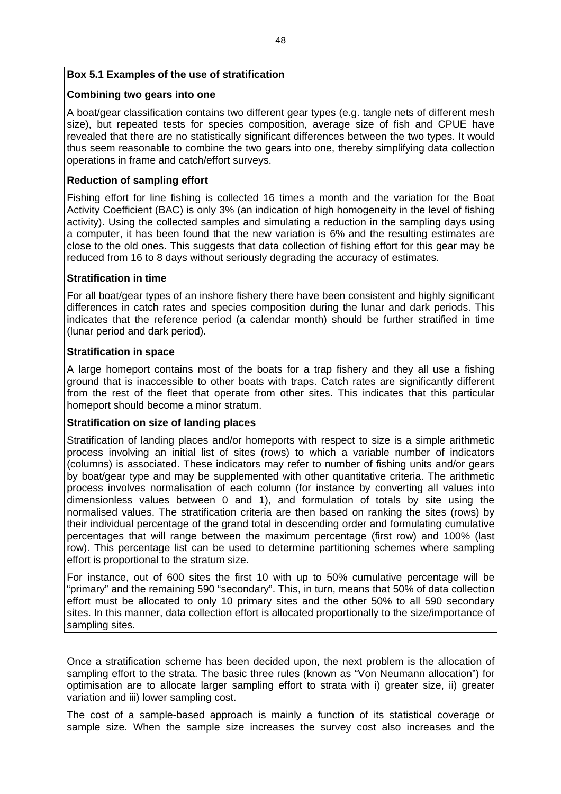# **Box 5.1 Examples of the use of stratification**

# **Combining two gears into one**

A boat/gear classification contains two different gear types (e.g. tangle nets of different mesh size), but repeated tests for species composition, average size of fish and CPUE have revealed that there are no statistically significant differences between the two types. It would thus seem reasonable to combine the two gears into one, thereby simplifying data collection operations in frame and catch/effort surveys.

# **Reduction of sampling effort**

Fishing effort for line fishing is collected 16 times a month and the variation for the Boat Activity Coefficient (BAC) is only 3% (an indication of high homogeneity in the level of fishing activity). Using the collected samples and simulating a reduction in the sampling days using a computer, it has been found that the new variation is 6% and the resulting estimates are close to the old ones. This suggests that data collection of fishing effort for this gear may be reduced from 16 to 8 days without seriously degrading the accuracy of estimates.

# **Stratification in time**

For all boat/gear types of an inshore fishery there have been consistent and highly significant differences in catch rates and species composition during the lunar and dark periods. This indicates that the reference period (a calendar month) should be further stratified in time (lunar period and dark period).

# **Stratification in space**

A large homeport contains most of the boats for a trap fishery and they all use a fishing ground that is inaccessible to other boats with traps. Catch rates are significantly different from the rest of the fleet that operate from other sites. This indicates that this particular homeport should become a minor stratum.

# **Stratification on size of landing places**

Stratification of landing places and/or homeports with respect to size is a simple arithmetic process involving an initial list of sites (rows) to which a variable number of indicators (columns) is associated. These indicators may refer to number of fishing units and/or gears by boat/gear type and may be supplemented with other quantitative criteria. The arithmetic process involves normalisation of each column (for instance by converting all values into dimensionless values between 0 and 1), and formulation of totals by site using the normalised values. The stratification criteria are then based on ranking the sites (rows) by their individual percentage of the grand total in descending order and formulating cumulative percentages that will range between the maximum percentage (first row) and 100% (last row). This percentage list can be used to determine partitioning schemes where sampling effort is proportional to the stratum size.

For instance, out of 600 sites the first 10 with up to 50% cumulative percentage will be "primary" and the remaining 590 "secondary". This, in turn, means that 50% of data collection effort must be allocated to only 10 primary sites and the other 50% to all 590 secondary sites. In this manner, data collection effort is allocated proportionally to the size/importance of sampling sites.

Once a stratification scheme has been decided upon, the next problem is the allocation of sampling effort to the strata. The basic three rules (known as "Von Neumann allocation") for optimisation are to allocate larger sampling effort to strata with i) greater size, ii) greater variation and iii) lower sampling cost.

The cost of a sample-based approach is mainly a function of its statistical coverage or sample size. When the sample size increases the survey cost also increases and the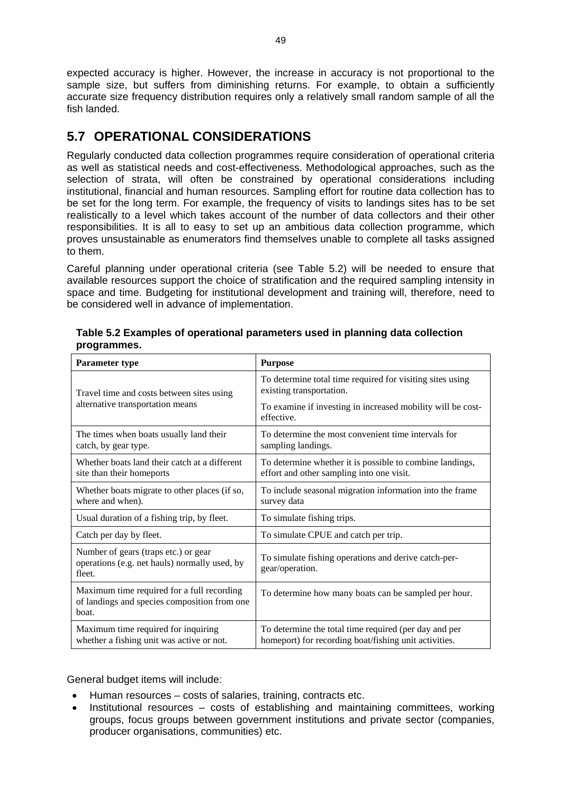expected accuracy is higher. However, the increase in accuracy is not proportional to the sample size, but suffers from diminishing returns. For example, to obtain a sufficiently accurate size frequency distribution requires only a relatively small random sample of all the fish landed.

# **5.7 OPERATIONAL CONSIDERATIONS**

Regularly conducted data collection programmes require consideration of operational criteria as well as statistical needs and cost-effectiveness. Methodological approaches, such as the selection of strata, will often be constrained by operational considerations including institutional, financial and human resources. Sampling effort for routine data collection has to be set for the long term. For example, the frequency of visits to landings sites has to be set realistically to a level which takes account of the number of data collectors and their other responsibilities. It is all to easy to set up an ambitious data collection programme, which proves unsustainable as enumerators find themselves unable to complete all tasks assigned to them.

Careful planning under operational criteria (see Table 5.2) will be needed to ensure that available resources support the choice of stratification and the required sampling intensity in space and time. Budgeting for institutional development and training will, therefore, need to be considered well in advance of implementation.

| <b>Parameter type</b>                                                                               | <b>Purpose</b>                                                                                                 |
|-----------------------------------------------------------------------------------------------------|----------------------------------------------------------------------------------------------------------------|
| Travel time and costs between sites using                                                           | To determine total time required for visiting sites using<br>existing transportation.                          |
| alternative transportation means                                                                    | To examine if investing in increased mobility will be cost-<br>effective.                                      |
| The times when boats usually land their<br>catch, by gear type.                                     | To determine the most convenient time intervals for<br>sampling landings.                                      |
| Whether boats land their catch at a different<br>site than their homeports                          | To determine whether it is possible to combine landings,<br>effort and other sampling into one visit.          |
| Whether boats migrate to other places (if so,<br>where and when).                                   | To include seasonal migration information into the frame<br>survey data                                        |
| Usual duration of a fishing trip, by fleet.                                                         | To simulate fishing trips.                                                                                     |
| Catch per day by fleet.                                                                             | To simulate CPUE and catch per trip.                                                                           |
| Number of gears (traps etc.) or gear<br>operations (e.g. net hauls) normally used, by<br>fleet.     | To simulate fishing operations and derive catch-per-<br>gear/operation.                                        |
| Maximum time required for a full recording<br>of landings and species composition from one<br>boat. | To determine how many boats can be sampled per hour.                                                           |
| Maximum time required for inquiring<br>whether a fishing unit was active or not.                    | To determine the total time required (per day and per<br>homeport) for recording boat/fishing unit activities. |

| Table 5.2 Examples of operational parameters used in planning data collection |
|-------------------------------------------------------------------------------|
| programmes.                                                                   |

General budget items will include:

- Human resources costs of salaries, training, contracts etc.
- Institutional resources costs of establishing and maintaining committees, working groups, focus groups between government institutions and private sector (companies, producer organisations, communities) etc.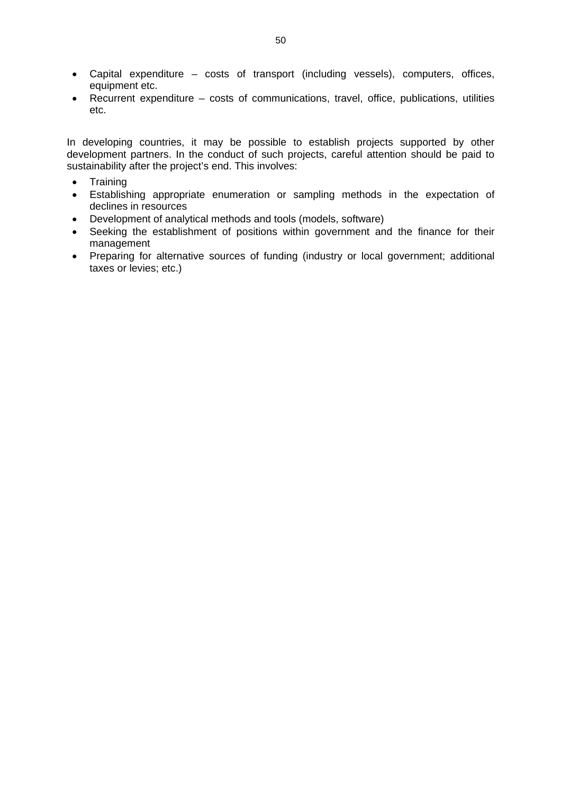- Capital expenditure costs of transport (including vessels), computers, offices, equipment etc.
- Recurrent expenditure costs of communications, travel, office, publications, utilities etc.

In developing countries, it may be possible to establish projects supported by other development partners. In the conduct of such projects, careful attention should be paid to sustainability after the project's end. This involves:

- Training
- Establishing appropriate enumeration or sampling methods in the expectation of declines in resources
- Development of analytical methods and tools (models, software)
- Seeking the establishment of positions within government and the finance for their management
- Preparing for alternative sources of funding (industry or local government; additional taxes or levies; etc.)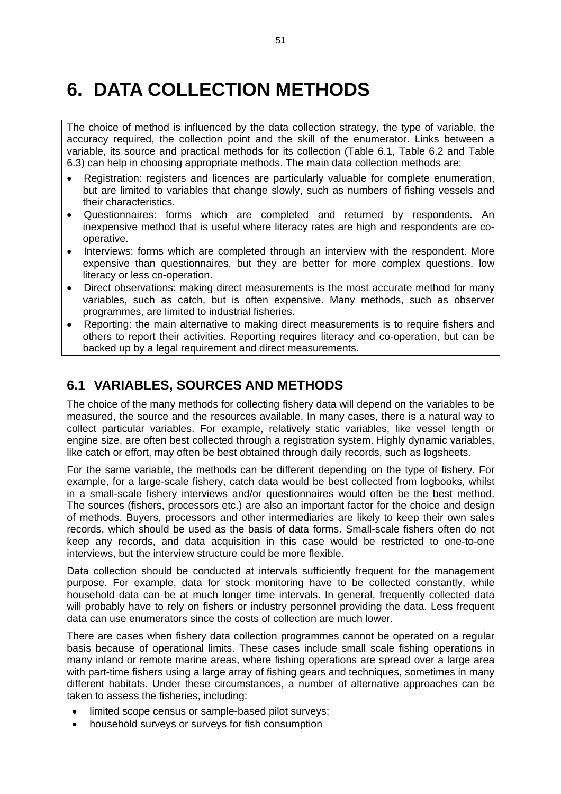# **6. DATA COLLECTION METHODS**

The choice of method is influenced by the data collection strategy, the type of variable, the accuracy required, the collection point and the skill of the enumerator. Links between a variable, its source and practical methods for its collection (Table 6.1, Table 6.2 and Table 6.3) can help in choosing appropriate methods. The main data collection methods are:

- Registration: registers and licences are particularly valuable for complete enumeration, but are limited to variables that change slowly, such as numbers of fishing vessels and their characteristics.
- Questionnaires: forms which are completed and returned by respondents. An inexpensive method that is useful where literacy rates are high and respondents are cooperative.
- Interviews: forms which are completed through an interview with the respondent. More expensive than questionnaires, but they are better for more complex questions, low literacy or less co-operation.
- Direct observations: making direct measurements is the most accurate method for many variables, such as catch, but is often expensive. Many methods, such as observer programmes, are limited to industrial fisheries.
- Reporting: the main alternative to making direct measurements is to require fishers and others to report their activities. Reporting requires literacy and co-operation, but can be backed up by a legal requirement and direct measurements.

# **6.1 VARIABLES, SOURCES AND METHODS**

The choice of the many methods for collecting fishery data will depend on the variables to be measured, the source and the resources available. In many cases, there is a natural way to collect particular variables. For example, relatively static variables, like vessel length or engine size, are often best collected through a registration system. Highly dynamic variables, like catch or effort, may often be best obtained through daily records, such as logsheets.

For the same variable, the methods can be different depending on the type of fishery. For example, for a large-scale fishery, catch data would be best collected from logbooks, whilst in a small-scale fishery interviews and/or questionnaires would often be the best method. The sources (fishers, processors etc.) are also an important factor for the choice and design of methods. Buyers, processors and other intermediaries are likely to keep their own sales records, which should be used as the basis of data forms. Small-scale fishers often do not keep any records, and data acquisition in this case would be restricted to one-to-one interviews, but the interview structure could be more flexible.

Data collection should be conducted at intervals sufficiently frequent for the management purpose. For example, data for stock monitoring have to be collected constantly, while household data can be at much longer time intervals. In general, frequently collected data will probably have to rely on fishers or industry personnel providing the data. Less frequent data can use enumerators since the costs of collection are much lower.

There are cases when fishery data collection programmes cannot be operated on a regular basis because of operational limits. These cases include small scale fishing operations in many inland or remote marine areas, where fishing operations are spread over a large area with part-time fishers using a large array of fishing gears and techniques, sometimes in many different habitats. Under these circumstances, a number of alternative approaches can be taken to assess the fisheries, including:

- limited scope census or sample-based pilot surveys;
- household surveys or surveys for fish consumption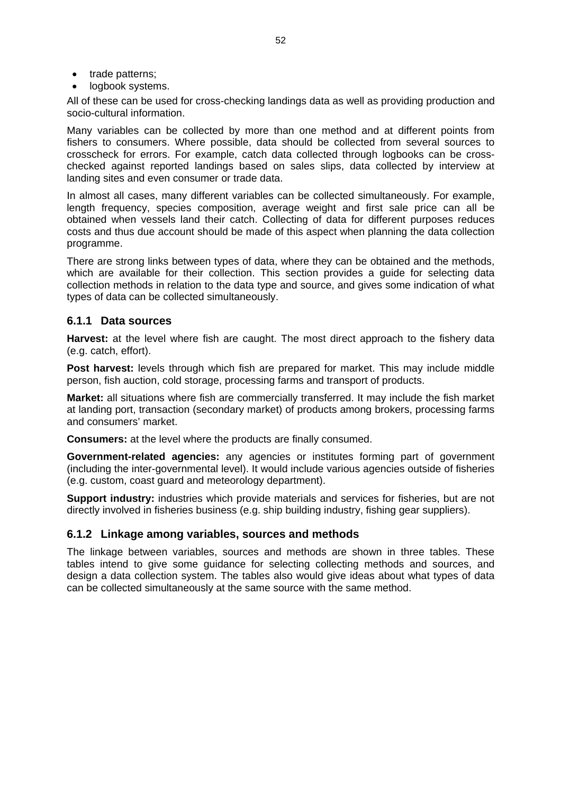- trade patterns;
- logbook systems.

All of these can be used for cross-checking landings data as well as providing production and socio-cultural information.

Many variables can be collected by more than one method and at different points from fishers to consumers. Where possible, data should be collected from several sources to crosscheck for errors. For example, catch data collected through logbooks can be crosschecked against reported landings based on sales slips, data collected by interview at landing sites and even consumer or trade data.

In almost all cases, many different variables can be collected simultaneously. For example, length frequency, species composition, average weight and first sale price can all be obtained when vessels land their catch. Collecting of data for different purposes reduces costs and thus due account should be made of this aspect when planning the data collection programme.

There are strong links between types of data, where they can be obtained and the methods, which are available for their collection. This section provides a guide for selecting data collection methods in relation to the data type and source, and gives some indication of what types of data can be collected simultaneously.

# **6.1.1 Data sources**

**Harvest:** at the level where fish are caught. The most direct approach to the fishery data (e.g. catch, effort).

**Post harvest:** levels through which fish are prepared for market. This may include middle person, fish auction, cold storage, processing farms and transport of products.

**Market:** all situations where fish are commercially transferred. It may include the fish market at landing port, transaction (secondary market) of products among brokers, processing farms and consumers' market.

**Consumers:** at the level where the products are finally consumed.

**Government-related agencies:** any agencies or institutes forming part of government (including the inter-governmental level). It would include various agencies outside of fisheries (e.g. custom, coast guard and meteorology department).

**Support industry:** industries which provide materials and services for fisheries, but are not directly involved in fisheries business (e.g. ship building industry, fishing gear suppliers).

# **6.1.2 Linkage among variables, sources and methods**

The linkage between variables, sources and methods are shown in three tables. These tables intend to give some guidance for selecting collecting methods and sources, and design a data collection system. The tables also would give ideas about what types of data can be collected simultaneously at the same source with the same method.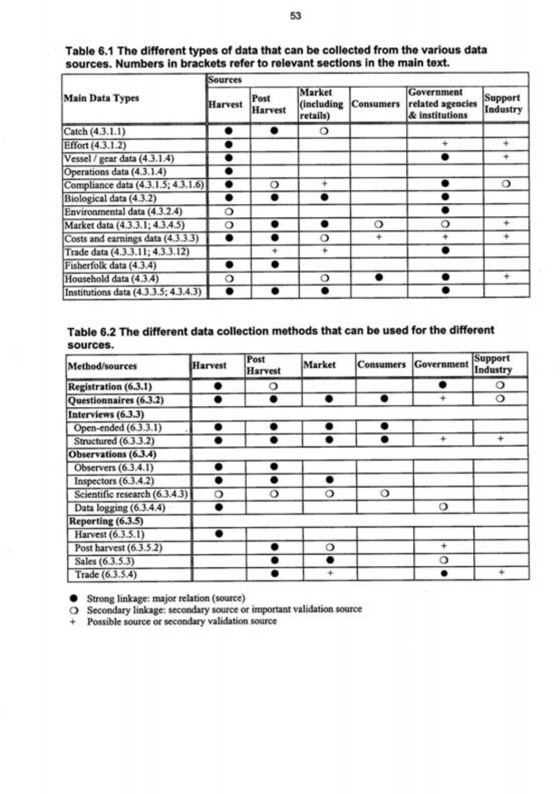|                                      | <b>Sources</b> |                        |                                  |                  |                                                  |                     |  |  |  |
|--------------------------------------|----------------|------------------------|----------------------------------|------------------|--------------------------------------------------|---------------------|--|--|--|
| <b>Main Data Types</b>               | <b>Harvest</b> | Post<br><b>Harvest</b> | Market<br>(including<br>retails) | <b>Consumers</b> | Government<br>related agencies<br>& institutions | Support<br>Industry |  |  |  |
| Catch (4.3.1.1)                      |                |                        | $\circ$                          |                  |                                                  |                     |  |  |  |
| Effort (4.3.1.2)                     |                |                        |                                  |                  |                                                  |                     |  |  |  |
| Vessel / gear data (4.3.1.4)         | ٠              |                        |                                  |                  |                                                  |                     |  |  |  |
| Operations data (4.3.1.4)            |                |                        |                                  |                  |                                                  |                     |  |  |  |
| Compliance data (4.3.1.5; 4.3.1.6)   | ٠              | $\circ$                |                                  |                  |                                                  | $\circ$             |  |  |  |
| Biological data (4.3.2)              |                |                        |                                  |                  |                                                  |                     |  |  |  |
| Environmental data (4.3.2.4)         | O              |                        |                                  |                  |                                                  |                     |  |  |  |
| Market data (4.3.3.1; 4.3.4.5)       | О              |                        |                                  | $\circ$          | O                                                |                     |  |  |  |
| Costs and earnings data (4.3.3.3)    |                |                        | O                                | 4                |                                                  |                     |  |  |  |
| Trade data (4.3.3.11; 4.3.3.12)      |                |                        | ÷                                |                  |                                                  |                     |  |  |  |
| Fisherfolk data (4.3.4)              |                |                        |                                  |                  |                                                  |                     |  |  |  |
| Household data (4.3.4)               | $\circ$        |                        | $\circ$                          |                  |                                                  |                     |  |  |  |
| Institutions data (4.3.3.5; 4.3.4.3) |                |                        |                                  |                  |                                                  |                     |  |  |  |

# Table 6.1 The different types of data that can be collected from the various data sources. Numbers in brackets refer to relevant sections in the main text.

# Table 6.2 The different data collection methods that can be used for the different sources.

| Method/sources                | <b>Harvest</b> | Post<br><b>Harvest</b> | Market  | <b>Consumers</b> | Government | Support<br>Industry |  |
|-------------------------------|----------------|------------------------|---------|------------------|------------|---------------------|--|
| Registration (6.3.1)          |                | $\circ$                |         |                  |            | $\circ$             |  |
| Questionnaires (6.3.2)        |                |                        |         |                  |            | $\circ$             |  |
| Interviews (6.3.3)            |                |                        |         |                  |            |                     |  |
| Open-ended (6.3.3.1)          |                |                        |         |                  |            |                     |  |
| Structured (6.3.3.2)          |                |                        |         |                  |            | ۰                   |  |
| Observations (6.3.4)          |                |                        |         |                  |            |                     |  |
| Observers (6.3.4.1)           |                |                        |         |                  |            |                     |  |
| Inspectors $(6.3.4.2)$        |                |                        |         |                  |            |                     |  |
| Scientific research (6.3.4.3) | O              | O                      | $\circ$ | $\circ$          |            |                     |  |
| Data logging (6.3.4.4)        |                |                        |         |                  | $\circ$    |                     |  |
| Reporting (6.3.5)             |                |                        |         |                  |            |                     |  |
| Harvest (6.3.5.1)             |                |                        |         |                  |            |                     |  |
| Post harvest (6.3.5.2)        |                |                        | $\circ$ |                  |            |                     |  |
| Sales (6.3.5.3)               |                |                        |         |                  | $\circ$    |                     |  |
| Trade (6.3.5.4)               |                |                        | ÷       |                  |            |                     |  |

Strong linkage: major relation (source)

O Secondary linkage: secondary source or important validation source<br>+ Possible source or secondary validation source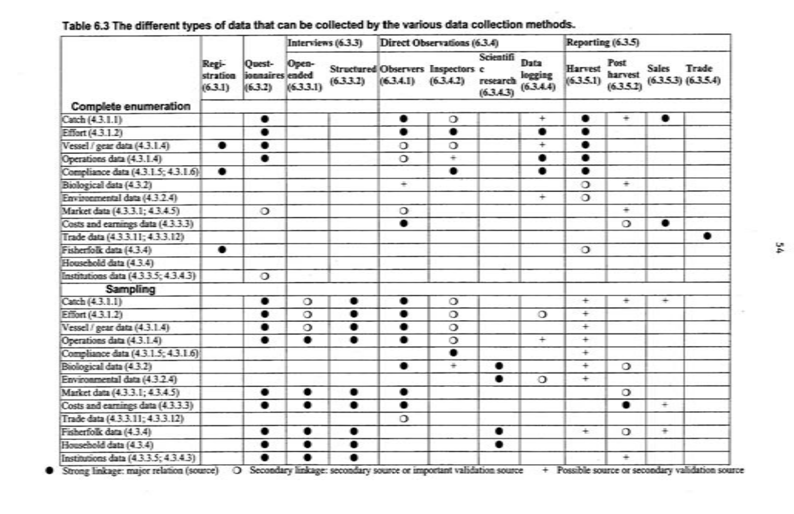|                                     | Regi-<br>stration<br>(6.3.1) |                                      | Interviews (6.3.3) |           | Direct Observations (6.3.4) |                                   |                                    |                              | Reporting (6.3.5)    |                              |       |                              |
|-------------------------------------|------------------------------|--------------------------------------|--------------------|-----------|-----------------------------|-----------------------------------|------------------------------------|------------------------------|----------------------|------------------------------|-------|------------------------------|
|                                     |                              | Quest-<br>jounaires ended<br>(6.3.2) | Open-<br>(6.3.3.1) | (6.3.3.2) | $(6.3.4.1)$ $(6.3.4.2)$     | Structured Observers Inspectors c | Scientifi<br>research<br>(6.3.4.3) | Data<br>logging<br>(6.3.4.4) | Harvest<br>(6.3.5.1) | Post<br>harvest<br>(6.3.5.2) | Sales | Trade<br>(6.3.5.3) (6.3.5.4) |
| Complete enumeration                |                              |                                      |                    |           |                             |                                   |                                    |                              |                      |                              |       |                              |
| Catch (4.3.1.1)                     |                              | ٠                                    |                    |           | ٠                           | $\circ$                           |                                    | $\ddot{}$                    | ٠                    | ÷                            | ٠     |                              |
| Effort (4.3.1.2)                    |                              | ٠                                    |                    |           | ٠                           | ٠                                 |                                    | ٠                            | ٠                    |                              |       |                              |
| Vessel / gear data (4.3.1.4)        | ٠                            | ٠                                    |                    |           | о                           | О                                 |                                    | $\div$                       | ٠                    |                              |       |                              |
| Operations data (4.3.1.4)           |                              | ٠                                    |                    |           | о                           | ÷                                 |                                    | ٠                            | ٠                    |                              |       |                              |
| Compliance data (4.3.1.5; 4.3.1.6)  | ٠                            |                                      |                    |           |                             | ٠                                 |                                    | ٠                            | ٠                    |                              |       |                              |
| Biological data (4.3.2)             |                              |                                      |                    |           | ÷                           |                                   |                                    |                              | о                    | $\ddot{}$                    |       |                              |
| Environmental data (4.3.2.4)        |                              |                                      |                    |           |                             |                                   |                                    | $\ddot{}$                    | $\circ$              |                              |       |                              |
| Market data (4.3.3.1; 4.3.4.5)      |                              | $\circ$                              |                    |           | О                           |                                   |                                    |                              |                      | $\div$                       |       |                              |
| Costs and earnings data (4.3.3.3)   |                              |                                      |                    |           | ٠                           |                                   |                                    |                              |                      | $\circ$                      | ٠     |                              |
| Trade data (4.3.3.11; 4.3.3.12)     |                              |                                      |                    |           |                             |                                   |                                    |                              |                      |                              |       | ٠                            |
| Fisherfolk data (4.3.4)             | ٠                            |                                      |                    |           |                             |                                   |                                    |                              | $\circ$              |                              |       |                              |
| Household data (4.3.4)              |                              |                                      |                    |           |                             |                                   |                                    |                              |                      |                              |       |                              |
| Institutions data (43.3.5; 4.3.4.3) |                              | $\circ$                              |                    |           |                             |                                   |                                    |                              |                      |                              |       |                              |
| Sampling                            |                              |                                      |                    |           |                             |                                   |                                    |                              |                      |                              |       |                              |
| Catch (4.3.1.1)                     |                              | ٠                                    | $\Omega$           | ٠         | ٠                           | $\circ$                           |                                    |                              | ÷                    | ٠                            | ÷     |                              |
| Effort (4.3.1.2)                    |                              | ٠                                    | о                  | ٠         | ٠                           | О                                 |                                    | О                            | ÷                    |                              |       |                              |
| Vessel / gear data (4.3.1.4)        |                              | ٠                                    | о                  | ٠         | ٠                           | о                                 |                                    |                              | $\ddot{}$            |                              |       |                              |
| Operations data (4.3.1.4)           |                              | ٠                                    | ٠                  | ٠         | ٠                           | О                                 |                                    | $\ddot{}$                    | $\ddot{}$            |                              |       |                              |
| Compliance data (4.3.1.5; 4.3.1.6)  |                              |                                      |                    |           |                             | ٠                                 |                                    |                              | $\ddot{}$            |                              |       |                              |
| Biological data (4.3.2)             |                              |                                      |                    |           | ٠                           | ÷                                 | ٠                                  |                              | ÷                    | $\circ$                      |       |                              |
| Environmental data (4.3.2.4)        |                              |                                      |                    |           |                             |                                   | ٠                                  | o                            | ÷                    |                              |       |                              |
| Market data (4.3.3.1; 4.3.4.5)      |                              | ٠                                    | ٠                  | ٠         | ٠                           |                                   |                                    |                              |                      | $\circ$                      |       |                              |
| Costs and earnings data (4.3.3.3)   |                              | ٠                                    | ٠                  | ٠         | $\bullet$                   |                                   |                                    |                              |                      |                              | ÷     |                              |
| Trade data (4.3.3.11; 4.3.3.12)     |                              |                                      |                    |           | о                           |                                   |                                    |                              |                      |                              |       |                              |
| Fisherfolk data (4.3.4)             |                              | ٠                                    | ٠                  | ٠         |                             |                                   | ٠                                  |                              | $\pm$                | o                            | ÷     |                              |
| Household data (4.3.4)              |                              | ٠                                    | ٠                  | ٠         |                             |                                   | ٠                                  |                              |                      |                              |       |                              |
| Institutions data (43.3.5; 4.3.4.3) |                              | ٠                                    | ٠                  | ٠         |                             |                                   |                                    |                              |                      | ÷                            |       |                              |

Table 6.3 The different types of data that can be collected by the various data collection methods.

• Strong linkage: major relation (source) O Secondary linkage: secondary source or important validation source + Possible source or secondary validation source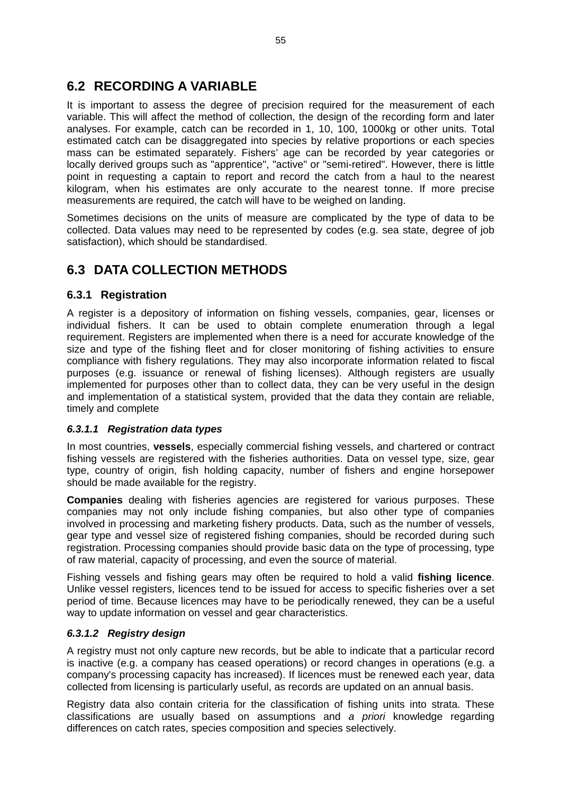# **6.2 RECORDING A VARIABLE**

It is important to assess the degree of precision required for the measurement of each variable. This will affect the method of collection, the design of the recording form and later analyses. For example, catch can be recorded in 1, 10, 100, 1000kg or other units. Total estimated catch can be disaggregated into species by relative proportions or each species mass can be estimated separately. Fishers' age can be recorded by year categories or locally derived groups such as "apprentice", "active" or "semi-retired". However, there is little point in requesting a captain to report and record the catch from a haul to the nearest kilogram, when his estimates are only accurate to the nearest tonne. If more precise measurements are required, the catch will have to be weighed on landing.

Sometimes decisions on the units of measure are complicated by the type of data to be collected. Data values may need to be represented by codes (e.g. sea state, degree of job satisfaction), which should be standardised.

# **6.3 DATA COLLECTION METHODS**

# **6.3.1 Registration**

A register is a depository of information on fishing vessels, companies, gear, licenses or individual fishers. It can be used to obtain complete enumeration through a legal requirement. Registers are implemented when there is a need for accurate knowledge of the size and type of the fishing fleet and for closer monitoring of fishing activities to ensure compliance with fishery regulations. They may also incorporate information related to fiscal purposes (e.g. issuance or renewal of fishing licenses). Although registers are usually implemented for purposes other than to collect data, they can be very useful in the design and implementation of a statistical system, provided that the data they contain are reliable, timely and complete

# *6.3.1.1 Registration data types*

In most countries, **vessels**, especially commercial fishing vessels, and chartered or contract fishing vessels are registered with the fisheries authorities. Data on vessel type, size, gear type, country of origin, fish holding capacity, number of fishers and engine horsepower should be made available for the registry.

**Companies** dealing with fisheries agencies are registered for various purposes. These companies may not only include fishing companies, but also other type of companies involved in processing and marketing fishery products. Data, such as the number of vessels, gear type and vessel size of registered fishing companies, should be recorded during such registration. Processing companies should provide basic data on the type of processing, type of raw material, capacity of processing, and even the source of material.

Fishing vessels and fishing gears may often be required to hold a valid **fishing licence**. Unlike vessel registers, licences tend to be issued for access to specific fisheries over a set period of time. Because licences may have to be periodically renewed, they can be a useful way to update information on vessel and gear characteristics.

# *6.3.1.2 Registry design*

A registry must not only capture new records, but be able to indicate that a particular record is inactive (e.g. a company has ceased operations) or record changes in operations (e.g. a company's processing capacity has increased). If licences must be renewed each year, data collected from licensing is particularly useful, as records are updated on an annual basis.

Registry data also contain criteria for the classification of fishing units into strata. These classifications are usually based on assumptions and *a priori* knowledge regarding differences on catch rates, species composition and species selectively.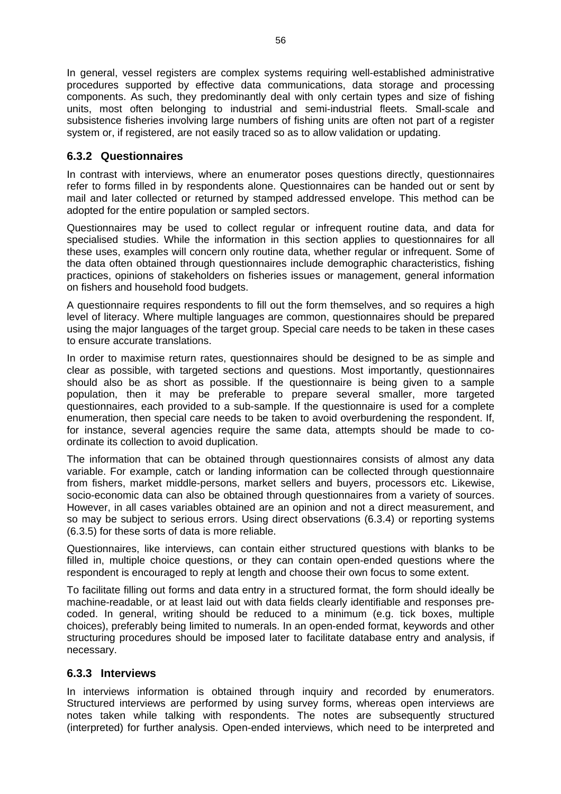In general, vessel registers are complex systems requiring well-established administrative procedures supported by effective data communications, data storage and processing components. As such, they predominantly deal with only certain types and size of fishing units, most often belonging to industrial and semi-industrial fleets. Small-scale and subsistence fisheries involving large numbers of fishing units are often not part of a register system or, if registered, are not easily traced so as to allow validation or updating.

# **6.3.2 Questionnaires**

In contrast with interviews, where an enumerator poses questions directly, questionnaires refer to forms filled in by respondents alone. Questionnaires can be handed out or sent by mail and later collected or returned by stamped addressed envelope. This method can be adopted for the entire population or sampled sectors.

Questionnaires may be used to collect regular or infrequent routine data, and data for specialised studies. While the information in this section applies to questionnaires for all these uses, examples will concern only routine data, whether regular or infrequent. Some of the data often obtained through questionnaires include demographic characteristics, fishing practices, opinions of stakeholders on fisheries issues or management, general information on fishers and household food budgets.

A questionnaire requires respondents to fill out the form themselves, and so requires a high level of literacy. Where multiple languages are common, questionnaires should be prepared using the major languages of the target group. Special care needs to be taken in these cases to ensure accurate translations.

In order to maximise return rates, questionnaires should be designed to be as simple and clear as possible, with targeted sections and questions. Most importantly, questionnaires should also be as short as possible. If the questionnaire is being given to a sample population, then it may be preferable to prepare several smaller, more targeted questionnaires, each provided to a sub-sample. If the questionnaire is used for a complete enumeration, then special care needs to be taken to avoid overburdening the respondent. If, for instance, several agencies require the same data, attempts should be made to coordinate its collection to avoid duplication.

The information that can be obtained through questionnaires consists of almost any data variable. For example, catch or landing information can be collected through questionnaire from fishers, market middle-persons, market sellers and buyers, processors etc. Likewise, socio-economic data can also be obtained through questionnaires from a variety of sources. However, in all cases variables obtained are an opinion and not a direct measurement, and so may be subject to serious errors. Using direct observations (6.3.4) or reporting systems (6.3.5) for these sorts of data is more reliable.

Questionnaires, like interviews, can contain either structured questions with blanks to be filled in, multiple choice questions, or they can contain open-ended questions where the respondent is encouraged to reply at length and choose their own focus to some extent.

To facilitate filling out forms and data entry in a structured format, the form should ideally be machine-readable, or at least laid out with data fields clearly identifiable and responses precoded. In general, writing should be reduced to a minimum (e.g. tick boxes, multiple choices), preferably being limited to numerals. In an open-ended format, keywords and other structuring procedures should be imposed later to facilitate database entry and analysis, if necessary.

# **6.3.3 Interviews**

In interviews information is obtained through inquiry and recorded by enumerators. Structured interviews are performed by using survey forms, whereas open interviews are notes taken while talking with respondents. The notes are subsequently structured (interpreted) for further analysis. Open-ended interviews, which need to be interpreted and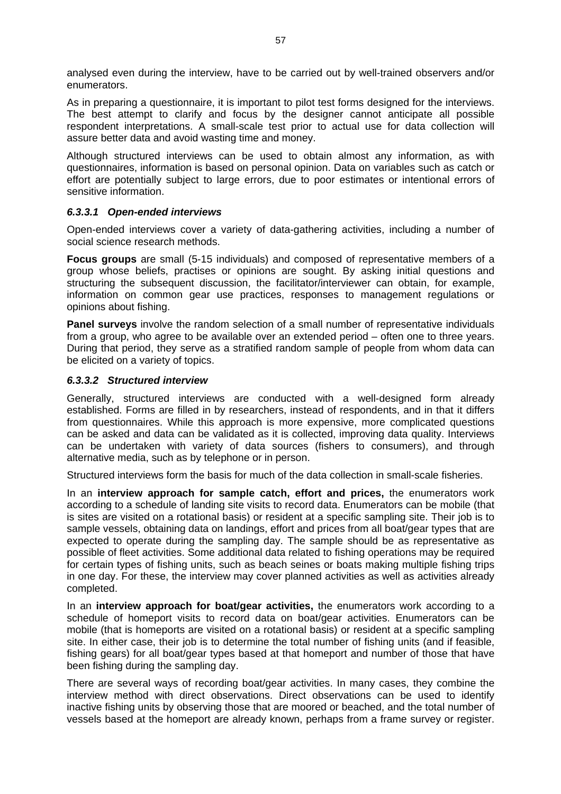analysed even during the interview, have to be carried out by well-trained observers and/or enumerators.

As in preparing a questionnaire, it is important to pilot test forms designed for the interviews. The best attempt to clarify and focus by the designer cannot anticipate all possible respondent interpretations. A small-scale test prior to actual use for data collection will assure better data and avoid wasting time and money.

Although structured interviews can be used to obtain almost any information, as with questionnaires, information is based on personal opinion. Data on variables such as catch or effort are potentially subject to large errors, due to poor estimates or intentional errors of sensitive information.

# *6.3.3.1 Open-ended interviews*

Open-ended interviews cover a variety of data-gathering activities, including a number of social science research methods.

**Focus groups** are small (5-15 individuals) and composed of representative members of a group whose beliefs, practises or opinions are sought. By asking initial questions and structuring the subsequent discussion, the facilitator/interviewer can obtain, for example, information on common gear use practices, responses to management regulations or opinions about fishing.

**Panel surveys** involve the random selection of a small number of representative individuals from a group, who agree to be available over an extended period – often one to three years. During that period, they serve as a stratified random sample of people from whom data can be elicited on a variety of topics.

# *6.3.3.2 Structured interview*

Generally, structured interviews are conducted with a well-designed form already established. Forms are filled in by researchers, instead of respondents, and in that it differs from questionnaires. While this approach is more expensive, more complicated questions can be asked and data can be validated as it is collected, improving data quality. Interviews can be undertaken with variety of data sources (fishers to consumers), and through alternative media, such as by telephone or in person.

Structured interviews form the basis for much of the data collection in small-scale fisheries.

In an **interview approach for sample catch, effort and prices,** the enumerators work according to a schedule of landing site visits to record data. Enumerators can be mobile (that is sites are visited on a rotational basis) or resident at a specific sampling site. Their job is to sample vessels, obtaining data on landings, effort and prices from all boat/gear types that are expected to operate during the sampling day. The sample should be as representative as possible of fleet activities. Some additional data related to fishing operations may be required for certain types of fishing units, such as beach seines or boats making multiple fishing trips in one day. For these, the interview may cover planned activities as well as activities already completed.

In an **interview approach for boat/gear activities,** the enumerators work according to a schedule of homeport visits to record data on boat/gear activities. Enumerators can be mobile (that is homeports are visited on a rotational basis) or resident at a specific sampling site. In either case, their job is to determine the total number of fishing units (and if feasible, fishing gears) for all boat/gear types based at that homeport and number of those that have been fishing during the sampling day.

There are several ways of recording boat/gear activities. In many cases, they combine the interview method with direct observations. Direct observations can be used to identify inactive fishing units by observing those that are moored or beached, and the total number of vessels based at the homeport are already known, perhaps from a frame survey or register.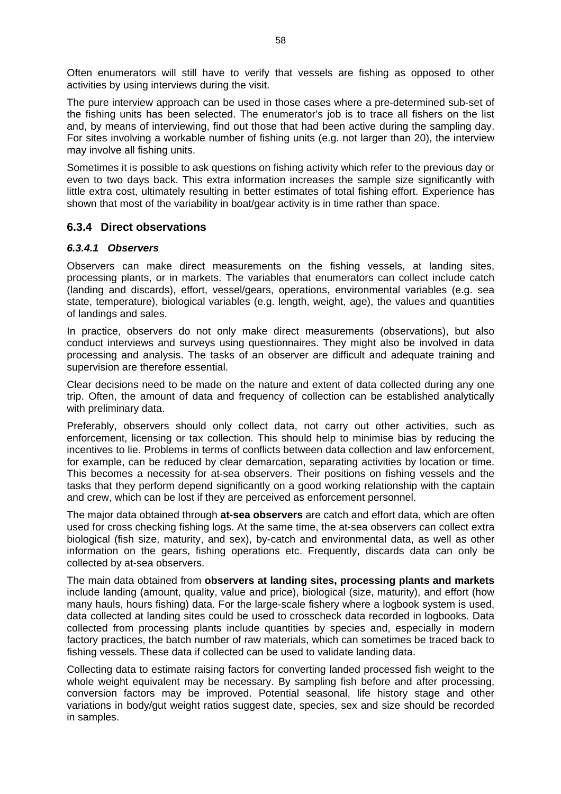Often enumerators will still have to verify that vessels are fishing as opposed to other activities by using interviews during the visit.

The pure interview approach can be used in those cases where a pre-determined sub-set of the fishing units has been selected. The enumerator's job is to trace all fishers on the list and, by means of interviewing, find out those that had been active during the sampling day. For sites involving a workable number of fishing units (e.g. not larger than 20), the interview may involve all fishing units.

Sometimes it is possible to ask questions on fishing activity which refer to the previous day or even to two days back. This extra information increases the sample size significantly with little extra cost, ultimately resulting in better estimates of total fishing effort. Experience has shown that most of the variability in boat/gear activity is in time rather than space.

# **6.3.4 Direct observations**

#### *6.3.4.1 Observers*

Observers can make direct measurements on the fishing vessels, at landing sites, processing plants, or in markets. The variables that enumerators can collect include catch (landing and discards), effort, vessel/gears, operations, environmental variables (e.g. sea state, temperature), biological variables (e.g. length, weight, age), the values and quantities of landings and sales.

In practice, observers do not only make direct measurements (observations), but also conduct interviews and surveys using questionnaires. They might also be involved in data processing and analysis. The tasks of an observer are difficult and adequate training and supervision are therefore essential.

Clear decisions need to be made on the nature and extent of data collected during any one trip. Often, the amount of data and frequency of collection can be established analytically with preliminary data.

Preferably, observers should only collect data, not carry out other activities, such as enforcement, licensing or tax collection. This should help to minimise bias by reducing the incentives to lie. Problems in terms of conflicts between data collection and law enforcement, for example, can be reduced by clear demarcation, separating activities by location or time. This becomes a necessity for at-sea observers. Their positions on fishing vessels and the tasks that they perform depend significantly on a good working relationship with the captain and crew, which can be lost if they are perceived as enforcement personnel.

The major data obtained through **at-sea observers** are catch and effort data, which are often used for cross checking fishing logs. At the same time, the at-sea observers can collect extra biological (fish size, maturity, and sex), by-catch and environmental data, as well as other information on the gears, fishing operations etc. Frequently, discards data can only be collected by at-sea observers.

The main data obtained from **observers at landing sites, processing plants and markets** include landing (amount, quality, value and price), biological (size, maturity), and effort (how many hauls, hours fishing) data. For the large-scale fishery where a logbook system is used, data collected at landing sites could be used to crosscheck data recorded in logbooks. Data collected from processing plants include quantities by species and, especially in modern factory practices, the batch number of raw materials, which can sometimes be traced back to fishing vessels. These data if collected can be used to validate landing data.

Collecting data to estimate raising factors for converting landed processed fish weight to the whole weight equivalent may be necessary. By sampling fish before and after processing, conversion factors may be improved. Potential seasonal, life history stage and other variations in body/gut weight ratios suggest date, species, sex and size should be recorded in samples.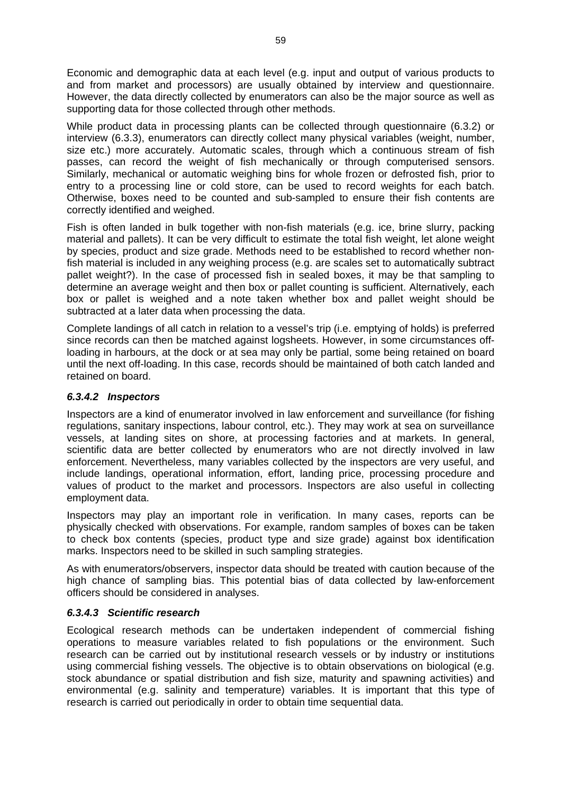Economic and demographic data at each level (e.g. input and output of various products to and from market and processors) are usually obtained by interview and questionnaire. However, the data directly collected by enumerators can also be the major source as well as supporting data for those collected through other methods.

While product data in processing plants can be collected through questionnaire (6.3.2) or interview (6.3.3), enumerators can directly collect many physical variables (weight, number, size etc.) more accurately. Automatic scales, through which a continuous stream of fish passes, can record the weight of fish mechanically or through computerised sensors. Similarly, mechanical or automatic weighing bins for whole frozen or defrosted fish, prior to entry to a processing line or cold store, can be used to record weights for each batch. Otherwise, boxes need to be counted and sub-sampled to ensure their fish contents are correctly identified and weighed.

Fish is often landed in bulk together with non-fish materials (e.g. ice, brine slurry, packing material and pallets). It can be very difficult to estimate the total fish weight, let alone weight by species, product and size grade. Methods need to be established to record whether nonfish material is included in any weighing process (e.g. are scales set to automatically subtract pallet weight?). In the case of processed fish in sealed boxes, it may be that sampling to determine an average weight and then box or pallet counting is sufficient. Alternatively, each box or pallet is weighed and a note taken whether box and pallet weight should be subtracted at a later data when processing the data.

Complete landings of all catch in relation to a vessel's trip (i.e. emptying of holds) is preferred since records can then be matched against logsheets. However, in some circumstances offloading in harbours, at the dock or at sea may only be partial, some being retained on board until the next off-loading. In this case, records should be maintained of both catch landed and retained on board.

#### *6.3.4.2 Inspectors*

Inspectors are a kind of enumerator involved in law enforcement and surveillance (for fishing regulations, sanitary inspections, labour control, etc.). They may work at sea on surveillance vessels, at landing sites on shore, at processing factories and at markets. In general, scientific data are better collected by enumerators who are not directly involved in law enforcement. Nevertheless, many variables collected by the inspectors are very useful, and include landings, operational information, effort, landing price, processing procedure and values of product to the market and processors. Inspectors are also useful in collecting employment data.

Inspectors may play an important role in verification. In many cases, reports can be physically checked with observations. For example, random samples of boxes can be taken to check box contents (species, product type and size grade) against box identification marks. Inspectors need to be skilled in such sampling strategies.

As with enumerators/observers, inspector data should be treated with caution because of the high chance of sampling bias. This potential bias of data collected by law-enforcement officers should be considered in analyses.

# *6.3.4.3 Scientific research*

Ecological research methods can be undertaken independent of commercial fishing operations to measure variables related to fish populations or the environment. Such research can be carried out by institutional research vessels or by industry or institutions using commercial fishing vessels. The objective is to obtain observations on biological (e.g. stock abundance or spatial distribution and fish size, maturity and spawning activities) and environmental (e.g. salinity and temperature) variables. It is important that this type of research is carried out periodically in order to obtain time sequential data.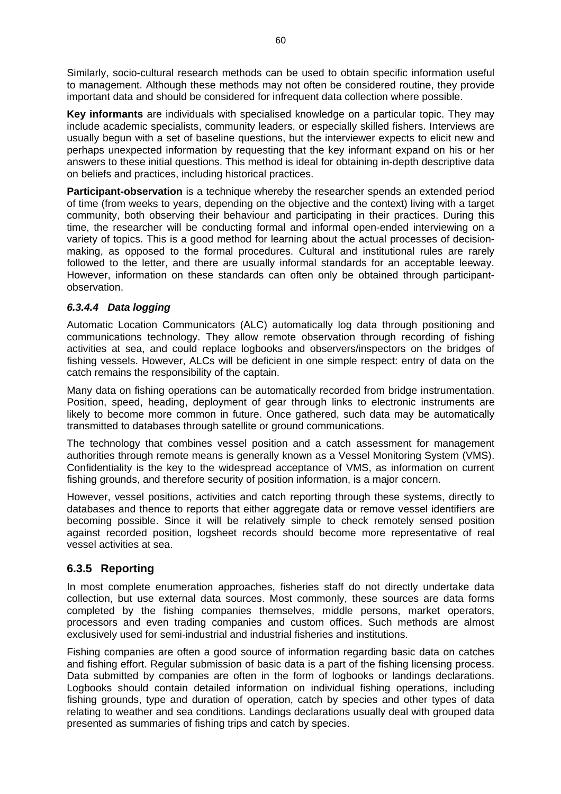Similarly, socio-cultural research methods can be used to obtain specific information useful to management. Although these methods may not often be considered routine, they provide important data and should be considered for infrequent data collection where possible.

**Key informants** are individuals with specialised knowledge on a particular topic. They may include academic specialists, community leaders, or especially skilled fishers. Interviews are usually begun with a set of baseline questions, but the interviewer expects to elicit new and perhaps unexpected information by requesting that the key informant expand on his or her answers to these initial questions. This method is ideal for obtaining in-depth descriptive data on beliefs and practices, including historical practices.

**Participant-observation** is a technique whereby the researcher spends an extended period of time (from weeks to years, depending on the objective and the context) living with a target community, both observing their behaviour and participating in their practices. During this time, the researcher will be conducting formal and informal open-ended interviewing on a variety of topics. This is a good method for learning about the actual processes of decisionmaking, as opposed to the formal procedures. Cultural and institutional rules are rarely followed to the letter, and there are usually informal standards for an acceptable leeway. However, information on these standards can often only be obtained through participantobservation.

# *6.3.4.4 Data logging*

Automatic Location Communicators (ALC) automatically log data through positioning and communications technology. They allow remote observation through recording of fishing activities at sea, and could replace logbooks and observers/inspectors on the bridges of fishing vessels. However, ALCs will be deficient in one simple respect: entry of data on the catch remains the responsibility of the captain.

Many data on fishing operations can be automatically recorded from bridge instrumentation. Position, speed, heading, deployment of gear through links to electronic instruments are likely to become more common in future. Once gathered, such data may be automatically transmitted to databases through satellite or ground communications.

The technology that combines vessel position and a catch assessment for management authorities through remote means is generally known as a Vessel Monitoring System (VMS). Confidentiality is the key to the widespread acceptance of VMS, as information on current fishing grounds, and therefore security of position information, is a major concern.

However, vessel positions, activities and catch reporting through these systems, directly to databases and thence to reports that either aggregate data or remove vessel identifiers are becoming possible. Since it will be relatively simple to check remotely sensed position against recorded position, logsheet records should become more representative of real vessel activities at sea.

# **6.3.5 Reporting**

In most complete enumeration approaches, fisheries staff do not directly undertake data collection, but use external data sources. Most commonly, these sources are data forms completed by the fishing companies themselves, middle persons, market operators, processors and even trading companies and custom offices. Such methods are almost exclusively used for semi-industrial and industrial fisheries and institutions.

Fishing companies are often a good source of information regarding basic data on catches and fishing effort. Regular submission of basic data is a part of the fishing licensing process. Data submitted by companies are often in the form of logbooks or landings declarations. Logbooks should contain detailed information on individual fishing operations, including fishing grounds, type and duration of operation, catch by species and other types of data relating to weather and sea conditions. Landings declarations usually deal with grouped data presented as summaries of fishing trips and catch by species.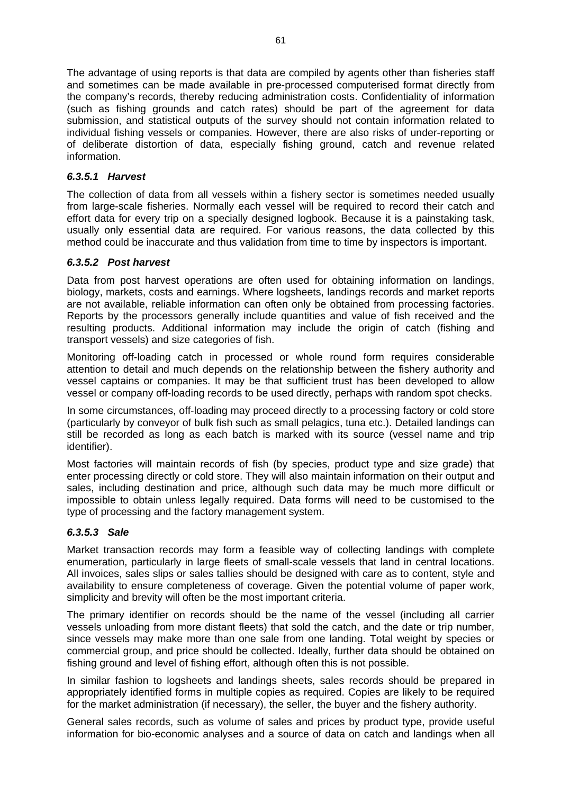The advantage of using reports is that data are compiled by agents other than fisheries staff and sometimes can be made available in pre-processed computerised format directly from the company's records, thereby reducing administration costs. Confidentiality of information (such as fishing grounds and catch rates) should be part of the agreement for data submission, and statistical outputs of the survey should not contain information related to individual fishing vessels or companies. However, there are also risks of under-reporting or of deliberate distortion of data, especially fishing ground, catch and revenue related information.

# *6.3.5.1 Harvest*

The collection of data from all vessels within a fishery sector is sometimes needed usually from large-scale fisheries. Normally each vessel will be required to record their catch and effort data for every trip on a specially designed logbook. Because it is a painstaking task, usually only essential data are required. For various reasons, the data collected by this method could be inaccurate and thus validation from time to time by inspectors is important.

# *6.3.5.2 Post harvest*

Data from post harvest operations are often used for obtaining information on landings, biology, markets, costs and earnings. Where logsheets, landings records and market reports are not available, reliable information can often only be obtained from processing factories. Reports by the processors generally include quantities and value of fish received and the resulting products. Additional information may include the origin of catch (fishing and transport vessels) and size categories of fish.

Monitoring off-loading catch in processed or whole round form requires considerable attention to detail and much depends on the relationship between the fishery authority and vessel captains or companies. It may be that sufficient trust has been developed to allow vessel or company off-loading records to be used directly, perhaps with random spot checks.

In some circumstances, off-loading may proceed directly to a processing factory or cold store (particularly by conveyor of bulk fish such as small pelagics, tuna etc.). Detailed landings can still be recorded as long as each batch is marked with its source (vessel name and trip identifier).

Most factories will maintain records of fish (by species, product type and size grade) that enter processing directly or cold store. They will also maintain information on their output and sales, including destination and price, although such data may be much more difficult or impossible to obtain unless legally required. Data forms will need to be customised to the type of processing and the factory management system.

# *6.3.5.3 Sale*

Market transaction records may form a feasible way of collecting landings with complete enumeration, particularly in large fleets of small-scale vessels that land in central locations. All invoices, sales slips or sales tallies should be designed with care as to content, style and availability to ensure completeness of coverage. Given the potential volume of paper work, simplicity and brevity will often be the most important criteria.

The primary identifier on records should be the name of the vessel (including all carrier vessels unloading from more distant fleets) that sold the catch, and the date or trip number, since vessels may make more than one sale from one landing. Total weight by species or commercial group, and price should be collected. Ideally, further data should be obtained on fishing ground and level of fishing effort, although often this is not possible.

In similar fashion to logsheets and landings sheets, sales records should be prepared in appropriately identified forms in multiple copies as required. Copies are likely to be required for the market administration (if necessary), the seller, the buyer and the fishery authority.

General sales records, such as volume of sales and prices by product type, provide useful information for bio-economic analyses and a source of data on catch and landings when all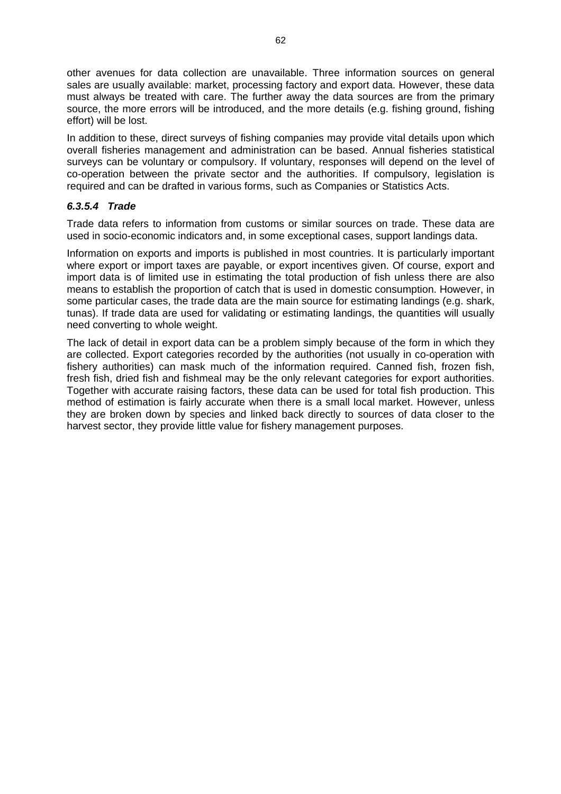other avenues for data collection are unavailable. Three information sources on general sales are usually available: market, processing factory and export data. However, these data must always be treated with care. The further away the data sources are from the primary source, the more errors will be introduced, and the more details (e.g. fishing ground, fishing effort) will be lost.

In addition to these, direct surveys of fishing companies may provide vital details upon which overall fisheries management and administration can be based. Annual fisheries statistical surveys can be voluntary or compulsory. If voluntary, responses will depend on the level of co-operation between the private sector and the authorities. If compulsory, legislation is required and can be drafted in various forms, such as Companies or Statistics Acts.

# *6.3.5.4 Trade*

Trade data refers to information from customs or similar sources on trade. These data are used in socio-economic indicators and, in some exceptional cases, support landings data.

Information on exports and imports is published in most countries. It is particularly important where export or import taxes are payable, or export incentives given. Of course, export and import data is of limited use in estimating the total production of fish unless there are also means to establish the proportion of catch that is used in domestic consumption. However, in some particular cases, the trade data are the main source for estimating landings (e.g. shark, tunas). If trade data are used for validating or estimating landings, the quantities will usually need converting to whole weight.

The lack of detail in export data can be a problem simply because of the form in which they are collected. Export categories recorded by the authorities (not usually in co-operation with fishery authorities) can mask much of the information required. Canned fish, frozen fish, fresh fish, dried fish and fishmeal may be the only relevant categories for export authorities. Together with accurate raising factors, these data can be used for total fish production. This method of estimation is fairly accurate when there is a small local market. However, unless they are broken down by species and linked back directly to sources of data closer to the harvest sector, they provide little value for fishery management purposes.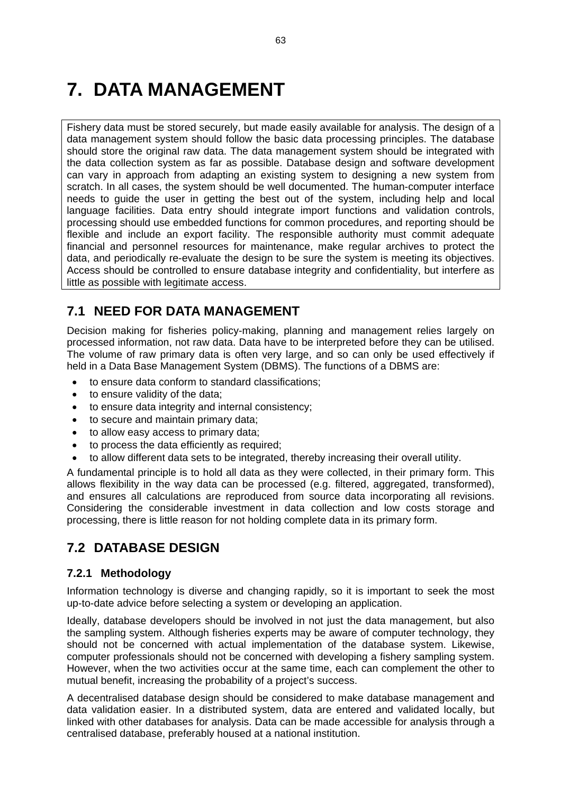# **7. DATA MANAGEMENT**

Fishery data must be stored securely, but made easily available for analysis. The design of a data management system should follow the basic data processing principles. The database should store the original raw data. The data management system should be integrated with the data collection system as far as possible. Database design and software development can vary in approach from adapting an existing system to designing a new system from scratch. In all cases, the system should be well documented. The human-computer interface needs to guide the user in getting the best out of the system, including help and local language facilities. Data entry should integrate import functions and validation controls, processing should use embedded functions for common procedures, and reporting should be flexible and include an export facility. The responsible authority must commit adequate financial and personnel resources for maintenance, make regular archives to protect the data, and periodically re-evaluate the design to be sure the system is meeting its objectives. Access should be controlled to ensure database integrity and confidentiality, but interfere as little as possible with legitimate access.

# **7.1 NEED FOR DATA MANAGEMENT**

Decision making for fisheries policy-making, planning and management relies largely on processed information, not raw data. Data have to be interpreted before they can be utilised. The volume of raw primary data is often very large, and so can only be used effectively if held in a Data Base Management System (DBMS). The functions of a DBMS are:

- to ensure data conform to standard classifications;
- to ensure validity of the data;
- to ensure data integrity and internal consistency;
- to secure and maintain primary data;
- to allow easy access to primary data;
- to process the data efficiently as required;
- to allow different data sets to be integrated, thereby increasing their overall utility.

A fundamental principle is to hold all data as they were collected, in their primary form. This allows flexibility in the way data can be processed (e.g. filtered, aggregated, transformed), and ensures all calculations are reproduced from source data incorporating all revisions. Considering the considerable investment in data collection and low costs storage and processing, there is little reason for not holding complete data in its primary form.

# **7.2 DATABASE DESIGN**

# **7.2.1 Methodology**

Information technology is diverse and changing rapidly, so it is important to seek the most up-to-date advice before selecting a system or developing an application.

Ideally, database developers should be involved in not just the data management, but also the sampling system. Although fisheries experts may be aware of computer technology, they should not be concerned with actual implementation of the database system. Likewise, computer professionals should not be concerned with developing a fishery sampling system. However, when the two activities occur at the same time, each can complement the other to mutual benefit, increasing the probability of a project's success.

A decentralised database design should be considered to make database management and data validation easier. In a distributed system, data are entered and validated locally, but linked with other databases for analysis. Data can be made accessible for analysis through a centralised database, preferably housed at a national institution.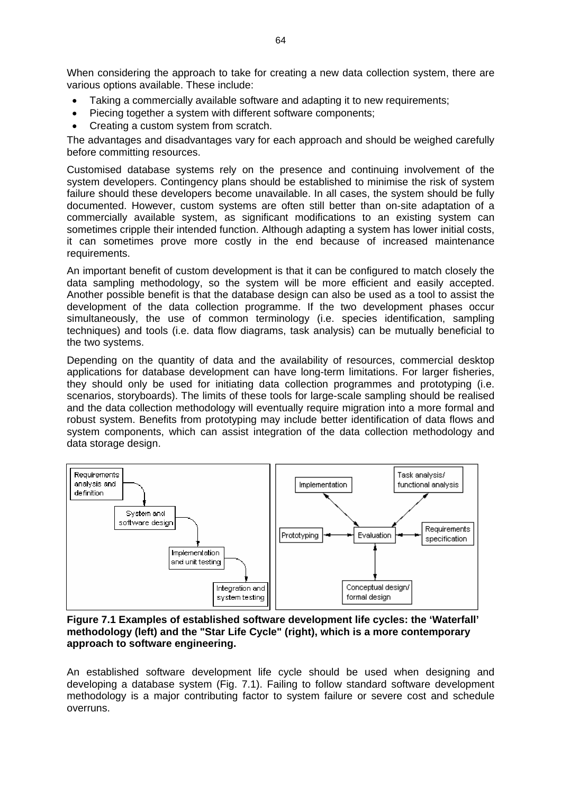When considering the approach to take for creating a new data collection system, there are various options available. These include:

- Taking a commercially available software and adapting it to new requirements;
- Piecing together a system with different software components;
- Creating a custom system from scratch.

The advantages and disadvantages vary for each approach and should be weighed carefully before committing resources.

Customised database systems rely on the presence and continuing involvement of the system developers. Contingency plans should be established to minimise the risk of system failure should these developers become unavailable. In all cases, the system should be fully documented. However, custom systems are often still better than on-site adaptation of a commercially available system, as significant modifications to an existing system can sometimes cripple their intended function. Although adapting a system has lower initial costs, it can sometimes prove more costly in the end because of increased maintenance requirements.

An important benefit of custom development is that it can be configured to match closely the data sampling methodology, so the system will be more efficient and easily accepted. Another possible benefit is that the database design can also be used as a tool to assist the development of the data collection programme. If the two development phases occur simultaneously, the use of common terminology (i.e. species identification, sampling techniques) and tools (i.e. data flow diagrams, task analysis) can be mutually beneficial to the two systems.

Depending on the quantity of data and the availability of resources, commercial desktop applications for database development can have long-term limitations. For larger fisheries, they should only be used for initiating data collection programmes and prototyping (i.e. scenarios, storyboards). The limits of these tools for large-scale sampling should be realised and the data collection methodology will eventually require migration into a more formal and robust system. Benefits from prototyping may include better identification of data flows and system components, which can assist integration of the data collection methodology and data storage design.



**Figure 7.1 Examples of established software development life cycles: the 'Waterfall' methodology (left) and the "Star Life Cycle" (right), which is a more contemporary approach to software engineering.** 

An established software development life cycle should be used when designing and developing a database system (Fig. 7.1). Failing to follow standard software development methodology is a major contributing factor to system failure or severe cost and schedule overruns.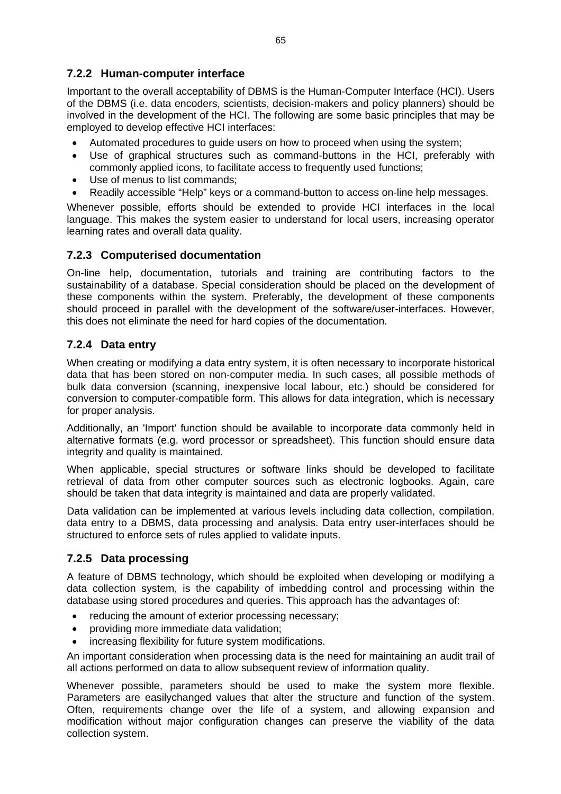## **7.2.2 Human-computer interface**

Important to the overall acceptability of DBMS is the Human-Computer Interface (HCI). Users of the DBMS (i.e. data encoders, scientists, decision-makers and policy planners) should be involved in the development of the HCI. The following are some basic principles that may be employed to develop effective HCI interfaces:

- Automated procedures to guide users on how to proceed when using the system;
- Use of graphical structures such as command-buttons in the HCI, preferably with commonly applied icons, to facilitate access to frequently used functions;
- Use of menus to list commands;
- Readily accessible "Help" keys or a command-button to access on-line help messages.

Whenever possible, efforts should be extended to provide HCI interfaces in the local language. This makes the system easier to understand for local users, increasing operator learning rates and overall data quality.

## **7.2.3 Computerised documentation**

On-line help, documentation, tutorials and training are contributing factors to the sustainability of a database. Special consideration should be placed on the development of these components within the system. Preferably, the development of these components should proceed in parallel with the development of the software/user-interfaces. However, this does not eliminate the need for hard copies of the documentation.

## **7.2.4 Data entry**

When creating or modifying a data entry system, it is often necessary to incorporate historical data that has been stored on non-computer media. In such cases, all possible methods of bulk data conversion (scanning, inexpensive local labour, etc.) should be considered for conversion to computer-compatible form. This allows for data integration, which is necessary for proper analysis.

Additionally, an 'Import' function should be available to incorporate data commonly held in alternative formats (e.g. word processor or spreadsheet). This function should ensure data integrity and quality is maintained.

When applicable, special structures or software links should be developed to facilitate retrieval of data from other computer sources such as electronic logbooks. Again, care should be taken that data integrity is maintained and data are properly validated.

Data validation can be implemented at various levels including data collection, compilation, data entry to a DBMS, data processing and analysis. Data entry user-interfaces should be structured to enforce sets of rules applied to validate inputs.

## **7.2.5 Data processing**

A feature of DBMS technology, which should be exploited when developing or modifying a data collection system, is the capability of imbedding control and processing within the database using stored procedures and queries. This approach has the advantages of:

- reducing the amount of exterior processing necessary;
- providing more immediate data validation;
- increasing flexibility for future system modifications.

An important consideration when processing data is the need for maintaining an audit trail of all actions performed on data to allow subsequent review of information quality.

Whenever possible, parameters should be used to make the system more flexible. Parameters are easilychanged values that alter the structure and function of the system. Often, requirements change over the life of a system, and allowing expansion and modification without major configuration changes can preserve the viability of the data collection system.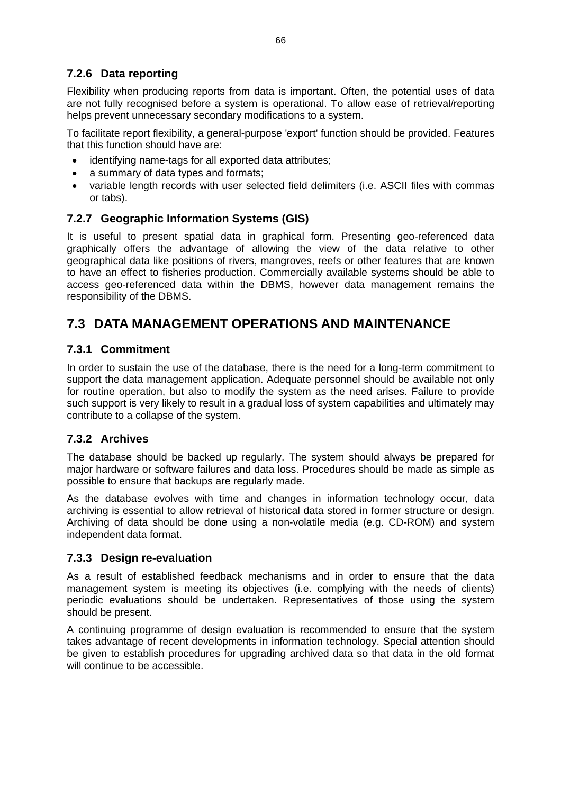## **7.2.6 Data reporting**

Flexibility when producing reports from data is important. Often, the potential uses of data are not fully recognised before a system is operational. To allow ease of retrieval/reporting helps prevent unnecessary secondary modifications to a system.

To facilitate report flexibility, a general-purpose 'export' function should be provided. Features that this function should have are:

- identifying name-tags for all exported data attributes;
- a summary of data types and formats;
- variable length records with user selected field delimiters (i.e. ASCII files with commas or tabs).

## **7.2.7 Geographic Information Systems (GIS)**

It is useful to present spatial data in graphical form. Presenting geo-referenced data graphically offers the advantage of allowing the view of the data relative to other geographical data like positions of rivers, mangroves, reefs or other features that are known to have an effect to fisheries production. Commercially available systems should be able to access geo-referenced data within the DBMS, however data management remains the responsibility of the DBMS.

## **7.3 DATA MANAGEMENT OPERATIONS AND MAINTENANCE**

## **7.3.1 Commitment**

In order to sustain the use of the database, there is the need for a long-term commitment to support the data management application. Adequate personnel should be available not only for routine operation, but also to modify the system as the need arises. Failure to provide such support is very likely to result in a gradual loss of system capabilities and ultimately may contribute to a collapse of the system.

## **7.3.2 Archives**

The database should be backed up regularly. The system should always be prepared for major hardware or software failures and data loss. Procedures should be made as simple as possible to ensure that backups are regularly made.

As the database evolves with time and changes in information technology occur, data archiving is essential to allow retrieval of historical data stored in former structure or design. Archiving of data should be done using a non-volatile media (e.g. CD-ROM) and system independent data format.

### **7.3.3 Design re-evaluation**

As a result of established feedback mechanisms and in order to ensure that the data management system is meeting its objectives (i.e. complying with the needs of clients) periodic evaluations should be undertaken. Representatives of those using the system should be present.

A continuing programme of design evaluation is recommended to ensure that the system takes advantage of recent developments in information technology. Special attention should be given to establish procedures for upgrading archived data so that data in the old format will continue to be accessible.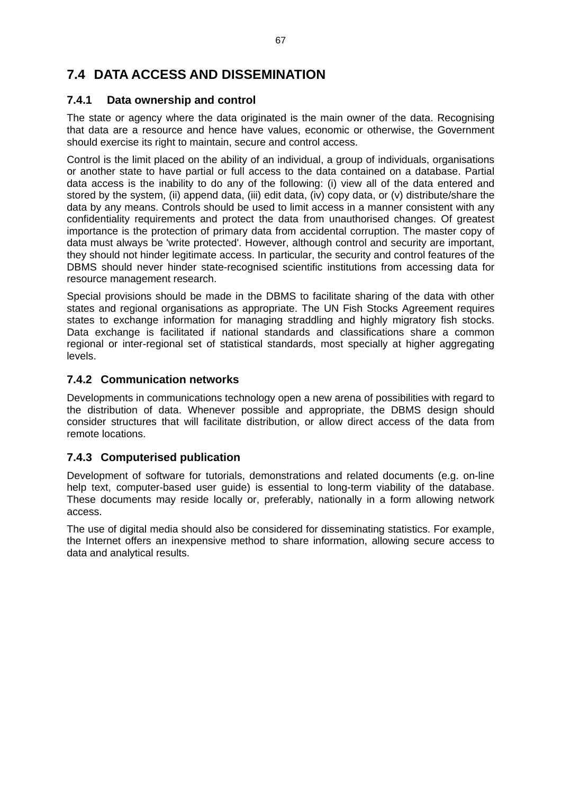## **7.4 DATA ACCESS AND DISSEMINATION**

## **7.4.1 Data ownership and control**

The state or agency where the data originated is the main owner of the data. Recognising that data are a resource and hence have values, economic or otherwise, the Government should exercise its right to maintain, secure and control access.

Control is the limit placed on the ability of an individual, a group of individuals, organisations or another state to have partial or full access to the data contained on a database. Partial data access is the inability to do any of the following: (i) view all of the data entered and stored by the system, (ii) append data, (iii) edit data, (iv) copy data, or (v) distribute/share the data by any means. Controls should be used to limit access in a manner consistent with any confidentiality requirements and protect the data from unauthorised changes. Of greatest importance is the protection of primary data from accidental corruption. The master copy of data must always be 'write protected'. However, although control and security are important, they should not hinder legitimate access. In particular, the security and control features of the DBMS should never hinder state-recognised scientific institutions from accessing data for resource management research.

Special provisions should be made in the DBMS to facilitate sharing of the data with other states and regional organisations as appropriate. The UN Fish Stocks Agreement requires states to exchange information for managing straddling and highly migratory fish stocks. Data exchange is facilitated if national standards and classifications share a common regional or inter-regional set of statistical standards, most specially at higher aggregating levels.

## **7.4.2 Communication networks**

Developments in communications technology open a new arena of possibilities with regard to the distribution of data. Whenever possible and appropriate, the DBMS design should consider structures that will facilitate distribution, or allow direct access of the data from remote locations.

## **7.4.3 Computerised publication**

Development of software for tutorials, demonstrations and related documents (e.g. on-line help text, computer-based user guide) is essential to long-term viability of the database. These documents may reside locally or, preferably, nationally in a form allowing network access.

The use of digital media should also be considered for disseminating statistics. For example, the Internet offers an inexpensive method to share information, allowing secure access to data and analytical results.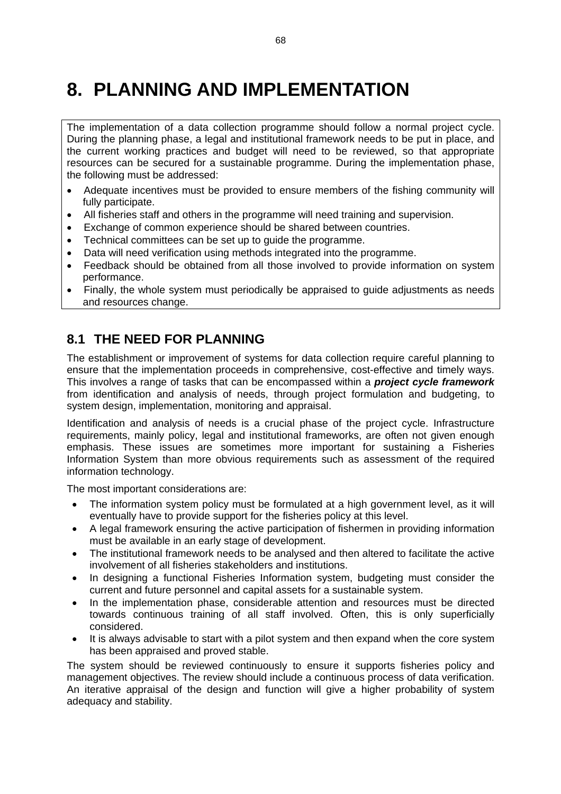# **8. PLANNING AND IMPLEMENTATION**

The implementation of a data collection programme should follow a normal project cycle. During the planning phase, a legal and institutional framework needs to be put in place, and the current working practices and budget will need to be reviewed, so that appropriate resources can be secured for a sustainable programme. During the implementation phase, the following must be addressed:

- Adequate incentives must be provided to ensure members of the fishing community will fully participate.
- All fisheries staff and others in the programme will need training and supervision.
- Exchange of common experience should be shared between countries.
- Technical committees can be set up to guide the programme.
- Data will need verification using methods integrated into the programme.
- Feedback should be obtained from all those involved to provide information on system performance.
- Finally, the whole system must periodically be appraised to guide adjustments as needs and resources change.

## **8.1 THE NEED FOR PLANNING**

The establishment or improvement of systems for data collection require careful planning to ensure that the implementation proceeds in comprehensive, cost-effective and timely ways. This involves a range of tasks that can be encompassed within a *project cycle framework* from identification and analysis of needs, through project formulation and budgeting, to system design, implementation, monitoring and appraisal.

Identification and analysis of needs is a crucial phase of the project cycle. Infrastructure requirements, mainly policy, legal and institutional frameworks, are often not given enough emphasis. These issues are sometimes more important for sustaining a Fisheries Information System than more obvious requirements such as assessment of the required information technology.

The most important considerations are:

- The information system policy must be formulated at a high government level, as it will eventually have to provide support for the fisheries policy at this level.
- A legal framework ensuring the active participation of fishermen in providing information must be available in an early stage of development.
- The institutional framework needs to be analysed and then altered to facilitate the active involvement of all fisheries stakeholders and institutions.
- In designing a functional Fisheries Information system, budgeting must consider the current and future personnel and capital assets for a sustainable system.
- In the implementation phase, considerable attention and resources must be directed towards continuous training of all staff involved. Often, this is only superficially considered.
- It is always advisable to start with a pilot system and then expand when the core system has been appraised and proved stable.

The system should be reviewed continuously to ensure it supports fisheries policy and management objectives. The review should include a continuous process of data verification. An iterative appraisal of the design and function will give a higher probability of system adequacy and stability.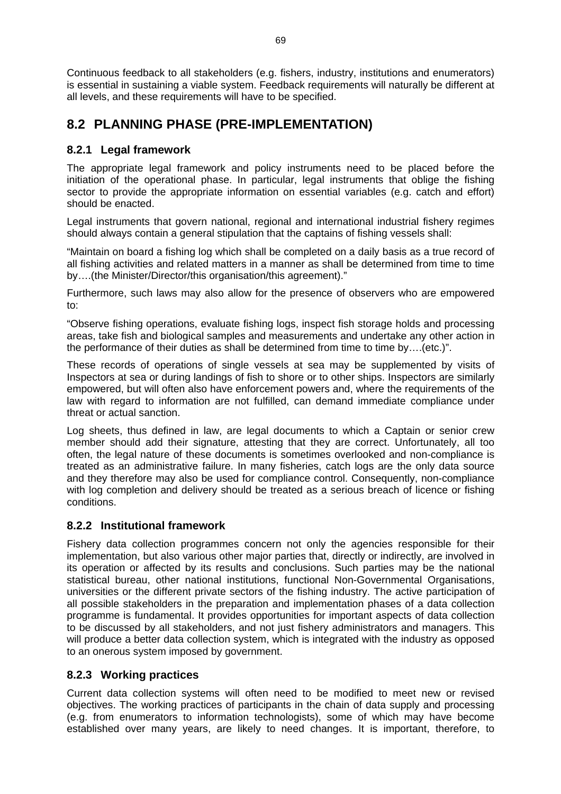Continuous feedback to all stakeholders (e.g. fishers, industry, institutions and enumerators) is essential in sustaining a viable system. Feedback requirements will naturally be different at all levels, and these requirements will have to be specified.

## **8.2 PLANNING PHASE (PRE-IMPLEMENTATION)**

## **8.2.1 Legal framework**

The appropriate legal framework and policy instruments need to be placed before the initiation of the operational phase. In particular, legal instruments that oblige the fishing sector to provide the appropriate information on essential variables (e.g. catch and effort) should be enacted.

Legal instruments that govern national, regional and international industrial fishery regimes should always contain a general stipulation that the captains of fishing vessels shall:

"Maintain on board a fishing log which shall be completed on a daily basis as a true record of all fishing activities and related matters in a manner as shall be determined from time to time by….(the Minister/Director/this organisation/this agreement)."

Furthermore, such laws may also allow for the presence of observers who are empowered to:

"Observe fishing operations, evaluate fishing logs, inspect fish storage holds and processing areas, take fish and biological samples and measurements and undertake any other action in the performance of their duties as shall be determined from time to time by….(etc.)".

These records of operations of single vessels at sea may be supplemented by visits of Inspectors at sea or during landings of fish to shore or to other ships. Inspectors are similarly empowered, but will often also have enforcement powers and, where the requirements of the law with regard to information are not fulfilled, can demand immediate compliance under threat or actual sanction.

Log sheets, thus defined in law, are legal documents to which a Captain or senior crew member should add their signature, attesting that they are correct. Unfortunately, all too often, the legal nature of these documents is sometimes overlooked and non-compliance is treated as an administrative failure. In many fisheries, catch logs are the only data source and they therefore may also be used for compliance control. Consequently, non-compliance with log completion and delivery should be treated as a serious breach of licence or fishing conditions.

## **8.2.2 Institutional framework**

Fishery data collection programmes concern not only the agencies responsible for their implementation, but also various other major parties that, directly or indirectly, are involved in its operation or affected by its results and conclusions. Such parties may be the national statistical bureau, other national institutions, functional Non-Governmental Organisations, universities or the different private sectors of the fishing industry. The active participation of all possible stakeholders in the preparation and implementation phases of a data collection programme is fundamental. It provides opportunities for important aspects of data collection to be discussed by all stakeholders, and not just fishery administrators and managers. This will produce a better data collection system, which is integrated with the industry as opposed to an onerous system imposed by government.

## **8.2.3 Working practices**

Current data collection systems will often need to be modified to meet new or revised objectives. The working practices of participants in the chain of data supply and processing (e.g. from enumerators to information technologists), some of which may have become established over many years, are likely to need changes. It is important, therefore, to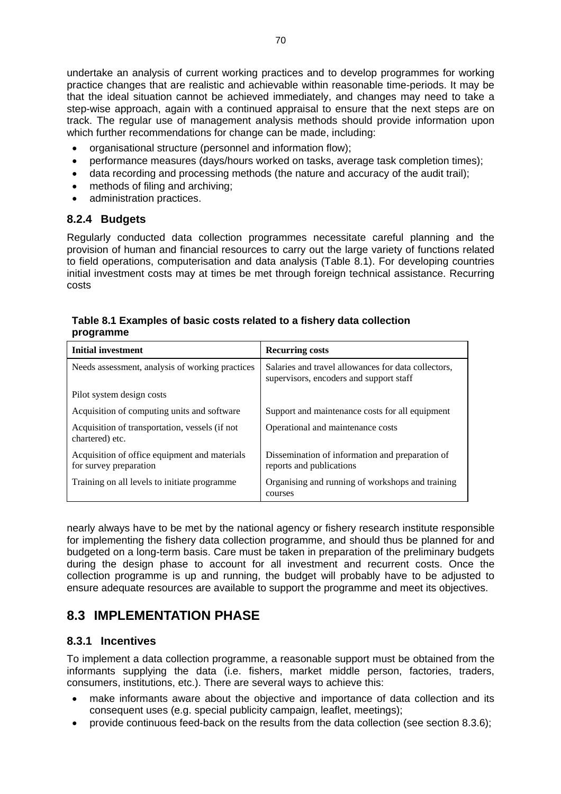undertake an analysis of current working practices and to develop programmes for working practice changes that are realistic and achievable within reasonable time-periods. It may be that the ideal situation cannot be achieved immediately, and changes may need to take a step-wise approach, again with a continued appraisal to ensure that the next steps are on track. The regular use of management analysis methods should provide information upon which further recommendations for change can be made, including:

- organisational structure (personnel and information flow);
- performance measures (days/hours worked on tasks, average task completion times);
- data recording and processing methods (the nature and accuracy of the audit trail);
- methods of filing and archiving;
- administration practices.

## **8.2.4 Budgets**

Regularly conducted data collection programmes necessitate careful planning and the provision of human and financial resources to carry out the large variety of functions related to field operations, computerisation and data analysis (Table 8.1). For developing countries initial investment costs may at times be met through foreign technical assistance. Recurring costs

| Table 8.1 Examples of basic costs related to a fishery data collection |  |
|------------------------------------------------------------------------|--|
| programme                                                              |  |
|                                                                        |  |

| <b>Initial investment</b>                                               | <b>Recurring costs</b>                                                                         |
|-------------------------------------------------------------------------|------------------------------------------------------------------------------------------------|
| Needs assessment, analysis of working practices                         | Salaries and travel allowances for data collectors,<br>supervisors, encoders and support staff |
| Pilot system design costs                                               |                                                                                                |
| Acquisition of computing units and software                             | Support and maintenance costs for all equipment                                                |
| Acquisition of transportation, vessels (if not<br>chartered) etc.       | Operational and maintenance costs                                                              |
| Acquisition of office equipment and materials<br>for survey preparation | Dissemination of information and preparation of<br>reports and publications                    |
| Training on all levels to initiate programme.                           | Organising and running of workshops and training<br>courses                                    |

nearly always have to be met by the national agency or fishery research institute responsible for implementing the fishery data collection programme, and should thus be planned for and budgeted on a long-term basis. Care must be taken in preparation of the preliminary budgets during the design phase to account for all investment and recurrent costs. Once the collection programme is up and running, the budget will probably have to be adjusted to ensure adequate resources are available to support the programme and meet its objectives.

## **8.3 IMPLEMENTATION PHASE**

## **8.3.1 Incentives**

To implement a data collection programme, a reasonable support must be obtained from the informants supplying the data (i.e. fishers, market middle person, factories, traders, consumers, institutions, etc.). There are several ways to achieve this:

- make informants aware about the objective and importance of data collection and its consequent uses (e.g. special publicity campaign, leaflet, meetings);
- provide continuous feed-back on the results from the data collection (see section 8.3.6);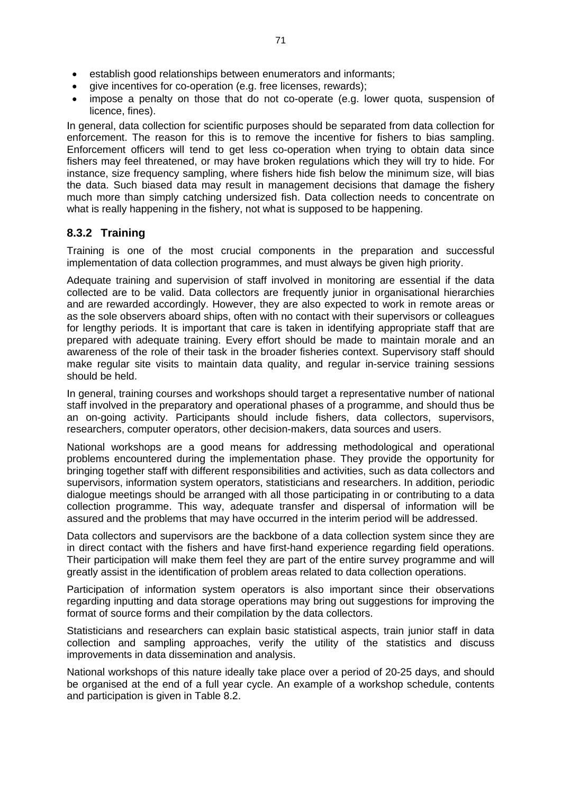- establish good relationships between enumerators and informants;
- give incentives for co-operation (e.g. free licenses, rewards);
- impose a penalty on those that do not co-operate (e.g. lower quota, suspension of licence, fines).

In general, data collection for scientific purposes should be separated from data collection for enforcement. The reason for this is to remove the incentive for fishers to bias sampling. Enforcement officers will tend to get less co-operation when trying to obtain data since fishers may feel threatened, or may have broken regulations which they will try to hide. For instance, size frequency sampling, where fishers hide fish below the minimum size, will bias the data. Such biased data may result in management decisions that damage the fishery much more than simply catching undersized fish. Data collection needs to concentrate on what is really happening in the fishery, not what is supposed to be happening.

### **8.3.2 Training**

Training is one of the most crucial components in the preparation and successful implementation of data collection programmes, and must always be given high priority.

Adequate training and supervision of staff involved in monitoring are essential if the data collected are to be valid. Data collectors are frequently junior in organisational hierarchies and are rewarded accordingly. However, they are also expected to work in remote areas or as the sole observers aboard ships, often with no contact with their supervisors or colleagues for lengthy periods. It is important that care is taken in identifying appropriate staff that are prepared with adequate training. Every effort should be made to maintain morale and an awareness of the role of their task in the broader fisheries context. Supervisory staff should make regular site visits to maintain data quality, and regular in-service training sessions should be held.

In general, training courses and workshops should target a representative number of national staff involved in the preparatory and operational phases of a programme, and should thus be an on-going activity. Participants should include fishers, data collectors, supervisors, researchers, computer operators, other decision-makers, data sources and users.

National workshops are a good means for addressing methodological and operational problems encountered during the implementation phase. They provide the opportunity for bringing together staff with different responsibilities and activities, such as data collectors and supervisors, information system operators, statisticians and researchers. In addition, periodic dialogue meetings should be arranged with all those participating in or contributing to a data collection programme. This way, adequate transfer and dispersal of information will be assured and the problems that may have occurred in the interim period will be addressed.

Data collectors and supervisors are the backbone of a data collection system since they are in direct contact with the fishers and have first-hand experience regarding field operations. Their participation will make them feel they are part of the entire survey programme and will greatly assist in the identification of problem areas related to data collection operations.

Participation of information system operators is also important since their observations regarding inputting and data storage operations may bring out suggestions for improving the format of source forms and their compilation by the data collectors.

Statisticians and researchers can explain basic statistical aspects, train junior staff in data collection and sampling approaches, verify the utility of the statistics and discuss improvements in data dissemination and analysis.

National workshops of this nature ideally take place over a period of 20-25 days, and should be organised at the end of a full year cycle. An example of a workshop schedule, contents and participation is given in Table 8.2.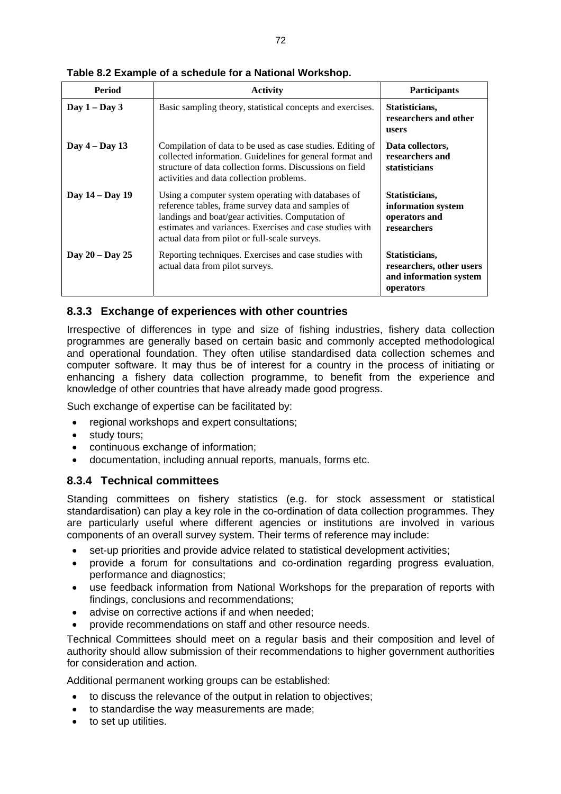| Period            | <b>Activity</b>                                                                                                                                                                                                                                                             | <b>Participants</b>                                                               |
|-------------------|-----------------------------------------------------------------------------------------------------------------------------------------------------------------------------------------------------------------------------------------------------------------------------|-----------------------------------------------------------------------------------|
| Day $1 - Day 3$   | Basic sampling theory, statistical concepts and exercises.                                                                                                                                                                                                                  | Statisticians,<br>researchers and other<br>users                                  |
| Day $4 - Day 13$  | Compilation of data to be used as case studies. Editing of<br>collected information. Guidelines for general format and<br>structure of data collection forms. Discussions on field<br>activities and data collection problems.                                              | Data collectors,<br>researchers and<br>statisticians                              |
| Day 14 – Day 19   | Using a computer system operating with databases of<br>reference tables, frame survey data and samples of<br>landings and boat/gear activities. Computation of<br>estimates and variances. Exercises and case studies with<br>actual data from pilot or full-scale surveys. | Statisticians,<br>information system<br>operators and<br>researchers              |
| Day $20 - Day 25$ | Reporting techniques. Exercises and case studies with<br>actual data from pilot surveys.                                                                                                                                                                                    | Statisticians,<br>researchers, other users<br>and information system<br>operators |

**Table 8.2 Example of a schedule for a National Workshop.** 

### **8.3.3 Exchange of experiences with other countries**

Irrespective of differences in type and size of fishing industries, fishery data collection programmes are generally based on certain basic and commonly accepted methodological and operational foundation. They often utilise standardised data collection schemes and computer software. It may thus be of interest for a country in the process of initiating or enhancing a fishery data collection programme, to benefit from the experience and knowledge of other countries that have already made good progress.

Such exchange of expertise can be facilitated by:

- regional workshops and expert consultations;
- study tours;
- continuous exchange of information;
- documentation, including annual reports, manuals, forms etc.

### **8.3.4 Technical committees**

Standing committees on fishery statistics (e.g. for stock assessment or statistical standardisation) can play a key role in the co-ordination of data collection programmes. They are particularly useful where different agencies or institutions are involved in various components of an overall survey system. Their terms of reference may include:

- set-up priorities and provide advice related to statistical development activities;
- provide a forum for consultations and co-ordination regarding progress evaluation, performance and diagnostics;
- use feedback information from National Workshops for the preparation of reports with findings, conclusions and recommendations;
- advise on corrective actions if and when needed;
- provide recommendations on staff and other resource needs.

Technical Committees should meet on a regular basis and their composition and level of authority should allow submission of their recommendations to higher government authorities for consideration and action.

Additional permanent working groups can be established:

- to discuss the relevance of the output in relation to objectives;
- to standardise the way measurements are made;
- to set up utilities.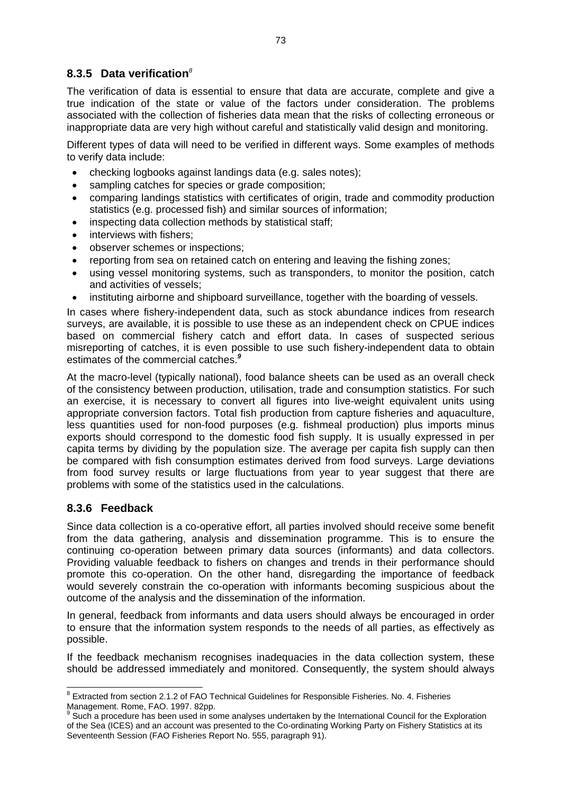## **8.3.5 Data verification***<sup>8</sup>*

The verification of data is essential to ensure that data are accurate, complete and give a true indication of the state or value of the factors under consideration. The problems associated with the collection of fisheries data mean that the risks of collecting erroneous or inappropriate data are very high without careful and statistically valid design and monitoring.

Different types of data will need to be verified in different ways. Some examples of methods to verify data include:

- checking logbooks against landings data (e.g. sales notes);
- sampling catches for species or grade composition;
- comparing landings statistics with certificates of origin, trade and commodity production statistics (e.g. processed fish) and similar sources of information;
- inspecting data collection methods by statistical staff:
- interviews with fishers:
- observer schemes or inspections;
- reporting from sea on retained catch on entering and leaving the fishing zones;
- using vessel monitoring systems, such as transponders, to monitor the position, catch and activities of vessels;
- instituting airborne and shipboard surveillance, together with the boarding of vessels.

In cases where fishery-independent data, such as stock abundance indices from research surveys, are available, it is possible to use these as an independent check on CPUE indices based on commercial fishery catch and effort data. In cases of suspected serious misreporting of catches, it is even possible to use such fishery-independent data to obtain estimates of the commercial catches.*<sup>9</sup>*

At the macro-level (typically national), food balance sheets can be used as an overall check of the consistency between production, utilisation, trade and consumption statistics. For such an exercise, it is necessary to convert all figures into live-weight equivalent units using appropriate conversion factors. Total fish production from capture fisheries and aquaculture, less quantities used for non-food purposes (e.g. fishmeal production) plus imports minus exports should correspond to the domestic food fish supply. It is usually expressed in per capita terms by dividing by the population size. The average per capita fish supply can then be compared with fish consumption estimates derived from food surveys. Large deviations from food survey results or large fluctuations from year to year suggest that there are problems with some of the statistics used in the calculations.

## **8.3.6 Feedback**

Since data collection is a co-operative effort, all parties involved should receive some benefit from the data gathering, analysis and dissemination programme. This is to ensure the continuing co-operation between primary data sources (informants) and data collectors. Providing valuable feedback to fishers on changes and trends in their performance should promote this co-operation. On the other hand, disregarding the importance of feedback would severely constrain the co-operation with informants becoming suspicious about the outcome of the analysis and the dissemination of the information.

In general, feedback from informants and data users should always be encouraged in order to ensure that the information system responds to the needs of all parties, as effectively as possible.

If the feedback mechanism recognises inadequacies in the data collection system, these should be addressed immediately and monitored. Consequently, the system should always

 8 Extracted from section 2.1.2 of FAO Technical Guidelines for Responsible Fisheries. No. 4. Fisheries Management. Rome, FAO. 1997. 82pp.

<sup>&</sup>lt;sup>9</sup> Such a procedure has been used in some analyses undertaken by the International Council for the Exploration of the Sea (ICES) and an account was presented to the Co-ordinating Working Party on Fishery Statistics at its Seventeenth Session (FAO Fisheries Report No. 555, paragraph 91).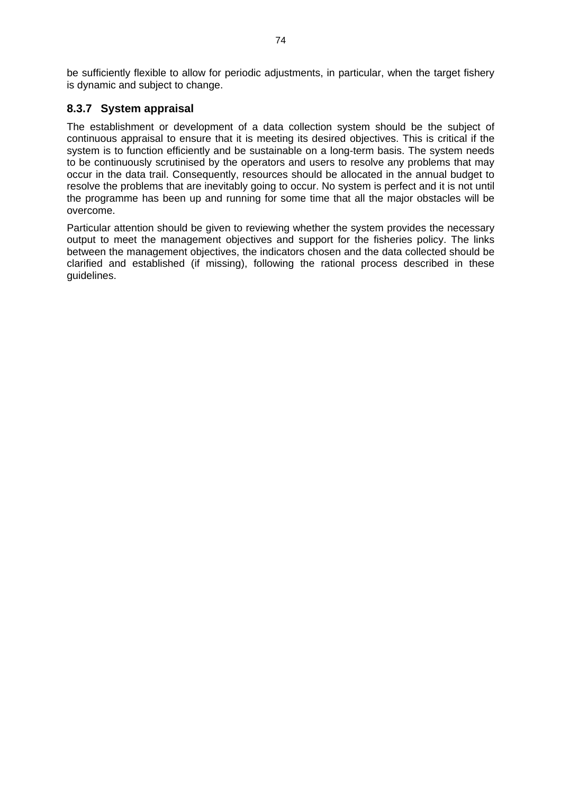be sufficiently flexible to allow for periodic adjustments, in particular, when the target fishery is dynamic and subject to change.

## **8.3.7 System appraisal**

The establishment or development of a data collection system should be the subject of continuous appraisal to ensure that it is meeting its desired objectives. This is critical if the system is to function efficiently and be sustainable on a long-term basis. The system needs to be continuously scrutinised by the operators and users to resolve any problems that may occur in the data trail. Consequently, resources should be allocated in the annual budget to resolve the problems that are inevitably going to occur. No system is perfect and it is not until the programme has been up and running for some time that all the major obstacles will be overcome.

Particular attention should be given to reviewing whether the system provides the necessary output to meet the management objectives and support for the fisheries policy. The links between the management objectives, the indicators chosen and the data collected should be clarified and established (if missing), following the rational process described in these guidelines.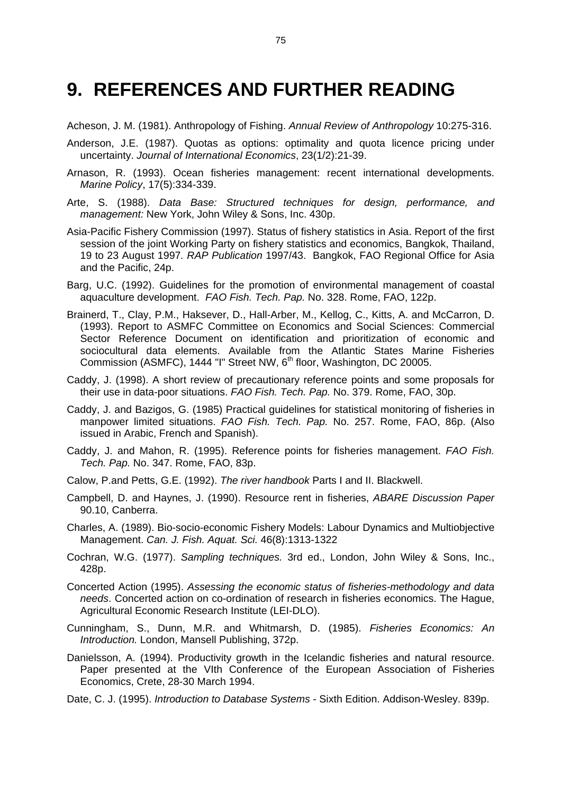## **9. REFERENCES AND FURTHER READING**

Acheson, J. M. (1981). Anthropology of Fishing. *Annual Review of Anthropology* 10:275-316.

- Anderson, J.E. (1987). Quotas as options: optimality and quota licence pricing under uncertainty. *Journal of International Economics*, 23(1/2):21-39.
- Arnason, R. (1993). Ocean fisheries management: recent international developments. *Marine Policy*, 17(5):334-339.
- Arte, S. (1988). *Data Base: Structured techniques for design, performance, and management:* New York, John Wiley & Sons, Inc. 430p.
- Asia-Pacific Fishery Commission (1997). Status of fishery statistics in Asia. Report of the first session of the joint Working Party on fishery statistics and economics, Bangkok, Thailand, 19 to 23 August 1997*. RAP Publication* 1997/43. Bangkok, FAO Regional Office for Asia and the Pacific, 24p.
- Barg, U.C. (1992). Guidelines for the promotion of environmental management of coastal aquaculture development. *FAO Fish. Tech. Pap.* No. 328. Rome, FAO, 122p.
- Brainerd, T., Clay, P.M., Haksever, D., Hall-Arber, M., Kellog, C., Kitts, A. and McCarron, D. (1993). Report to ASMFC Committee on Economics and Social Sciences: Commercial Sector Reference Document on identification and prioritization of economic and sociocultural data elements. Available from the Atlantic States Marine Fisheries Commission (ASMFC), 1444 "I" Street NW, 6<sup>th</sup> floor, Washington, DC 20005.
- Caddy, J. (1998). A short review of precautionary reference points and some proposals for their use in data-poor situations. *FAO Fish. Tech. Pap.* No. 379. Rome, FAO, 30p.
- Caddy, J. and Bazigos, G. (1985) Practical guidelines for statistical monitoring of fisheries in manpower limited situations. *FAO Fish. Tech. Pap.* No. 257. Rome, FAO, 86p. (Also issued in Arabic, French and Spanish).
- Caddy, J. and Mahon, R. (1995). Reference points for fisheries management. *FAO Fish. Tech. Pap.* No. 347. Rome, FAO, 83p.
- Calow, P.and Petts, G.E. (1992). *The river handbook* Parts I and II. Blackwell.
- Campbell, D. and Haynes, J. (1990). Resource rent in fisheries, *ABARE Discussion Paper* 90.10, Canberra.
- Charles, A. (1989). Bio-socio-economic Fishery Models: Labour Dynamics and Multiobjective Management. *Can. J. Fish. Aquat. Sci.* 46(8):1313-1322
- Cochran, W.G. (1977). *Sampling techniques.* 3rd ed., London, John Wiley & Sons, Inc., 428p.
- Concerted Action (1995). *Assessing the economic status of fisheries-methodology and data needs*. Concerted action on co-ordination of research in fisheries economics. The Hague, Agricultural Economic Research Institute (LEI-DLO).
- Cunningham, S., Dunn, M.R. and Whitmarsh, D. (1985). *Fisheries Economics: An Introduction.* London, Mansell Publishing, 372p.
- Danielsson, A. (1994). Productivity growth in the Icelandic fisheries and natural resource. Paper presented at the VIth Conference of the European Association of Fisheries Economics, Crete, 28-30 March 1994.
- Date, C. J. (1995). *Introduction to Database Systems* Sixth Edition. Addison-Wesley. 839p.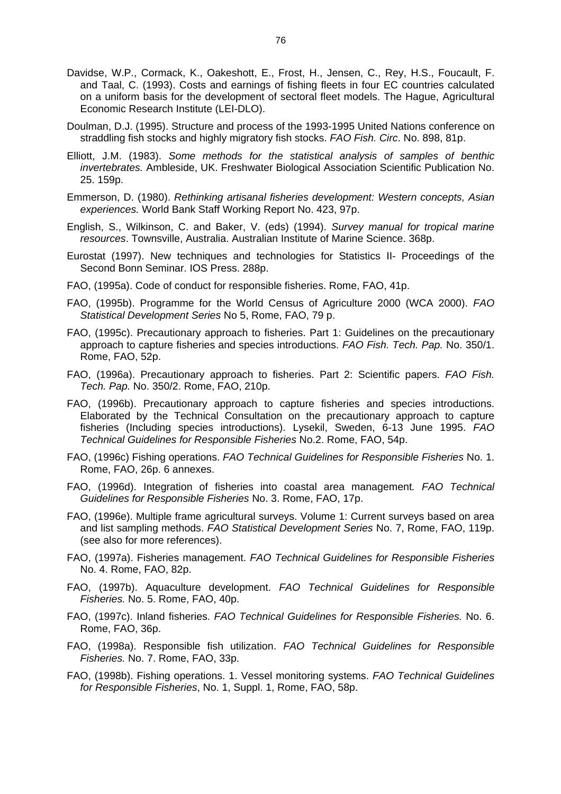- Davidse, W.P., Cormack, K., Oakeshott, E., Frost, H., Jensen, C., Rey, H.S., Foucault, F. and Taal, C. (1993). Costs and earnings of fishing fleets in four EC countries calculated on a uniform basis for the development of sectoral fleet models. The Hague, Agricultural Economic Research Institute (LEI-DLO).
- Doulman, D.J. (1995). Structure and process of the 1993-1995 United Nations conference on straddling fish stocks and highly migratory fish stocks. *FAO Fish. Circ*. No. 898, 81p.
- Elliott, J.M. (1983). *Some methods for the statistical analysis of samples of benthic invertebrates.* Ambleside, UK. Freshwater Biological Association Scientific Publication No. 25. 159p.
- Emmerson, D. (1980). *Rethinking artisanal fisheries development: Western concepts, Asian experiences.* World Bank Staff Working Report No. 423, 97p.
- English, S., Wilkinson, C. and Baker, V. (eds) (1994). *Survey manual for tropical marine resources*. Townsville, Australia. Australian Institute of Marine Science. 368p.
- Eurostat (1997). New techniques and technologies for Statistics II- Proceedings of the Second Bonn Seminar. IOS Press. 288p.
- FAO, (1995a). Code of conduct for responsible fisheries. Rome, FAO, 41p.
- FAO, (1995b). Programme for the World Census of Agriculture 2000 (WCA 2000). *FAO Statistical Development Series* No 5, Rome, FAO, 79 p.
- FAO, (1995c). Precautionary approach to fisheries. Part 1: Guidelines on the precautionary approach to capture fisheries and species introductions. *FAO Fish. Tech. Pap.* No. 350/1. Rome, FAO, 52p.
- FAO, (1996a). Precautionary approach to fisheries. Part 2: Scientific papers. *FAO Fish. Tech. Pap.* No. 350/2. Rome, FAO, 210p.
- FAO, (1996b). Precautionary approach to capture fisheries and species introductions. Elaborated by the Technical Consultation on the precautionary approach to capture fisheries (Including species introductions). Lysekil, Sweden, 6-13 June 1995. *FAO Technical Guidelines for Responsible Fisheries* No.2. Rome, FAO, 54p.
- FAO, (1996c) Fishing operations. *FAO Technical Guidelines for Responsible Fisheries* No. 1. Rome, FAO, 26p. 6 annexes.
- FAO, (1996d). Integration of fisheries into coastal area management*. FAO Technical Guidelines for Responsible Fisheries* No. 3. Rome, FAO, 17p.
- FAO, (1996e). Multiple frame agricultural surveys. Volume 1: Current surveys based on area and list sampling methods. *FAO Statistical Development Series* No. 7, Rome, FAO, 119p. (see also for more references).
- FAO, (1997a). Fisheries management. *FAO Technical Guidelines for Responsible Fisheries* No. 4. Rome, FAO, 82p.
- FAO, (1997b). Aquaculture development. *FAO Technical Guidelines for Responsible Fisheries.* No. 5. Rome, FAO, 40p.
- FAO, (1997c). Inland fisheries. *FAO Technical Guidelines for Responsible Fisheries.* No. 6. Rome, FAO, 36p.
- FAO, (1998a). Responsible fish utilization. *FAO Technical Guidelines for Responsible Fisheries.* No. 7. Rome, FAO, 33p.
- FAO, (1998b). Fishing operations. 1. Vessel monitoring systems. *FAO Technical Guidelines for Responsible Fisheries*, No. 1, Suppl. 1, Rome, FAO, 58p.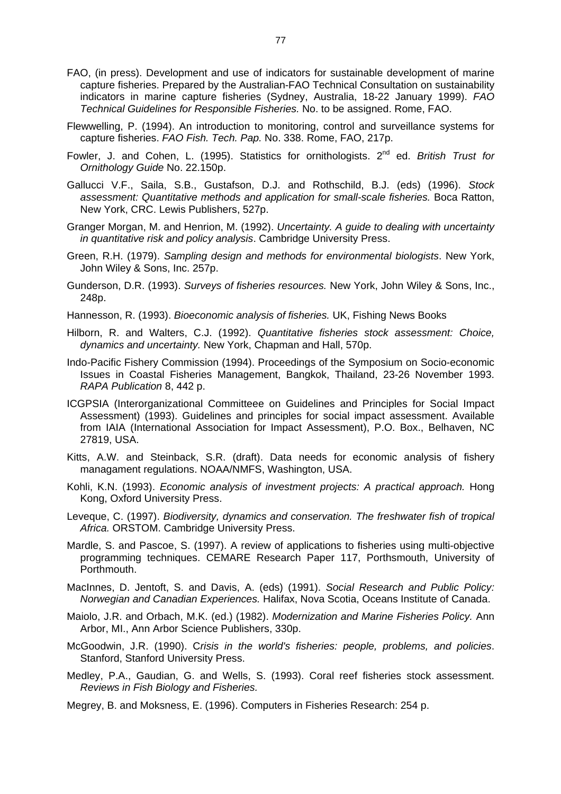- FAO, (in press). Development and use of indicators for sustainable development of marine capture fisheries. Prepared by the Australian-FAO Technical Consultation on sustainability indicators in marine capture fisheries (Sydney, Australia, 18-22 January 1999). *FAO Technical Guidelines for Responsible Fisheries.* No. to be assigned. Rome, FAO.
- Flewwelling, P. (1994). An introduction to monitoring, control and surveillance systems for capture fisheries. *FAO Fish. Tech. Pap.* No. 338. Rome, FAO, 217p.
- Fowler, J. and Cohen, L. (1995). Statistics for ornithologists. 2nd ed. *British Trust for Ornithology Guide* No. 22.150p.
- Gallucci V.F., Saila, S.B., Gustafson, D.J. and Rothschild, B.J. (eds) (1996). *Stock assessment: Quantitative methods and application for small-scale fisheries.* Boca Ratton, New York, CRC. Lewis Publishers, 527p.
- Granger Morgan, M. and Henrion, M. (1992). *Uncertainty. A guide to dealing with uncertainty in quantitative risk and policy analysis*. Cambridge University Press.
- Green, R.H. (1979). *Sampling design and methods for environmental biologists*. New York, John Wiley & Sons, Inc. 257p.
- Gunderson, D.R. (1993). *Surveys of fisheries resources.* New York, John Wiley & Sons, Inc., 248p.
- Hannesson, R. (1993). *Bioeconomic analysis of fisheries.* UK, Fishing News Books
- Hilborn, R. and Walters, C.J. (1992). *Quantitative fisheries stock assessment: Choice, dynamics and uncertainty.* New York, Chapman and Hall, 570p.
- Indo-Pacific Fishery Commission (1994). Proceedings of the Symposium on Socio-economic Issues in Coastal Fisheries Management, Bangkok, Thailand, 23-26 November 1993. *RAPA Publication* 8, 442 p.
- ICGPSIA (Interorganizational Committeee on Guidelines and Principles for Social Impact Assessment) (1993). Guidelines and principles for social impact assessment. Available from IAIA (International Association for Impact Assessment), P.O. Box., Belhaven, NC 27819, USA.
- Kitts, A.W. and Steinback, S.R. (draft). Data needs for economic analysis of fishery managament regulations. NOAA/NMFS, Washington, USA.
- Kohli, K.N. (1993). *Economic analysis of investment projects: A practical approach.* Hong Kong, Oxford University Press.
- Leveque, C. (1997). *Biodiversity, dynamics and conservation. The freshwater fish of tropical Africa.* ORSTOM. Cambridge University Press.
- Mardle, S. and Pascoe, S. (1997). A review of applications to fisheries using multi-objective programming techniques. CEMARE Research Paper 117, Porthsmouth, University of Porthmouth.
- MacInnes, D. Jentoft, S. and Davis, A. (eds) (1991). *Social Research and Public Policy: Norwegian and Canadian Experiences.* Halifax, Nova Scotia, Oceans Institute of Canada.
- Maiolo, J.R. and Orbach, M.K. (ed.) (1982). *Modernization and Marine Fisheries Policy.* Ann Arbor, MI., Ann Arbor Science Publishers, 330p.
- McGoodwin, J.R. (1990). C*risis in the world's fisheries: people, problems, and policies*. Stanford, Stanford University Press.
- Medley, P.A., Gaudian, G. and Wells, S. (1993). Coral reef fisheries stock assessment. *Reviews in Fish Biology and Fisheries.*
- Megrey, B. and Moksness, E. (1996). Computers in Fisheries Research: 254 p.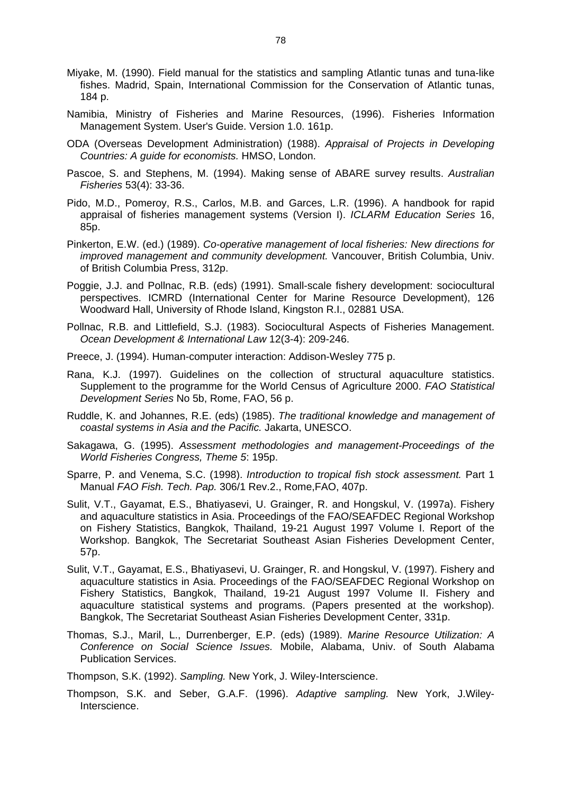- Miyake, M. (1990). Field manual for the statistics and sampling Atlantic tunas and tuna-like fishes. Madrid, Spain, International Commission for the Conservation of Atlantic tunas, 184 p.
- Namibia, Ministry of Fisheries and Marine Resources, (1996). Fisheries Information Management System. User's Guide. Version 1.0. 161p.
- ODA (Overseas Development Administration) (1988). *Appraisal of Projects in Developing Countries: A guide for economists.* HMSO, London.
- Pascoe, S. and Stephens, M. (1994). Making sense of ABARE survey results. *Australian Fisheries* 53(4): 33-36.
- Pido, M.D., Pomeroy, R.S., Carlos, M.B. and Garces, L.R. (1996). A handbook for rapid appraisal of fisheries management systems (Version I). *ICLARM Education Series* 16, 85p.
- Pinkerton, E.W. (ed.) (1989). *Co-operative management of local fisheries: New directions for improved management and community development.* Vancouver, British Columbia, Univ. of British Columbia Press, 312p.
- Poggie, J.J. and Pollnac, R.B. (eds) (1991). Small-scale fishery development: sociocultural perspectives. ICMRD (International Center for Marine Resource Development), 126 Woodward Hall, University of Rhode Island, Kingston R.I., 02881 USA.
- Pollnac, R.B. and Littlefield, S.J. (1983). Sociocultural Aspects of Fisheries Management. *Ocean Development & International Law* 12(3-4): 209-246.
- Preece, J. (1994). Human-computer interaction: Addison-Wesley 775 p.
- Rana, K.J. (1997). Guidelines on the collection of structural aquaculture statistics. Supplement to the programme for the World Census of Agriculture 2000. *FAO Statistical Development Series* No 5b, Rome, FAO, 56 p.
- Ruddle, K. and Johannes, R.E. (eds) (1985). *The traditional knowledge and management of coastal systems in Asia and the Pacific.* Jakarta, UNESCO.
- Sakagawa, G. (1995). *Assessment methodologies and management-Proceedings of the World Fisheries Congress, Theme 5*: 195p.
- Sparre, P. and Venema, S.C. (1998). *Introduction to tropical fish stock assessment.* Part 1 Manual *FAO Fish. Tech. Pap.* 306/1 Rev.2., Rome,FAO, 407p.
- Sulit, V.T., Gayamat, E.S., Bhatiyasevi, U. Grainger, R. and Hongskul, V. (1997a). Fishery and aquaculture statistics in Asia. Proceedings of the FAO/SEAFDEC Regional Workshop on Fishery Statistics, Bangkok, Thailand, 19-21 August 1997 Volume I. Report of the Workshop. Bangkok, The Secretariat Southeast Asian Fisheries Development Center, 57p.
- Sulit, V.T., Gayamat, E.S., Bhatiyasevi, U. Grainger, R. and Hongskul, V. (1997). Fishery and aquaculture statistics in Asia. Proceedings of the FAO/SEAFDEC Regional Workshop on Fishery Statistics, Bangkok, Thailand, 19-21 August 1997 Volume II. Fishery and aquaculture statistical systems and programs. (Papers presented at the workshop). Bangkok, The Secretariat Southeast Asian Fisheries Development Center, 331p.
- Thomas, S.J., Maril, L., Durrenberger, E.P. (eds) (1989). *Marine Resource Utilization: A Conference on Social Science Issues.* Mobile, Alabama, Univ. of South Alabama Publication Services.
- Thompson, S.K. (1992). *Sampling.* New York, J. Wiley-Interscience.
- Thompson, S.K. and Seber, G.A.F. (1996). *Adaptive sampling.* New York, J.Wiley-Interscience.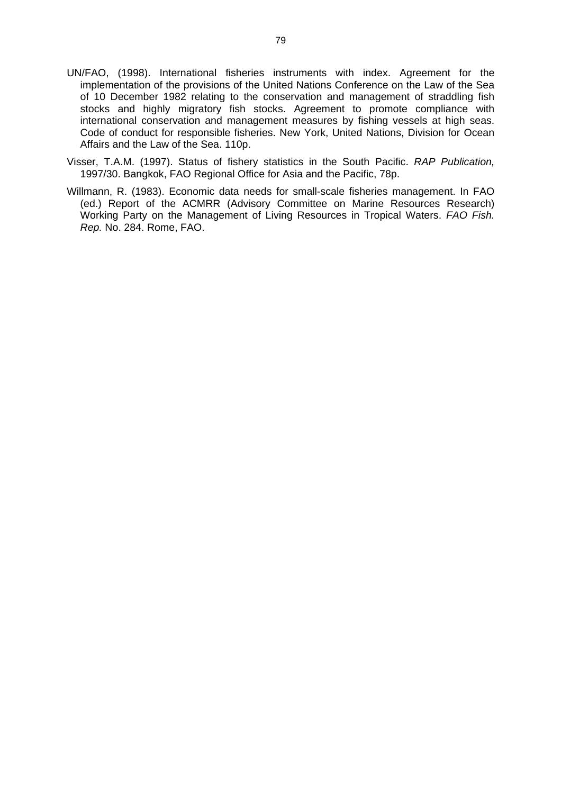- UN/FAO, (1998). International fisheries instruments with index. Agreement for the implementation of the provisions of the United Nations Conference on the Law of the Sea of 10 December 1982 relating to the conservation and management of straddling fish stocks and highly migratory fish stocks. Agreement to promote compliance with international conservation and management measures by fishing vessels at high seas. Code of conduct for responsible fisheries. New York, United Nations, Division for Ocean Affairs and the Law of the Sea. 110p.
- Visser, T.A.M. (1997). Status of fishery statistics in the South Pacific. *RAP Publication,* 1997/30. Bangkok, FAO Regional Office for Asia and the Pacific, 78p.
- Willmann, R. (1983). Economic data needs for small-scale fisheries management. In FAO (ed.) Report of the ACMRR (Advisory Committee on Marine Resources Research) Working Party on the Management of Living Resources in Tropical Waters. *FAO Fish. Rep.* No. 284. Rome, FAO.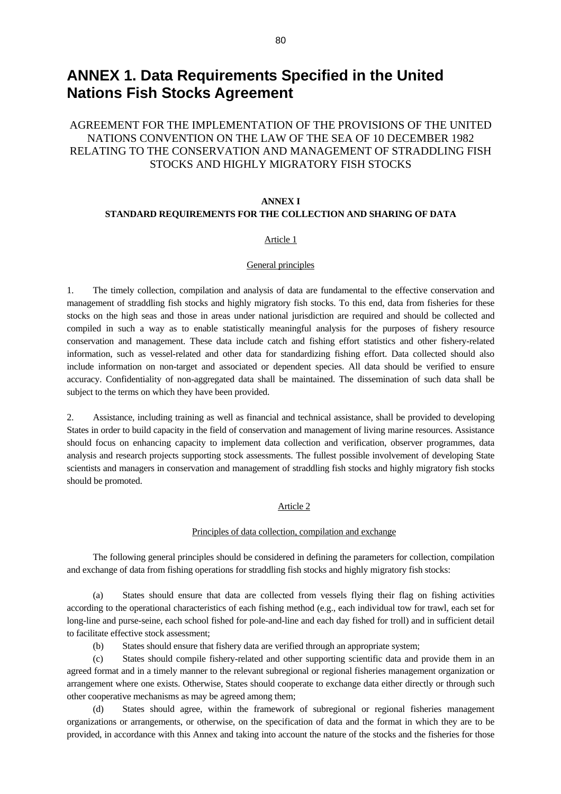## **ANNEX 1. Data Requirements Specified in the United Nations Fish Stocks Agreement**

### AGREEMENT FOR THE IMPLEMENTATION OF THE PROVISIONS OF THE UNITED NATIONS CONVENTION ON THE LAW OF THE SEA OF 10 DECEMBER 1982 RELATING TO THE CONSERVATION AND MANAGEMENT OF STRADDLING FISH STOCKS AND HIGHLY MIGRATORY FISH STOCKS

### **ANNEX I STANDARD REQUIREMENTS FOR THE COLLECTION AND SHARING OF DATA**

#### Article 1

#### General principles

1. The timely collection, compilation and analysis of data are fundamental to the effective conservation and management of straddling fish stocks and highly migratory fish stocks. To this end, data from fisheries for these stocks on the high seas and those in areas under national jurisdiction are required and should be collected and compiled in such a way as to enable statistically meaningful analysis for the purposes of fishery resource conservation and management. These data include catch and fishing effort statistics and other fishery-related information, such as vessel-related and other data for standardizing fishing effort. Data collected should also include information on non-target and associated or dependent species. All data should be verified to ensure accuracy. Confidentiality of non-aggregated data shall be maintained. The dissemination of such data shall be subject to the terms on which they have been provided.

2. Assistance, including training as well as financial and technical assistance, shall be provided to developing States in order to build capacity in the field of conservation and management of living marine resources. Assistance should focus on enhancing capacity to implement data collection and verification, observer programmes, data analysis and research projects supporting stock assessments. The fullest possible involvement of developing State scientists and managers in conservation and management of straddling fish stocks and highly migratory fish stocks should be promoted.

#### Article 2

#### Principles of data collection, compilation and exchange

 The following general principles should be considered in defining the parameters for collection, compilation and exchange of data from fishing operations for straddling fish stocks and highly migratory fish stocks:

 (a) States should ensure that data are collected from vessels flying their flag on fishing activities according to the operational characteristics of each fishing method (e.g., each individual tow for trawl, each set for long-line and purse-seine, each school fished for pole-and-line and each day fished for troll) and in sufficient detail to facilitate effective stock assessment;

(b) States should ensure that fishery data are verified through an appropriate system;

 (c) States should compile fishery-related and other supporting scientific data and provide them in an agreed format and in a timely manner to the relevant subregional or regional fisheries management organization or arrangement where one exists. Otherwise, States should cooperate to exchange data either directly or through such other cooperative mechanisms as may be agreed among them;

 (d) States should agree, within the framework of subregional or regional fisheries management organizations or arrangements, or otherwise, on the specification of data and the format in which they are to be provided, in accordance with this Annex and taking into account the nature of the stocks and the fisheries for those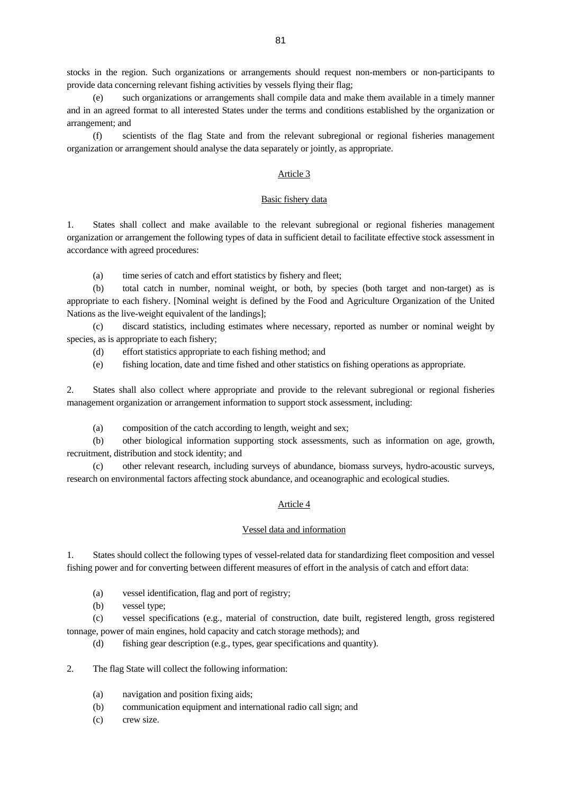stocks in the region. Such organizations or arrangements should request non-members or non-participants to provide data concerning relevant fishing activities by vessels flying their flag;

such organizations or arrangements shall compile data and make them available in a timely manner and in an agreed format to all interested States under the terms and conditions established by the organization or arrangement; and

 (f) scientists of the flag State and from the relevant subregional or regional fisheries management organization or arrangement should analyse the data separately or jointly, as appropriate.

#### Article 3

#### Basic fishery data

1. States shall collect and make available to the relevant subregional or regional fisheries management organization or arrangement the following types of data in sufficient detail to facilitate effective stock assessment in accordance with agreed procedures:

(a) time series of catch and effort statistics by fishery and fleet;

 (b) total catch in number, nominal weight, or both, by species (both target and non-target) as is appropriate to each fishery. [Nominal weight is defined by the Food and Agriculture Organization of the United Nations as the live-weight equivalent of the landings];

 (c) discard statistics, including estimates where necessary, reported as number or nominal weight by species, as is appropriate to each fishery;

- (d) effort statistics appropriate to each fishing method; and
- (e) fishing location, date and time fished and other statistics on fishing operations as appropriate.

2. States shall also collect where appropriate and provide to the relevant subregional or regional fisheries management organization or arrangement information to support stock assessment, including:

(a) composition of the catch according to length, weight and sex;

 (b) other biological information supporting stock assessments, such as information on age, growth, recruitment, distribution and stock identity; and

 (c) other relevant research, including surveys of abundance, biomass surveys, hydro-acoustic surveys, research on environmental factors affecting stock abundance, and oceanographic and ecological studies.

#### Article 4

#### Vessel data and information

1. States should collect the following types of vessel-related data for standardizing fleet composition and vessel fishing power and for converting between different measures of effort in the analysis of catch and effort data:

- (a) vessel identification, flag and port of registry;
- (b) vessel type;

 (c) vessel specifications (e.g., material of construction, date built, registered length, gross registered tonnage, power of main engines, hold capacity and catch storage methods); and

(d) fishing gear description (e.g., types, gear specifications and quantity).

2. The flag State will collect the following information:

- (a) navigation and position fixing aids;
- (b) communication equipment and international radio call sign; and
- (c) crew size.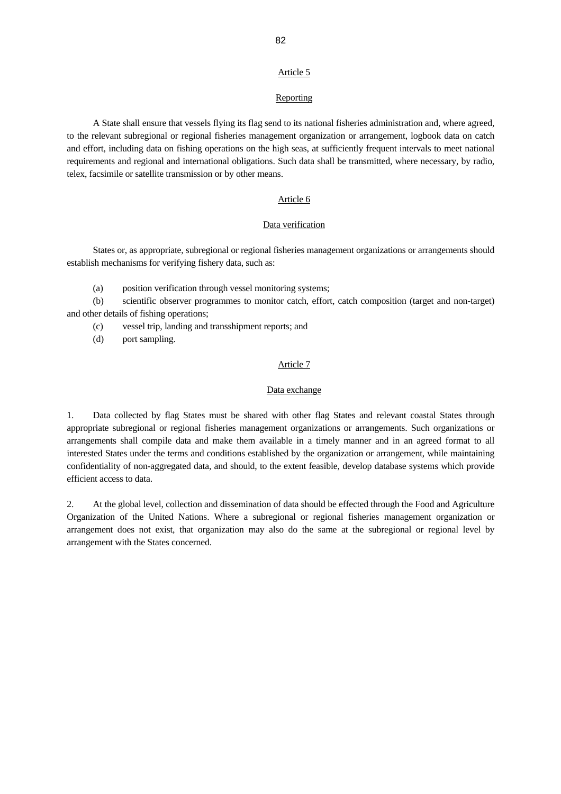#### Article 5

### **Reporting**

 A State shall ensure that vessels flying its flag send to its national fisheries administration and, where agreed, to the relevant subregional or regional fisheries management organization or arrangement, logbook data on catch and effort, including data on fishing operations on the high seas, at sufficiently frequent intervals to meet national requirements and regional and international obligations. Such data shall be transmitted, where necessary, by radio, telex, facsimile or satellite transmission or by other means.

#### Article 6

#### Data verification

 States or, as appropriate, subregional or regional fisheries management organizations or arrangements should establish mechanisms for verifying fishery data, such as:

(a) position verification through vessel monitoring systems;

 (b) scientific observer programmes to monitor catch, effort, catch composition (target and non-target) and other details of fishing operations;

- (c) vessel trip, landing and transshipment reports; and
- (d) port sampling.

#### Article 7

### Data exchange

1. Data collected by flag States must be shared with other flag States and relevant coastal States through appropriate subregional or regional fisheries management organizations or arrangements. Such organizations or arrangements shall compile data and make them available in a timely manner and in an agreed format to all interested States under the terms and conditions established by the organization or arrangement, while maintaining confidentiality of non-aggregated data, and should, to the extent feasible, develop database systems which provide efficient access to data.

2. At the global level, collection and dissemination of data should be effected through the Food and Agriculture Organization of the United Nations. Where a subregional or regional fisheries management organization or arrangement does not exist, that organization may also do the same at the subregional or regional level by arrangement with the States concerned.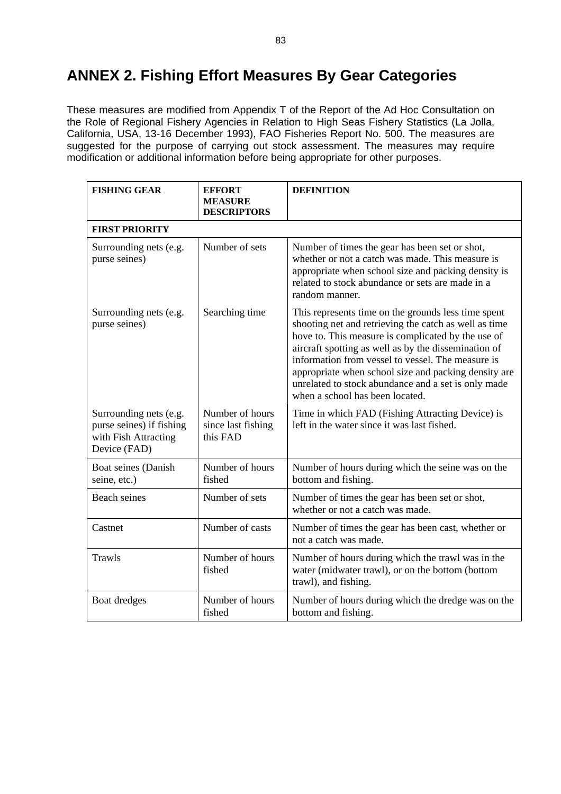## **ANNEX 2. Fishing Effort Measures By Gear Categories**

These measures are modified from Appendix T of the Report of the Ad Hoc Consultation on the Role of Regional Fishery Agencies in Relation to High Seas Fishery Statistics (La Jolla, California, USA, 13-16 December 1993), FAO Fisheries Report No. 500. The measures are suggested for the purpose of carrying out stock assessment. The measures may require modification or additional information before being appropriate for other purposes.

| <b>FISHING GEAR</b>                                                                        | <b>EFFORT</b><br><b>MEASURE</b><br><b>DESCRIPTORS</b> | <b>DEFINITION</b>                                                                                                                                                                                                                                                                                                                                                                                                                 |
|--------------------------------------------------------------------------------------------|-------------------------------------------------------|-----------------------------------------------------------------------------------------------------------------------------------------------------------------------------------------------------------------------------------------------------------------------------------------------------------------------------------------------------------------------------------------------------------------------------------|
| <b>FIRST PRIORITY</b>                                                                      |                                                       |                                                                                                                                                                                                                                                                                                                                                                                                                                   |
| Surrounding nets (e.g.<br>purse seines)                                                    | Number of sets                                        | Number of times the gear has been set or shot,<br>whether or not a catch was made. This measure is<br>appropriate when school size and packing density is<br>related to stock abundance or sets are made in a<br>random manner.                                                                                                                                                                                                   |
| Surrounding nets (e.g.<br>purse seines)                                                    | Searching time                                        | This represents time on the grounds less time spent<br>shooting net and retrieving the catch as well as time<br>hove to. This measure is complicated by the use of<br>aircraft spotting as well as by the dissemination of<br>information from vessel to vessel. The measure is<br>appropriate when school size and packing density are<br>unrelated to stock abundance and a set is only made<br>when a school has been located. |
| Surrounding nets (e.g.<br>purse seines) if fishing<br>with Fish Attracting<br>Device (FAD) | Number of hours<br>since last fishing<br>this FAD     | Time in which FAD (Fishing Attracting Device) is<br>left in the water since it was last fished.                                                                                                                                                                                                                                                                                                                                   |
| Boat seines (Danish<br>seine, etc.)                                                        | Number of hours<br>fished                             | Number of hours during which the seine was on the<br>bottom and fishing.                                                                                                                                                                                                                                                                                                                                                          |
| <b>Beach seines</b>                                                                        | Number of sets                                        | Number of times the gear has been set or shot,<br>whether or not a catch was made.                                                                                                                                                                                                                                                                                                                                                |
| Castnet                                                                                    | Number of casts                                       | Number of times the gear has been cast, whether or<br>not a catch was made.                                                                                                                                                                                                                                                                                                                                                       |
| <b>Trawls</b>                                                                              | Number of hours<br>fished                             | Number of hours during which the trawl was in the<br>water (midwater trawl), or on the bottom (bottom<br>trawl), and fishing.                                                                                                                                                                                                                                                                                                     |
| Boat dredges                                                                               | Number of hours<br>fished                             | Number of hours during which the dredge was on the<br>bottom and fishing.                                                                                                                                                                                                                                                                                                                                                         |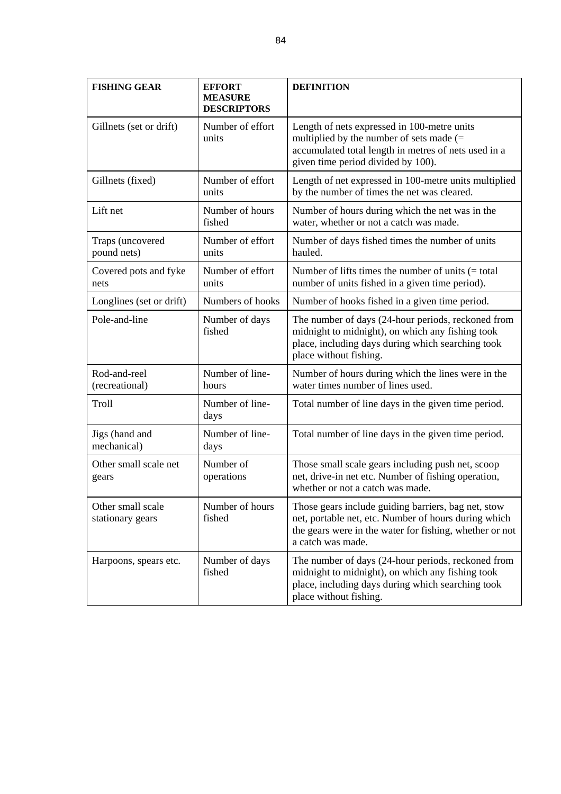| <b>FISHING GEAR</b>                   | <b>EFFORT</b><br><b>MEASURE</b><br><b>DESCRIPTORS</b> | <b>DEFINITION</b>                                                                                                                                                                           |
|---------------------------------------|-------------------------------------------------------|---------------------------------------------------------------------------------------------------------------------------------------------------------------------------------------------|
| Gillnets (set or drift)               | Number of effort<br>units                             | Length of nets expressed in 100-metre units<br>multiplied by the number of sets made $(=$<br>accumulated total length in metres of nets used in a<br>given time period divided by 100).     |
| Gillnets (fixed)                      | Number of effort<br>units                             | Length of net expressed in 100-metre units multiplied<br>by the number of times the net was cleared.                                                                                        |
| Lift net                              | Number of hours<br>fished                             | Number of hours during which the net was in the<br>water, whether or not a catch was made.                                                                                                  |
| Traps (uncovered<br>pound nets)       | Number of effort<br>units                             | Number of days fished times the number of units<br>hauled.                                                                                                                                  |
| Covered pots and fyke<br>nets         | Number of effort<br>units                             | Number of lifts times the number of units $(= total)$<br>number of units fished in a given time period).                                                                                    |
| Longlines (set or drift)              | Numbers of hooks                                      | Number of hooks fished in a given time period.                                                                                                                                              |
| Pole-and-line                         | Number of days<br>fished                              | The number of days (24-hour periods, reckoned from<br>midnight to midnight), on which any fishing took<br>place, including days during which searching took<br>place without fishing.       |
| Rod-and-reel<br>(recreational)        | Number of line-<br>hours                              | Number of hours during which the lines were in the<br>water times number of lines used.                                                                                                     |
| Troll                                 | Number of line-<br>days                               | Total number of line days in the given time period.                                                                                                                                         |
| Jigs (hand and<br>mechanical)         | Number of line-<br>days                               | Total number of line days in the given time period.                                                                                                                                         |
| Other small scale net<br>gears        | Number of<br>operations                               | Those small scale gears including push net, scoop<br>net, drive-in net etc. Number of fishing operation,<br>whether or not a catch was made.                                                |
| Other small scale<br>stationary gears | Number of hours<br>fished                             | Those gears include guiding barriers, bag net, stow<br>net, portable net, etc. Number of hours during which<br>the gears were in the water for fishing, whether or not<br>a catch was made. |
| Harpoons, spears etc.                 | Number of days<br>fished                              | The number of days (24-hour periods, reckoned from<br>midnight to midnight), on which any fishing took<br>place, including days during which searching took<br>place without fishing.       |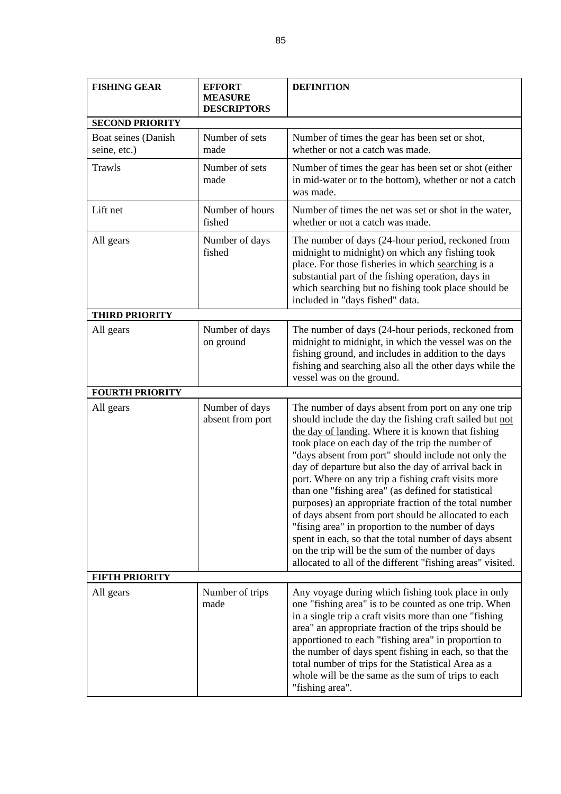| <b>FISHING GEAR</b>                 | <b>EFFORT</b><br><b>MEASURE</b><br><b>DESCRIPTORS</b> | <b>DEFINITION</b>                                                                                                                                                                                                                                                                                                                                                                                                                                                                                                                                                                                                                                                                                                                                                                                        |
|-------------------------------------|-------------------------------------------------------|----------------------------------------------------------------------------------------------------------------------------------------------------------------------------------------------------------------------------------------------------------------------------------------------------------------------------------------------------------------------------------------------------------------------------------------------------------------------------------------------------------------------------------------------------------------------------------------------------------------------------------------------------------------------------------------------------------------------------------------------------------------------------------------------------------|
| <b>SECOND PRIORITY</b>              |                                                       |                                                                                                                                                                                                                                                                                                                                                                                                                                                                                                                                                                                                                                                                                                                                                                                                          |
| Boat seines (Danish<br>seine, etc.) | Number of sets<br>made                                | Number of times the gear has been set or shot,<br>whether or not a catch was made.                                                                                                                                                                                                                                                                                                                                                                                                                                                                                                                                                                                                                                                                                                                       |
| Trawls                              | Number of sets<br>made                                | Number of times the gear has been set or shot (either<br>in mid-water or to the bottom), whether or not a catch<br>was made.                                                                                                                                                                                                                                                                                                                                                                                                                                                                                                                                                                                                                                                                             |
| Lift net                            | Number of hours<br>fished                             | Number of times the net was set or shot in the water,<br>whether or not a catch was made.                                                                                                                                                                                                                                                                                                                                                                                                                                                                                                                                                                                                                                                                                                                |
| All gears                           | Number of days<br>fished                              | The number of days (24-hour period, reckoned from<br>midnight to midnight) on which any fishing took<br>place. For those fisheries in which searching is a<br>substantial part of the fishing operation, days in<br>which searching but no fishing took place should be<br>included in "days fished" data.                                                                                                                                                                                                                                                                                                                                                                                                                                                                                               |
| <b>THIRD PRIORITY</b>               |                                                       |                                                                                                                                                                                                                                                                                                                                                                                                                                                                                                                                                                                                                                                                                                                                                                                                          |
| All gears                           | Number of days<br>on ground                           | The number of days (24-hour periods, reckoned from<br>midnight to midnight, in which the vessel was on the<br>fishing ground, and includes in addition to the days<br>fishing and searching also all the other days while the<br>vessel was on the ground.                                                                                                                                                                                                                                                                                                                                                                                                                                                                                                                                               |
| <b>FOURTH PRIORITY</b>              |                                                       |                                                                                                                                                                                                                                                                                                                                                                                                                                                                                                                                                                                                                                                                                                                                                                                                          |
| All gears                           | Number of days<br>absent from port                    | The number of days absent from port on any one trip<br>should include the day the fishing craft sailed but not<br>the day of landing. Where it is known that fishing<br>took place on each day of the trip the number of<br>"days absent from port" should include not only the<br>day of departure but also the day of arrival back in<br>port. Where on any trip a fishing craft visits more<br>than one "fishing area" (as defined for statistical<br>purposes) an appropriate fraction of the total number<br>of days absent from port should be allocated to each<br>"fising area" in proportion to the number of days<br>spent in each, so that the total number of days absent<br>on the trip will be the sum of the number of days<br>allocated to all of the different "fishing areas" visited. |
| <b>FIFTH PRIORITY</b>               |                                                       |                                                                                                                                                                                                                                                                                                                                                                                                                                                                                                                                                                                                                                                                                                                                                                                                          |
| All gears                           | Number of trips<br>made                               | Any voyage during which fishing took place in only<br>one "fishing area" is to be counted as one trip. When<br>in a single trip a craft visits more than one "fishing<br>area" an appropriate fraction of the trips should be<br>apportioned to each "fishing area" in proportion to<br>the number of days spent fishing in each, so that the<br>total number of trips for the Statistical Area as a<br>whole will be the same as the sum of trips to each<br>"fishing area".                                                                                                                                                                                                                                                                                                                            |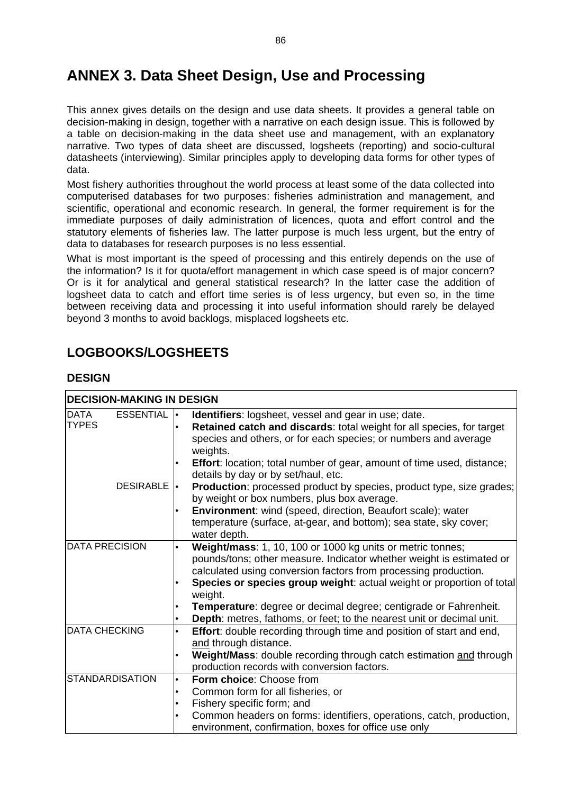## **ANNEX 3. Data Sheet Design, Use and Processing**

This annex gives details on the design and use data sheets. It provides a general table on decision-making in design, together with a narrative on each design issue. This is followed by a table on decision-making in the data sheet use and management, with an explanatory narrative. Two types of data sheet are discussed, logsheets (reporting) and socio-cultural datasheets (interviewing). Similar principles apply to developing data forms for other types of data.

Most fishery authorities throughout the world process at least some of the data collected into computerised databases for two purposes: fisheries administration and management, and scientific, operational and economic research. In general, the former requirement is for the immediate purposes of daily administration of licences, quota and effort control and the statutory elements of fisheries law. The latter purpose is much less urgent, but the entry of data to databases for research purposes is no less essential.

What is most important is the speed of processing and this entirely depends on the use of the information? Is it for quota/effort management in which case speed is of major concern? Or is it for analytical and general statistical research? In the latter case the addition of logsheet data to catch and effort time series is of less urgency, but even so, in the time between receiving data and processing it into useful information should rarely be delayed beyond 3 months to avoid backlogs, misplaced logsheets etc.

## **LOGBOOKS/LOGSHEETS**

## **DESIGN**

| <b>DECISION-MAKING IN DESIGN</b> |                                     |                        |                                                                                                                                                                                                                                                                                                                                                                                                                                                                                                                                                                                                                 |
|----------------------------------|-------------------------------------|------------------------|-----------------------------------------------------------------------------------------------------------------------------------------------------------------------------------------------------------------------------------------------------------------------------------------------------------------------------------------------------------------------------------------------------------------------------------------------------------------------------------------------------------------------------------------------------------------------------------------------------------------|
| <b>DATA</b><br><b>TYPES</b>      | ESSENTIAL  .<br><b>DESIRABLE</b>  • | $\bullet$              | Identifiers: logsheet, vessel and gear in use; date.<br>Retained catch and discards: total weight for all species, for target<br>species and others, or for each species; or numbers and average<br>weights.<br><b>Effort:</b> location; total number of gear, amount of time used, distance;<br>details by day or by set/haul, etc.<br>Production: processed product by species, product type, size grades;<br>by weight or box numbers, plus box average.<br>Environment: wind (speed, direction, Beaufort scale); water<br>temperature (surface, at-gear, and bottom); sea state, sky cover;<br>water depth. |
| <b>DATA PRECISION</b>            |                                     | $\bullet$              | Weight/mass: 1, 10, 100 or 1000 kg units or metric tonnes;<br>pounds/tons; other measure. Indicator whether weight is estimated or<br>calculated using conversion factors from processing production.<br>Species or species group weight: actual weight or proportion of total<br>weight.<br>Temperature: degree or decimal degree; centigrade or Fahrenheit.<br>Depth: metres, fathoms, or feet; to the nearest unit or decimal unit.                                                                                                                                                                          |
| <b>DATA CHECKING</b>             |                                     | $\bullet$              | <b>Effort:</b> double recording through time and position of start and end,<br>and through distance.<br>Weight/Mass: double recording through catch estimation and through<br>production records with conversion factors.                                                                                                                                                                                                                                                                                                                                                                                       |
|                                  | <b>STANDARDISATION</b>              | $\bullet$<br>$\bullet$ | Form choice: Choose from<br>Common form for all fisheries, or<br>Fishery specific form; and<br>Common headers on forms: identifiers, operations, catch, production,<br>environment, confirmation, boxes for office use only                                                                                                                                                                                                                                                                                                                                                                                     |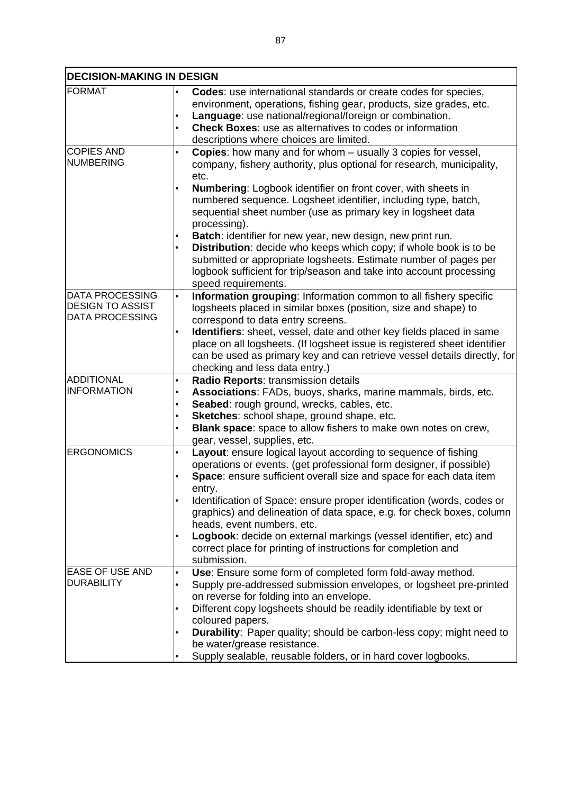| <b>DECISION-MAKING IN DESIGN</b>                                            |                                                                                                                                                                                                                                                                                                                                                                                                                                                                                                                                                                                                                                |  |  |
|-----------------------------------------------------------------------------|--------------------------------------------------------------------------------------------------------------------------------------------------------------------------------------------------------------------------------------------------------------------------------------------------------------------------------------------------------------------------------------------------------------------------------------------------------------------------------------------------------------------------------------------------------------------------------------------------------------------------------|--|--|
| <b>FORMAT</b><br><b>COPIES AND</b>                                          | Codes: use international standards or create codes for species,<br>environment, operations, fishing gear, products, size grades, etc.<br>Language: use national/regional/foreign or combination.<br>٠<br><b>Check Boxes:</b> use as alternatives to codes or information<br>$\bullet$<br>descriptions where choices are limited.<br>Copies: how many and for whom - usually 3 copies for vessel,<br>$\bullet$                                                                                                                                                                                                                  |  |  |
| <b>NUMBERING</b>                                                            | company, fishery authority, plus optional for research, municipality,<br>etc.<br>Numbering: Logbook identifier on front cover, with sheets in<br>numbered sequence. Logsheet identifier, including type, batch,<br>sequential sheet number (use as primary key in logsheet data<br>processing).<br>Batch: identifier for new year, new design, new print run.<br>$\bullet$<br>Distribution: decide who keeps which copy; if whole book is to be<br>$\bullet$<br>submitted or appropriate logsheets. Estimate number of pages per<br>logbook sufficient for trip/season and take into account processing<br>speed requirements. |  |  |
| <b>DATA PROCESSING</b><br><b>DESIGN TO ASSIST</b><br><b>DATA PROCESSING</b> | Information grouping: Information common to all fishery specific<br>$\bullet$<br>logsheets placed in similar boxes (position, size and shape) to<br>correspond to data entry screens.<br><b>Identifiers:</b> sheet, vessel, date and other key fields placed in same<br>$\bullet$<br>place on all logsheets. (If logsheet issue is registered sheet identifier<br>can be used as primary key and can retrieve vessel details directly, for<br>checking and less data entry.)                                                                                                                                                   |  |  |
| <b>ADDITIONAL</b><br><b>INFORMATION</b>                                     | Radio Reports: transmission details<br>٠<br>Associations: FADs, buoys, sharks, marine mammals, birds, etc.<br>$\bullet$<br>Seabed: rough ground, wrecks, cables, etc.<br>$\bullet$<br>Sketches: school shape, ground shape, etc.<br>$\bullet$<br>Blank space: space to allow fishers to make own notes on crew,<br>$\bullet$<br>gear, vessel, supplies, etc.                                                                                                                                                                                                                                                                   |  |  |
| <b>ERGONOMICS</b>                                                           | Layout: ensure logical layout according to sequence of fishing<br>$\bullet$<br>operations or events. (get professional form designer, if possible)<br>Space: ensure sufficient overall size and space for each data item<br>entry.<br>Identification of Space: ensure proper identification (words, codes or<br>$\bullet$<br>graphics) and delineation of data space, e.g. for check boxes, column<br>heads, event numbers, etc.<br>Logbook: decide on external markings (vessel identifier, etc) and<br>$\bullet$<br>correct place for printing of instructions for completion and<br>submission.                             |  |  |
| <b>EASE OF USE AND</b><br><b>DURABILITY</b>                                 | Use: Ensure some form of completed form fold-away method.<br>$\bullet$<br>Supply pre-addressed submission envelopes, or logsheet pre-printed<br>$\bullet$<br>on reverse for folding into an envelope.<br>Different copy logsheets should be readily identifiable by text or<br>$\bullet$<br>coloured papers.<br>Durability: Paper quality; should be carbon-less copy; might need to<br>be water/grease resistance.<br>Supply sealable, reusable folders, or in hard cover logbooks.                                                                                                                                           |  |  |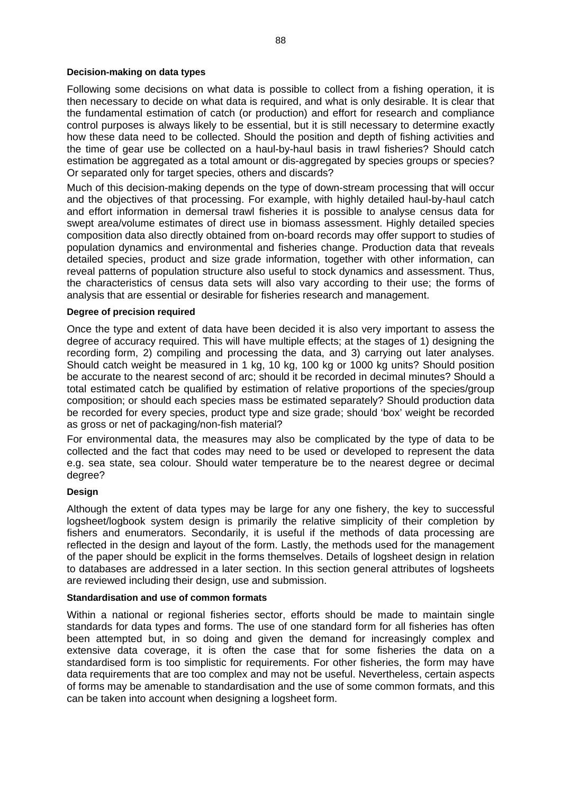### **Decision-making on data types**

Following some decisions on what data is possible to collect from a fishing operation, it is then necessary to decide on what data is required, and what is only desirable. It is clear that the fundamental estimation of catch (or production) and effort for research and compliance control purposes is always likely to be essential, but it is still necessary to determine exactly how these data need to be collected. Should the position and depth of fishing activities and the time of gear use be collected on a haul-by-haul basis in trawl fisheries? Should catch estimation be aggregated as a total amount or dis-aggregated by species groups or species? Or separated only for target species, others and discards?

Much of this decision-making depends on the type of down-stream processing that will occur and the objectives of that processing. For example, with highly detailed haul-by-haul catch and effort information in demersal trawl fisheries it is possible to analyse census data for swept area/volume estimates of direct use in biomass assessment. Highly detailed species composition data also directly obtained from on-board records may offer support to studies of population dynamics and environmental and fisheries change. Production data that reveals detailed species, product and size grade information, together with other information, can reveal patterns of population structure also useful to stock dynamics and assessment. Thus, the characteristics of census data sets will also vary according to their use; the forms of analysis that are essential or desirable for fisheries research and management.

### **Degree of precision required**

Once the type and extent of data have been decided it is also very important to assess the degree of accuracy required. This will have multiple effects; at the stages of 1) designing the recording form, 2) compiling and processing the data, and 3) carrying out later analyses. Should catch weight be measured in 1 kg, 10 kg, 100 kg or 1000 kg units? Should position be accurate to the nearest second of arc; should it be recorded in decimal minutes? Should a total estimated catch be qualified by estimation of relative proportions of the species/group composition; or should each species mass be estimated separately? Should production data be recorded for every species, product type and size grade; should 'box' weight be recorded as gross or net of packaging/non-fish material?

For environmental data, the measures may also be complicated by the type of data to be collected and the fact that codes may need to be used or developed to represent the data e.g. sea state, sea colour. Should water temperature be to the nearest degree or decimal degree?

### **Design**

Although the extent of data types may be large for any one fishery, the key to successful logsheet/logbook system design is primarily the relative simplicity of their completion by fishers and enumerators. Secondarily, it is useful if the methods of data processing are reflected in the design and layout of the form. Lastly, the methods used for the management of the paper should be explicit in the forms themselves. Details of logsheet design in relation to databases are addressed in a later section. In this section general attributes of logsheets are reviewed including their design, use and submission.

### **Standardisation and use of common formats**

Within a national or regional fisheries sector, efforts should be made to maintain single standards for data types and forms. The use of one standard form for all fisheries has often been attempted but, in so doing and given the demand for increasingly complex and extensive data coverage, it is often the case that for some fisheries the data on a standardised form is too simplistic for requirements. For other fisheries, the form may have data requirements that are too complex and may not be useful. Nevertheless, certain aspects of forms may be amenable to standardisation and the use of some common formats, and this can be taken into account when designing a logsheet form.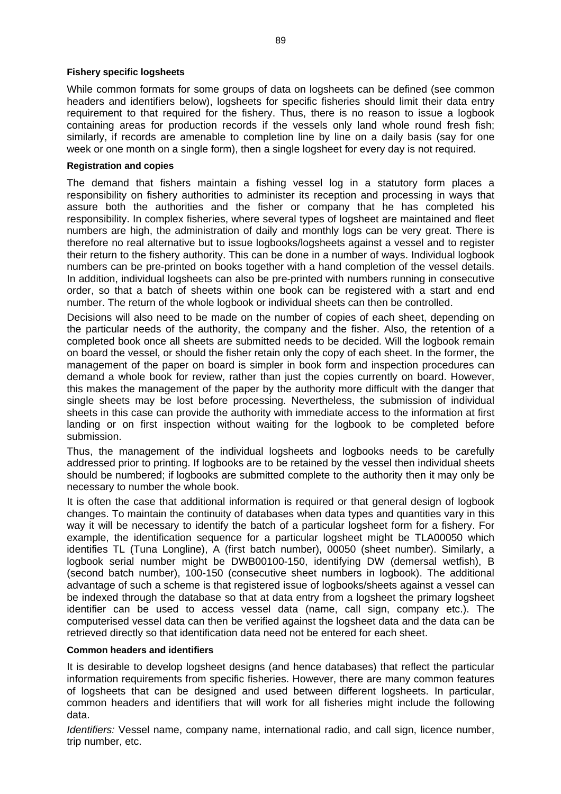### **Fishery specific logsheets**

While common formats for some groups of data on logsheets can be defined (see common headers and identifiers below), logsheets for specific fisheries should limit their data entry requirement to that required for the fishery. Thus, there is no reason to issue a logbook containing areas for production records if the vessels only land whole round fresh fish; similarly, if records are amenable to completion line by line on a daily basis (say for one week or one month on a single form), then a single logsheet for every day is not required.

### **Registration and copies**

The demand that fishers maintain a fishing vessel log in a statutory form places a responsibility on fishery authorities to administer its reception and processing in ways that assure both the authorities and the fisher or company that he has completed his responsibility. In complex fisheries, where several types of logsheet are maintained and fleet numbers are high, the administration of daily and monthly logs can be very great. There is therefore no real alternative but to issue logbooks/logsheets against a vessel and to register their return to the fishery authority. This can be done in a number of ways. Individual logbook numbers can be pre-printed on books together with a hand completion of the vessel details. In addition, individual logsheets can also be pre-printed with numbers running in consecutive order, so that a batch of sheets within one book can be registered with a start and end number. The return of the whole logbook or individual sheets can then be controlled.

Decisions will also need to be made on the number of copies of each sheet, depending on the particular needs of the authority, the company and the fisher. Also, the retention of a completed book once all sheets are submitted needs to be decided. Will the logbook remain on board the vessel, or should the fisher retain only the copy of each sheet. In the former, the management of the paper on board is simpler in book form and inspection procedures can demand a whole book for review, rather than just the copies currently on board. However, this makes the management of the paper by the authority more difficult with the danger that single sheets may be lost before processing. Nevertheless, the submission of individual sheets in this case can provide the authority with immediate access to the information at first landing or on first inspection without waiting for the logbook to be completed before submission.

Thus, the management of the individual logsheets and logbooks needs to be carefully addressed prior to printing. If logbooks are to be retained by the vessel then individual sheets should be numbered; if logbooks are submitted complete to the authority then it may only be necessary to number the whole book.

It is often the case that additional information is required or that general design of logbook changes. To maintain the continuity of databases when data types and quantities vary in this way it will be necessary to identify the batch of a particular logsheet form for a fishery. For example, the identification sequence for a particular logsheet might be TLA00050 which identifies TL (Tuna Longline), A (first batch number), 00050 (sheet number). Similarly, a logbook serial number might be DWB00100-150, identifying DW (demersal wetfish), B (second batch number), 100-150 (consecutive sheet numbers in logbook). The additional advantage of such a scheme is that registered issue of logbooks/sheets against a vessel can be indexed through the database so that at data entry from a logsheet the primary logsheet identifier can be used to access vessel data (name, call sign, company etc.). The computerised vessel data can then be verified against the logsheet data and the data can be retrieved directly so that identification data need not be entered for each sheet.

### **Common headers and identifiers**

It is desirable to develop logsheet designs (and hence databases) that reflect the particular information requirements from specific fisheries. However, there are many common features of logsheets that can be designed and used between different logsheets. In particular, common headers and identifiers that will work for all fisheries might include the following data.

*Identifiers:* Vessel name, company name, international radio, and call sign, licence number, trip number, etc.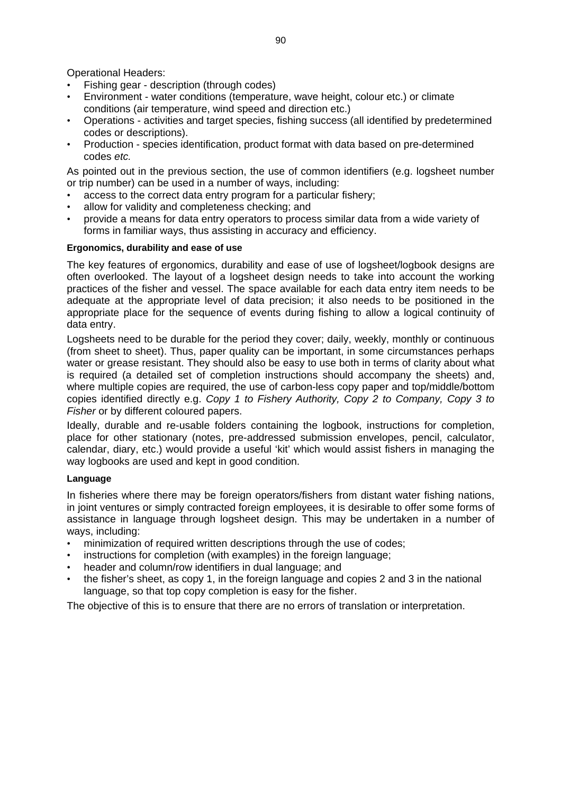Operational Headers:

- Fishing gear description (through codes)
- Environment water conditions (temperature, wave height, colour etc.) or climate conditions (air temperature, wind speed and direction etc.)
- Operations activities and target species, fishing success (all identified by predetermined codes or descriptions).
- Production species identification, product format with data based on pre-determined codes *etc.*

As pointed out in the previous section, the use of common identifiers (e.g. logsheet number or trip number) can be used in a number of ways, including:

- access to the correct data entry program for a particular fishery;
- allow for validity and completeness checking; and
- provide a means for data entry operators to process similar data from a wide variety of forms in familiar ways, thus assisting in accuracy and efficiency.

### **Ergonomics, durability and ease of use**

The key features of ergonomics, durability and ease of use of logsheet/logbook designs are often overlooked. The layout of a logsheet design needs to take into account the working practices of the fisher and vessel. The space available for each data entry item needs to be adequate at the appropriate level of data precision; it also needs to be positioned in the appropriate place for the sequence of events during fishing to allow a logical continuity of data entry.

Logsheets need to be durable for the period they cover; daily, weekly, monthly or continuous (from sheet to sheet). Thus, paper quality can be important, in some circumstances perhaps water or grease resistant. They should also be easy to use both in terms of clarity about what is required (a detailed set of completion instructions should accompany the sheets) and, where multiple copies are required, the use of carbon-less copy paper and top/middle/bottom copies identified directly e.g. *Copy 1 to Fishery Authority, Copy 2 to Company, Copy 3 to Fisher* or by different coloured papers.

Ideally, durable and re-usable folders containing the logbook, instructions for completion, place for other stationary (notes, pre-addressed submission envelopes, pencil, calculator, calendar, diary, etc.) would provide a useful 'kit' which would assist fishers in managing the way logbooks are used and kept in good condition.

### **Language**

In fisheries where there may be foreign operators/fishers from distant water fishing nations, in joint ventures or simply contracted foreign employees, it is desirable to offer some forms of assistance in language through logsheet design. This may be undertaken in a number of ways, including:

- minimization of required written descriptions through the use of codes;
- instructions for completion (with examples) in the foreign language;
- header and column/row identifiers in dual language; and
- the fisher's sheet, as copy 1, in the foreign language and copies 2 and 3 in the national language, so that top copy completion is easy for the fisher.

The objective of this is to ensure that there are no errors of translation or interpretation.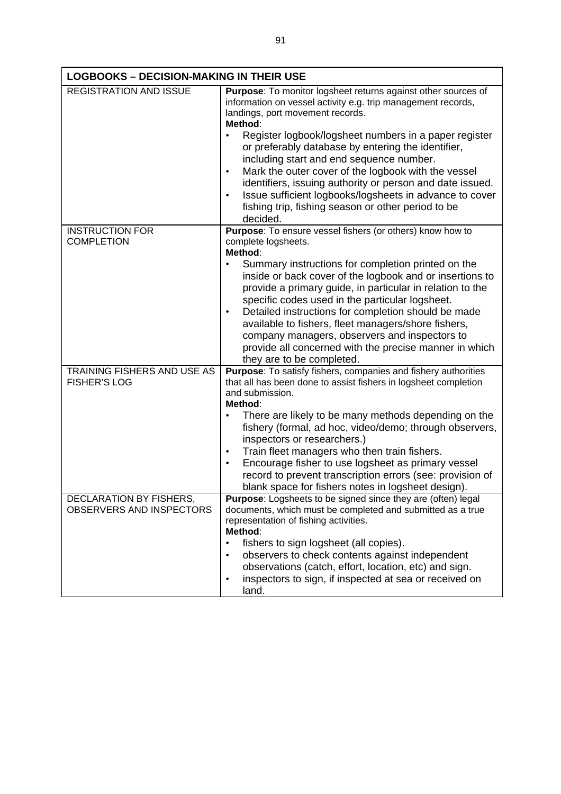| <b>LOGBOOKS - DECISION-MAKING IN THEIR USE</b>      |                                                                                                                                                                                                                                                                                                                                                                                                                                                                                                                                                                                                                    |  |  |  |
|-----------------------------------------------------|--------------------------------------------------------------------------------------------------------------------------------------------------------------------------------------------------------------------------------------------------------------------------------------------------------------------------------------------------------------------------------------------------------------------------------------------------------------------------------------------------------------------------------------------------------------------------------------------------------------------|--|--|--|
| <b>REGISTRATION AND ISSUE</b>                       | Purpose: To monitor logsheet returns against other sources of<br>information on vessel activity e.g. trip management records,<br>landings, port movement records.<br>Method:<br>Register logbook/logsheet numbers in a paper register<br>or preferably database by entering the identifier,<br>including start and end sequence number.<br>Mark the outer cover of the logbook with the vessel<br>$\bullet$<br>identifiers, issuing authority or person and date issued.<br>Issue sufficient logbooks/logsheets in advance to cover<br>$\bullet$<br>fishing trip, fishing season or other period to be<br>decided. |  |  |  |
| <b>INSTRUCTION FOR</b>                              | Purpose: To ensure vessel fishers (or others) know how to                                                                                                                                                                                                                                                                                                                                                                                                                                                                                                                                                          |  |  |  |
| <b>COMPLETION</b>                                   | complete logsheets.                                                                                                                                                                                                                                                                                                                                                                                                                                                                                                                                                                                                |  |  |  |
|                                                     | Method:<br>Summary instructions for completion printed on the<br>٠<br>inside or back cover of the logbook and or insertions to<br>provide a primary guide, in particular in relation to the<br>specific codes used in the particular logsheet.<br>Detailed instructions for completion should be made<br>$\bullet$<br>available to fishers, fleet managers/shore fishers,<br>company managers, observers and inspectors to<br>provide all concerned with the precise manner in which<br>they are to be completed.                                                                                                  |  |  |  |
| TRAINING FISHERS AND USE AS<br><b>FISHER'S LOG</b>  | Purpose: To satisfy fishers, companies and fishery authorities<br>that all has been done to assist fishers in logsheet completion                                                                                                                                                                                                                                                                                                                                                                                                                                                                                  |  |  |  |
|                                                     | and submission.                                                                                                                                                                                                                                                                                                                                                                                                                                                                                                                                                                                                    |  |  |  |
|                                                     | Method:                                                                                                                                                                                                                                                                                                                                                                                                                                                                                                                                                                                                            |  |  |  |
|                                                     | There are likely to be many methods depending on the<br>fishery (formal, ad hoc, video/demo; through observers,<br>inspectors or researchers.)<br>Train fleet managers who then train fishers.<br>$\bullet$<br>Encourage fisher to use logsheet as primary vessel<br>٠<br>record to prevent transcription errors (see: provision of<br>blank space for fishers notes in logsheet design).                                                                                                                                                                                                                          |  |  |  |
| DECLARATION BY FISHERS,<br>OBSERVERS AND INSPECTORS | <b>Purpose:</b> Logsheets to be signed since they are (often) legal<br>documents, which must be completed and submitted as a true<br>representation of fishing activities.<br>Method:<br>fishers to sign logsheet (all copies).<br>$\bullet$<br>observers to check contents against independent<br>٠<br>observations (catch, effort, location, etc) and sign.<br>inspectors to sign, if inspected at sea or received on<br>٠<br>land.                                                                                                                                                                              |  |  |  |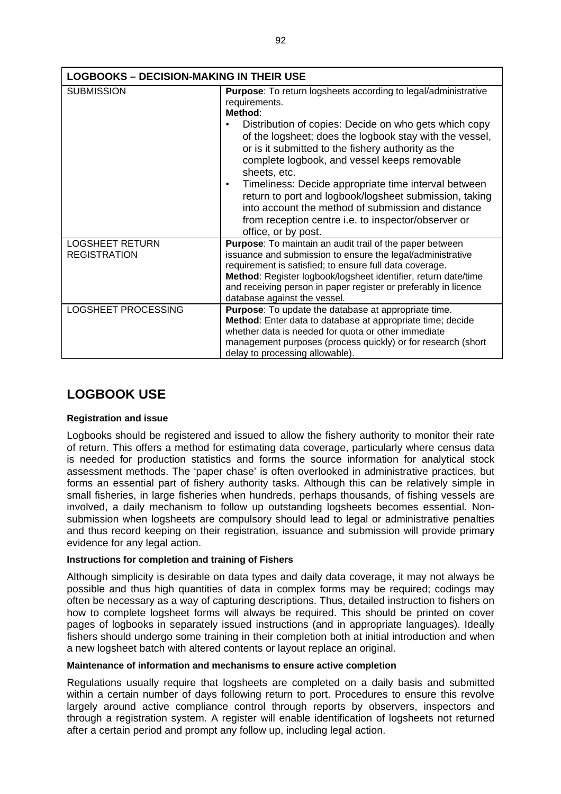| <b>LOGBOOKS - DECISION-MAKING IN THEIR USE</b> |                                                                                                                                                                                                                                                                                                                                                                                                                                                                                                                                                                                                         |  |
|------------------------------------------------|---------------------------------------------------------------------------------------------------------------------------------------------------------------------------------------------------------------------------------------------------------------------------------------------------------------------------------------------------------------------------------------------------------------------------------------------------------------------------------------------------------------------------------------------------------------------------------------------------------|--|
| <b>SUBMISSION</b>                              | Purpose: To return logsheets according to legal/administrative<br>requirements.<br>Method:<br>Distribution of copies: Decide on who gets which copy<br>of the logsheet; does the logbook stay with the vessel,<br>or is it submitted to the fishery authority as the<br>complete logbook, and vessel keeps removable<br>sheets, etc.<br>Timeliness: Decide appropriate time interval between<br>$\bullet$<br>return to port and logbook/logsheet submission, taking<br>into account the method of submission and distance<br>from reception centre i.e. to inspector/observer or<br>office, or by post. |  |
| <b>LOGSHEET RETURN</b><br><b>REGISTRATION</b>  | Purpose: To maintain an audit trail of the paper between<br>issuance and submission to ensure the legal/administrative<br>requirement is satisfied; to ensure full data coverage.<br>Method: Register logbook/logsheet identifier, return date/time<br>and receiving person in paper register or preferably in licence<br>database against the vessel.                                                                                                                                                                                                                                                  |  |
| LOGSHEET PROCESSING                            | Purpose: To update the database at appropriate time.<br>Method: Enter data to database at appropriate time; decide<br>whether data is needed for quota or other immediate<br>management purposes (process quickly) or for research (short<br>delay to processing allowable).                                                                                                                                                                                                                                                                                                                            |  |

## **LOGBOOK USE**

### **Registration and issue**

Logbooks should be registered and issued to allow the fishery authority to monitor their rate of return. This offers a method for estimating data coverage, particularly where census data is needed for production statistics and forms the source information for analytical stock assessment methods. The 'paper chase' is often overlooked in administrative practices, but forms an essential part of fishery authority tasks. Although this can be relatively simple in small fisheries, in large fisheries when hundreds, perhaps thousands, of fishing vessels are involved, a daily mechanism to follow up outstanding logsheets becomes essential. Nonsubmission when logsheets are compulsory should lead to legal or administrative penalties and thus record keeping on their registration, issuance and submission will provide primary evidence for any legal action.

### **Instructions for completion and training of Fishers**

Although simplicity is desirable on data types and daily data coverage, it may not always be possible and thus high quantities of data in complex forms may be required; codings may often be necessary as a way of capturing descriptions. Thus, detailed instruction to fishers on how to complete logsheet forms will always be required. This should be printed on cover pages of logbooks in separately issued instructions (and in appropriate languages). Ideally fishers should undergo some training in their completion both at initial introduction and when a new logsheet batch with altered contents or layout replace an original.

### **Maintenance of information and mechanisms to ensure active completion**

Regulations usually require that logsheets are completed on a daily basis and submitted within a certain number of days following return to port. Procedures to ensure this revolve largely around active compliance control through reports by observers, inspectors and through a registration system. A register will enable identification of logsheets not returned after a certain period and prompt any follow up, including legal action.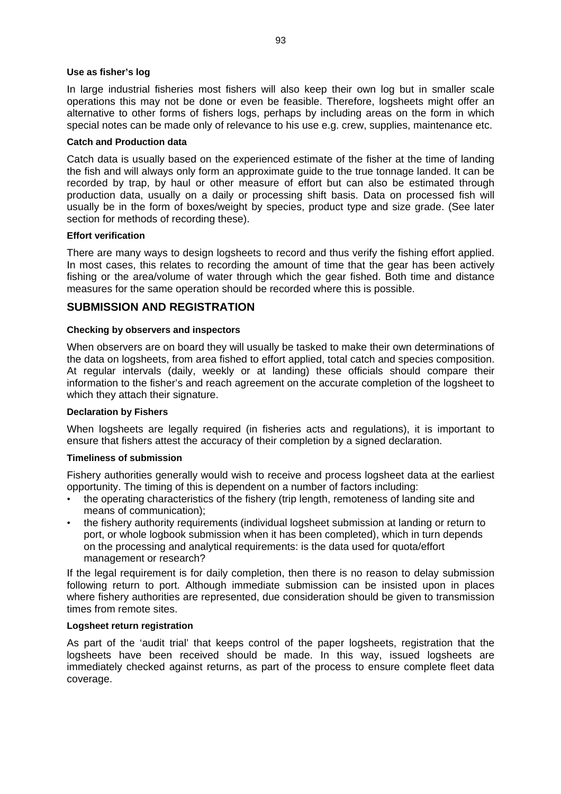### **Use as fisher's log**

In large industrial fisheries most fishers will also keep their own log but in smaller scale operations this may not be done or even be feasible. Therefore, logsheets might offer an alternative to other forms of fishers logs, perhaps by including areas on the form in which special notes can be made only of relevance to his use e.g. crew, supplies, maintenance etc.

### **Catch and Production data**

Catch data is usually based on the experienced estimate of the fisher at the time of landing the fish and will always only form an approximate guide to the true tonnage landed. It can be recorded by trap, by haul or other measure of effort but can also be estimated through production data, usually on a daily or processing shift basis. Data on processed fish will usually be in the form of boxes/weight by species, product type and size grade. (See later section for methods of recording these).

### **Effort verification**

There are many ways to design logsheets to record and thus verify the fishing effort applied. In most cases, this relates to recording the amount of time that the gear has been actively fishing or the area/volume of water through which the gear fished. Both time and distance measures for the same operation should be recorded where this is possible.

### **SUBMISSION AND REGISTRATION**

### **Checking by observers and inspectors**

When observers are on board they will usually be tasked to make their own determinations of the data on logsheets, from area fished to effort applied, total catch and species composition. At regular intervals (daily, weekly or at landing) these officials should compare their information to the fisher's and reach agreement on the accurate completion of the logsheet to which they attach their signature.

### **Declaration by Fishers**

When logsheets are legally required (in fisheries acts and regulations), it is important to ensure that fishers attest the accuracy of their completion by a signed declaration.

### **Timeliness of submission**

Fishery authorities generally would wish to receive and process logsheet data at the earliest opportunity. The timing of this is dependent on a number of factors including:

- the operating characteristics of the fishery (trip length, remoteness of landing site and means of communication);
- the fishery authority requirements (individual logsheet submission at landing or return to port, or whole logbook submission when it has been completed), which in turn depends on the processing and analytical requirements: is the data used for quota/effort management or research?

If the legal requirement is for daily completion, then there is no reason to delay submission following return to port. Although immediate submission can be insisted upon in places where fishery authorities are represented, due consideration should be given to transmission times from remote sites.

### **Logsheet return registration**

As part of the 'audit trial' that keeps control of the paper logsheets, registration that the logsheets have been received should be made. In this way, issued logsheets are immediately checked against returns, as part of the process to ensure complete fleet data coverage.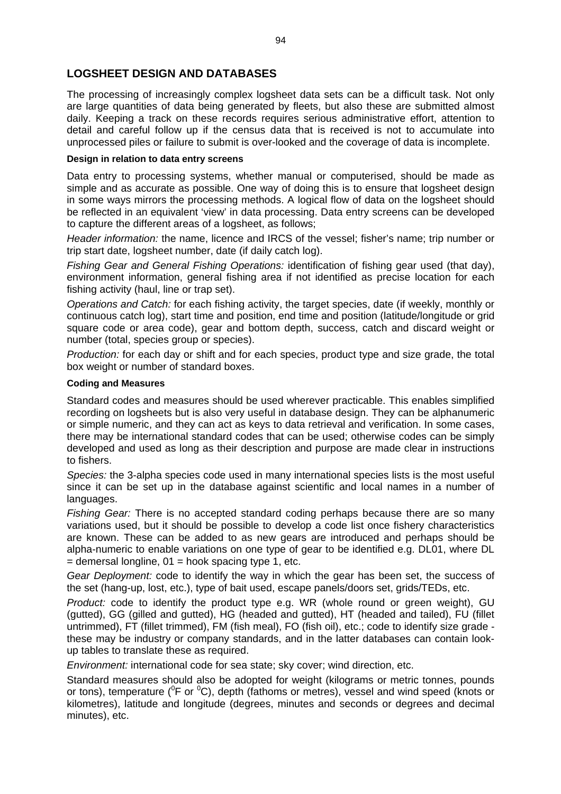## **LOGSHEET DESIGN AND DATABASES**

The processing of increasingly complex logsheet data sets can be a difficult task. Not only are large quantities of data being generated by fleets, but also these are submitted almost daily. Keeping a track on these records requires serious administrative effort, attention to detail and careful follow up if the census data that is received is not to accumulate into unprocessed piles or failure to submit is over-looked and the coverage of data is incomplete.

### **Design in relation to data entry screens**

Data entry to processing systems, whether manual or computerised, should be made as simple and as accurate as possible. One way of doing this is to ensure that logsheet design in some ways mirrors the processing methods. A logical flow of data on the logsheet should be reflected in an equivalent 'view' in data processing. Data entry screens can be developed to capture the different areas of a logsheet, as follows;

*Header information:* the name, licence and IRCS of the vessel; fisher's name; trip number or trip start date, logsheet number, date (if daily catch log).

*Fishing Gear and General Fishing Operations:* identification of fishing gear used (that day), environment information, general fishing area if not identified as precise location for each fishing activity (haul, line or trap set).

*Operations and Catch:* for each fishing activity, the target species, date (if weekly, monthly or continuous catch log), start time and position, end time and position (latitude/longitude or grid square code or area code), gear and bottom depth, success, catch and discard weight or number (total, species group or species).

*Production:* for each day or shift and for each species, product type and size grade, the total box weight or number of standard boxes.

### **Coding and Measures**

Standard codes and measures should be used wherever practicable. This enables simplified recording on logsheets but is also very useful in database design. They can be alphanumeric or simple numeric, and they can act as keys to data retrieval and verification. In some cases, there may be international standard codes that can be used; otherwise codes can be simply developed and used as long as their description and purpose are made clear in instructions to fishers.

*Species:* the 3-alpha species code used in many international species lists is the most useful since it can be set up in the database against scientific and local names in a number of languages.

*Fishing Gear:* There is no accepted standard coding perhaps because there are so many variations used, but it should be possible to develop a code list once fishery characteristics are known. These can be added to as new gears are introduced and perhaps should be alpha-numeric to enable variations on one type of gear to be identified e.g. DL01, where DL  $=$  demersal longline,  $01$  = hook spacing type 1, etc.

*Gear Deployment:* code to identify the way in which the gear has been set, the success of the set (hang-up, lost, etc.), type of bait used, escape panels/doors set, grids/TEDs, etc.

*Product:* code to identify the product type e.g. WR (whole round or green weight), GU (gutted), GG (gilled and gutted), HG (headed and gutted), HT (headed and tailed), FU (fillet untrimmed), FT (fillet trimmed), FM (fish meal), FO (fish oil), etc.; code to identify size grade these may be industry or company standards, and in the latter databases can contain lookup tables to translate these as required.

*Environment:* international code for sea state; sky cover; wind direction, etc.

Standard measures should also be adopted for weight (kilograms or metric tonnes, pounds or tons), temperature ( ${}^{0}$ F or  ${}^{0}$ C), depth (fathoms or metres), vessel and wind speed (knots or kilometres), latitude and longitude (degrees, minutes and seconds or degrees and decimal minutes), etc.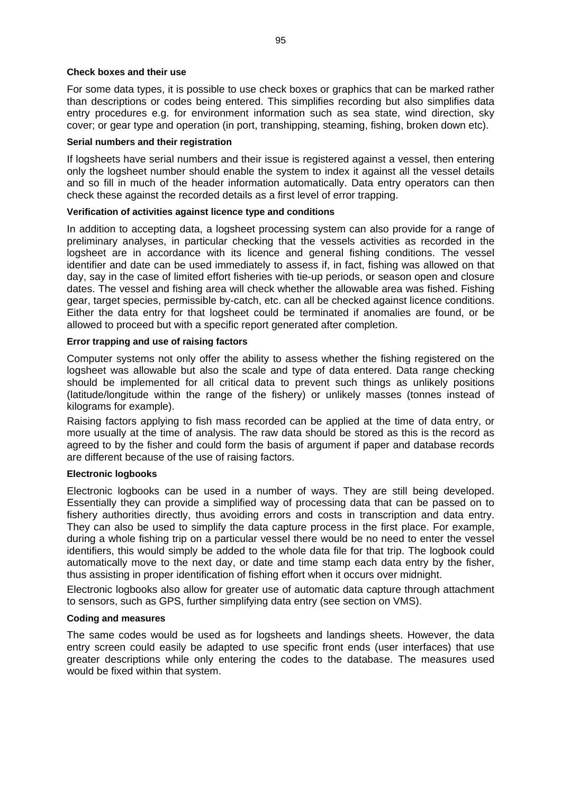### **Check boxes and their use**

For some data types, it is possible to use check boxes or graphics that can be marked rather than descriptions or codes being entered. This simplifies recording but also simplifies data entry procedures e.g. for environment information such as sea state, wind direction, sky cover; or gear type and operation (in port, transhipping, steaming, fishing, broken down etc).

### **Serial numbers and their registration**

If logsheets have serial numbers and their issue is registered against a vessel, then entering only the logsheet number should enable the system to index it against all the vessel details and so fill in much of the header information automatically. Data entry operators can then check these against the recorded details as a first level of error trapping.

### **Verification of activities against licence type and conditions**

In addition to accepting data, a logsheet processing system can also provide for a range of preliminary analyses, in particular checking that the vessels activities as recorded in the logsheet are in accordance with its licence and general fishing conditions. The vessel identifier and date can be used immediately to assess if, in fact, fishing was allowed on that day, say in the case of limited effort fisheries with tie-up periods, or season open and closure dates. The vessel and fishing area will check whether the allowable area was fished. Fishing gear, target species, permissible by-catch, etc. can all be checked against licence conditions. Either the data entry for that logsheet could be terminated if anomalies are found, or be allowed to proceed but with a specific report generated after completion.

### **Error trapping and use of raising factors**

Computer systems not only offer the ability to assess whether the fishing registered on the logsheet was allowable but also the scale and type of data entered. Data range checking should be implemented for all critical data to prevent such things as unlikely positions (latitude/longitude within the range of the fishery) or unlikely masses (tonnes instead of kilograms for example).

Raising factors applying to fish mass recorded can be applied at the time of data entry, or more usually at the time of analysis. The raw data should be stored as this is the record as agreed to by the fisher and could form the basis of argument if paper and database records are different because of the use of raising factors.

### **Electronic logbooks**

Electronic logbooks can be used in a number of ways. They are still being developed. Essentially they can provide a simplified way of processing data that can be passed on to fishery authorities directly, thus avoiding errors and costs in transcription and data entry. They can also be used to simplify the data capture process in the first place. For example, during a whole fishing trip on a particular vessel there would be no need to enter the vessel identifiers, this would simply be added to the whole data file for that trip. The logbook could automatically move to the next day, or date and time stamp each data entry by the fisher, thus assisting in proper identification of fishing effort when it occurs over midnight.

Electronic logbooks also allow for greater use of automatic data capture through attachment to sensors, such as GPS, further simplifying data entry (see section on VMS).

### **Coding and measures**

The same codes would be used as for logsheets and landings sheets. However, the data entry screen could easily be adapted to use specific front ends (user interfaces) that use greater descriptions while only entering the codes to the database. The measures used would be fixed within that system.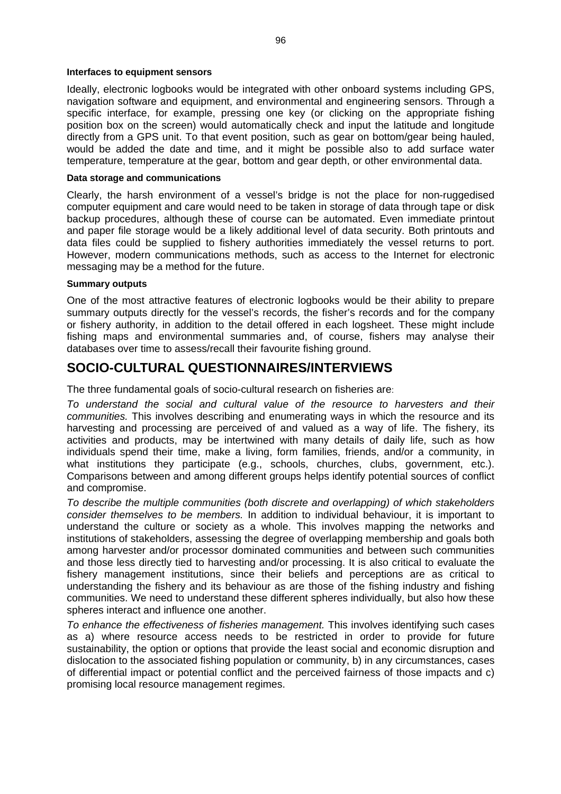### **Interfaces to equipment sensors**

Ideally, electronic logbooks would be integrated with other onboard systems including GPS, navigation software and equipment, and environmental and engineering sensors. Through a specific interface, for example, pressing one key (or clicking on the appropriate fishing position box on the screen) would automatically check and input the latitude and longitude directly from a GPS unit. To that event position, such as gear on bottom/gear being hauled, would be added the date and time, and it might be possible also to add surface water temperature, temperature at the gear, bottom and gear depth, or other environmental data.

### **Data storage and communications**

Clearly, the harsh environment of a vessel's bridge is not the place for non-ruggedised computer equipment and care would need to be taken in storage of data through tape or disk backup procedures, although these of course can be automated. Even immediate printout and paper file storage would be a likely additional level of data security. Both printouts and data files could be supplied to fishery authorities immediately the vessel returns to port. However, modern communications methods, such as access to the Internet for electronic messaging may be a method for the future.

### **Summary outputs**

One of the most attractive features of electronic logbooks would be their ability to prepare summary outputs directly for the vessel's records, the fisher's records and for the company or fishery authority, in addition to the detail offered in each logsheet. These might include fishing maps and environmental summaries and, of course, fishers may analyse their databases over time to assess/recall their favourite fishing ground.

## **SOCIO-CULTURAL QUESTIONNAIRES/INTERVIEWS**

The three fundamental goals of socio-cultural research on fisheries are:

*To understand the social and cultural value of the resource to harvesters and their communities.* This involves describing and enumerating ways in which the resource and its harvesting and processing are perceived of and valued as a way of life. The fishery, its activities and products, may be intertwined with many details of daily life, such as how individuals spend their time, make a living, form families, friends, and/or a community, in what institutions they participate (e.g., schools, churches, clubs, government, etc.). Comparisons between and among different groups helps identify potential sources of conflict and compromise.

*To describe the multiple communities (both discrete and overlapping) of which stakeholders consider themselves to be members.* In addition to individual behaviour, it is important to understand the culture or society as a whole. This involves mapping the networks and institutions of stakeholders, assessing the degree of overlapping membership and goals both among harvester and/or processor dominated communities and between such communities and those less directly tied to harvesting and/or processing. It is also critical to evaluate the fishery management institutions, since their beliefs and perceptions are as critical to understanding the fishery and its behaviour as are those of the fishing industry and fishing communities. We need to understand these different spheres individually, but also how these spheres interact and influence one another.

*To enhance the effectiveness of fisheries management.* This involves identifying such cases as a) where resource access needs to be restricted in order to provide for future sustainability, the option or options that provide the least social and economic disruption and dislocation to the associated fishing population or community, b) in any circumstances, cases of differential impact or potential conflict and the perceived fairness of those impacts and c) promising local resource management regimes.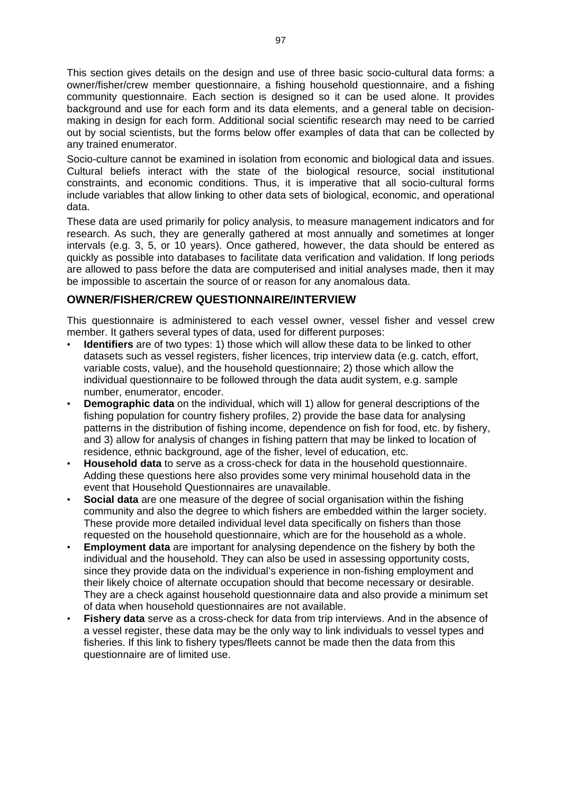This section gives details on the design and use of three basic socio-cultural data forms: a owner/fisher/crew member questionnaire, a fishing household questionnaire, and a fishing community questionnaire. Each section is designed so it can be used alone. It provides background and use for each form and its data elements, and a general table on decisionmaking in design for each form. Additional social scientific research may need to be carried out by social scientists, but the forms below offer examples of data that can be collected by any trained enumerator.

Socio-culture cannot be examined in isolation from economic and biological data and issues. Cultural beliefs interact with the state of the biological resource, social institutional constraints, and economic conditions. Thus, it is imperative that all socio-cultural forms include variables that allow linking to other data sets of biological, economic, and operational data.

These data are used primarily for policy analysis, to measure management indicators and for research. As such, they are generally gathered at most annually and sometimes at longer intervals (e.g. 3, 5, or 10 years). Once gathered, however, the data should be entered as quickly as possible into databases to facilitate data verification and validation. If long periods are allowed to pass before the data are computerised and initial analyses made, then it may be impossible to ascertain the source of or reason for any anomalous data.

## **OWNER/FISHER/CREW QUESTIONNAIRE/INTERVIEW**

This questionnaire is administered to each vessel owner, vessel fisher and vessel crew member. It gathers several types of data, used for different purposes:

- **Identifiers** are of two types: 1) those which will allow these data to be linked to other datasets such as vessel registers, fisher licences, trip interview data (e.g. catch, effort, variable costs, value), and the household questionnaire; 2) those which allow the individual questionnaire to be followed through the data audit system, e.g. sample number, enumerator, encoder.
- **Demographic data** on the individual, which will 1) allow for general descriptions of the fishing population for country fishery profiles, 2) provide the base data for analysing patterns in the distribution of fishing income, dependence on fish for food, etc. by fishery, and 3) allow for analysis of changes in fishing pattern that may be linked to location of residence, ethnic background, age of the fisher, level of education, etc.
- **Household data** to serve as a cross-check for data in the household questionnaire. Adding these questions here also provides some very minimal household data in the event that Household Questionnaires are unavailable.
- **Social data** are one measure of the degree of social organisation within the fishing community and also the degree to which fishers are embedded within the larger society. These provide more detailed individual level data specifically on fishers than those requested on the household questionnaire, which are for the household as a whole.
- **Employment data** are important for analysing dependence on the fishery by both the individual and the household. They can also be used in assessing opportunity costs, since they provide data on the individual's experience in non-fishing employment and their likely choice of alternate occupation should that become necessary or desirable. They are a check against household questionnaire data and also provide a minimum set of data when household questionnaires are not available.
- **Fishery data** serve as a cross-check for data from trip interviews. And in the absence of a vessel register, these data may be the only way to link individuals to vessel types and fisheries. If this link to fishery types/fleets cannot be made then the data from this questionnaire are of limited use.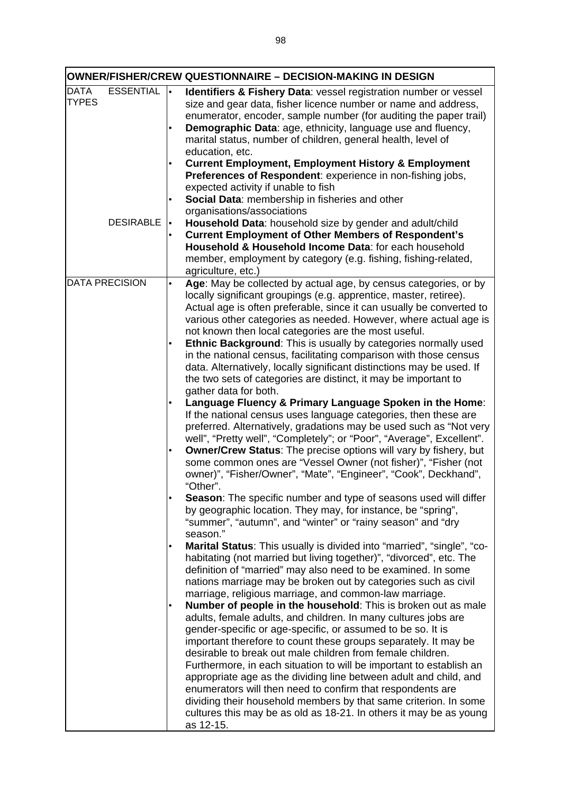|                             |                       | OWNER/FISHER/CREW QUESTIONNAIRE - DECISION-MAKING IN DESIGN                                                                                                                                                                                                                                                                                                                                                                                                                                                                                                                                                                                                                                                                                                                                                                                                                                                                                                                                                                                                                                                                                                                                                                                                                                                                                                                                                                                                                                                                                                                                                                                                                                                                                                                                                                                                                                                                                                                                                                                                                                                                                                                                                                                                                                                                                                                                                                                                      |
|-----------------------------|-----------------------|------------------------------------------------------------------------------------------------------------------------------------------------------------------------------------------------------------------------------------------------------------------------------------------------------------------------------------------------------------------------------------------------------------------------------------------------------------------------------------------------------------------------------------------------------------------------------------------------------------------------------------------------------------------------------------------------------------------------------------------------------------------------------------------------------------------------------------------------------------------------------------------------------------------------------------------------------------------------------------------------------------------------------------------------------------------------------------------------------------------------------------------------------------------------------------------------------------------------------------------------------------------------------------------------------------------------------------------------------------------------------------------------------------------------------------------------------------------------------------------------------------------------------------------------------------------------------------------------------------------------------------------------------------------------------------------------------------------------------------------------------------------------------------------------------------------------------------------------------------------------------------------------------------------------------------------------------------------------------------------------------------------------------------------------------------------------------------------------------------------------------------------------------------------------------------------------------------------------------------------------------------------------------------------------------------------------------------------------------------------------------------------------------------------------------------------------------------------|
| <b>DATA</b><br><b>TYPES</b> | <b>ESSENTIAL .</b>    | Identifiers & Fishery Data: vessel registration number or vessel<br>size and gear data, fisher licence number or name and address,<br>enumerator, encoder, sample number (for auditing the paper trail)<br>Demographic Data: age, ethnicity, language use and fluency,<br>٠<br>marital status, number of children, general health, level of<br>education, etc.<br><b>Current Employment, Employment History &amp; Employment</b><br>Preferences of Respondent: experience in non-fishing jobs,<br>expected activity if unable to fish<br>Social Data: membership in fisheries and other                                                                                                                                                                                                                                                                                                                                                                                                                                                                                                                                                                                                                                                                                                                                                                                                                                                                                                                                                                                                                                                                                                                                                                                                                                                                                                                                                                                                                                                                                                                                                                                                                                                                                                                                                                                                                                                                          |
|                             | <b>DESIRABLE</b>      | organisations/associations<br>Household Data: household size by gender and adult/child<br>I۰<br><b>Current Employment of Other Members of Respondent's</b><br>$\bullet$<br>Household & Household Income Data: for each household<br>member, employment by category (e.g. fishing, fishing-related,<br>agriculture, etc.)                                                                                                                                                                                                                                                                                                                                                                                                                                                                                                                                                                                                                                                                                                                                                                                                                                                                                                                                                                                                                                                                                                                                                                                                                                                                                                                                                                                                                                                                                                                                                                                                                                                                                                                                                                                                                                                                                                                                                                                                                                                                                                                                         |
|                             | <b>DATA PRECISION</b> | Age: May be collected by actual age, by census categories, or by<br>locally significant groupings (e.g. apprentice, master, retiree).<br>Actual age is often preferable, since it can usually be converted to<br>various other categories as needed. However, where actual age is<br>not known then local categories are the most useful.<br>Ethnic Background: This is usually by categories normally used<br>$\bullet$<br>in the national census, facilitating comparison with those census<br>data. Alternatively, locally significant distinctions may be used. If<br>the two sets of categories are distinct, it may be important to<br>gather data for both.<br>Language Fluency & Primary Language Spoken in the Home:<br>If the national census uses language categories, then these are<br>preferred. Alternatively, gradations may be used such as "Not very<br>well", "Pretty well", "Completely"; or "Poor", "Average", Excellent".<br><b>Owner/Crew Status:</b> The precise options will vary by fishery, but<br>$\bullet$<br>some common ones are "Vessel Owner (not fisher)", "Fisher (not<br>owner)", "Fisher/Owner", "Mate", "Engineer", "Cook", Deckhand",<br>"Other".<br><b>Season:</b> The specific number and type of seasons used will differ<br>by geographic location. They may, for instance, be "spring",<br>"summer", "autumn", and "winter" or "rainy season" and "dry<br>season."<br>Marital Status: This usually is divided into "married", "single", "co-<br>habitating (not married but living together)", "divorced", etc. The<br>definition of "married" may also need to be examined. In some<br>nations marriage may be broken out by categories such as civil<br>marriage, religious marriage, and common-law marriage.<br>Number of people in the household: This is broken out as male<br>adults, female adults, and children. In many cultures jobs are<br>gender-specific or age-specific, or assumed to be so. It is<br>important therefore to count these groups separately. It may be<br>desirable to break out male children from female children.<br>Furthermore, in each situation to will be important to establish an<br>appropriate age as the dividing line between adult and child, and<br>enumerators will then need to confirm that respondents are<br>dividing their household members by that same criterion. In some<br>cultures this may be as old as 18-21. In others it may be as young<br>as 12-15. |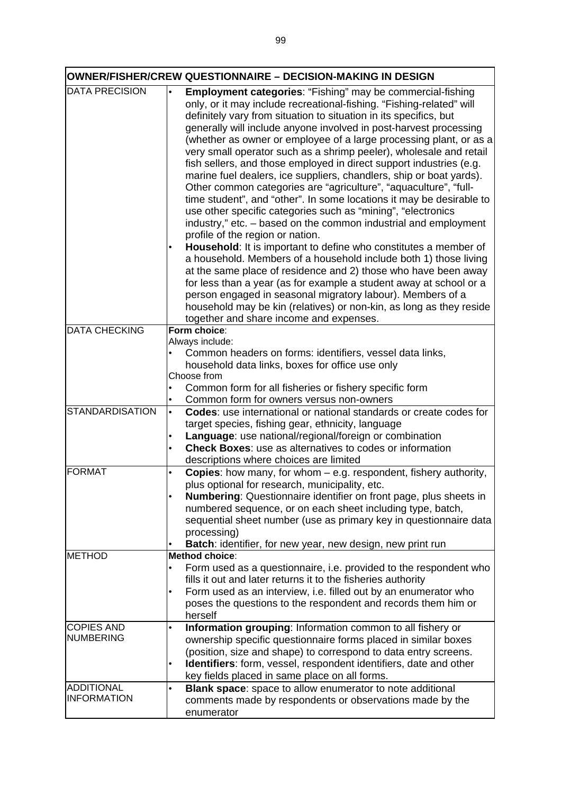| <b>OWNER/FISHER/CREW QUESTIONNAIRE - DECISION-MAKING IN DESIGN</b>                                                                                                                                                                                                                                                                                                                                                                                                                                                                                                                                                                                                                                                                                                                                                                                                                                                                                                                                                                                                                                                                                                                                                                                                                                             |
|----------------------------------------------------------------------------------------------------------------------------------------------------------------------------------------------------------------------------------------------------------------------------------------------------------------------------------------------------------------------------------------------------------------------------------------------------------------------------------------------------------------------------------------------------------------------------------------------------------------------------------------------------------------------------------------------------------------------------------------------------------------------------------------------------------------------------------------------------------------------------------------------------------------------------------------------------------------------------------------------------------------------------------------------------------------------------------------------------------------------------------------------------------------------------------------------------------------------------------------------------------------------------------------------------------------|
| Employment categories: "Fishing" may be commercial-fishing<br>only, or it may include recreational-fishing. "Fishing-related" will<br>definitely vary from situation to situation in its specifics, but<br>generally will include anyone involved in post-harvest processing<br>(whether as owner or employee of a large processing plant, or as a<br>very small operator such as a shrimp peeler), wholesale and retail<br>fish sellers, and those employed in direct support industries (e.g.<br>marine fuel dealers, ice suppliers, chandlers, ship or boat yards).<br>Other common categories are "agriculture", "aquaculture", "full-<br>time student", and "other". In some locations it may be desirable to<br>use other specific categories such as "mining", "electronics<br>industry," etc. – based on the common industrial and employment<br>profile of the region or nation.<br>Household: It is important to define who constitutes a member of<br>a household. Members of a household include both 1) those living<br>at the same place of residence and 2) those who have been away<br>for less than a year (as for example a student away at school or a<br>person engaged in seasonal migratory labour). Members of a<br>household may be kin (relatives) or non-kin, as long as they reside |
| together and share income and expenses.<br>Form choice:                                                                                                                                                                                                                                                                                                                                                                                                                                                                                                                                                                                                                                                                                                                                                                                                                                                                                                                                                                                                                                                                                                                                                                                                                                                        |
| Always include:<br>Common headers on forms: identifiers, vessel data links,<br>household data links, boxes for office use only<br>Choose from<br>Common form for all fisheries or fishery specific form                                                                                                                                                                                                                                                                                                                                                                                                                                                                                                                                                                                                                                                                                                                                                                                                                                                                                                                                                                                                                                                                                                        |
| Common form for owners versus non-owners                                                                                                                                                                                                                                                                                                                                                                                                                                                                                                                                                                                                                                                                                                                                                                                                                                                                                                                                                                                                                                                                                                                                                                                                                                                                       |
| Codes: use international or national standards or create codes for<br>$\bullet$<br>target species, fishing gear, ethnicity, language<br>Language: use national/regional/foreign or combination<br><b>Check Boxes:</b> use as alternatives to codes or information<br>descriptions where choices are limited                                                                                                                                                                                                                                                                                                                                                                                                                                                                                                                                                                                                                                                                                                                                                                                                                                                                                                                                                                                                    |
| <b>Copies:</b> how many, for whom $-$ e.g. respondent, fishery authority,<br>$\bullet$                                                                                                                                                                                                                                                                                                                                                                                                                                                                                                                                                                                                                                                                                                                                                                                                                                                                                                                                                                                                                                                                                                                                                                                                                         |
| plus optional for research, municipality, etc.<br><b>Numbering:</b> Questionnaire identifier on front page, plus sheets in<br>numbered sequence, or on each sheet including type, batch,<br>sequential sheet number (use as primary key in questionnaire data<br>processing)                                                                                                                                                                                                                                                                                                                                                                                                                                                                                                                                                                                                                                                                                                                                                                                                                                                                                                                                                                                                                                   |
| Batch: identifier, for new year, new design, new print run<br>Method choice:                                                                                                                                                                                                                                                                                                                                                                                                                                                                                                                                                                                                                                                                                                                                                                                                                                                                                                                                                                                                                                                                                                                                                                                                                                   |
| Form used as a questionnaire, i.e. provided to the respondent who<br>fills it out and later returns it to the fisheries authority<br>Form used as an interview, i.e. filled out by an enumerator who<br>$\bullet$<br>poses the questions to the respondent and records them him or<br>herself                                                                                                                                                                                                                                                                                                                                                                                                                                                                                                                                                                                                                                                                                                                                                                                                                                                                                                                                                                                                                  |
| Information grouping: Information common to all fishery or<br>$\bullet$<br>ownership specific questionnaire forms placed in similar boxes<br>(position, size and shape) to correspond to data entry screens.<br>Identifiers: form, vessel, respondent identifiers, date and other<br>key fields placed in same place on all forms.                                                                                                                                                                                                                                                                                                                                                                                                                                                                                                                                                                                                                                                                                                                                                                                                                                                                                                                                                                             |
| Blank space: space to allow enumerator to note additional<br>٠<br>comments made by respondents or observations made by the<br>enumerator                                                                                                                                                                                                                                                                                                                                                                                                                                                                                                                                                                                                                                                                                                                                                                                                                                                                                                                                                                                                                                                                                                                                                                       |
|                                                                                                                                                                                                                                                                                                                                                                                                                                                                                                                                                                                                                                                                                                                                                                                                                                                                                                                                                                                                                                                                                                                                                                                                                                                                                                                |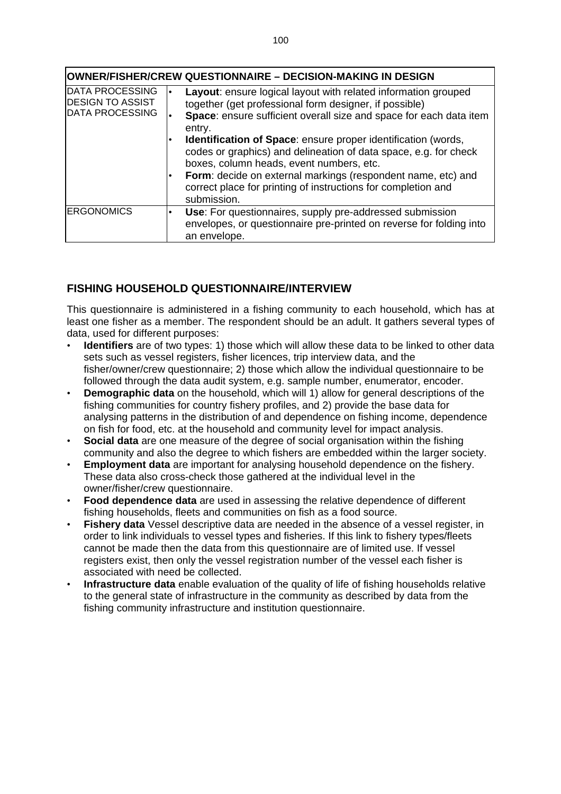| <b>OWNER/FISHER/CREW QUESTIONNAIRE - DECISION-MAKING IN DESIGN</b>   |  |                                                                                                                                                                                                                                                                                                                                                                                                                                                                                                                                           |
|----------------------------------------------------------------------|--|-------------------------------------------------------------------------------------------------------------------------------------------------------------------------------------------------------------------------------------------------------------------------------------------------------------------------------------------------------------------------------------------------------------------------------------------------------------------------------------------------------------------------------------------|
| DATA PROCESSING<br><b>DESIGN TO ASSIST</b><br><b>DATA PROCESSING</b> |  | Layout: ensure logical layout with related information grouped<br>together (get professional form designer, if possible)<br>Space: ensure sufficient overall size and space for each data item<br>entry.<br>Identification of Space: ensure proper identification (words,<br>codes or graphics) and delineation of data space, e.g. for check<br>boxes, column heads, event numbers, etc.<br>Form: decide on external markings (respondent name, etc) and<br>correct place for printing of instructions for completion and<br>submission. |
| <b>IERGONOMICS</b>                                                   |  | Use: For questionnaires, supply pre-addressed submission<br>envelopes, or questionnaire pre-printed on reverse for folding into<br>an envelope.                                                                                                                                                                                                                                                                                                                                                                                           |

## **FISHING HOUSEHOLD QUESTIONNAIRE/INTERVIEW**

This questionnaire is administered in a fishing community to each household, which has at least one fisher as a member. The respondent should be an adult. It gathers several types of data, used for different purposes:

- **Identifiers** are of two types: 1) those which will allow these data to be linked to other data sets such as vessel registers, fisher licences, trip interview data, and the fisher/owner/crew questionnaire; 2) those which allow the individual questionnaire to be followed through the data audit system, e.g. sample number, enumerator, encoder.
- **Demographic data** on the household, which will 1) allow for general descriptions of the fishing communities for country fishery profiles, and 2) provide the base data for analysing patterns in the distribution of and dependence on fishing income, dependence on fish for food, etc. at the household and community level for impact analysis.
- **Social data** are one measure of the degree of social organisation within the fishing community and also the degree to which fishers are embedded within the larger society.
- **Employment data** are important for analysing household dependence on the fishery. These data also cross-check those gathered at the individual level in the owner/fisher/crew questionnaire.
- **Food dependence data** are used in assessing the relative dependence of different fishing households, fleets and communities on fish as a food source.
- **Fishery data** Vessel descriptive data are needed in the absence of a vessel register, in order to link individuals to vessel types and fisheries. If this link to fishery types/fleets cannot be made then the data from this questionnaire are of limited use. If vessel registers exist, then only the vessel registration number of the vessel each fisher is associated with need be collected.
- **Infrastructure data** enable evaluation of the quality of life of fishing households relative to the general state of infrastructure in the community as described by data from the fishing community infrastructure and institution questionnaire.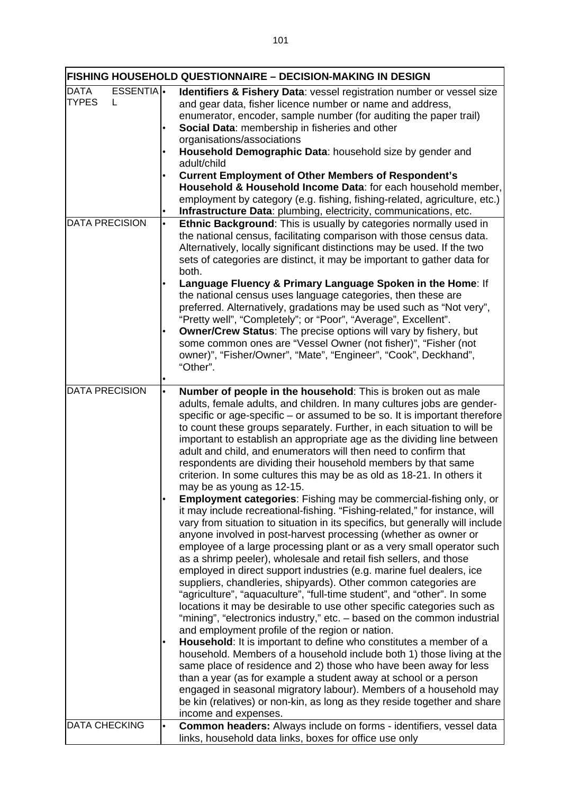|                                                                                                                                 | <b>FISHING HOUSEHOLD QUESTIONNAIRE - DECISION-MAKING IN DESIGN</b> |  |  |  |
|---------------------------------------------------------------------------------------------------------------------------------|--------------------------------------------------------------------|--|--|--|
| <b>DATA</b><br>ESSENTIA <sup>l</sup> •<br><b>Identifiers &amp; Fishery Data: vessel registration number or vessel size</b>      |                                                                    |  |  |  |
| <b>TYPES</b><br>L<br>and gear data, fisher licence number or name and address,                                                  |                                                                    |  |  |  |
| enumerator, encoder, sample number (for auditing the paper trail)                                                               |                                                                    |  |  |  |
| Social Data: membership in fisheries and other<br>٠                                                                             |                                                                    |  |  |  |
| organisations/associations                                                                                                      |                                                                    |  |  |  |
| Household Demographic Data: household size by gender and<br>٠                                                                   |                                                                    |  |  |  |
| adult/child                                                                                                                     |                                                                    |  |  |  |
| <b>Current Employment of Other Members of Respondent's</b>                                                                      |                                                                    |  |  |  |
| Household & Household Income Data: for each household member,                                                                   |                                                                    |  |  |  |
| employment by category (e.g. fishing, fishing-related, agriculture, etc.)                                                       |                                                                    |  |  |  |
| Infrastructure Data: plumbing, electricity, communications, etc.<br>٠                                                           |                                                                    |  |  |  |
| <b>DATA PRECISION</b><br>Ethnic Background: This is usually by categories normally used in<br>$\bullet$                         |                                                                    |  |  |  |
| the national census, facilitating comparison with those census data.                                                            |                                                                    |  |  |  |
| Alternatively, locally significant distinctions may be used. If the two                                                         |                                                                    |  |  |  |
| sets of categories are distinct, it may be important to gather data for                                                         |                                                                    |  |  |  |
| both.                                                                                                                           |                                                                    |  |  |  |
| Language Fluency & Primary Language Spoken in the Home: If                                                                      |                                                                    |  |  |  |
|                                                                                                                                 |                                                                    |  |  |  |
| the national census uses language categories, then these are                                                                    |                                                                    |  |  |  |
| preferred. Alternatively, gradations may be used such as "Not very",                                                            |                                                                    |  |  |  |
| "Pretty well", "Completely"; or "Poor", "Average", Excellent".                                                                  |                                                                    |  |  |  |
| <b>Owner/Crew Status:</b> The precise options will vary by fishery, but<br>$\bullet$                                            |                                                                    |  |  |  |
| some common ones are "Vessel Owner (not fisher)", "Fisher (not                                                                  |                                                                    |  |  |  |
| owner)", "Fisher/Owner", "Mate", "Engineer", "Cook", Deckhand",                                                                 |                                                                    |  |  |  |
| "Other".                                                                                                                        |                                                                    |  |  |  |
|                                                                                                                                 |                                                                    |  |  |  |
| <b>DATA PRECISION</b><br>Number of people in the household: This is broken out as male<br>$\bullet$                             |                                                                    |  |  |  |
| adults, female adults, and children. In many cultures jobs are gender-                                                          |                                                                    |  |  |  |
| specific or age-specific – or assumed to be so. It is important therefore                                                       |                                                                    |  |  |  |
| to count these groups separately. Further, in each situation to will be                                                         |                                                                    |  |  |  |
| important to establish an appropriate age as the dividing line between                                                          |                                                                    |  |  |  |
| adult and child, and enumerators will then need to confirm that                                                                 |                                                                    |  |  |  |
| respondents are dividing their household members by that same                                                                   |                                                                    |  |  |  |
| criterion. In some cultures this may be as old as 18-21. In others it                                                           |                                                                    |  |  |  |
| may be as young as 12-15.                                                                                                       |                                                                    |  |  |  |
| Employment categories: Fishing may be commercial-fishing only, or<br>$\bullet$                                                  |                                                                    |  |  |  |
| it may include recreational-fishing. "Fishing-related," for instance, will                                                      |                                                                    |  |  |  |
| vary from situation to situation in its specifics, but generally will include                                                   |                                                                    |  |  |  |
| anyone involved in post-harvest processing (whether as owner or                                                                 |                                                                    |  |  |  |
| employee of a large processing plant or as a very small operator such                                                           |                                                                    |  |  |  |
| as a shrimp peeler), wholesale and retail fish sellers, and those                                                               |                                                                    |  |  |  |
| employed in direct support industries (e.g. marine fuel dealers, ice                                                            |                                                                    |  |  |  |
| suppliers, chandleries, shipyards). Other common categories are                                                                 |                                                                    |  |  |  |
| "agriculture", "aquaculture", "full-time student", and "other". In some                                                         |                                                                    |  |  |  |
| locations it may be desirable to use other specific categories such as                                                          |                                                                    |  |  |  |
| "mining", "electronics industry," etc. - based on the common industrial                                                         |                                                                    |  |  |  |
| and employment profile of the region or nation.                                                                                 |                                                                    |  |  |  |
| <b>Household:</b> It is important to define who constitutes a member of a<br>٠                                                  |                                                                    |  |  |  |
| household. Members of a household include both 1) those living at the                                                           |                                                                    |  |  |  |
| same place of residence and 2) those who have been away for less                                                                |                                                                    |  |  |  |
| than a year (as for example a student away at school or a person                                                                |                                                                    |  |  |  |
| engaged in seasonal migratory labour). Members of a household may                                                               |                                                                    |  |  |  |
| be kin (relatives) or non-kin, as long as they reside together and share                                                        |                                                                    |  |  |  |
|                                                                                                                                 |                                                                    |  |  |  |
|                                                                                                                                 |                                                                    |  |  |  |
| income and expenses.<br>Common headers: Always include on forms - identifiers, vessel data<br><b>DATA CHECKING</b><br>$\bullet$ |                                                                    |  |  |  |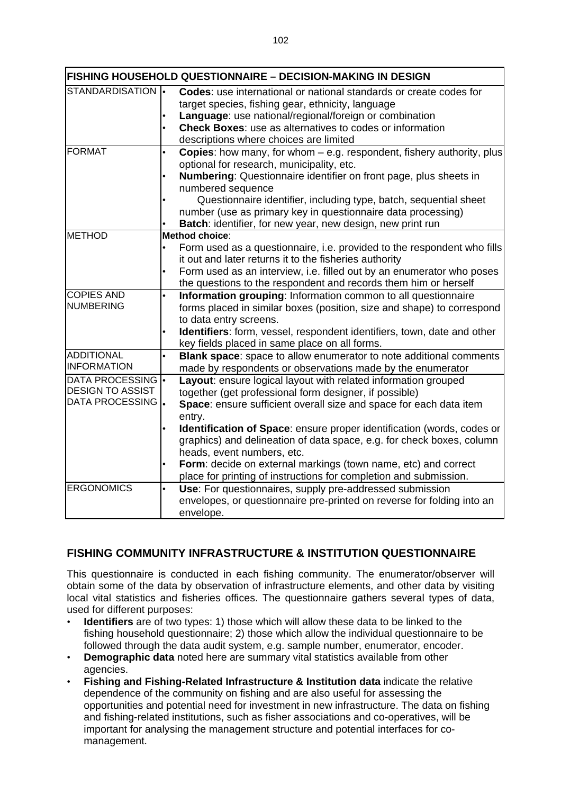| <b>FISHING HOUSEHOLD QUESTIONNAIRE - DECISION-MAKING IN DESIGN</b> |           |                                                                                |  |
|--------------------------------------------------------------------|-----------|--------------------------------------------------------------------------------|--|
| STANDARDISATION  .                                                 |           | Codes: use international or national standards or create codes for             |  |
|                                                                    |           | target species, fishing gear, ethnicity, language                              |  |
|                                                                    | $\bullet$ | Language: use national/regional/foreign or combination                         |  |
|                                                                    | $\bullet$ | <b>Check Boxes:</b> use as alternatives to codes or information                |  |
|                                                                    |           | descriptions where choices are limited                                         |  |
| <b>FORMAT</b>                                                      | $\bullet$ | <b>Copies:</b> how many, for whom $-$ e.g. respondent, fishery authority, plus |  |
|                                                                    |           | optional for research, municipality, etc.                                      |  |
|                                                                    | $\bullet$ | Numbering: Questionnaire identifier on front page, plus sheets in              |  |
|                                                                    |           | numbered sequence                                                              |  |
|                                                                    | $\bullet$ | Questionnaire identifier, including type, batch, sequential sheet              |  |
|                                                                    |           | number (use as primary key in questionnaire data processing)                   |  |
|                                                                    |           | Batch: identifier, for new year, new design, new print run                     |  |
| <b>METHOD</b>                                                      |           | Method choice:                                                                 |  |
|                                                                    | $\bullet$ | Form used as a questionnaire, i.e. provided to the respondent who fills        |  |
|                                                                    |           | it out and later returns it to the fisheries authority                         |  |
|                                                                    | $\bullet$ | Form used as an interview, i.e. filled out by an enumerator who poses          |  |
|                                                                    |           | the questions to the respondent and records them him or herself                |  |
| <b>COPIES AND</b>                                                  | $\bullet$ | Information grouping: Information common to all questionnaire                  |  |
| <b>NUMBERING</b>                                                   |           | forms placed in similar boxes (position, size and shape) to correspond         |  |
|                                                                    |           | to data entry screens.                                                         |  |
|                                                                    | $\bullet$ | Identifiers: form, vessel, respondent identifiers, town, date and other        |  |
|                                                                    |           | key fields placed in same place on all forms.                                  |  |
| <b>ADDITIONAL</b>                                                  | $\bullet$ | Blank space: space to allow enumerator to note additional comments             |  |
| <b>INFORMATION</b>                                                 |           | made by respondents or observations made by the enumerator                     |  |
| <b>DATA PROCESSING</b> .                                           |           | Layout: ensure logical layout with related information grouped                 |  |
| <b>DESIGN TO ASSIST</b>                                            |           | together (get professional form designer, if possible)                         |  |
| DATA PROCESSING                                                    | $\bullet$ | Space: ensure sufficient overall size and space for each data item             |  |
|                                                                    |           | entry.                                                                         |  |
|                                                                    | $\bullet$ | Identification of Space: ensure proper identification (words, codes or         |  |
|                                                                    |           | graphics) and delineation of data space, e.g. for check boxes, column          |  |
|                                                                    |           | heads, event numbers, etc.                                                     |  |
|                                                                    | $\bullet$ | Form: decide on external markings (town name, etc) and correct                 |  |
|                                                                    |           | place for printing of instructions for completion and submission.              |  |
| <b>ERGONOMICS</b>                                                  | $\bullet$ | Use: For questionnaires, supply pre-addressed submission                       |  |
|                                                                    |           | envelopes, or questionnaire pre-printed on reverse for folding into an         |  |
|                                                                    |           | envelope.                                                                      |  |

### **FISHING COMMUNITY INFRASTRUCTURE & INSTITUTION QUESTIONNAIRE**

This questionnaire is conducted in each fishing community. The enumerator/observer will obtain some of the data by observation of infrastructure elements, and other data by visiting local vital statistics and fisheries offices. The questionnaire gathers several types of data, used for different purposes:

- **Identifiers** are of two types: 1) those which will allow these data to be linked to the fishing household questionnaire; 2) those which allow the individual questionnaire to be followed through the data audit system, e.g. sample number, enumerator, encoder.
- **Demographic data** noted here are summary vital statistics available from other agencies.
- **Fishing and Fishing-Related Infrastructure & Institution data** indicate the relative dependence of the community on fishing and are also useful for assessing the opportunities and potential need for investment in new infrastructure. The data on fishing and fishing-related institutions, such as fisher associations and co-operatives, will be important for analysing the management structure and potential interfaces for comanagement.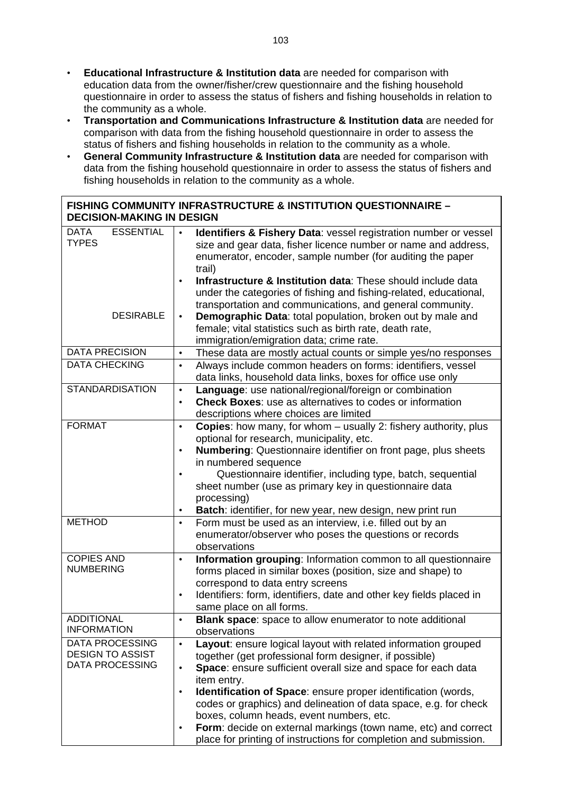- **Educational Infrastructure & Institution data** are needed for comparison with education data from the owner/fisher/crew questionnaire and the fishing household questionnaire in order to assess the status of fishers and fishing households in relation to the community as a whole.
- **Transportation and Communications Infrastructure & Institution data** are needed for comparison with data from the fishing household questionnaire in order to assess the status of fishers and fishing households in relation to the community as a whole.
- **General Community Infrastructure & Institution data** are needed for comparison with data from the fishing household questionnaire in order to assess the status of fishers and fishing households in relation to the community as a whole.

### **FISHING COMMUNITY INFRASTRUCTURE & INSTITUTION QUESTIONNAIRE – DECISION-MAKING IN DESIGN**

| <b>ESSENTIAL</b><br><b>DATA</b><br><b>TYPES</b>                      | Identifiers & Fishery Data: vessel registration number or vessel<br>$\bullet$<br>size and gear data, fisher licence number or name and address,<br>enumerator, encoder, sample number (for auditing the paper<br>trail)<br>Infrastructure & Institution data: These should include data<br>$\bullet$<br>under the categories of fishing and fishing-related, educational,<br>transportation and communications, and general community.                                                                                                                                  |
|----------------------------------------------------------------------|-------------------------------------------------------------------------------------------------------------------------------------------------------------------------------------------------------------------------------------------------------------------------------------------------------------------------------------------------------------------------------------------------------------------------------------------------------------------------------------------------------------------------------------------------------------------------|
| <b>DESIRABLE</b>                                                     | Demographic Data: total population, broken out by male and<br>$\bullet$<br>female; vital statistics such as birth rate, death rate,<br>immigration/emigration data; crime rate.                                                                                                                                                                                                                                                                                                                                                                                         |
| <b>DATA PRECISION</b>                                                | These data are mostly actual counts or simple yes/no responses<br>$\bullet$                                                                                                                                                                                                                                                                                                                                                                                                                                                                                             |
| <b>DATA CHECKING</b>                                                 | Always include common headers on forms: identifiers, vessel<br>$\bullet$<br>data links, household data links, boxes for office use only                                                                                                                                                                                                                                                                                                                                                                                                                                 |
| <b>STANDARDISATION</b>                                               | Language: use national/regional/foreign or combination<br>$\bullet$<br><b>Check Boxes:</b> use as alternatives to codes or information<br>$\bullet$<br>descriptions where choices are limited                                                                                                                                                                                                                                                                                                                                                                           |
| <b>FORMAT</b>                                                        | <b>Copies:</b> how many, for whom - usually 2: fishery authority, plus<br>$\bullet$<br>optional for research, municipality, etc.<br>Numbering: Questionnaire identifier on front page, plus sheets<br>$\bullet$<br>in numbered sequence                                                                                                                                                                                                                                                                                                                                 |
|                                                                      | Questionnaire identifier, including type, batch, sequential<br>sheet number (use as primary key in questionnaire data<br>processing)<br>Batch: identifier, for new year, new design, new print run<br>$\bullet$                                                                                                                                                                                                                                                                                                                                                         |
| <b>METHOD</b>                                                        | Form must be used as an interview, i.e. filled out by an<br>$\bullet$<br>enumerator/observer who poses the questions or records<br>observations                                                                                                                                                                                                                                                                                                                                                                                                                         |
| <b>COPIES AND</b><br><b>NUMBERING</b>                                | Information grouping: Information common to all questionnaire<br>$\bullet$<br>forms placed in similar boxes (position, size and shape) to<br>correspond to data entry screens<br>Identifiers: form, identifiers, date and other key fields placed in<br>$\bullet$<br>same place on all forms.                                                                                                                                                                                                                                                                           |
| <b>ADDITIONAL</b><br><b>INFORMATION</b>                              | Blank space: space to allow enumerator to note additional<br>$\bullet$<br>observations                                                                                                                                                                                                                                                                                                                                                                                                                                                                                  |
| <b>DATA PROCESSING</b><br><b>DESIGN TO ASSIST</b><br>DATA PROCESSING | Layout: ensure logical layout with related information grouped<br>together (get professional form designer, if possible)<br>Space: ensure sufficient overall size and space for each data<br>$\bullet$<br>item entry.<br>Identification of Space: ensure proper identification (words,<br>$\bullet$<br>codes or graphics) and delineation of data space, e.g. for check<br>boxes, column heads, event numbers, etc.<br>Form: decide on external markings (town name, etc) and correct<br>$\bullet$<br>place for printing of instructions for completion and submission. |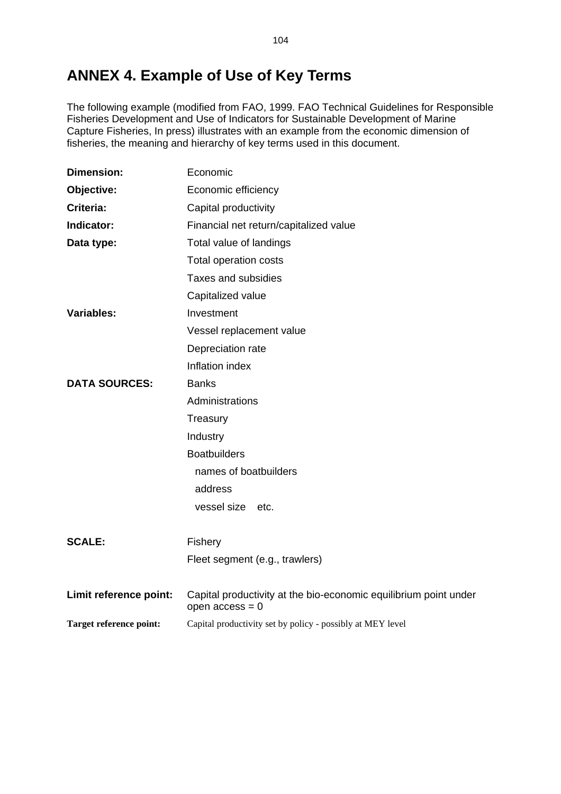# **ANNEX 4. Example of Use of Key Terms**

The following example (modified from FAO, 1999. FAO Technical Guidelines for Responsible Fisheries Development and Use of Indicators for Sustainable Development of Marine Capture Fisheries, In press) illustrates with an example from the economic dimension of fisheries, the meaning and hierarchy of key terms used in this document.

| <b>Dimension:</b>       | Economic                                                                              |
|-------------------------|---------------------------------------------------------------------------------------|
| Objective:              | Economic efficiency                                                                   |
| Criteria:               | Capital productivity                                                                  |
| Indicator:              | Financial net return/capitalized value                                                |
| Data type:              | Total value of landings                                                               |
|                         | Total operation costs                                                                 |
|                         | Taxes and subsidies                                                                   |
|                         | Capitalized value                                                                     |
| Variables:              | Investment                                                                            |
|                         | Vessel replacement value                                                              |
|                         | Depreciation rate                                                                     |
|                         | Inflation index                                                                       |
| <b>DATA SOURCES:</b>    | <b>Banks</b>                                                                          |
|                         | Administrations                                                                       |
|                         | Treasury                                                                              |
|                         | Industry                                                                              |
|                         | <b>Boatbuilders</b>                                                                   |
|                         | names of boatbuilders                                                                 |
|                         | address                                                                               |
|                         | vessel size etc.                                                                      |
| <b>SCALE:</b>           | Fishery                                                                               |
|                         | Fleet segment (e.g., trawlers)                                                        |
| Limit reference point:  | Capital productivity at the bio-economic equilibrium point under<br>open $access = 0$ |
| Target reference point: | Capital productivity set by policy - possibly at MEY level                            |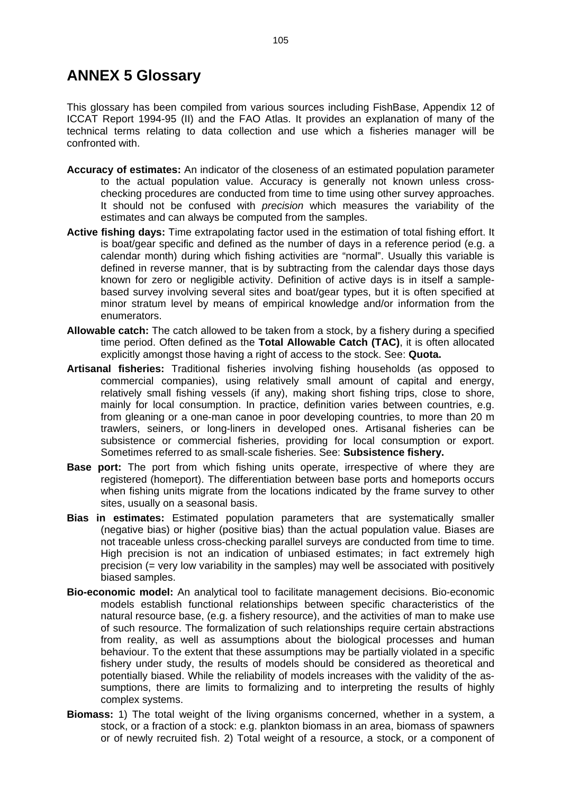## **ANNEX 5 Glossary**

This glossary has been compiled from various sources including FishBase, Appendix 12 of ICCAT Report 1994-95 (II) and the FAO Atlas. It provides an explanation of many of the technical terms relating to data collection and use which a fisheries manager will be confronted with.

- **Accuracy of estimates:** An indicator of the closeness of an estimated population parameter to the actual population value. Accuracy is generally not known unless crosschecking procedures are conducted from time to time using other survey approaches. It should not be confused with *precision* which measures the variability of the estimates and can always be computed from the samples.
- **Active fishing days:** Time extrapolating factor used in the estimation of total fishing effort. It is boat/gear specific and defined as the number of days in a reference period (e.g. a calendar month) during which fishing activities are "normal". Usually this variable is defined in reverse manner, that is by subtracting from the calendar days those days known for zero or negligible activity. Definition of active days is in itself a samplebased survey involving several sites and boat/gear types, but it is often specified at minor stratum level by means of empirical knowledge and/or information from the enumerators.
- **Allowable catch:** The catch allowed to be taken from a stock, by a fishery during a specified time period. Often defined as the **Total Allowable Catch (TAC)**, it is often allocated explicitly amongst those having a right of access to the stock. See: **Quota.**
- **Artisanal fisheries:** Traditional fisheries involving fishing households (as opposed to commercial companies), using relatively small amount of capital and energy, relatively small fishing vessels (if any), making short fishing trips, close to shore, mainly for local consumption. In practice, definition varies between countries, e.g. from gleaning or a one-man canoe in poor developing countries, to more than 20 m trawlers, seiners, or long-liners in developed ones. Artisanal fisheries can be subsistence or commercial fisheries, providing for local consumption or export. Sometimes referred to as small-scale fisheries. See: **Subsistence fishery.**
- **Base port:** The port from which fishing units operate, irrespective of where they are registered (homeport). The differentiation between base ports and homeports occurs when fishing units migrate from the locations indicated by the frame survey to other sites, usually on a seasonal basis.
- **Bias in estimates:** Estimated population parameters that are systematically smaller (negative bias) or higher (positive bias) than the actual population value. Biases are not traceable unless cross-checking parallel surveys are conducted from time to time. High precision is not an indication of unbiased estimates; in fact extremely high precision (= very low variability in the samples) may well be associated with positively biased samples.
- **Bio-economic model:** An analytical tool to facilitate management decisions. Bio-economic models establish functional relationships between specific characteristics of the natural resource base, (e.g. a fishery resource), and the activities of man to make use of such resource. The formalization of such relationships require certain abstractions from reality, as well as assumptions about the biological processes and human behaviour. To the extent that these assumptions may be partially violated in a specific fishery under study, the results of models should be considered as theoretical and potentially biased. While the reliability of models increases with the validity of the assumptions, there are limits to formalizing and to interpreting the results of highly complex systems.
- **Biomass:** 1) The total weight of the living organisms concerned, whether in a system, a stock, or a fraction of a stock: e.g. plankton biomass in an area, biomass of spawners or of newly recruited fish. 2) Total weight of a resource, a stock, or a component of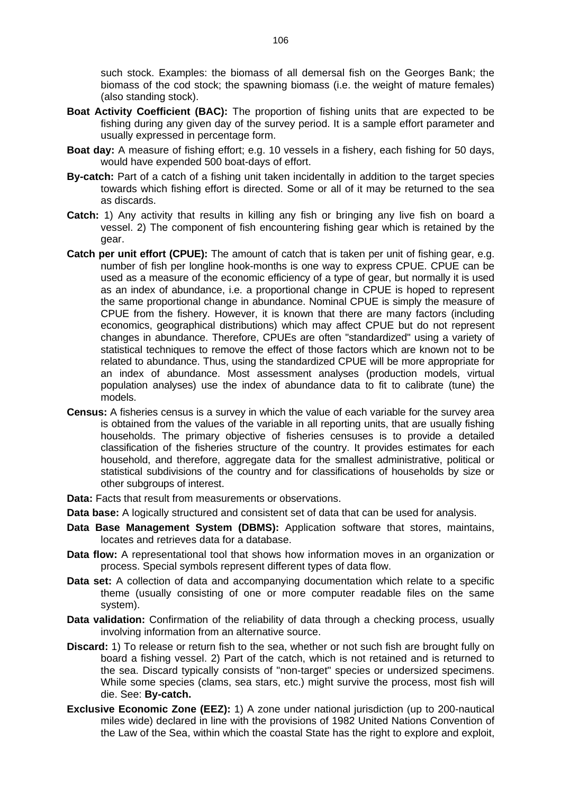such stock. Examples: the biomass of all demersal fish on the Georges Bank; the biomass of the cod stock; the spawning biomass (i.e. the weight of mature females) (also standing stock).

- **Boat Activity Coefficient (BAC):** The proportion of fishing units that are expected to be fishing during any given day of the survey period. It is a sample effort parameter and usually expressed in percentage form.
- **Boat day:** A measure of fishing effort; e.g. 10 vessels in a fishery, each fishing for 50 days, would have expended 500 boat-days of effort.
- **By-catch:** Part of a catch of a fishing unit taken incidentally in addition to the target species towards which fishing effort is directed. Some or all of it may be returned to the sea as discards.
- **Catch:** 1) Any activity that results in killing any fish or bringing any live fish on board a vessel. 2) The component of fish encountering fishing gear which is retained by the gear.
- **Catch per unit effort (CPUE):** The amount of catch that is taken per unit of fishing gear, e.g. number of fish per longline hook-months is one way to express CPUE. CPUE can be used as a measure of the economic efficiency of a type of gear, but normally it is used as an index of abundance, i.e. a proportional change in CPUE is hoped to represent the same proportional change in abundance. Nominal CPUE is simply the measure of CPUE from the fishery. However, it is known that there are many factors (including economics, geographical distributions) which may affect CPUE but do not represent changes in abundance. Therefore, CPUEs are often "standardized" using a variety of statistical techniques to remove the effect of those factors which are known not to be related to abundance. Thus, using the standardized CPUE will be more appropriate for an index of abundance. Most assessment analyses (production models, virtual population analyses) use the index of abundance data to fit to calibrate (tune) the models.
- **Census:** A fisheries census is a survey in which the value of each variable for the survey area is obtained from the values of the variable in all reporting units, that are usually fishing households. The primary objective of fisheries censuses is to provide a detailed classification of the fisheries structure of the country. It provides estimates for each household, and therefore, aggregate data for the smallest administrative, political or statistical subdivisions of the country and for classifications of households by size or other subgroups of interest.
- **Data:** Facts that result from measurements or observations.
- **Data base:** A logically structured and consistent set of data that can be used for analysis.
- **Data Base Management System (DBMS):** Application software that stores, maintains, locates and retrieves data for a database.
- **Data flow:** A representational tool that shows how information moves in an organization or process. Special symbols represent different types of data flow.
- **Data set:** A collection of data and accompanying documentation which relate to a specific theme (usually consisting of one or more computer readable files on the same system).
- **Data validation:** Confirmation of the reliability of data through a checking process, usually involving information from an alternative source.
- **Discard:** 1) To release or return fish to the sea, whether or not such fish are brought fully on board a fishing vessel. 2) Part of the catch, which is not retained and is returned to the sea. Discard typically consists of "non-target" species or undersized specimens. While some species (clams, sea stars, etc.) might survive the process, most fish will die. See: **By-catch.**
- **Exclusive Economic Zone (EEZ):** 1) A zone under national jurisdiction (up to 200-nautical miles wide) declared in line with the provisions of 1982 United Nations Convention of the Law of the Sea, within which the coastal State has the right to explore and exploit,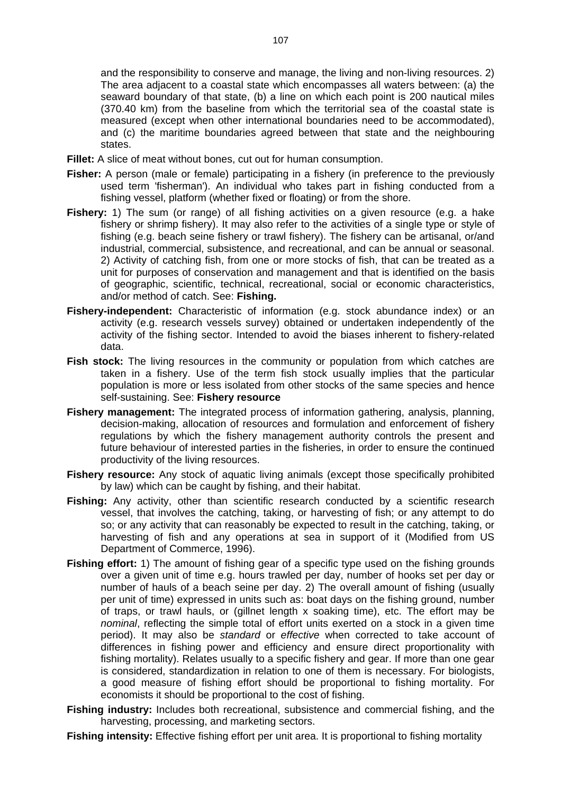and the responsibility to conserve and manage, the living and non-living resources. 2) The area adjacent to a coastal state which encompasses all waters between: (a) the seaward boundary of that state, (b) a line on which each point is 200 nautical miles (370.40 km) from the baseline from which the territorial sea of the coastal state is measured (except when other international boundaries need to be accommodated), and (c) the maritime boundaries agreed between that state and the neighbouring states.

- **Fillet:** A slice of meat without bones, cut out for human consumption.
- **Fisher:** A person (male or female) participating in a fishery (in preference to the previously used term 'fisherman'). An individual who takes part in fishing conducted from a fishing vessel, platform (whether fixed or floating) or from the shore.
- **Fishery:** 1) The sum (or range) of all fishing activities on a given resource (e.g. a hake fishery or shrimp fishery). It may also refer to the activities of a single type or style of fishing (e.g. beach seine fishery or trawl fishery). The fishery can be artisanal, or/and industrial, commercial, subsistence, and recreational, and can be annual or seasonal. 2) Activity of catching fish, from one or more stocks of fish, that can be treated as a unit for purposes of conservation and management and that is identified on the basis of geographic, scientific, technical, recreational, social or economic characteristics, and/or method of catch. See: **Fishing.**
- **Fishery-independent:** Characteristic of information (e.g. stock abundance index) or an activity (e.g. research vessels survey) obtained or undertaken independently of the activity of the fishing sector. Intended to avoid the biases inherent to fishery-related data.
- Fish stock: The living resources in the community or population from which catches are taken in a fishery. Use of the term fish stock usually implies that the particular population is more or less isolated from other stocks of the same species and hence self-sustaining. See: **Fishery resource**
- **Fishery management:** The integrated process of information gathering, analysis, planning, decision-making, allocation of resources and formulation and enforcement of fishery regulations by which the fishery management authority controls the present and future behaviour of interested parties in the fisheries, in order to ensure the continued productivity of the living resources.
- **Fishery resource:** Any stock of aquatic living animals (except those specifically prohibited by law) which can be caught by fishing, and their habitat.
- **Fishing:** Any activity, other than scientific research conducted by a scientific research vessel, that involves the catching, taking, or harvesting of fish; or any attempt to do so; or any activity that can reasonably be expected to result in the catching, taking, or harvesting of fish and any operations at sea in support of it (Modified from US Department of Commerce, 1996).
- **Fishing effort:** 1) The amount of fishing gear of a specific type used on the fishing grounds over a given unit of time e.g. hours trawled per day, number of hooks set per day or number of hauls of a beach seine per day. 2) The overall amount of fishing (usually per unit of time) expressed in units such as: boat days on the fishing ground, number of traps, or trawl hauls, or (gillnet length x soaking time), etc. The effort may be *nominal*, reflecting the simple total of effort units exerted on a stock in a given time period). It may also be *standard* or *effective* when corrected to take account of differences in fishing power and efficiency and ensure direct proportionality with fishing mortality). Relates usually to a specific fishery and gear. If more than one gear is considered, standardization in relation to one of them is necessary. For biologists, a good measure of fishing effort should be proportional to fishing mortality. For economists it should be proportional to the cost of fishing.
- **Fishing industry:** Includes both recreational, subsistence and commercial fishing, and the harvesting, processing, and marketing sectors.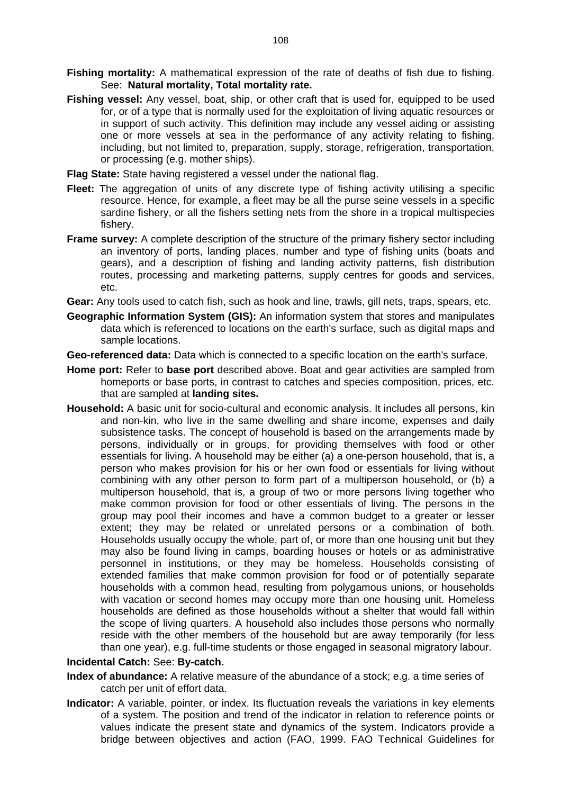**Fishing mortality:** A mathematical expression of the rate of deaths of fish due to fishing. See: **Natural mortality, Total mortality rate.** 

**Fishing vessel:** Any vessel, boat, ship, or other craft that is used for, equipped to be used for, or of a type that is normally used for the exploitation of living aquatic resources or in support of such activity. This definition may include any vessel aiding or assisting one or more vessels at sea in the performance of any activity relating to fishing, including, but not limited to, preparation, supply, storage, refrigeration, transportation, or processing (e.g. mother ships).

**Flag State:** State having registered a vessel under the national flag.

- **Fleet:** The aggregation of units of any discrete type of fishing activity utilising a specific resource. Hence, for example, a fleet may be all the purse seine vessels in a specific sardine fishery, or all the fishers setting nets from the shore in a tropical multispecies fishery.
- **Frame survey:** A complete description of the structure of the primary fishery sector including an inventory of ports, landing places, number and type of fishing units (boats and gears), and a description of fishing and landing activity patterns, fish distribution routes, processing and marketing patterns, supply centres for goods and services, etc.
- **Gear:** Any tools used to catch fish, such as hook and line, trawls, gill nets, traps, spears, etc.
- **Geographic Information System (GIS):** An information system that stores and manipulates data which is referenced to locations on the earth's surface, such as digital maps and sample locations.
- **Geo-referenced data:** Data which is connected to a specific location on the earth's surface.
- **Home port:** Refer to **base port** described above. Boat and gear activities are sampled from homeports or base ports, in contrast to catches and species composition, prices, etc. that are sampled at **landing sites.**
- **Household:** A basic unit for socio-cultural and economic analysis. It includes all persons, kin and non-kin, who live in the same dwelling and share income, expenses and daily subsistence tasks. The concept of household is based on the arrangements made by persons, individually or in groups, for providing themselves with food or other essentials for living. A household may be either (a) a one-person household, that is, a person who makes provision for his or her own food or essentials for living without combining with any other person to form part of a multiperson household, or (b) a multiperson household, that is, a group of two or more persons living together who make common provision for food or other essentials of living. The persons in the group may pool their incomes and have a common budget to a greater or lesser extent; they may be related or unrelated persons or a combination of both. Households usually occupy the whole, part of, or more than one housing unit but they may also be found living in camps, boarding houses or hotels or as administrative personnel in institutions, or they may be homeless. Households consisting of extended families that make common provision for food or of potentially separate households with a common head, resulting from polygamous unions, or households with vacation or second homes may occupy more than one housing unit. Homeless households are defined as those households without a shelter that would fall within the scope of living quarters. A household also includes those persons who normally reside with the other members of the household but are away temporarily (for less than one year), e.g. full-time students or those engaged in seasonal migratory labour.

#### **Incidental Catch:** See: **By-catch.**

- **Index of abundance:** A relative measure of the abundance of a stock; e.g. a time series of catch per unit of effort data.
- **Indicator:** A variable, pointer, or index. Its fluctuation reveals the variations in key elements of a system. The position and trend of the indicator in relation to reference points or values indicate the present state and dynamics of the system. Indicators provide a bridge between objectives and action (FAO, 1999. FAO Technical Guidelines for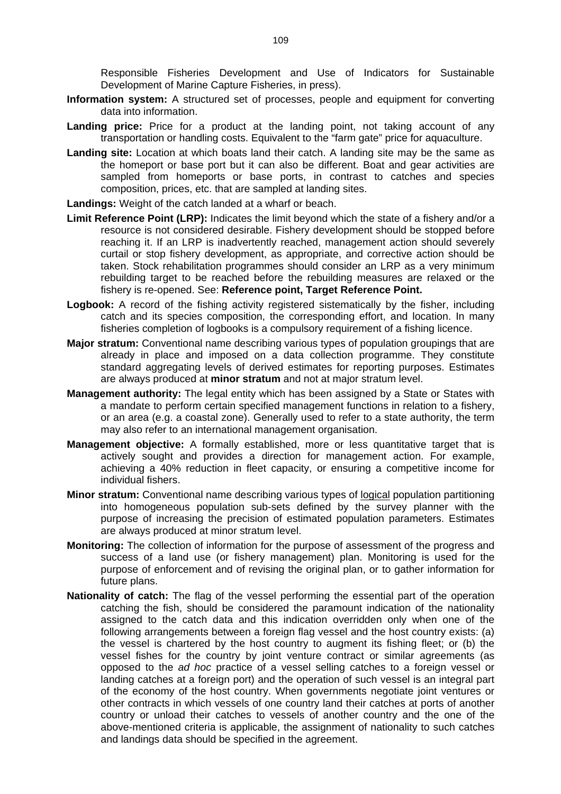Responsible Fisheries Development and Use of Indicators for Sustainable Development of Marine Capture Fisheries, in press).

- **Information system:** A structured set of processes, people and equipment for converting data into information.
- **Landing price:** Price for a product at the landing point, not taking account of any transportation or handling costs. Equivalent to the "farm gate" price for aquaculture.
- **Landing site:** Location at which boats land their catch. A landing site may be the same as the homeport or base port but it can also be different. Boat and gear activities are sampled from homeports or base ports, in contrast to catches and species composition, prices, etc. that are sampled at landing sites.
- **Landings:** Weight of the catch landed at a wharf or beach.
- Limit Reference Point (LRP): Indicates the limit beyond which the state of a fishery and/or a resource is not considered desirable. Fishery development should be stopped before reaching it. If an LRP is inadvertently reached, management action should severely curtail or stop fishery development, as appropriate, and corrective action should be taken. Stock rehabilitation programmes should consider an LRP as a very minimum rebuilding target to be reached before the rebuilding measures are relaxed or the fishery is re-opened. See: **Reference point, Target Reference Point.**
- Logbook: A record of the fishing activity registered sistematically by the fisher, including catch and its species composition, the corresponding effort, and location. In many fisheries completion of logbooks is a compulsory requirement of a fishing licence.
- **Major stratum:** Conventional name describing various types of population groupings that are already in place and imposed on a data collection programme. They constitute standard aggregating levels of derived estimates for reporting purposes. Estimates are always produced at **minor stratum** and not at major stratum level.
- **Management authority:** The legal entity which has been assigned by a State or States with a mandate to perform certain specified management functions in relation to a fishery, or an area (e.g. a coastal zone). Generally used to refer to a state authority, the term may also refer to an international management organisation.
- **Management objective:** A formally established, more or less quantitative target that is actively sought and provides a direction for management action. For example, achieving a 40% reduction in fleet capacity, or ensuring a competitive income for individual fishers.
- **Minor stratum:** Conventional name describing various types of logical population partitioning into homogeneous population sub-sets defined by the survey planner with the purpose of increasing the precision of estimated population parameters. Estimates are always produced at minor stratum level.
- **Monitoring:** The collection of information for the purpose of assessment of the progress and success of a land use (or fishery management) plan. Monitoring is used for the purpose of enforcement and of revising the original plan, or to gather information for future plans.
- **Nationality of catch:** The flag of the vessel performing the essential part of the operation catching the fish, should be considered the paramount indication of the nationality assigned to the catch data and this indication overridden only when one of the following arrangements between a foreign flag vessel and the host country exists: (a) the vessel is chartered by the host country to augment its fishing fleet; or (b) the vessel fishes for the country by joint venture contract or similar agreements (as opposed to the *ad hoc* practice of a vessel selling catches to a foreign vessel or landing catches at a foreign port) and the operation of such vessel is an integral part of the economy of the host country. When governments negotiate joint ventures or other contracts in which vessels of one country land their catches at ports of another country or unload their catches to vessels of another country and the one of the above-mentioned criteria is applicable, the assignment of nationality to such catches and landings data should be specified in the agreement.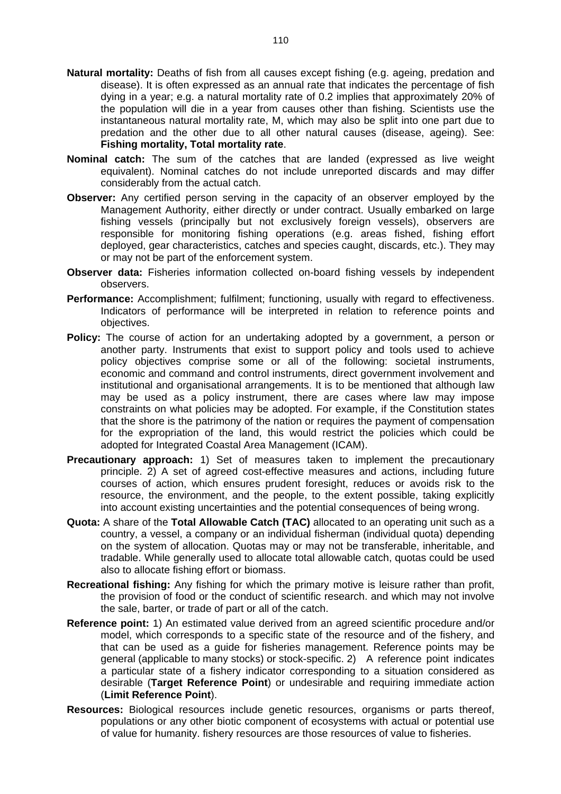- **Natural mortality:** Deaths of fish from all causes except fishing (e.g. ageing, predation and disease). It is often expressed as an annual rate that indicates the percentage of fish dying in a year; e.g. a natural mortality rate of 0.2 implies that approximately 20% of the population will die in a year from causes other than fishing. Scientists use the instantaneous natural mortality rate, M, which may also be split into one part due to predation and the other due to all other natural causes (disease, ageing). See: **Fishing mortality, Total mortality rate**.
- **Nominal catch:** The sum of the catches that are landed (expressed as live weight equivalent). Nominal catches do not include unreported discards and may differ considerably from the actual catch.
- **Observer:** Any certified person serving in the capacity of an observer employed by the Management Authority, either directly or under contract. Usually embarked on large fishing vessels (principally but not exclusively foreign vessels), observers are responsible for monitoring fishing operations (e.g. areas fished, fishing effort deployed, gear characteristics, catches and species caught, discards, etc.). They may or may not be part of the enforcement system.
- **Observer data:** Fisheries information collected on-board fishing vessels by independent observers.
- **Performance:** Accomplishment; fulfilment; functioning, usually with regard to effectiveness. Indicators of performance will be interpreted in relation to reference points and objectives.
- **Policy:** The course of action for an undertaking adopted by a government, a person or another party. Instruments that exist to support policy and tools used to achieve policy objectives comprise some or all of the following: societal instruments, economic and command and control instruments, direct government involvement and institutional and organisational arrangements. It is to be mentioned that although law may be used as a policy instrument, there are cases where law may impose constraints on what policies may be adopted. For example, if the Constitution states that the shore is the patrimony of the nation or requires the payment of compensation for the expropriation of the land, this would restrict the policies which could be adopted for Integrated Coastal Area Management (ICAM).
- **Precautionary approach:** 1) Set of measures taken to implement the precautionary principle. 2) A set of agreed cost-effective measures and actions, including future courses of action, which ensures prudent foresight, reduces or avoids risk to the resource, the environment, and the people, to the extent possible, taking explicitly into account existing uncertainties and the potential consequences of being wrong.
- **Quota:** A share of the **Total Allowable Catch (TAC)** allocated to an operating unit such as a country, a vessel, a company or an individual fisherman (individual quota) depending on the system of allocation. Quotas may or may not be transferable, inheritable, and tradable. While generally used to allocate total allowable catch, quotas could be used also to allocate fishing effort or biomass.
- **Recreational fishing:** Any fishing for which the primary motive is leisure rather than profit, the provision of food or the conduct of scientific research. and which may not involve the sale, barter, or trade of part or all of the catch.
- **Reference point:** 1) An estimated value derived from an agreed scientific procedure and/or model, which corresponds to a specific state of the resource and of the fishery, and that can be used as a guide for fisheries management. Reference points may be general (applicable to many stocks) or stock-specific. 2) A reference point indicates a particular state of a fishery indicator corresponding to a situation considered as desirable (**Target Reference Point**) or undesirable and requiring immediate action (**Limit Reference Point**).
- **Resources:** Biological resources include genetic resources, organisms or parts thereof, populations or any other biotic component of ecosystems with actual or potential use of value for humanity. fishery resources are those resources of value to fisheries.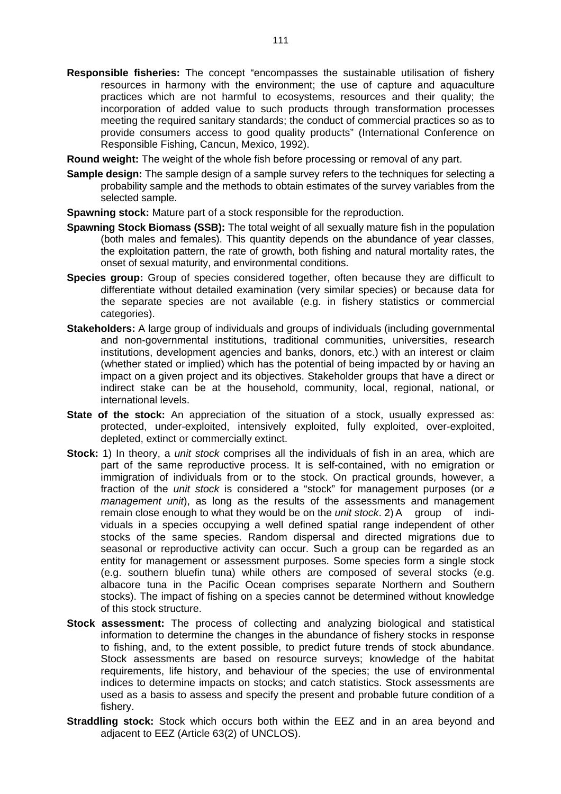**Responsible fisheries:** The concept "encompasses the sustainable utilisation of fishery resources in harmony with the environment; the use of capture and aquaculture practices which are not harmful to ecosystems, resources and their quality; the incorporation of added value to such products through transformation processes meeting the required sanitary standards; the conduct of commercial practices so as to provide consumers access to good quality products" (International Conference on Responsible Fishing, Cancun, Mexico, 1992).

**Round weight:** The weight of the whole fish before processing or removal of any part.

- **Sample design:** The sample design of a sample survey refers to the techniques for selecting a probability sample and the methods to obtain estimates of the survey variables from the selected sample.
- **Spawning stock:** Mature part of a stock responsible for the reproduction.
- **Spawning Stock Biomass (SSB):** The total weight of all sexually mature fish in the population (both males and females). This quantity depends on the abundance of year classes, the exploitation pattern, the rate of growth, both fishing and natural mortality rates, the onset of sexual maturity, and environmental conditions.
- **Species group:** Group of species considered together, often because they are difficult to differentiate without detailed examination (very similar species) or because data for the separate species are not available (e.g. in fishery statistics or commercial categories).
- **Stakeholders:** A large group of individuals and groups of individuals (including governmental and non-governmental institutions, traditional communities, universities, research institutions, development agencies and banks, donors, etc.) with an interest or claim (whether stated or implied) which has the potential of being impacted by or having an impact on a given project and its objectives. Stakeholder groups that have a direct or indirect stake can be at the household, community, local, regional, national, or international levels.
- **State of the stock:** An appreciation of the situation of a stock, usually expressed as: protected, under-exploited, intensively exploited, fully exploited, over-exploited, depleted, extinct or commercially extinct.
- **Stock:** 1) In theory, a *unit stock* comprises all the individuals of fish in an area, which are part of the same reproductive process. It is self-contained, with no emigration or immigration of individuals from or to the stock. On practical grounds, however, a fraction of the *unit stock* is considered a "stock" for management purposes (or *a management unit*), as long as the results of the assessments and management remain close enough to what they would be on the *unit stock*. 2) A group of individuals in a species occupying a well defined spatial range independent of other stocks of the same species. Random dispersal and directed migrations due to seasonal or reproductive activity can occur. Such a group can be regarded as an entity for management or assessment purposes. Some species form a single stock (e.g. southern bluefin tuna) while others are composed of several stocks (e.g. albacore tuna in the Pacific Ocean comprises separate Northern and Southern stocks). The impact of fishing on a species cannot be determined without knowledge of this stock structure.
- **Stock assessment:** The process of collecting and analyzing biological and statistical information to determine the changes in the abundance of fishery stocks in response to fishing, and, to the extent possible, to predict future trends of stock abundance. Stock assessments are based on resource surveys; knowledge of the habitat requirements, life history, and behaviour of the species; the use of environmental indices to determine impacts on stocks; and catch statistics. Stock assessments are used as a basis to assess and specify the present and probable future condition of a fishery.
- **Straddling stock:** Stock which occurs both within the EEZ and in an area beyond and adjacent to EEZ (Article 63(2) of UNCLOS).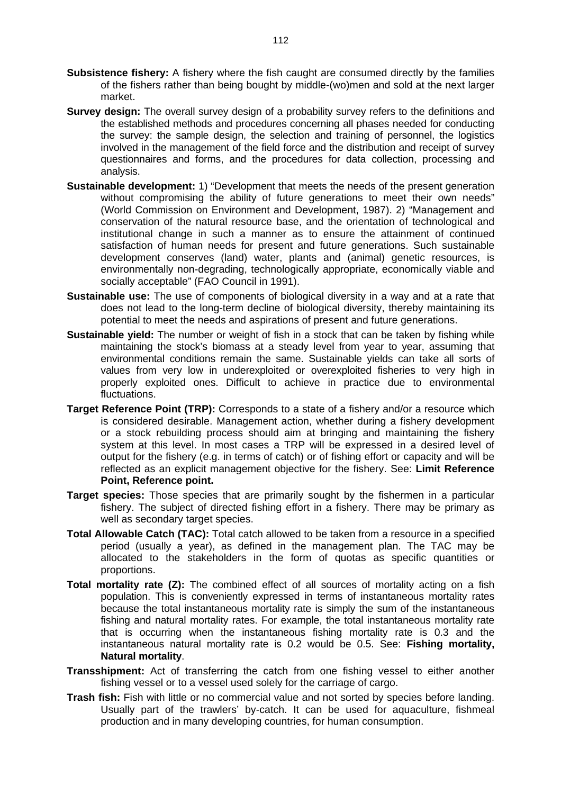- **Subsistence fishery:** A fishery where the fish caught are consumed directly by the families of the fishers rather than being bought by middle-(wo)men and sold at the next larger market.
- **Survey design:** The overall survey design of a probability survey refers to the definitions and the established methods and procedures concerning all phases needed for conducting the survey: the sample design, the selection and training of personnel, the logistics involved in the management of the field force and the distribution and receipt of survey questionnaires and forms, and the procedures for data collection, processing and analysis.
- **Sustainable development:** 1) "Development that meets the needs of the present generation without compromising the ability of future generations to meet their own needs" (World Commission on Environment and Development, 1987). 2) "Management and conservation of the natural resource base, and the orientation of technological and institutional change in such a manner as to ensure the attainment of continued satisfaction of human needs for present and future generations. Such sustainable development conserves (land) water, plants and (animal) genetic resources, is environmentally non-degrading, technologically appropriate, economically viable and socially acceptable" (FAO Council in 1991).
- **Sustainable use:** The use of components of biological diversity in a way and at a rate that does not lead to the long-term decline of biological diversity, thereby maintaining its potential to meet the needs and aspirations of present and future generations.
- **Sustainable yield:** The number or weight of fish in a stock that can be taken by fishing while maintaining the stock's biomass at a steady level from year to year, assuming that environmental conditions remain the same. Sustainable yields can take all sorts of values from very low in underexploited or overexploited fisheries to very high in properly exploited ones. Difficult to achieve in practice due to environmental fluctuations.
- **Target Reference Point (TRP):** Corresponds to a state of a fishery and/or a resource which is considered desirable. Management action, whether during a fishery development or a stock rebuilding process should aim at bringing and maintaining the fishery system at this level. In most cases a TRP will be expressed in a desired level of output for the fishery (e.g. in terms of catch) or of fishing effort or capacity and will be reflected as an explicit management objective for the fishery. See: **Limit Reference Point, Reference point.**
- **Target species:** Those species that are primarily sought by the fishermen in a particular fishery. The subject of directed fishing effort in a fishery. There may be primary as well as secondary target species.
- **Total Allowable Catch (TAC):** Total catch allowed to be taken from a resource in a specified period (usually a year), as defined in the management plan. The TAC may be allocated to the stakeholders in the form of quotas as specific quantities or proportions.
- **Total mortality rate (Z):** The combined effect of all sources of mortality acting on a fish population. This is conveniently expressed in terms of instantaneous mortality rates because the total instantaneous mortality rate is simply the sum of the instantaneous fishing and natural mortality rates. For example, the total instantaneous mortality rate that is occurring when the instantaneous fishing mortality rate is 0.3 and the instantaneous natural mortality rate is 0.2 would be 0.5. See: **Fishing mortality, Natural mortality**.
- **Transshipment:** Act of transferring the catch from one fishing vessel to either another fishing vessel or to a vessel used solely for the carriage of cargo.
- **Trash fish:** Fish with little or no commercial value and not sorted by species before landing. Usually part of the trawlers' by-catch. It can be used for aquaculture, fishmeal production and in many developing countries, for human consumption.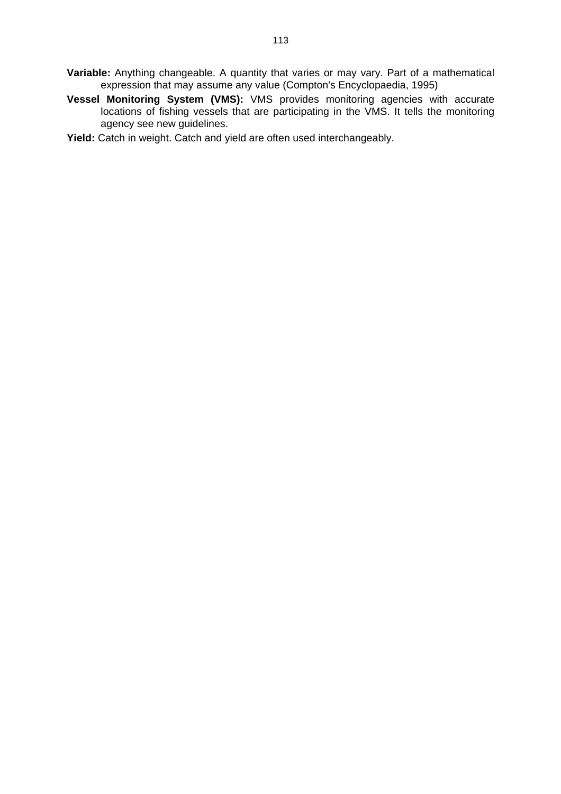- **Variable:** Anything changeable. A quantity that varies or may vary. Part of a mathematical expression that may assume any value (Compton's Encyclopaedia, 1995)
- **Vessel Monitoring System (VMS):** VMS provides monitoring agencies with accurate locations of fishing vessels that are participating in the VMS. It tells the monitoring agency see new guidelines.
- **Yield:** Catch in weight. Catch and yield are often used interchangeably.